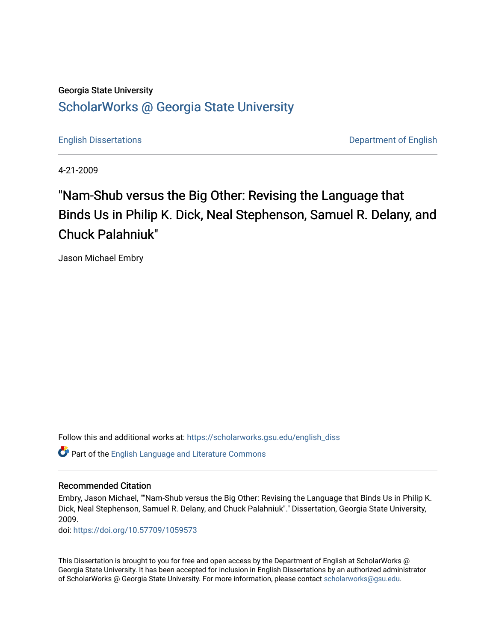# Georgia State University [ScholarWorks @ Georgia State University](https://scholarworks.gsu.edu/)

[English Dissertations](https://scholarworks.gsu.edu/english_diss) **Department of English** 

4-21-2009

# "Nam-Shub versus the Big Other: Revising the Language that Binds Us in Philip K. Dick, Neal Stephenson, Samuel R. Delany, and Chuck Palahniuk"

Jason Michael Embry

Follow this and additional works at: [https://scholarworks.gsu.edu/english\\_diss](https://scholarworks.gsu.edu/english_diss?utm_source=scholarworks.gsu.edu%2Fenglish_diss%2F46&utm_medium=PDF&utm_campaign=PDFCoverPages) 

Part of the [English Language and Literature Commons](http://network.bepress.com/hgg/discipline/455?utm_source=scholarworks.gsu.edu%2Fenglish_diss%2F46&utm_medium=PDF&utm_campaign=PDFCoverPages)

## Recommended Citation

Embry, Jason Michael, ""Nam-Shub versus the Big Other: Revising the Language that Binds Us in Philip K. Dick, Neal Stephenson, Samuel R. Delany, and Chuck Palahniuk"." Dissertation, Georgia State University, 2009.

doi: <https://doi.org/10.57709/1059573>

This Dissertation is brought to you for free and open access by the Department of English at ScholarWorks @ Georgia State University. It has been accepted for inclusion in English Dissertations by an authorized administrator of ScholarWorks @ Georgia State University. For more information, please contact [scholarworks@gsu.edu.](mailto:scholarworks@gsu.edu)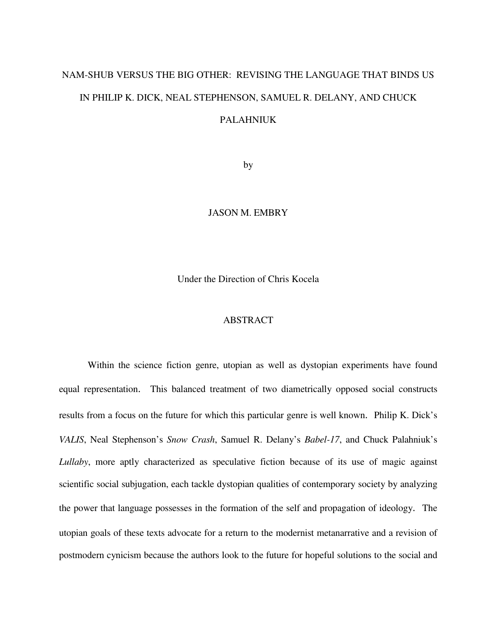# NAM-SHUB VERSUS THE BIG OTHER: REVISING THE LANGUAGE THAT BINDS US IN PHILIP K. DICK, NEAL STEPHENSON, SAMUEL R. DELANY, AND CHUCK PALAHNIUK

by

### JASON M. EMBRY

Under the Direction of Chris Kocela

### ABSTRACT

Within the science fiction genre, utopian as well as dystopian experiments have found equal representation. This balanced treatment of two diametrically opposed social constructs results from a focus on the future for which this particular genre is well known. Philip K. Dick's *VALIS*, Neal Stephenson's *Snow Crash*, Samuel R. Delany's *Babel-17*, and Chuck Palahniuk's *Lullaby*, more aptly characterized as speculative fiction because of its use of magic against scientific social subjugation, each tackle dystopian qualities of contemporary society by analyzing the power that language possesses in the formation of the self and propagation of ideology. The utopian goals of these texts advocate for a return to the modernist metanarrative and a revision of postmodern cynicism because the authors look to the future for hopeful solutions to the social and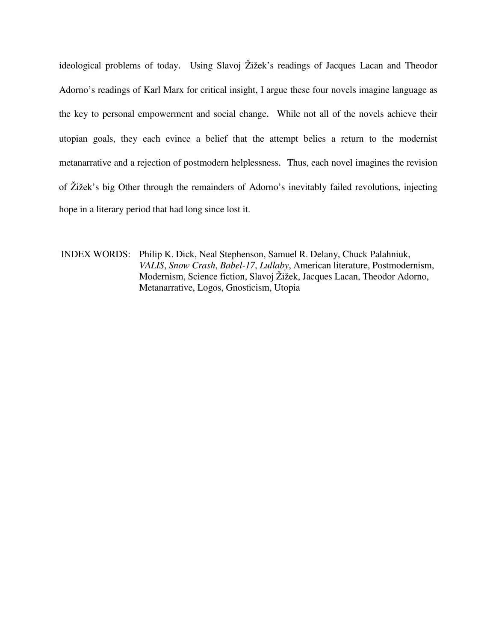ideological problems of today. Using Slavoj Žižek's readings of Jacques Lacan and Theodor Adorno's readings of Karl Marx for critical insight, I argue these four novels imagine language as the key to personal empowerment and social change. While not all of the novels achieve their utopian goals, they each evince a belief that the attempt belies a return to the modernist metanarrative and a rejection of postmodern helplessness. Thus, each novel imagines the revision of Žižek's big Other through the remainders of Adorno's inevitably failed revolutions, injecting hope in a literary period that had long since lost it.

INDEX WORDS: Philip K. Dick, Neal Stephenson, Samuel R. Delany, Chuck Palahniuk, *VALIS*, *Snow Crash*, *Babel-17*, *Lullaby*, American literature, Postmodernism, Modernism, Science fiction, Slavoj Žižek, Jacques Lacan, Theodor Adorno, Metanarrative, Logos, Gnosticism, Utopia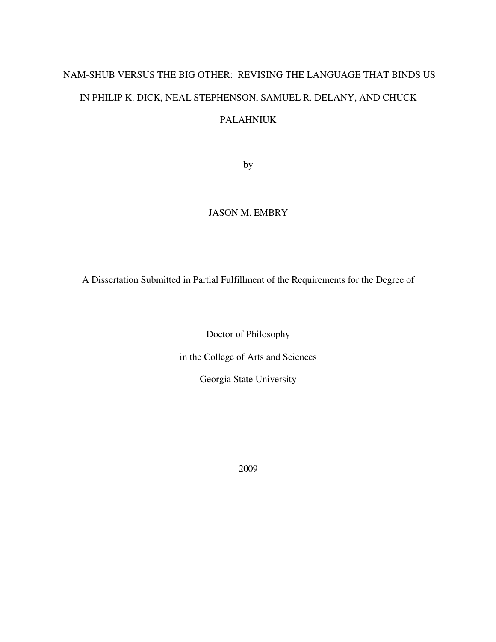# NAM-SHUB VERSUS THE BIG OTHER: REVISING THE LANGUAGE THAT BINDS US IN PHILIP K. DICK, NEAL STEPHENSON, SAMUEL R. DELANY, AND CHUCK PALAHNIUK

by

## JASON M. EMBRY

A Dissertation Submitted in Partial Fulfillment of the Requirements for the Degree of

Doctor of Philosophy

in the College of Arts and Sciences

Georgia State University

2009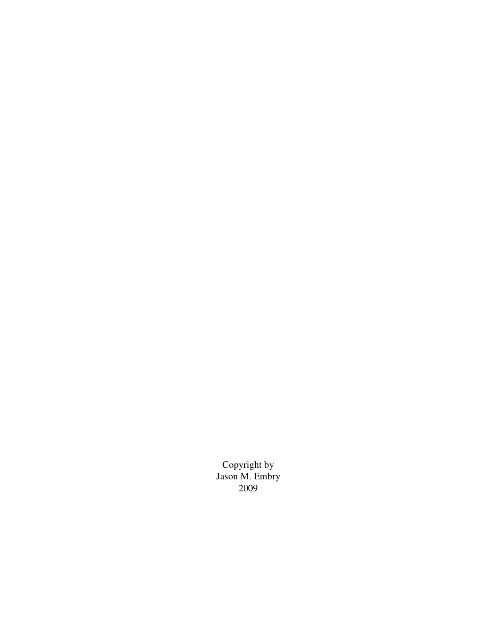Copyright by Jason M. Embry 2009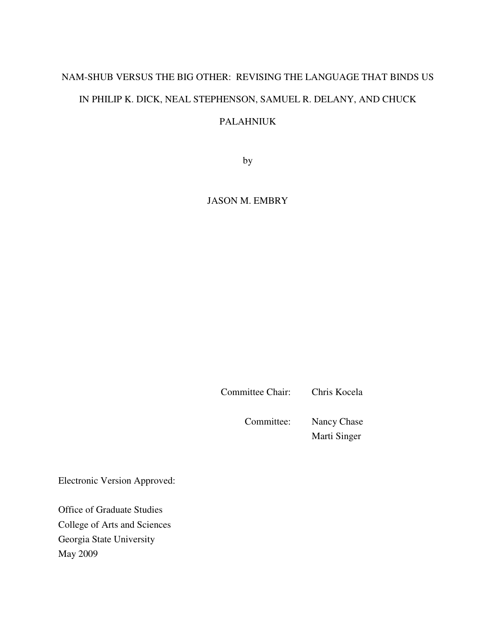# NAM-SHUB VERSUS THE BIG OTHER: REVISING THE LANGUAGE THAT BINDS US IN PHILIP K. DICK, NEAL STEPHENSON, SAMUEL R. DELANY, AND CHUCK

# PALAHNIUK

by

JASON M. EMBRY

Committee Chair: Chris Kocela

Committee: Nancy Chase

Marti Singer

Electronic Version Approved:

Office of Graduate Studies College of Arts and Sciences Georgia State University May 2009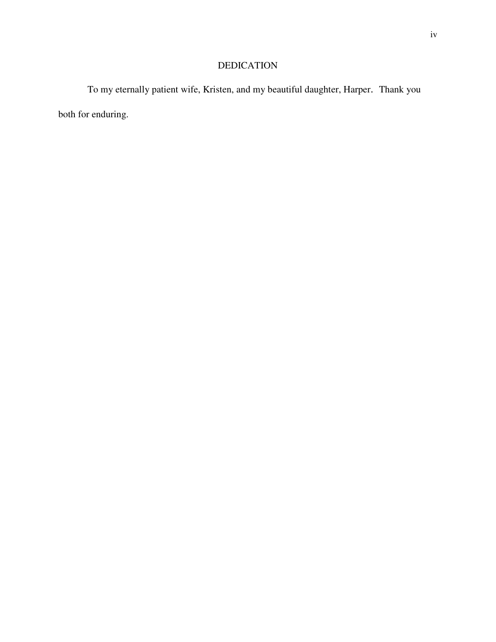# DEDICATION

To my eternally patient wife, Kristen, and my beautiful daughter, Harper. Thank you both for enduring.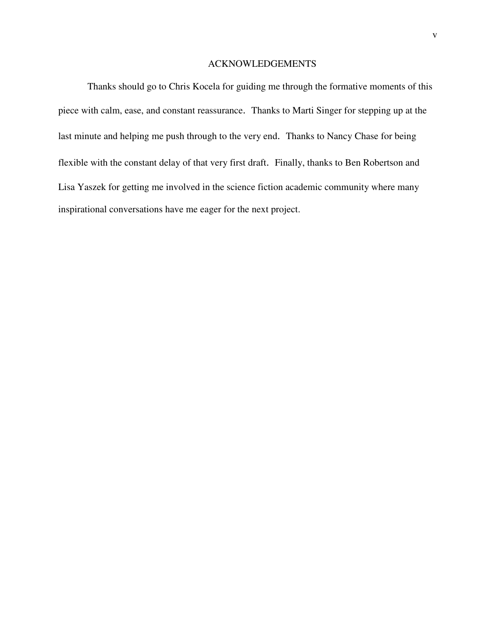## ACKNOWLEDGEMENTS

Thanks should go to Chris Kocela for guiding me through the formative moments of this piece with calm, ease, and constant reassurance. Thanks to Marti Singer for stepping up at the last minute and helping me push through to the very end. Thanks to Nancy Chase for being flexible with the constant delay of that very first draft. Finally, thanks to Ben Robertson and Lisa Yaszek for getting me involved in the science fiction academic community where many inspirational conversations have me eager for the next project.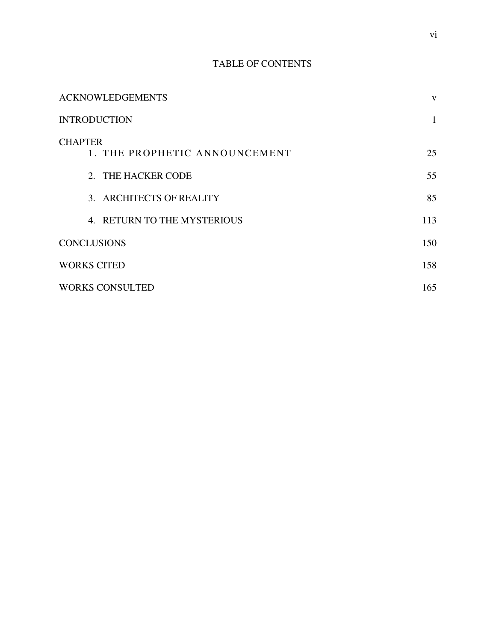# TABLE OF CONTENTS

| <b>ACKNOWLEDGEMENTS</b>                         | V   |
|-------------------------------------------------|-----|
| <b>INTRODUCTION</b>                             |     |
| <b>CHAPTER</b><br>1. THE PROPHETIC ANNOUNCEMENT | 25  |
| 2. THE HACKER CODE                              | 55  |
| 3. ARCHITECTS OF REALITY                        | 85  |
| 4. RETURN TO THE MYSTERIOUS                     | 113 |
| <b>CONCLUSIONS</b>                              | 150 |
| <b>WORKS CITED</b>                              | 158 |
| <b>WORKS CONSULTED</b>                          | 165 |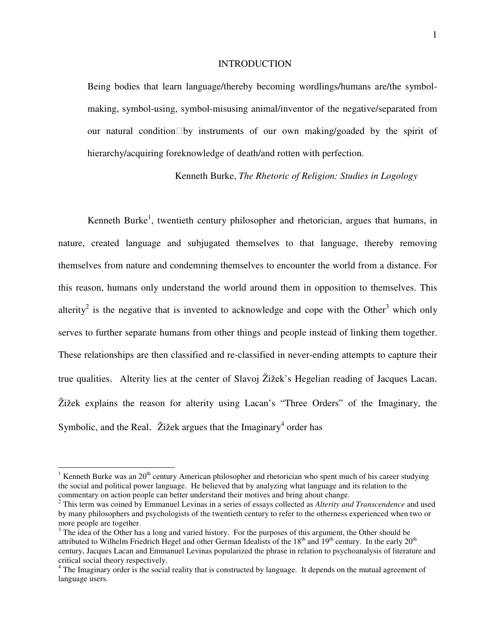#### **INTRODUCTION**

Being bodies that learn language/thereby becoming wordlings/humans are/the symbol making, symbol-using, symbol-misusing animal/inventor of the negative/separated from our natural condition by instruments of our own making/goaded by the spirit of hierarchy/acquiring foreknowledge of death/and rotten with perfection.

Kenneth Burke, *The Rhetoric of Religion: Studies in Logology*

Kenneth Burke<sup>1</sup>, twentieth century philosopher and rhetorician, argues that humans, in nature, created language and subjugated themselves to that language, thereby removing themselves from nature and condemning themselves to encounter the world from a distance. For this reason, humans only understand the world around them in opposition to themselves. This alterity<sup>2</sup> is the negative that is invented to acknowledge and cope with the Other<sup>3</sup> which only serves to further separate humans from other things and people instead of linking them together. These relationships are then classified and re-classified in never-ending attempts to capture their true qualities. Alterity lies at the center of Slavoj Žižek's Hegelian reading of Jacques Lacan. Žižek explains the reason for alterity using Lacan's "Three Orders" of the Imaginary, the Symbolic, and the Real. Žižek argues that the Imaginary<sup>4</sup> order has

 $\overline{a}$ 

<sup>&</sup>lt;sup>1</sup> Kenneth Burke was an 20<sup>th</sup> century American philosopher and rhetorician who spent much of his career studying the social and political power language. He believed that by analyzing what language and its relation to the commentary on action people can better understand their motives and bring about change.

<sup>2</sup> This term was coined by Emmanuel Levinas in a series of essays collected as *Alterity and Transcendence* and used by many philosophers and psychologists of the twentieth century to refer to the otherness experienced when two or more people are together.

<sup>&</sup>lt;sup>3</sup> The idea of the Other has a long and varied history. For the purposes of this argument, the Other should be attributed to Wilhelm Friedrich Hegel and other German Idealists of the 18<sup>th</sup> and 19<sup>th</sup> century. In the early 20<sup>th</sup> century, Jacques Lacan and Emmanuel Levinas popularized the phrase in relation to psychoanalysis of literature and critical social theory respectively. 4 The Imaginary order is the social reality that is constructed by language. It depends on the mutual agreement of

language users.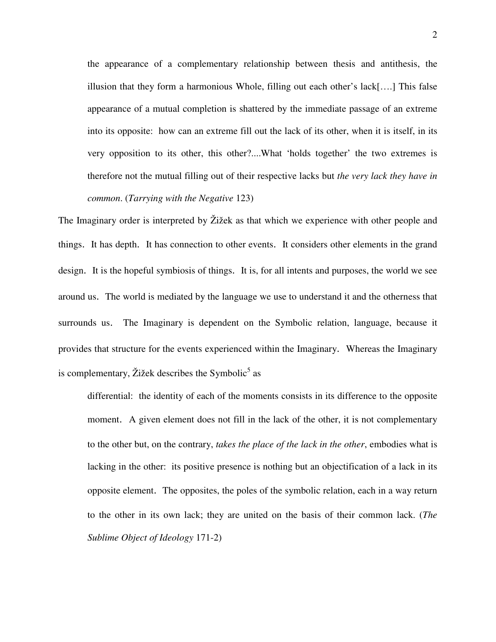the appearance of a complementary relationship between thesis and antithesis, the illusion that they form a harmonious Whole, filling out each other's lack[….] This false appearance of a mutual completion is shattered by the immediate passage of an extreme into its opposite: how can an extreme fill out the lack of its other, when it is itself, in its very opposition to its other, this other?....What 'holds together' the two extremes is therefore not the mutual filling out of their respective lacks but *the very lack they have in common*. (*Tarrying with the Negative* 123)

The Imaginary order is interpreted by Žižek as that which we experience with other people and things. It has depth. It has connection to other events. It considers other elements in the grand design. It is the hopeful symbiosis of things. It is, for all intents and purposes, the world we see around us. The world is mediated by the language we use to understand it and the otherness that surrounds us. The Imaginary is dependent on the Symbolic relation, language, because it provides that structure for the events experienced within the Imaginary. Whereas the Imaginary is complementary, Žižek describes the Symbolic<sup>5</sup> as

differential: the identity of each of the moments consists in its difference to the opposite moment. A given element does not fill in the lack of the other, it is not complementary to the other but, on the contrary, *takes the place of the lack in the other*, embodies what is lacking in the other: its positive presence is nothing but an objectification of a lack in its opposite element. The opposites, the poles of the symbolic relation, each in a way return to the other in its own lack; they are united on the basis of their common lack. (*The Sublime Object of Ideology* 171-2)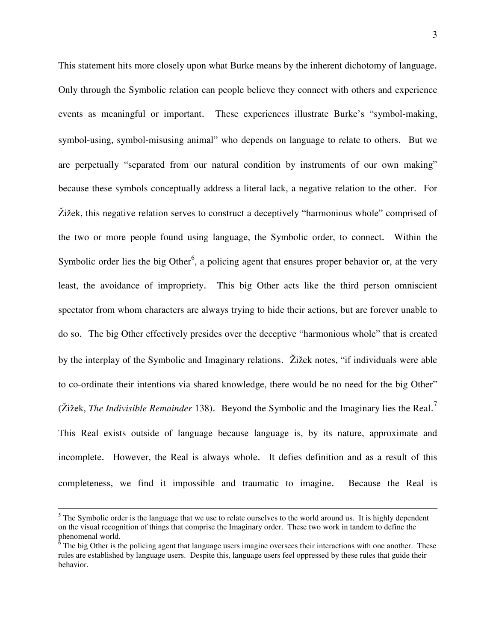This statement hits more closely upon what Burke means by the inherent dichotomy of language. Only through the Symbolic relation can people believe they connect with others and experience events as meaningful or important. These experiences illustrate Burke's "symbol-making, symbol-using, symbol-misusing animal" who depends on language to relate to others. But we are perpetually "separated from our natural condition by instruments of our own making" because these symbols conceptually address a literal lack, a negative relation to the other. For Žižek, this negative relation serves to construct a deceptively "harmonious whole" comprised of the two or more people found using language, the Symbolic order, to connect. Within the Symbolic order lies the big Other<sup>6</sup>, a policing agent that ensures proper behavior or, at the very least, the avoidance of impropriety. This big Other acts like the third person omniscient spectator from whom characters are always trying to hide their actions, but are forever unable to do so. The big Other effectively presides over the deceptive "harmonious whole" that is created by the interplay of the Symbolic and Imaginary relations. Žižek notes, "if individuals were able to co-ordinate their intentions via shared knowledge, there would be no need for the big Other" (Žižek, *The Indivisible Remainder* 138). Beyond the Symbolic and the Imaginary lies the Real. 7 This Real exists outside of language because language is, by its nature, approximate and incomplete. However, the Real is always whole. It defies definition and as a result of this completeness, we find it impossible and traumatic to imagine. Because the Real is

1

 $<sup>5</sup>$  The Symbolic order is the language that we use to relate ourselves to the world around us. It is highly dependent</sup> on the visual recognition of things that comprise the Imaginary order. These two work in tandem to define the phenomenal world.<br><sup>6</sup> The big Other is the policing agent that language users imagine oversees their interactions with one another. These

rules are established by language users. Despite this, language users feel oppressed by these rules that guide their behavior.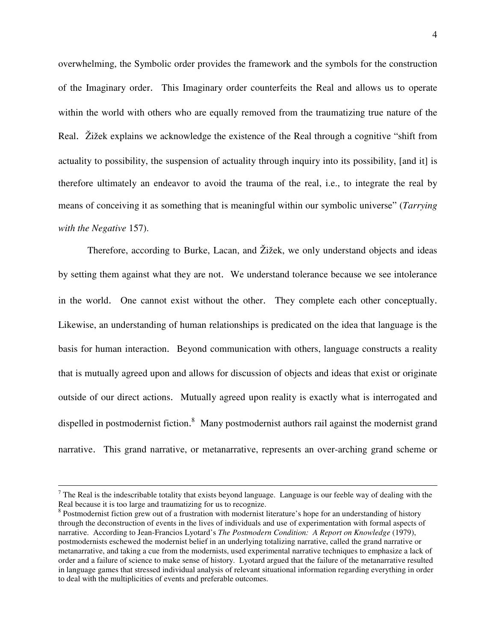overwhelming, the Symbolic order provides the framework and the symbols for the construction of the Imaginary order. This Imaginary order counterfeits the Real and allows us to operate within the world with others who are equally removed from the traumatizing true nature of the Real. Žižek explains we acknowledge the existence of the Real through a cognitive "shift from actuality to possibility, the suspension of actuality through inquiry into its possibility, [and it] is therefore ultimately an endeavor to avoid the trauma of the real, i.e., to integrate the real by means of conceiving it as something that is meaningful within our symbolic universe" (*Tarrying with the Negative* 157).

 Therefore, according to Burke, Lacan, and Žižek, we only understand objects and ideas by setting them against what they are not. We understand tolerance because we see intolerance in the world. One cannot exist without the other. They complete each other conceptually. Likewise, an understanding of human relationships is predicated on the idea that language is the basis for human interaction. Beyond communication with others, language constructs a reality that is mutually agreed upon and allows for discussion of objects and ideas that exist or originate outside of our direct actions. Mutually agreed upon reality is exactly what is interrogated and dispelled in postmodernist fiction.<sup>8</sup> Many postmodernist authors rail against the modernist grand narrative. This grand narrative, or metanarrative, represents an over-arching grand scheme or

1

 $<sup>7</sup>$  The Real is the indescribable totality that exists beyond language. Language is our feeble way of dealing with the</sup> Real because it is too large and traumatizing for us to recognize.

<sup>&</sup>lt;sup>8</sup> Postmodernist fiction grew out of a frustration with modernist literature's hope for an understanding of history through the deconstruction of events in the lives of individuals and use of experimentation with formal aspects of narrative. According to Jean-Francios Lyotard's *The Postmodern Condition: A Report on Knowledge* (1979), postmodernists eschewed the modernist belief in an underlying totalizing narrative, called the grand narrative or metanarrative, and taking a cue from the modernists, used experimental narrative techniques to emphasize a lack of order and a failure of science to make sense of history. Lyotard argued that the failure of the metanarrative resulted in language games that stressed individual analysis of relevant situational information regarding everything in order to deal with the multiplicities of events and preferable outcomes.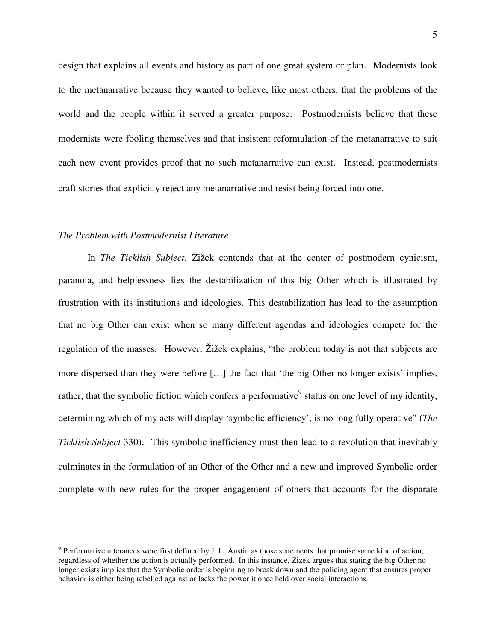design that explains all events and history as part of one great system or plan. Modernists look to the metanarrative because they wanted to believe, like most others, that the problems of the world and the people within it served a greater purpose. Postmodernists believe that these modernists were fooling themselves and that insistent reformulation of the metanarrative to suit each new event provides proof that no such metanarrative can exist. Instead, postmodernists craft stories that explicitly reject any metanarrative and resist being forced into one.

### *The Problem with Postmodernist Literature*

1

 In *The Ticklish Subject*, Žižek contends that at the center of postmodern cynicism, paranoia, and helplessness lies the destabilization of this big Other which is illustrated by frustration with its institutions and ideologies. This destabilization has lead to the assumption that no big Other can exist when so many different agendas and ideologies compete for the regulation of the masses. However, Žižek explains, "the problem today is not that subjects are more dispersed than they were before […] the fact that 'the big Other no longer exists' implies, rather, that the symbolic fiction which confers a performative<sup>9</sup> status on one level of my identity, determining which of my acts will display 'symbolic efficiency', is no long fully operative" (*The Ticklish Subject* 330). This symbolic inefficiency must then lead to a revolution that inevitably culminates in the formulation of an Other of the Other and a new and improved Symbolic order complete with new rules for the proper engagement of others that accounts for the disparate

 $9$  Performative utterances were first defined by J. L. Austin as those statements that promise some kind of action, regardless of whether the action is actually performed. In this instance, Zizek argues that stating the big Other no longer exists implies that the Symbolic order is beginning to break down and the policing agent that ensures proper behavior is either being rebelled against or lacks the power it once held over social interactions.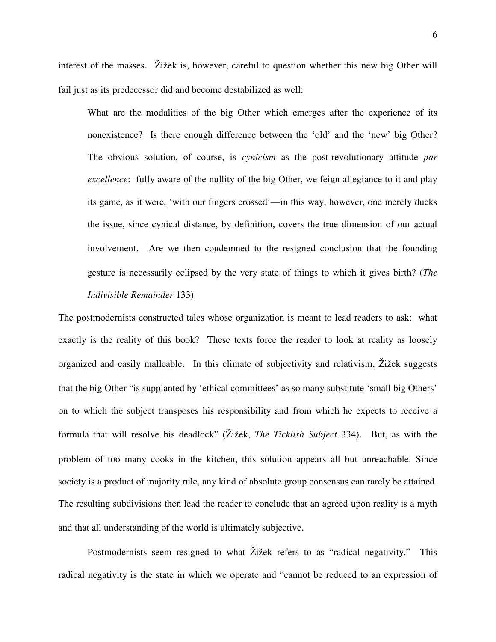interest of the masses. Žižek is, however, careful to question whether this new big Other will fail just as its predecessor did and become destabilized as well:

 What are the modalities of the big Other which emerges after the experience of its nonexistence? Is there enough difference between the 'old' and the 'new' big Other? The obvious solution, of course, is *cynicism* as the post-revolutionary attitude *par excellence*: fully aware of the nullity of the big Other, we feign allegiance to it and play its game, as it were, 'with our fingers crossed'—in this way, however, one merely ducks the issue, since cynical distance, by definition, covers the true dimension of our actual involvement. Are we then condemned to the resigned conclusion that the founding gesture is necessarily eclipsed by the very state of things to which it gives birth? (*The Indivisible Remainder* 133)

The postmodernists constructed tales whose organization is meant to lead readers to ask: what exactly is the reality of this book? These texts force the reader to look at reality as loosely organized and easily malleable. In this climate of subjectivity and relativism, Žižek suggests that the big Other "is supplanted by 'ethical committees' as so many substitute 'small big Others' on to which the subject transposes his responsibility and from which he expects to receive a formula that will resolve his deadlock" (Žižek, *The Ticklish Subject* 334). But, as with the problem of too many cooks in the kitchen, this solution appears all but unreachable. Since society is a product of majority rule, any kind of absolute group consensus can rarely be attained. The resulting subdivisions then lead the reader to conclude that an agreed upon reality is a myth and that all understanding of the world is ultimately subjective.

Postmodernists seem resigned to what Žižek refers to as "radical negativity." This radical negativity is the state in which we operate and "cannot be reduced to an expression of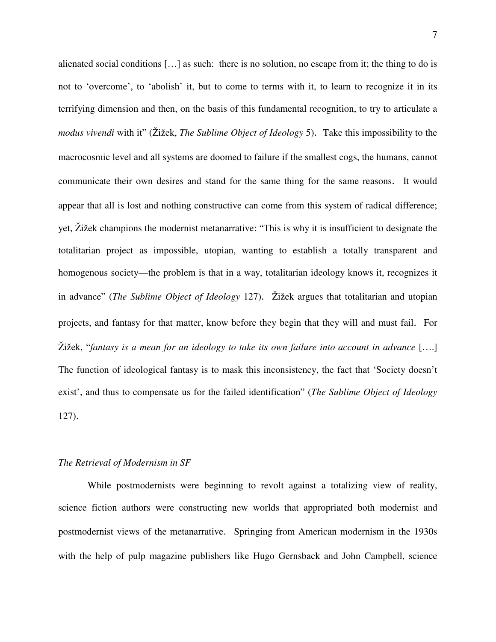alienated social conditions […] as such: there is no solution, no escape from it; the thing to do is not to 'overcome', to 'abolish' it, but to come to terms with it, to learn to recognize it in its terrifying dimension and then, on the basis of this fundamental recognition, to try to articulate a *modus vivendi* with it" (Žižek, *The Sublime Object of Ideology* 5). Take this impossibility to the macrocosmic level and all systems are doomed to failure if the smallest cogs, the humans, cannot communicate their own desires and stand for the same thing for the same reasons. It would appear that all is lost and nothing constructive can come from this system of radical difference; yet, Žižek champions the modernist metanarrative: "This is why it is insufficient to designate the totalitarian project as impossible, utopian, wanting to establish a totally transparent and homogenous society—the problem is that in a way, totalitarian ideology knows it, recognizes it in advance" (*The Sublime Object of Ideology* 127). Žižek argues that totalitarian and utopian projects, and fantasy for that matter, know before they begin that they will and must fail. For Žižek, "*fantasy is a mean for an ideology to take its own failure into account in advance* [….] The function of ideological fantasy is to mask this inconsistency, the fact that 'Society doesn't exist', and thus to compensate us for the failed identification" (*The Sublime Object of Ideology* 127).

### *The Retrieval of Modernism in SF*

While postmodernists were beginning to revolt against a totalizing view of reality, science fiction authors were constructing new worlds that appropriated both modernist and postmodernist views of the metanarrative. Springing from American modernism in the 1930s with the help of pulp magazine publishers like Hugo Gernsback and John Campbell, science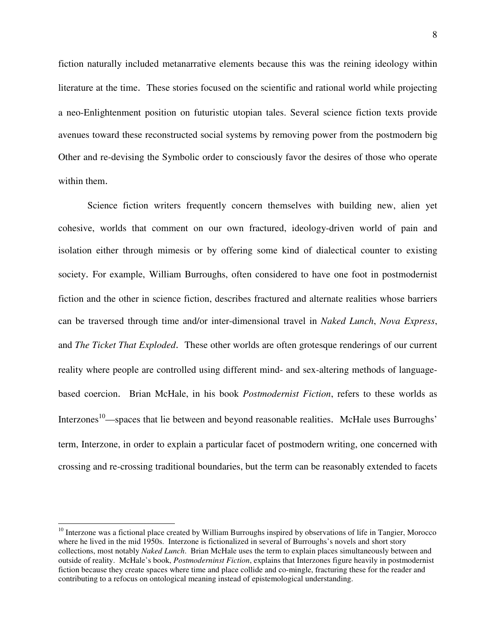fiction naturally included metanarrative elements because this was the reining ideology within literature at the time. These stories focused on the scientific and rational world while projecting a neo-Enlightenment position on futuristic utopian tales. Several science fiction texts provide avenues toward these reconstructed social systems by removing power from the postmodern big Other and re-devising the Symbolic order to consciously favor the desires of those who operate within them.

Science fiction writers frequently concern themselves with building new, alien yet cohesive, worlds that comment on our own fractured, ideology-driven world of pain and isolation either through mimesis or by offering some kind of dialectical counter to existing society. For example, William Burroughs, often considered to have one foot in postmodernist fiction and the other in science fiction, describes fractured and alternate realities whose barriers can be traversed through time and/or inter-dimensional travel in *Naked Lunch*, *Nova Express*, and *The Ticket That Exploded*. These other worlds are often grotesque renderings of our current reality where people are controlled using different mind- and sex-altering methods of languagebased coercion. Brian McHale, in his book *Postmodernist Fiction*, refers to these worlds as Interzones<sup>10</sup>—spaces that lie between and beyond reasonable realities. McHale uses Burroughs' term, Interzone, in order to explain a particular facet of postmodern writing, one concerned with crossing and re-crossing traditional boundaries, but the term can be reasonably extended to facets

 $\overline{a}$ 

 $10$  Interzone was a fictional place created by William Burroughs inspired by observations of life in Tangier, Morocco where he lived in the mid 1950s. Interzone is fictionalized in several of Burroughs's novels and short story collections, most notably *Naked Lunch*. Brian McHale uses the term to explain places simultaneously between and outside of reality. McHale's book, *Postmoderninst Fiction*, explains that Interzones figure heavily in postmodernist fiction because they create spaces where time and place collide and co-mingle, fracturing these for the reader and contributing to a refocus on ontological meaning instead of epistemological understanding.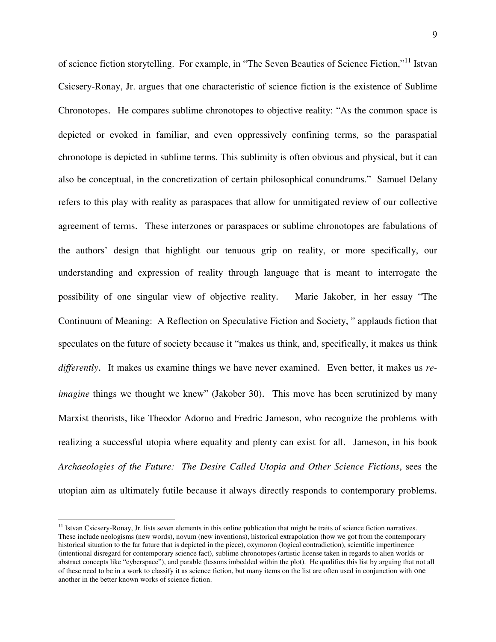of science fiction storytelling. For example, in "The Seven Beauties of Science Fiction,"<sup>11</sup> Istvan Csicsery-Ronay, Jr. argues that one characteristic of science fiction is the existence of Sublime Chronotopes. He compares sublime chronotopes to objective reality: "As the common space is depicted or evoked in familiar, and even oppressively confining terms, so the paraspatial chronotope is depicted in sublime terms. This sublimity is often obvious and physical, but it can also be conceptual, in the concretization of certain philosophical conundrums." Samuel Delany refers to this play with reality as paraspaces that allow for unmitigated review of our collective agreement of terms. These interzones or paraspaces or sublime chronotopes are fabulations of the authors' design that highlight our tenuous grip on reality, or more specifically, our understanding and expression of reality through language that is meant to interrogate the possibility of one singular view of objective reality. Marie Jakober, in her essay "The Continuum of Meaning: A Reflection on Speculative Fiction and Society, " applauds fiction that speculates on the future of society because it "makes us think, and, specifically, it makes us think *differently*. It makes us examine things we have never examined. Even better, it makes us *reimagine* things we thought we knew" (Jakober 30). This move has been scrutinized by many Marxist theorists, like Theodor Adorno and Fredric Jameson, who recognize the problems with realizing a successful utopia where equality and plenty can exist for all. Jameson, in his book *Archaeologies of the Future: The Desire Called Utopia and Other Science Fictions*, sees the utopian aim as ultimately futile because it always directly responds to contemporary problems.

1

 $11$  Istvan Csicsery-Ronay, Jr. lists seven elements in this online publication that might be traits of science fiction narratives. These include neologisms (new words), novum (new inventions), historical extrapolation (how we got from the contemporary historical situation to the far future that is depicted in the piece), oxymoron (logical contradiction), scientific impertinence (intentional disregard for contemporary science fact), sublime chronotopes (artistic license taken in regards to alien worlds or abstract concepts like "cyberspace"), and parable (lessons imbedded within the plot). He qualifies this list by arguing that not all of these need to be in a work to classify it as science fiction, but many items on the list are often used in conjunction with one another in the better known works of science fiction.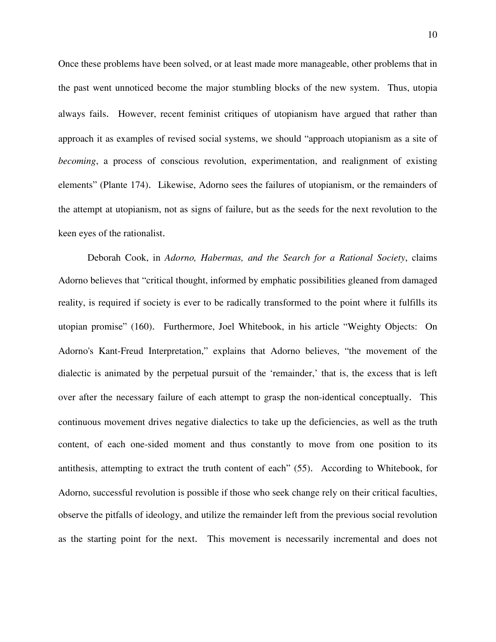Once these problems have been solved, or at least made more manageable, other problems that in the past went unnoticed become the major stumbling blocks of the new system. Thus, utopia always fails. However, recent feminist critiques of utopianism have argued that rather than approach it as examples of revised social systems, we should "approach utopianism as a site of *becoming*, a process of conscious revolution, experimentation, and realignment of existing elements" (Plante 174). Likewise, Adorno sees the failures of utopianism, or the remainders of the attempt at utopianism, not as signs of failure, but as the seeds for the next revolution to the keen eyes of the rationalist.

 Deborah Cook, in *Adorno, Habermas, and the Search for a Rational Society*, claims Adorno believes that "critical thought, informed by emphatic possibilities gleaned from damaged reality, is required if society is ever to be radically transformed to the point where it fulfills its utopian promise" (160). Furthermore, Joel Whitebook, in his article "Weighty Objects: On Adorno's Kant-Freud Interpretation," explains that Adorno believes, "the movement of the dialectic is animated by the perpetual pursuit of the 'remainder,' that is, the excess that is left over after the necessary failure of each attempt to grasp the non-identical conceptually. This continuous movement drives negative dialectics to take up the deficiencies, as well as the truth content, of each one-sided moment and thus constantly to move from one position to its antithesis, attempting to extract the truth content of each" (55). According to Whitebook, for Adorno, successful revolution is possible if those who seek change rely on their critical faculties, observe the pitfalls of ideology, and utilize the remainder left from the previous social revolution as the starting point for the next. This movement is necessarily incremental and does not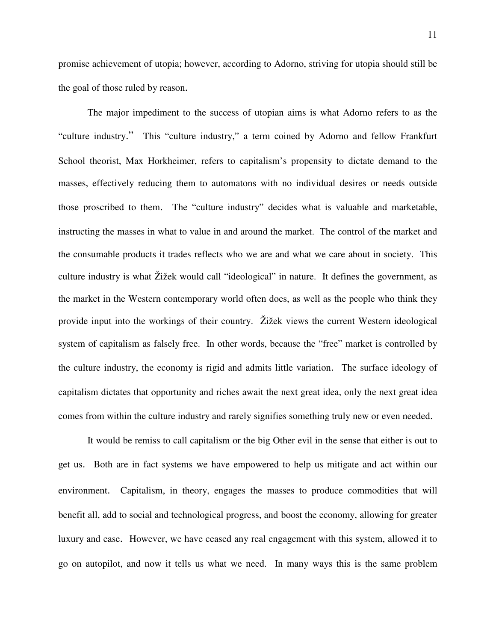promise achievement of utopia; however, according to Adorno, striving for utopia should still be the goal of those ruled by reason.

The major impediment to the success of utopian aims is what Adorno refers to as the "culture industry." This "culture industry," a term coined by Adorno and fellow Frankfurt School theorist, Max Horkheimer, refers to capitalism's propensity to dictate demand to the masses, effectively reducing them to automatons with no individual desires or needs outside those proscribed to them. The "culture industry" decides what is valuable and marketable, instructing the masses in what to value in and around the market. The control of the market and the consumable products it trades reflects who we are and what we care about in society. This culture industry is what Žižek would call "ideological" in nature. It defines the government, as the market in the Western contemporary world often does, as well as the people who think they provide input into the workings of their country. Žižek views the current Western ideological system of capitalism as falsely free. In other words, because the "free" market is controlled by the culture industry, the economy is rigid and admits little variation. The surface ideology of capitalism dictates that opportunity and riches await the next great idea, only the next great idea comes from within the culture industry and rarely signifies something truly new or even needed.

It would be remiss to call capitalism or the big Other evil in the sense that either is out to get us. Both are in fact systems we have empowered to help us mitigate and act within our environment. Capitalism, in theory, engages the masses to produce commodities that will benefit all, add to social and technological progress, and boost the economy, allowing for greater luxury and ease. However, we have ceased any real engagement with this system, allowed it to go on autopilot, and now it tells us what we need. In many ways this is the same problem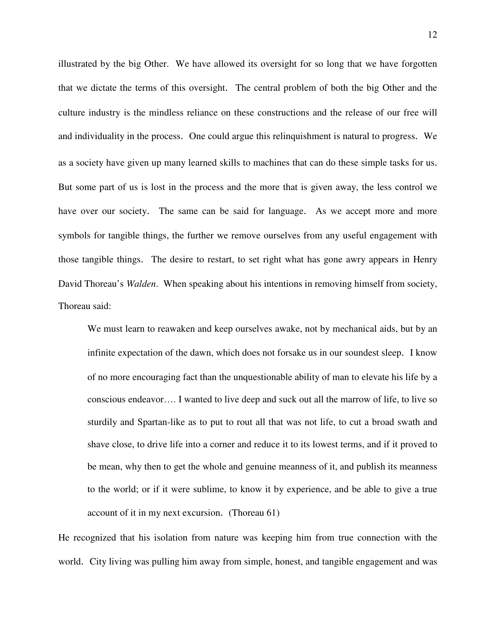illustrated by the big Other. We have allowed its oversight for so long that we have forgotten that we dictate the terms of this oversight. The central problem of both the big Other and the culture industry is the mindless reliance on these constructions and the release of our free will and individuality in the process. One could argue this relinquishment is natural to progress. We as a society have given up many learned skills to machines that can do these simple tasks for us. But some part of us is lost in the process and the more that is given away, the less control we have over our society. The same can be said for language. As we accept more and more symbols for tangible things, the further we remove ourselves from any useful engagement with those tangible things. The desire to restart, to set right what has gone awry appears in Henry David Thoreau's *Walden*. When speaking about his intentions in removing himself from society, Thoreau said:

We must learn to reawaken and keep ourselves awake, not by mechanical aids, but by an infinite expectation of the dawn, which does not forsake us in our soundest sleep. I know of no more encouraging fact than the unquestionable ability of man to elevate his life by a conscious endeavor…. I wanted to live deep and suck out all the marrow of life, to live so sturdily and Spartan-like as to put to rout all that was not life, to cut a broad swath and shave close, to drive life into a corner and reduce it to its lowest terms, and if it proved to be mean, why then to get the whole and genuine meanness of it, and publish its meanness to the world; or if it were sublime, to know it by experience, and be able to give a true account of it in my next excursion. (Thoreau 61)

He recognized that his isolation from nature was keeping him from true connection with the world. City living was pulling him away from simple, honest, and tangible engagement and was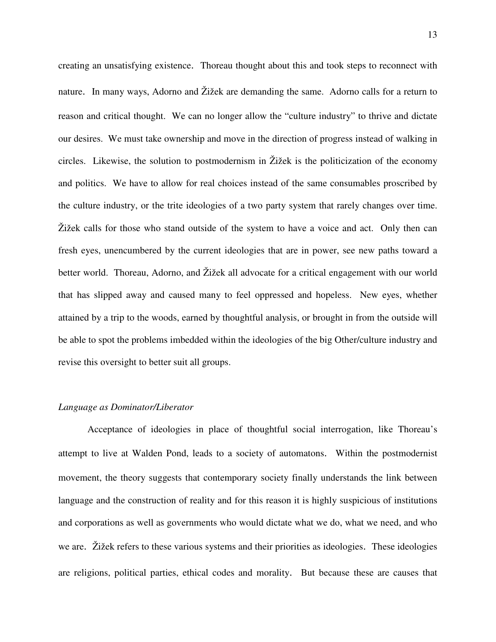creating an unsatisfying existence. Thoreau thought about this and took steps to reconnect with nature. In many ways, Adorno and Žižek are demanding the same. Adorno calls for a return to reason and critical thought. We can no longer allow the "culture industry" to thrive and dictate our desires. We must take ownership and move in the direction of progress instead of walking in circles. Likewise, the solution to postmodernism in Žižek is the politicization of the economy and politics. We have to allow for real choices instead of the same consumables proscribed by the culture industry, or the trite ideologies of a two party system that rarely changes over time. Žižek calls for those who stand outside of the system to have a voice and act. Only then can fresh eyes, unencumbered by the current ideologies that are in power, see new paths toward a better world. Thoreau, Adorno, and Žižek all advocate for a critical engagement with our world that has slipped away and caused many to feel oppressed and hopeless. New eyes, whether attained by a trip to the woods, earned by thoughtful analysis, or brought in from the outside will be able to spot the problems imbedded within the ideologies of the big Other/culture industry and revise this oversight to better suit all groups.

### *Language as Dominator/Liberator*

Acceptance of ideologies in place of thoughtful social interrogation, like Thoreau's attempt to live at Walden Pond, leads to a society of automatons. Within the postmodernist movement, the theory suggests that contemporary society finally understands the link between language and the construction of reality and for this reason it is highly suspicious of institutions and corporations as well as governments who would dictate what we do, what we need, and who we are. Žižek refers to these various systems and their priorities as ideologies. These ideologies are religions, political parties, ethical codes and morality. But because these are causes that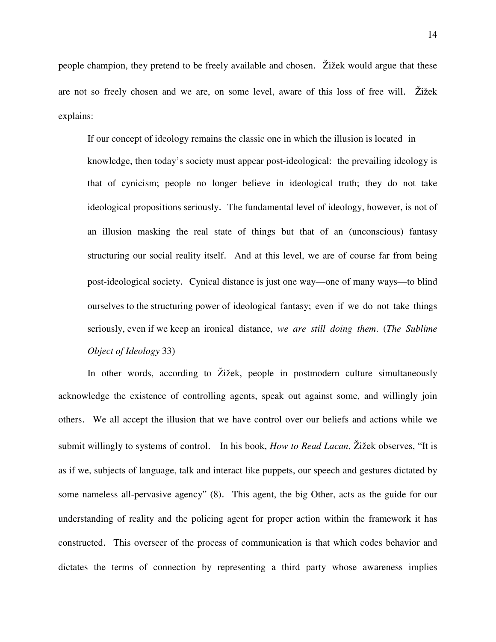people champion, they pretend to be freely available and chosen. Žižek would argue that these are not so freely chosen and we are, on some level, aware of this loss of free will. Žižek explains:

If our concept of ideology remains the classic one in which the illusion is located in knowledge, then today's society must appear post-ideological: the prevailing ideology is that of cynicism; people no longer believe in ideological truth; they do not take ideological propositions seriously. The fundamental level of ideology, however, is not of an illusion masking the real state of things but that of an (unconscious) fantasy structuring our social reality itself. And at this level, we are of course far from being post-ideological society. Cynical distance is just one way—one of many ways—to blind ourselves to the structuring power of ideological fantasy; even if we do not take things seriously, even if we keep an ironical distance, *we are still doing them*. (*The Sublime Object of Ideology* 33)

In other words, according to Žižek, people in postmodern culture simultaneously acknowledge the existence of controlling agents, speak out against some, and willingly join others. We all accept the illusion that we have control over our beliefs and actions while we submit willingly to systems of control. In his book, *How to Read Lacan*, Žižek observes, "It is as if we, subjects of language, talk and interact like puppets, our speech and gestures dictated by some nameless all-pervasive agency" (8). This agent, the big Other, acts as the guide for our understanding of reality and the policing agent for proper action within the framework it has constructed. This overseer of the process of communication is that which codes behavior and dictates the terms of connection by representing a third party whose awareness implies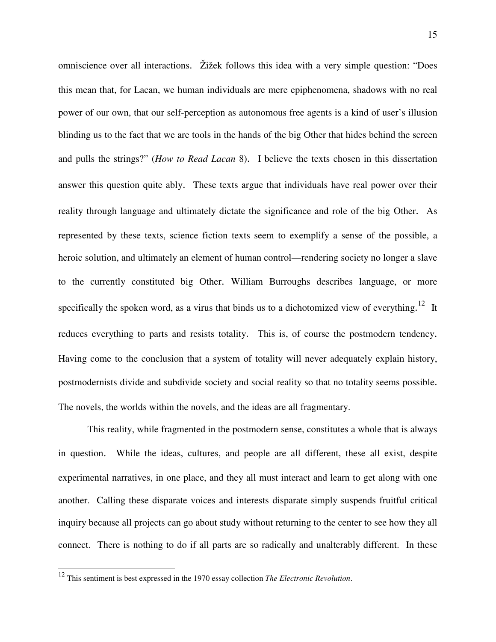omniscience over all interactions. Žižek follows this idea with a very simple question: "Does this mean that, for Lacan, we human individuals are mere epiphenomena, shadows with no real power of our own, that our self-perception as autonomous free agents is a kind of user's illusion blinding us to the fact that we are tools in the hands of the big Other that hides behind the screen and pulls the strings?" (*How to Read Lacan* 8). I believe the texts chosen in this dissertation answer this question quite ably. These texts argue that individuals have real power over their reality through language and ultimately dictate the significance and role of the big Other. As represented by these texts, science fiction texts seem to exemplify a sense of the possible, a heroic solution, and ultimately an element of human control—rendering society no longer a slave to the currently constituted big Other. William Burroughs describes language, or more specifically the spoken word, as a virus that binds us to a dichotomized view of everything.<sup>12</sup> It reduces everything to parts and resists totality. This is, of course the postmodern tendency. Having come to the conclusion that a system of totality will never adequately explain history, postmodernists divide and subdivide society and social reality so that no totality seems possible. The novels, the worlds within the novels, and the ideas are all fragmentary.

This reality, while fragmented in the postmodern sense, constitutes a whole that is always in question. While the ideas, cultures, and people are all different, these all exist, despite experimental narratives, in one place, and they all must interact and learn to get along with one another. Calling these disparate voices and interests disparate simply suspends fruitful critical inquiry because all projects can go about study without returning to the center to see how they all connect. There is nothing to do if all parts are so radically and unalterably different. In these

 $\overline{a}$ 

<sup>12</sup> This sentiment is best expressed in the 1970 essay collection *The Electronic Revolution*.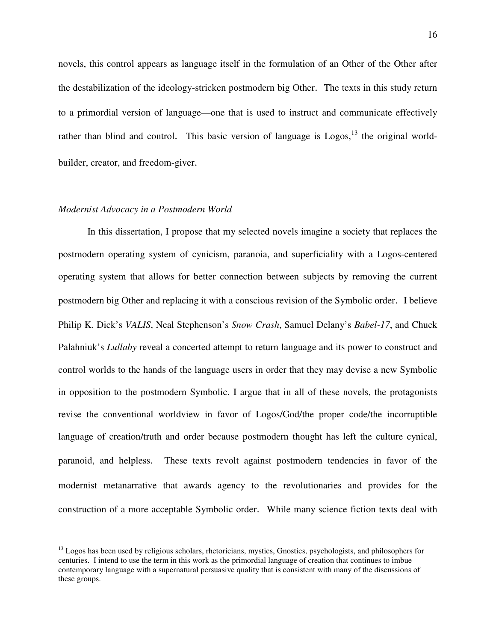novels, this control appears as language itself in the formulation of an Other of the Other after the destabilization of the ideology-stricken postmodern big Other. The texts in this study return to a primordial version of language—one that is used to instruct and communicate effectively rather than blind and control. This basic version of language is  $Logos<sup>13</sup>$ , the original worldbuilder, creator, and freedom-giver.

## *Modernist Advocacy in a Postmodern World*

1

In this dissertation, I propose that my selected novels imagine a society that replaces the postmodern operating system of cynicism, paranoia, and superficiality with a Logos-centered operating system that allows for better connection between subjects by removing the current postmodern big Other and replacing it with a conscious revision of the Symbolic order. I believe Philip K. Dick's *VALIS*, Neal Stephenson's *Snow Crash*, Samuel Delany's *Babel-17*, and Chuck Palahniuk's *Lullaby* reveal a concerted attempt to return language and its power to construct and control worlds to the hands of the language users in order that they may devise a new Symbolic in opposition to the postmodern Symbolic. I argue that in all of these novels, the protagonists revise the conventional worldview in favor of Logos/God/the proper code/the incorruptible language of creation/truth and order because postmodern thought has left the culture cynical, paranoid, and helpless. These texts revolt against postmodern tendencies in favor of the modernist metanarrative that awards agency to the revolutionaries and provides for the construction of a more acceptable Symbolic order. While many science fiction texts deal with

<sup>&</sup>lt;sup>13</sup> Logos has been used by religious scholars, rhetoricians, mystics, Gnostics, psychologists, and philosophers for centuries. I intend to use the term in this work as the primordial language of creation that continues to imbue contemporary language with a supernatural persuasive quality that is consistent with many of the discussions of these groups.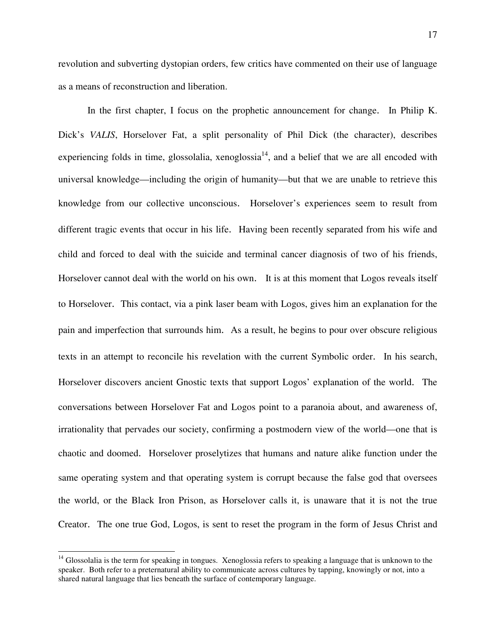revolution and subverting dystopian orders, few critics have commented on their use of language as a means of reconstruction and liberation.

In the first chapter, I focus on the prophetic announcement for change. In Philip K. Dick's *VALIS*, Horselover Fat, a split personality of Phil Dick (the character), describes experiencing folds in time, glossolalia, xenoglossia $^{14}$ , and a belief that we are all encoded with universal knowledge—including the origin of humanity—but that we are unable to retrieve this knowledge from our collective unconscious. Horselover's experiences seem to result from different tragic events that occur in his life. Having been recently separated from his wife and child and forced to deal with the suicide and terminal cancer diagnosis of two of his friends, Horselover cannot deal with the world on his own. It is at this moment that Logos reveals itself to Horselover. This contact, via a pink laser beam with Logos, gives him an explanation for the pain and imperfection that surrounds him. As a result, he begins to pour over obscure religious texts in an attempt to reconcile his revelation with the current Symbolic order. In his search, Horselover discovers ancient Gnostic texts that support Logos' explanation of the world. The conversations between Horselover Fat and Logos point to a paranoia about, and awareness of, irrationality that pervades our society, confirming a postmodern view of the world—one that is chaotic and doomed. Horselover proselytizes that humans and nature alike function under the same operating system and that operating system is corrupt because the false god that oversees the world, or the Black Iron Prison, as Horselover calls it, is unaware that it is not the true Creator. The one true God, Logos, is sent to reset the program in the form of Jesus Christ and

<u>.</u>

<sup>&</sup>lt;sup>14</sup> Glossolalia is the term for speaking in tongues. Xenoglossia refers to speaking a language that is unknown to the speaker. Both refer to a preternatural ability to communicate across cultures by tapping, knowingly or not, into a shared natural language that lies beneath the surface of contemporary language.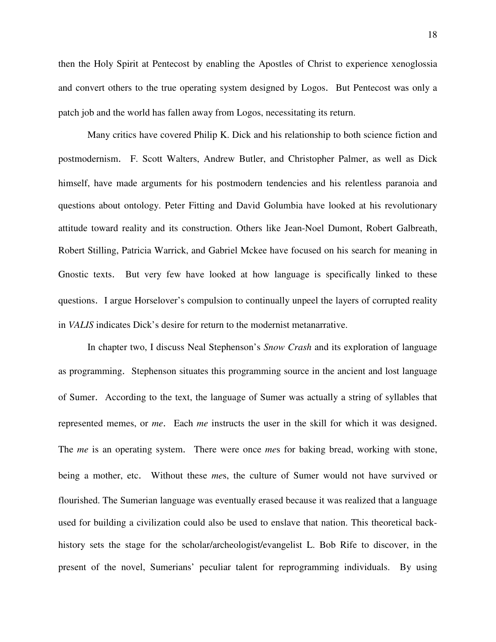then the Holy Spirit at Pentecost by enabling the Apostles of Christ to experience xenoglossia and convert others to the true operating system designed by Logos. But Pentecost was only a patch job and the world has fallen away from Logos, necessitating its return.

Many critics have covered Philip K. Dick and his relationship to both science fiction and postmodernism. F. Scott Walters, Andrew Butler, and Christopher Palmer, as well as Dick himself, have made arguments for his postmodern tendencies and his relentless paranoia and questions about ontology. Peter Fitting and David Golumbia have looked at his revolutionary attitude toward reality and its construction. Others like Jean-Noel Dumont, Robert Galbreath, Robert Stilling, Patricia Warrick, and Gabriel Mckee have focused on his search for meaning in Gnostic texts. But very few have looked at how language is specifically linked to these questions. I argue Horselover's compulsion to continually unpeel the layers of corrupted reality in *VALIS* indicates Dick's desire for return to the modernist metanarrative.

In chapter two, I discuss Neal Stephenson's *Snow Crash* and its exploration of language as programming. Stephenson situates this programming source in the ancient and lost language of Sumer. According to the text, the language of Sumer was actually a string of syllables that represented memes, or *me*. Each *me* instructs the user in the skill for which it was designed. The *me* is an operating system. There were once *me*s for baking bread, working with stone, being a mother, etc. Without these *me*s, the culture of Sumer would not have survived or flourished. The Sumerian language was eventually erased because it was realized that a language used for building a civilization could also be used to enslave that nation. This theoretical backhistory sets the stage for the scholar/archeologist/evangelist L. Bob Rife to discover, in the present of the novel, Sumerians' peculiar talent for reprogramming individuals. By using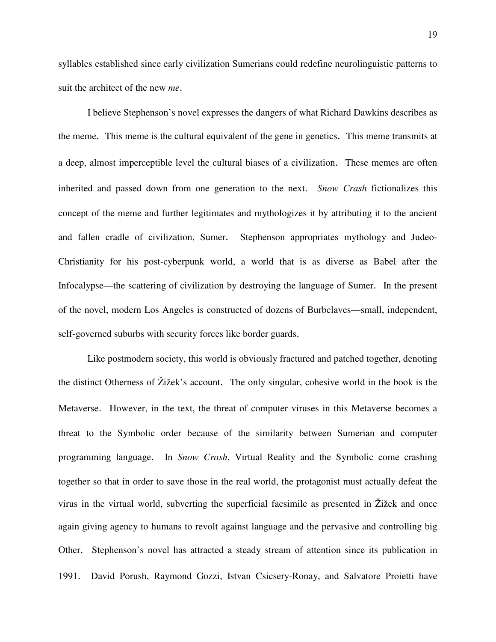syllables established since early civilization Sumerians could redefine neurolinguistic patterns to suit the architect of the new *me*.

I believe Stephenson's novel expresses the dangers of what Richard Dawkins describes as the meme. This meme is the cultural equivalent of the gene in genetics. This meme transmits at a deep, almost imperceptible level the cultural biases of a civilization. These memes are often inherited and passed down from one generation to the next. *Snow Crash* fictionalizes this concept of the meme and further legitimates and mythologizes it by attributing it to the ancient and fallen cradle of civilization, Sumer. Stephenson appropriates mythology and Judeo-Christianity for his post-cyberpunk world, a world that is as diverse as Babel after the Infocalypse—the scattering of civilization by destroying the language of Sumer. In the present of the novel, modern Los Angeles is constructed of dozens of Burbclaves—small, independent, self-governed suburbs with security forces like border guards.

Like postmodern society, this world is obviously fractured and patched together, denoting the distinct Otherness of Žižek's account. The only singular, cohesive world in the book is the Metaverse. However, in the text, the threat of computer viruses in this Metaverse becomes a threat to the Symbolic order because of the similarity between Sumerian and computer programming language. In *Snow Crash*, Virtual Reality and the Symbolic come crashing together so that in order to save those in the real world, the protagonist must actually defeat the virus in the virtual world, subverting the superficial facsimile as presented in Žižek and once again giving agency to humans to revolt against language and the pervasive and controlling big Other. Stephenson's novel has attracted a steady stream of attention since its publication in 1991. David Porush, Raymond Gozzi, Istvan Csicsery-Ronay, and Salvatore Proietti have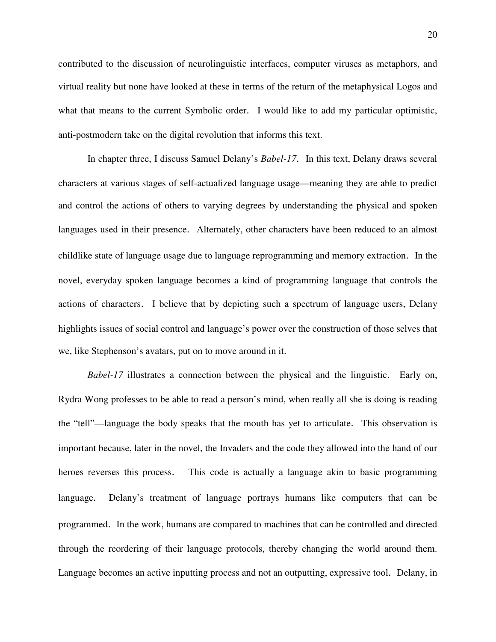contributed to the discussion of neurolinguistic interfaces, computer viruses as metaphors, and virtual reality but none have looked at these in terms of the return of the metaphysical Logos and what that means to the current Symbolic order. I would like to add my particular optimistic, anti-postmodern take on the digital revolution that informs this text.

In chapter three, I discuss Samuel Delany's *Babel-17*. In this text, Delany draws several characters at various stages of self-actualized language usage—meaning they are able to predict and control the actions of others to varying degrees by understanding the physical and spoken languages used in their presence. Alternately, other characters have been reduced to an almost childlike state of language usage due to language reprogramming and memory extraction. In the novel, everyday spoken language becomes a kind of programming language that controls the actions of characters. I believe that by depicting such a spectrum of language users, Delany highlights issues of social control and language's power over the construction of those selves that we, like Stephenson's avatars, put on to move around in it.

*Babel-17* illustrates a connection between the physical and the linguistic. Early on, Rydra Wong professes to be able to read a person's mind, when really all she is doing is reading the "tell"—language the body speaks that the mouth has yet to articulate. This observation is important because, later in the novel, the Invaders and the code they allowed into the hand of our heroes reverses this process. This code is actually a language akin to basic programming language. Delany's treatment of language portrays humans like computers that can be programmed. In the work, humans are compared to machines that can be controlled and directed through the reordering of their language protocols, thereby changing the world around them. Language becomes an active inputting process and not an outputting, expressive tool. Delany, in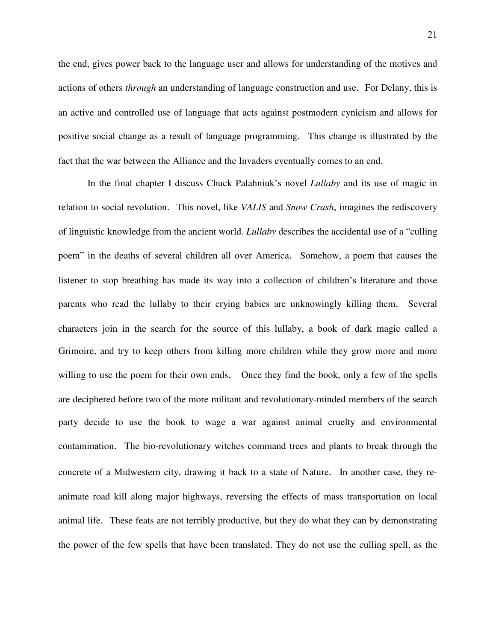the end, gives power back to the language user and allows for understanding of the motives and actions of others *through* an understanding of language construction and use. For Delany, this is an active and controlled use of language that acts against postmodern cynicism and allows for positive social change as a result of language programming. This change is illustrated by the fact that the war between the Alliance and the Invaders eventually comes to an end.

 In the final chapter I discuss Chuck Palahniuk's novel *Lullaby* and its use of magic in relation to social revolution. This novel, like *VALIS* and *Snow Crash*, imagines the rediscovery of linguistic knowledge from the ancient world. *Lullaby* describes the accidental use of a "culling poem" in the deaths of several children all over America. Somehow, a poem that causes the listener to stop breathing has made its way into a collection of children's literature and those parents who read the lullaby to their crying babies are unknowingly killing them. Several characters join in the search for the source of this lullaby, a book of dark magic called a Grimoire, and try to keep others from killing more children while they grow more and more willing to use the poem for their own ends. Once they find the book, only a few of the spells are deciphered before two of the more militant and revolutionary-minded members of the search party decide to use the book to wage a war against animal cruelty and environmental contamination. The bio-revolutionary witches command trees and plants to break through the concrete of a Midwestern city, drawing it back to a state of Nature. In another case, they reanimate road kill along major highways, reversing the effects of mass transportation on local animal life. These feats are not terribly productive, but they do what they can by demonstrating the power of the few spells that have been translated. They do not use the culling spell, as the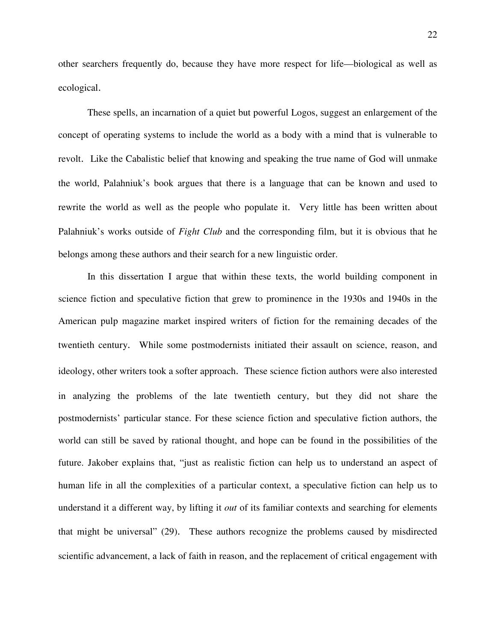other searchers frequently do, because they have more respect for life—biological as well as ecological.

These spells, an incarnation of a quiet but powerful Logos, suggest an enlargement of the concept of operating systems to include the world as a body with a mind that is vulnerable to revolt. Like the Cabalistic belief that knowing and speaking the true name of God will unmake the world, Palahniuk's book argues that there is a language that can be known and used to rewrite the world as well as the people who populate it. Very little has been written about Palahniuk's works outside of *Fight Club* and the corresponding film, but it is obvious that he belongs among these authors and their search for a new linguistic order.

In this dissertation I argue that within these texts, the world building component in science fiction and speculative fiction that grew to prominence in the 1930s and 1940s in the American pulp magazine market inspired writers of fiction for the remaining decades of the twentieth century. While some postmodernists initiated their assault on science, reason, and ideology, other writers took a softer approach. These science fiction authors were also interested in analyzing the problems of the late twentieth century, but they did not share the postmodernists' particular stance. For these science fiction and speculative fiction authors, the world can still be saved by rational thought, and hope can be found in the possibilities of the future. Jakober explains that, "just as realistic fiction can help us to understand an aspect of human life in all the complexities of a particular context, a speculative fiction can help us to understand it a different way, by lifting it *out* of its familiar contexts and searching for elements that might be universal" (29). These authors recognize the problems caused by misdirected scientific advancement, a lack of faith in reason, and the replacement of critical engagement with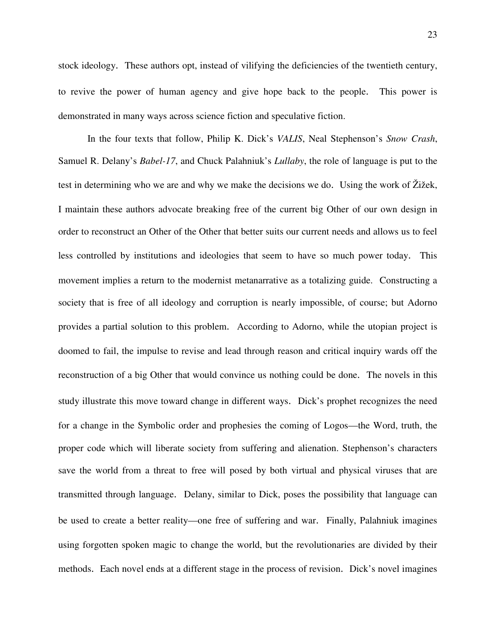stock ideology. These authors opt, instead of vilifying the deficiencies of the twentieth century, to revive the power of human agency and give hope back to the people. This power is demonstrated in many ways across science fiction and speculative fiction.

In the four texts that follow, Philip K. Dick's *VALIS*, Neal Stephenson's *Snow Crash*, Samuel R. Delany's *Babel-17*, and Chuck Palahniuk's *Lullaby*, the role of language is put to the test in determining who we are and why we make the decisions we do. Using the work of Žižek, I maintain these authors advocate breaking free of the current big Other of our own design in order to reconstruct an Other of the Other that better suits our current needs and allows us to feel less controlled by institutions and ideologies that seem to have so much power today. This movement implies a return to the modernist metanarrative as a totalizing guide. Constructing a society that is free of all ideology and corruption is nearly impossible, of course; but Adorno provides a partial solution to this problem. According to Adorno, while the utopian project is doomed to fail, the impulse to revise and lead through reason and critical inquiry wards off the reconstruction of a big Other that would convince us nothing could be done. The novels in this study illustrate this move toward change in different ways. Dick's prophet recognizes the need for a change in the Symbolic order and prophesies the coming of Logos—the Word, truth, the proper code which will liberate society from suffering and alienation. Stephenson's characters save the world from a threat to free will posed by both virtual and physical viruses that are transmitted through language. Delany, similar to Dick, poses the possibility that language can be used to create a better reality—one free of suffering and war. Finally, Palahniuk imagines using forgotten spoken magic to change the world, but the revolutionaries are divided by their methods. Each novel ends at a different stage in the process of revision. Dick's novel imagines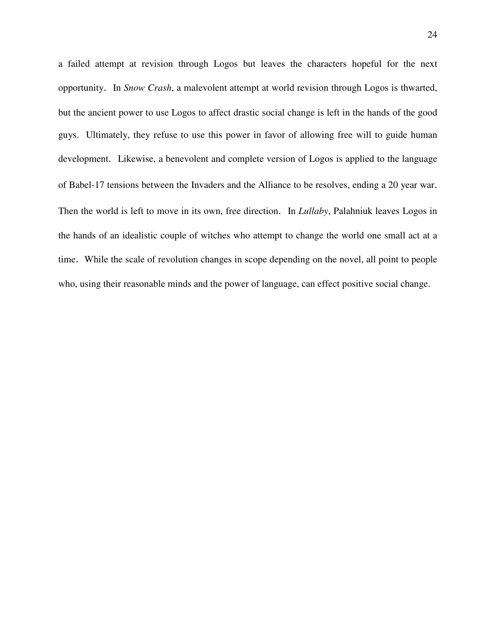a failed attempt at revision through Logos but leaves the characters hopeful for the next opportunity. In *Snow Crash*, a malevolent attempt at world revision through Logos is thwarted, but the ancient power to use Logos to affect drastic social change is left in the hands of the good guys. Ultimately, they refuse to use this power in favor of allowing free will to guide human development. Likewise, a benevolent and complete version of Logos is applied to the language of Babel-17 tensions between the Invaders and the Alliance to be resolves, ending a 20 year war. Then the world is left to move in its own, free direction. In *Lullaby*, Palahniuk leaves Logos in the hands of an idealistic couple of witches who attempt to change the world one small act at a time. While the scale of revolution changes in scope depending on the novel, all point to people who, using their reasonable minds and the power of language, can effect positive social change.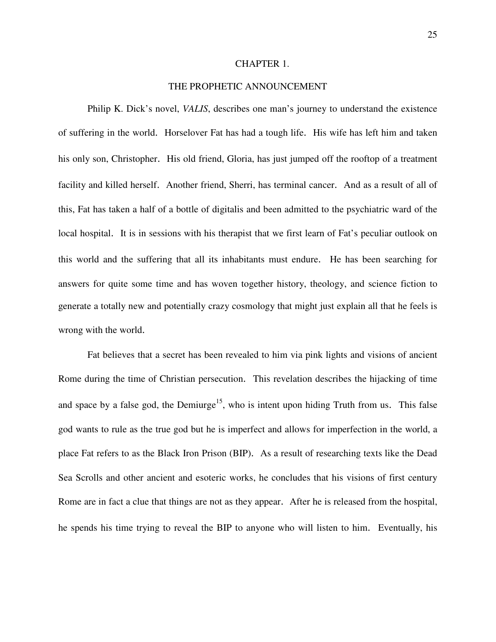## CHAPTER 1.

# THE PROPHETIC ANNOUNCEMENT

Philip K. Dick's novel, *VALIS*, describes one man's journey to understand the existence of suffering in the world. Horselover Fat has had a tough life. His wife has left him and taken his only son, Christopher. His old friend, Gloria, has just jumped off the rooftop of a treatment facility and killed herself. Another friend, Sherri, has terminal cancer. And as a result of all of this, Fat has taken a half of a bottle of digitalis and been admitted to the psychiatric ward of the local hospital. It is in sessions with his therapist that we first learn of Fat's peculiar outlook on this world and the suffering that all its inhabitants must endure. He has been searching for answers for quite some time and has woven together history, theology, and science fiction to generate a totally new and potentially crazy cosmology that might just explain all that he feels is wrong with the world.

Fat believes that a secret has been revealed to him via pink lights and visions of ancient Rome during the time of Christian persecution. This revelation describes the hijacking of time and space by a false god, the Demiurge<sup>15</sup>, who is intent upon hiding Truth from us. This false god wants to rule as the true god but he is imperfect and allows for imperfection in the world, a place Fat refers to as the Black Iron Prison (BIP). As a result of researching texts like the Dead Sea Scrolls and other ancient and esoteric works, he concludes that his visions of first century Rome are in fact a clue that things are not as they appear. After he is released from the hospital, he spends his time trying to reveal the BIP to anyone who will listen to him. Eventually, his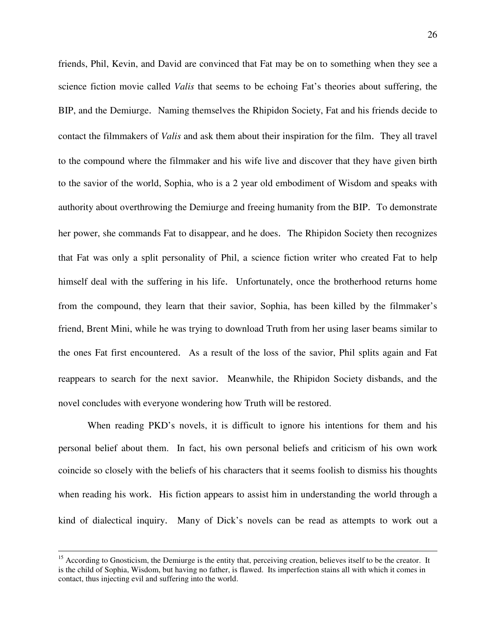friends, Phil, Kevin, and David are convinced that Fat may be on to something when they see a science fiction movie called *Valis* that seems to be echoing Fat's theories about suffering, the BIP, and the Demiurge. Naming themselves the Rhipidon Society, Fat and his friends decide to contact the filmmakers of *Valis* and ask them about their inspiration for the film. They all travel to the compound where the filmmaker and his wife live and discover that they have given birth to the savior of the world, Sophia, who is a 2 year old embodiment of Wisdom and speaks with authority about overthrowing the Demiurge and freeing humanity from the BIP. To demonstrate her power, she commands Fat to disappear, and he does. The Rhipidon Society then recognizes that Fat was only a split personality of Phil, a science fiction writer who created Fat to help himself deal with the suffering in his life. Unfortunately, once the brotherhood returns home from the compound, they learn that their savior, Sophia, has been killed by the filmmaker's friend, Brent Mini, while he was trying to download Truth from her using laser beams similar to the ones Fat first encountered. As a result of the loss of the savior, Phil splits again and Fat reappears to search for the next savior. Meanwhile, the Rhipidon Society disbands, and the novel concludes with everyone wondering how Truth will be restored.

 When reading PKD's novels, it is difficult to ignore his intentions for them and his personal belief about them. In fact, his own personal beliefs and criticism of his own work coincide so closely with the beliefs of his characters that it seems foolish to dismiss his thoughts when reading his work. His fiction appears to assist him in understanding the world through a kind of dialectical inquiry. Many of Dick's novels can be read as attempts to work out a

 $\overline{a}$ 

 $15$  According to Gnosticism, the Demiurge is the entity that, perceiving creation, believes itself to be the creator. It is the child of Sophia, Wisdom, but having no father, is flawed. Its imperfection stains all with which it comes in contact, thus injecting evil and suffering into the world.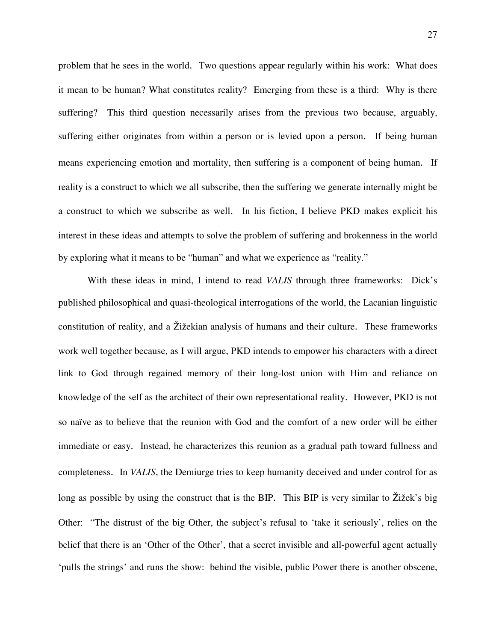problem that he sees in the world. Two questions appear regularly within his work: What does it mean to be human? What constitutes reality? Emerging from these is a third: Why is there suffering? This third question necessarily arises from the previous two because, arguably, suffering either originates from within a person or is levied upon a person. If being human means experiencing emotion and mortality, then suffering is a component of being human. If reality is a construct to which we all subscribe, then the suffering we generate internally might be a construct to which we subscribe as well. In his fiction, I believe PKD makes explicit his interest in these ideas and attempts to solve the problem of suffering and brokenness in the world by exploring what it means to be "human" and what we experience as "reality."

 With these ideas in mind, I intend to read *VALIS* through three frameworks: Dick's published philosophical and quasi-theological interrogations of the world, the Lacanian linguistic constitution of reality, and a Žižekian analysis of humans and their culture. These frameworks work well together because, as I will argue, PKD intends to empower his characters with a direct link to God through regained memory of their long-lost union with Him and reliance on knowledge of the self as the architect of their own representational reality. However, PKD is not so naïve as to believe that the reunion with God and the comfort of a new order will be either immediate or easy. Instead, he characterizes this reunion as a gradual path toward fullness and completeness. In *VALIS*, the Demiurge tries to keep humanity deceived and under control for as long as possible by using the construct that is the BIP. This BIP is very similar to Žižek's big Other: "The distrust of the big Other, the subject's refusal to 'take it seriously', relies on the belief that there is an 'Other of the Other', that a secret invisible and all-powerful agent actually 'pulls the strings' and runs the show: behind the visible, public Power there is another obscene,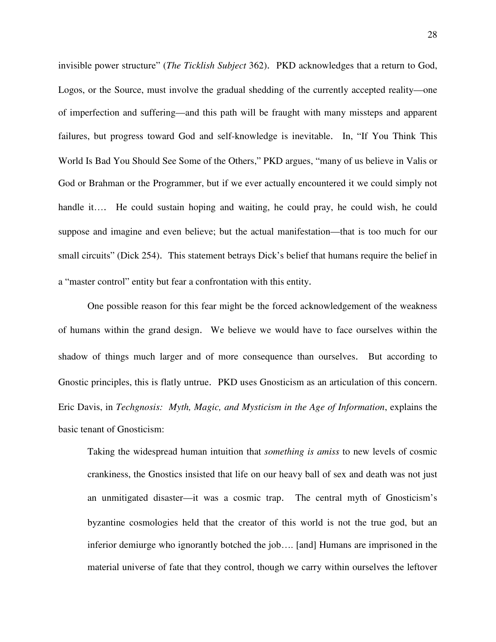invisible power structure" (*The Ticklish Subject* 362). PKD acknowledges that a return to God, Logos, or the Source, must involve the gradual shedding of the currently accepted reality—one of imperfection and suffering—and this path will be fraught with many missteps and apparent failures, but progress toward God and self-knowledge is inevitable. In, "If You Think This World Is Bad You Should See Some of the Others," PKD argues, "many of us believe in Valis or God or Brahman or the Programmer, but if we ever actually encountered it we could simply not handle it…. He could sustain hoping and waiting, he could pray, he could wish, he could suppose and imagine and even believe; but the actual manifestation—that is too much for our small circuits" (Dick 254). This statement betrays Dick's belief that humans require the belief in a "master control" entity but fear a confrontation with this entity.

One possible reason for this fear might be the forced acknowledgement of the weakness of humans within the grand design. We believe we would have to face ourselves within the shadow of things much larger and of more consequence than ourselves. But according to Gnostic principles, this is flatly untrue. PKD uses Gnosticism as an articulation of this concern. Eric Davis, in *Techgnosis: Myth, Magic, and Mysticism in the Age of Information*, explains the basic tenant of Gnosticism:

Taking the widespread human intuition that *something is amiss* to new levels of cosmic crankiness, the Gnostics insisted that life on our heavy ball of sex and death was not just an unmitigated disaster—it was a cosmic trap. The central myth of Gnosticism's byzantine cosmologies held that the creator of this world is not the true god, but an inferior demiurge who ignorantly botched the job…. [and] Humans are imprisoned in the material universe of fate that they control, though we carry within ourselves the leftover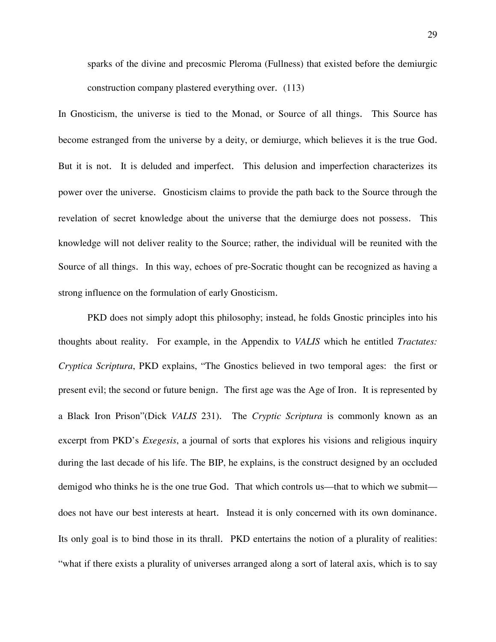sparks of the divine and precosmic Pleroma (Fullness) that existed before the demiurgic construction company plastered everything over. (113)

In Gnosticism, the universe is tied to the Monad, or Source of all things. This Source has become estranged from the universe by a deity, or demiurge, which believes it is the true God. But it is not. It is deluded and imperfect. This delusion and imperfection characterizes its power over the universe. Gnosticism claims to provide the path back to the Source through the revelation of secret knowledge about the universe that the demiurge does not possess. This knowledge will not deliver reality to the Source; rather, the individual will be reunited with the Source of all things. In this way, echoes of pre-Socratic thought can be recognized as having a strong influence on the formulation of early Gnosticism.

 PKD does not simply adopt this philosophy; instead, he folds Gnostic principles into his thoughts about reality. For example, in the Appendix to *VALIS* which he entitled *Tractates: Cryptica Scriptura*, PKD explains, "The Gnostics believed in two temporal ages: the first or present evil; the second or future benign. The first age was the Age of Iron. It is represented by a Black Iron Prison"(Dick *VALIS* 231). The *Cryptic Scriptura* is commonly known as an excerpt from PKD's *Exegesis*, a journal of sorts that explores his visions and religious inquiry during the last decade of his life. The BIP, he explains, is the construct designed by an occluded demigod who thinks he is the one true God. That which controls us—that to which we submit does not have our best interests at heart. Instead it is only concerned with its own dominance. Its only goal is to bind those in its thrall. PKD entertains the notion of a plurality of realities: "what if there exists a plurality of universes arranged along a sort of lateral axis, which is to say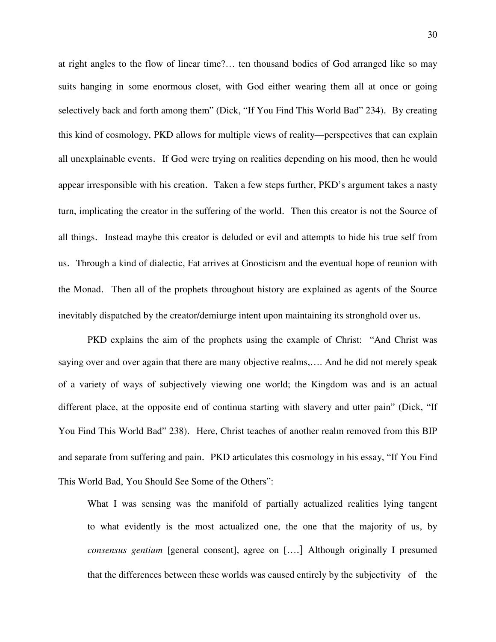at right angles to the flow of linear time?… ten thousand bodies of God arranged like so may suits hanging in some enormous closet, with God either wearing them all at once or going selectively back and forth among them" (Dick, "If You Find This World Bad" 234). By creating this kind of cosmology, PKD allows for multiple views of reality—perspectives that can explain all unexplainable events. If God were trying on realities depending on his mood, then he would appear irresponsible with his creation. Taken a few steps further, PKD's argument takes a nasty turn, implicating the creator in the suffering of the world. Then this creator is not the Source of all things. Instead maybe this creator is deluded or evil and attempts to hide his true self from us. Through a kind of dialectic, Fat arrives at Gnosticism and the eventual hope of reunion with the Monad. Then all of the prophets throughout history are explained as agents of the Source inevitably dispatched by the creator/demiurge intent upon maintaining its stronghold over us.

PKD explains the aim of the prophets using the example of Christ: "And Christ was saying over and over again that there are many objective realms,…. And he did not merely speak of a variety of ways of subjectively viewing one world; the Kingdom was and is an actual different place, at the opposite end of continua starting with slavery and utter pain" (Dick, "If You Find This World Bad" 238). Here, Christ teaches of another realm removed from this BIP and separate from suffering and pain. PKD articulates this cosmology in his essay, "If You Find This World Bad, You Should See Some of the Others":

What I was sensing was the manifold of partially actualized realities lying tangent to what evidently is the most actualized one, the one that the majority of us, by *consensus gentium* [general consent], agree on [….] Although originally I presumed that the differences between these worlds was caused entirely by the subjectivity of the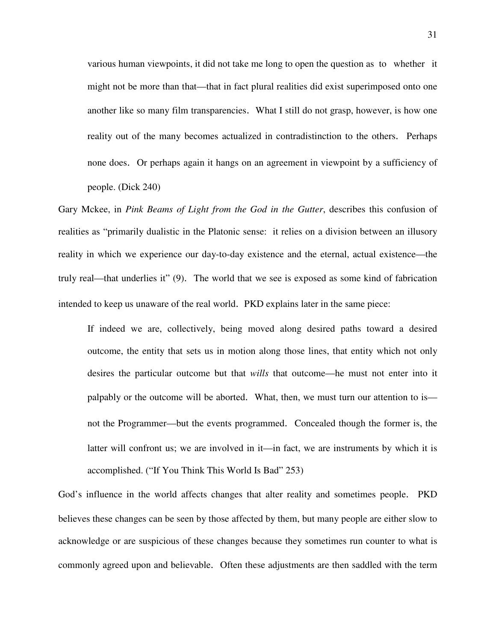various human viewpoints, it did not take me long to open the question as to whether it might not be more than that—that in fact plural realities did exist superimposed onto one another like so many film transparencies. What I still do not grasp, however, is how one reality out of the many becomes actualized in contradistinction to the others. Perhaps none does. Or perhaps again it hangs on an agreement in viewpoint by a sufficiency of people. (Dick 240)

Gary Mckee, in *Pink Beams of Light from the God in the Gutter*, describes this confusion of realities as "primarily dualistic in the Platonic sense: it relies on a division between an illusory reality in which we experience our day-to-day existence and the eternal, actual existence—the truly real—that underlies it" (9). The world that we see is exposed as some kind of fabrication intended to keep us unaware of the real world. PKD explains later in the same piece:

If indeed we are, collectively, being moved along desired paths toward a desired outcome, the entity that sets us in motion along those lines, that entity which not only desires the particular outcome but that *wills* that outcome—he must not enter into it palpably or the outcome will be aborted. What, then, we must turn our attention to is not the Programmer—but the events programmed. Concealed though the former is, the latter will confront us; we are involved in it—in fact, we are instruments by which it is accomplished. ("If You Think This World Is Bad" 253)

God's influence in the world affects changes that alter reality and sometimes people. PKD believes these changes can be seen by those affected by them, but many people are either slow to acknowledge or are suspicious of these changes because they sometimes run counter to what is commonly agreed upon and believable. Often these adjustments are then saddled with the term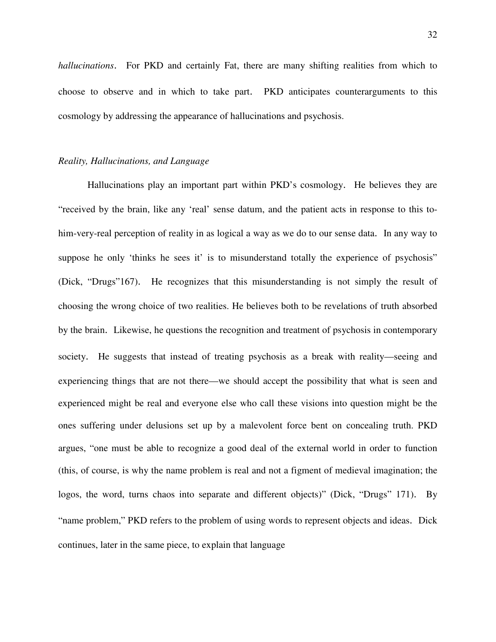*hallucinations*. For PKD and certainly Fat, there are many shifting realities from which to choose to observe and in which to take part. PKD anticipates counterarguments to this cosmology by addressing the appearance of hallucinations and psychosis.

## *Reality, Hallucinations, and Language*

 Hallucinations play an important part within PKD's cosmology. He believes they are "received by the brain, like any 'real' sense datum, and the patient acts in response to this tohim-very-real perception of reality in as logical a way as we do to our sense data. In any way to suppose he only 'thinks he sees it' is to misunderstand totally the experience of psychosis" (Dick, "Drugs"167). He recognizes that this misunderstanding is not simply the result of choosing the wrong choice of two realities. He believes both to be revelations of truth absorbed by the brain. Likewise, he questions the recognition and treatment of psychosis in contemporary society. He suggests that instead of treating psychosis as a break with reality—seeing and experiencing things that are not there—we should accept the possibility that what is seen and experienced might be real and everyone else who call these visions into question might be the ones suffering under delusions set up by a malevolent force bent on concealing truth. PKD argues, "one must be able to recognize a good deal of the external world in order to function (this, of course, is why the name problem is real and not a figment of medieval imagination; the logos, the word, turns chaos into separate and different objects)" (Dick, "Drugs" 171). By "name problem," PKD refers to the problem of using words to represent objects and ideas. Dick continues, later in the same piece, to explain that language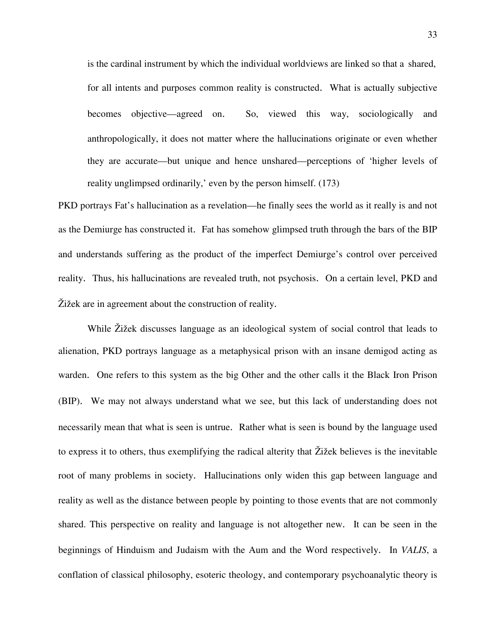is the cardinal instrument by which the individual worldviews are linked so that a shared, for all intents and purposes common reality is constructed. What is actually subjective becomes objective—agreed on. So, viewed this way, sociologically and anthropologically, it does not matter where the hallucinations originate or even whether they are accurate—but unique and hence unshared—perceptions of 'higher levels of reality unglimpsed ordinarily,' even by the person himself. (173)

PKD portrays Fat's hallucination as a revelation—he finally sees the world as it really is and not as the Demiurge has constructed it. Fat has somehow glimpsed truth through the bars of the BIP and understands suffering as the product of the imperfect Demiurge's control over perceived reality. Thus, his hallucinations are revealed truth, not psychosis. On a certain level, PKD and Žižek are in agreement about the construction of reality.

While Žižek discusses language as an ideological system of social control that leads to alienation, PKD portrays language as a metaphysical prison with an insane demigod acting as warden. One refers to this system as the big Other and the other calls it the Black Iron Prison (BIP). We may not always understand what we see, but this lack of understanding does not necessarily mean that what is seen is untrue. Rather what is seen is bound by the language used to express it to others, thus exemplifying the radical alterity that Žižek believes is the inevitable root of many problems in society. Hallucinations only widen this gap between language and reality as well as the distance between people by pointing to those events that are not commonly shared. This perspective on reality and language is not altogether new. It can be seen in the beginnings of Hinduism and Judaism with the Aum and the Word respectively. In *VALIS*, a conflation of classical philosophy, esoteric theology, and contemporary psychoanalytic theory is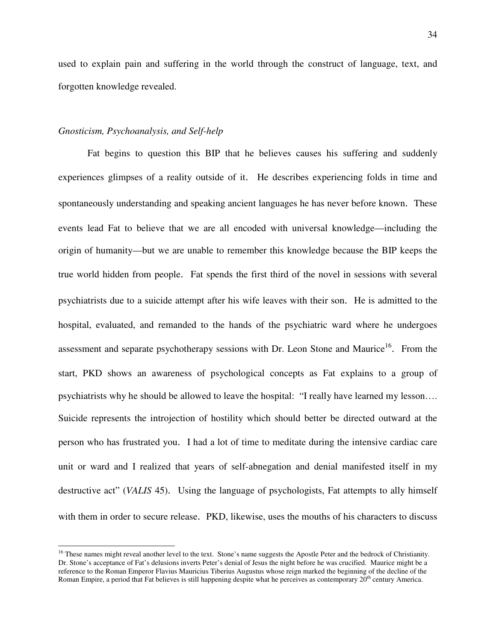used to explain pain and suffering in the world through the construct of language, text, and forgotten knowledge revealed.

## *Gnosticism, Psychoanalysis, and Self-help*

 $\overline{a}$ 

Fat begins to question this BIP that he believes causes his suffering and suddenly experiences glimpses of a reality outside of it. He describes experiencing folds in time and spontaneously understanding and speaking ancient languages he has never before known. These events lead Fat to believe that we are all encoded with universal knowledge—including the origin of humanity—but we are unable to remember this knowledge because the BIP keeps the true world hidden from people. Fat spends the first third of the novel in sessions with several psychiatrists due to a suicide attempt after his wife leaves with their son. He is admitted to the hospital, evaluated, and remanded to the hands of the psychiatric ward where he undergoes assessment and separate psychotherapy sessions with Dr. Leon Stone and Maurice<sup>16</sup>. From the start, PKD shows an awareness of psychological concepts as Fat explains to a group of psychiatrists why he should be allowed to leave the hospital: "I really have learned my lesson…. Suicide represents the introjection of hostility which should better be directed outward at the person who has frustrated you. I had a lot of time to meditate during the intensive cardiac care unit or ward and I realized that years of self-abnegation and denial manifested itself in my destructive act" (*VALIS* 45). Using the language of psychologists, Fat attempts to ally himself with them in order to secure release. PKD, likewise, uses the mouths of his characters to discuss

<sup>&</sup>lt;sup>16</sup> These names might reveal another level to the text. Stone's name suggests the Apostle Peter and the bedrock of Christianity. Dr. Stone's acceptance of Fat's delusions inverts Peter's denial of Jesus the night before he was crucified. Maurice might be a reference to the Roman Emperor Flavius Mauricius Tiberius Augustus whose reign marked the beginning of the decline of the Roman Empire, a period that Fat believes is still happening despite what he perceives as contemporary  $20<sup>th</sup>$  century America.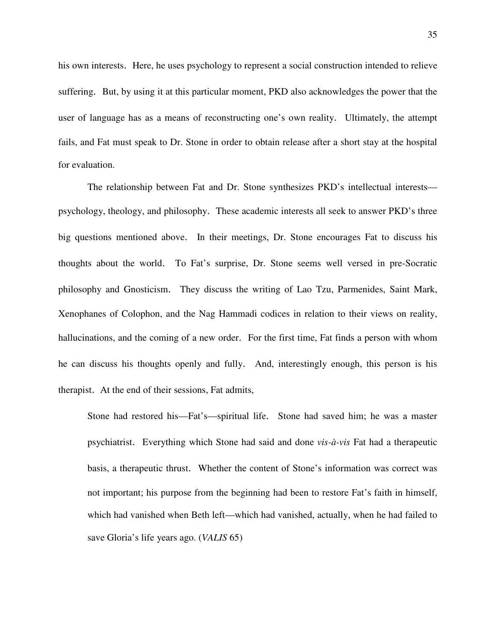his own interests. Here, he uses psychology to represent a social construction intended to relieve suffering. But, by using it at this particular moment, PKD also acknowledges the power that the user of language has as a means of reconstructing one's own reality. Ultimately, the attempt fails, and Fat must speak to Dr. Stone in order to obtain release after a short stay at the hospital for evaluation.

The relationship between Fat and Dr. Stone synthesizes PKD's intellectual interests psychology, theology, and philosophy. These academic interests all seek to answer PKD's three big questions mentioned above. In their meetings, Dr. Stone encourages Fat to discuss his thoughts about the world. To Fat's surprise, Dr. Stone seems well versed in pre-Socratic philosophy and Gnosticism. They discuss the writing of Lao Tzu, Parmenides, Saint Mark, Xenophanes of Colophon, and the Nag Hammadi codices in relation to their views on reality, hallucinations, and the coming of a new order. For the first time, Fat finds a person with whom he can discuss his thoughts openly and fully. And, interestingly enough, this person is his therapist. At the end of their sessions, Fat admits,

Stone had restored his—Fat's—spiritual life. Stone had saved him; he was a master psychiatrist. Everything which Stone had said and done *vis-à-vis* Fat had a therapeutic basis, a therapeutic thrust. Whether the content of Stone's information was correct was not important; his purpose from the beginning had been to restore Fat's faith in himself, which had vanished when Beth left—which had vanished, actually, when he had failed to save Gloria's life years ago. (*VALIS* 65)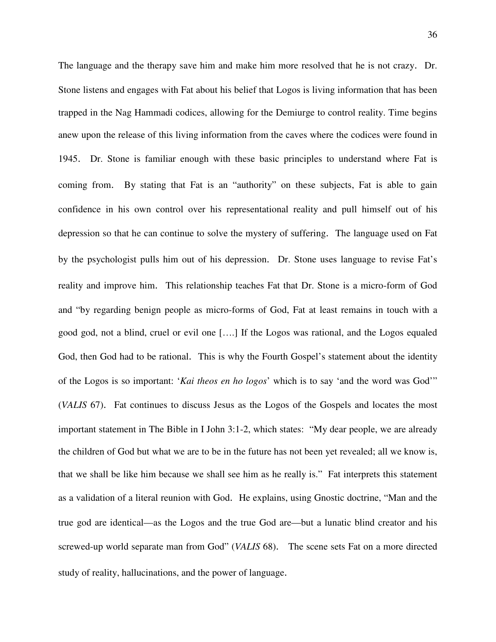The language and the therapy save him and make him more resolved that he is not crazy. Dr. Stone listens and engages with Fat about his belief that Logos is living information that has been trapped in the Nag Hammadi codices, allowing for the Demiurge to control reality. Time begins anew upon the release of this living information from the caves where the codices were found in 1945. Dr. Stone is familiar enough with these basic principles to understand where Fat is coming from. By stating that Fat is an "authority" on these subjects, Fat is able to gain confidence in his own control over his representational reality and pull himself out of his depression so that he can continue to solve the mystery of suffering. The language used on Fat by the psychologist pulls him out of his depression. Dr. Stone uses language to revise Fat's reality and improve him. This relationship teaches Fat that Dr. Stone is a micro-form of God and "by regarding benign people as micro-forms of God, Fat at least remains in touch with a good god, not a blind, cruel or evil one [….] If the Logos was rational, and the Logos equaled God, then God had to be rational. This is why the Fourth Gospel's statement about the identity of the Logos is so important: '*Kai theos en ho logos*' which is to say 'and the word was God'" (*VALIS* 67). Fat continues to discuss Jesus as the Logos of the Gospels and locates the most important statement in The Bible in I John 3:1-2, which states: "My dear people, we are already the children of God but what we are to be in the future has not been yet revealed; all we know is, that we shall be like him because we shall see him as he really is." Fat interprets this statement as a validation of a literal reunion with God. He explains, using Gnostic doctrine, "Man and the true god are identical—as the Logos and the true God are—but a lunatic blind creator and his screwed-up world separate man from God" (*VALIS* 68). The scene sets Fat on a more directed study of reality, hallucinations, and the power of language.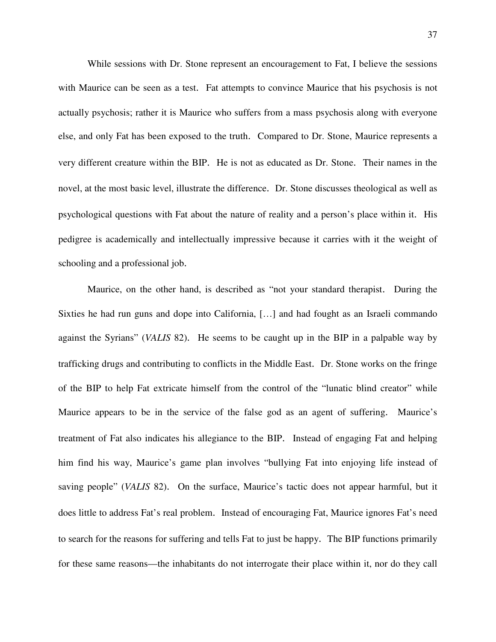While sessions with Dr. Stone represent an encouragement to Fat, I believe the sessions with Maurice can be seen as a test. Fat attempts to convince Maurice that his psychosis is not actually psychosis; rather it is Maurice who suffers from a mass psychosis along with everyone else, and only Fat has been exposed to the truth. Compared to Dr. Stone, Maurice represents a very different creature within the BIP. He is not as educated as Dr. Stone. Their names in the novel, at the most basic level, illustrate the difference. Dr. Stone discusses theological as well as psychological questions with Fat about the nature of reality and a person's place within it. His pedigree is academically and intellectually impressive because it carries with it the weight of schooling and a professional job.

Maurice, on the other hand, is described as "not your standard therapist. During the Sixties he had run guns and dope into California, […] and had fought as an Israeli commando against the Syrians" (*VALIS* 82). He seems to be caught up in the BIP in a palpable way by trafficking drugs and contributing to conflicts in the Middle East. Dr. Stone works on the fringe of the BIP to help Fat extricate himself from the control of the "lunatic blind creator" while Maurice appears to be in the service of the false god as an agent of suffering. Maurice's treatment of Fat also indicates his allegiance to the BIP. Instead of engaging Fat and helping him find his way, Maurice's game plan involves "bullying Fat into enjoying life instead of saving people" (*VALIS* 82). On the surface, Maurice's tactic does not appear harmful, but it does little to address Fat's real problem. Instead of encouraging Fat, Maurice ignores Fat's need to search for the reasons for suffering and tells Fat to just be happy. The BIP functions primarily for these same reasons—the inhabitants do not interrogate their place within it, nor do they call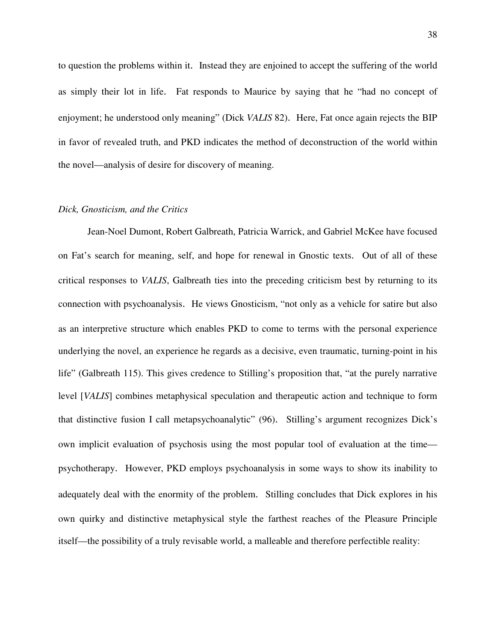to question the problems within it. Instead they are enjoined to accept the suffering of the world as simply their lot in life. Fat responds to Maurice by saying that he "had no concept of enjoyment; he understood only meaning" (Dick *VALIS* 82). Here, Fat once again rejects the BIP in favor of revealed truth, and PKD indicates the method of deconstruction of the world within the novel—analysis of desire for discovery of meaning.

## *Dick, Gnosticism, and the Critics*

Jean-Noel Dumont, Robert Galbreath, Patricia Warrick, and Gabriel McKee have focused on Fat's search for meaning, self, and hope for renewal in Gnostic texts. Out of all of these critical responses to *VALIS*, Galbreath ties into the preceding criticism best by returning to its connection with psychoanalysis. He views Gnosticism, "not only as a vehicle for satire but also as an interpretive structure which enables PKD to come to terms with the personal experience underlying the novel, an experience he regards as a decisive, even traumatic, turning-point in his life" (Galbreath 115). This gives credence to Stilling's proposition that, "at the purely narrative level [*VALIS*] combines metaphysical speculation and therapeutic action and technique to form that distinctive fusion I call metapsychoanalytic" (96). Stilling's argument recognizes Dick's own implicit evaluation of psychosis using the most popular tool of evaluation at the time psychotherapy. However, PKD employs psychoanalysis in some ways to show its inability to adequately deal with the enormity of the problem. Stilling concludes that Dick explores in his own quirky and distinctive metaphysical style the farthest reaches of the Pleasure Principle itself—the possibility of a truly revisable world, a malleable and therefore perfectible reality: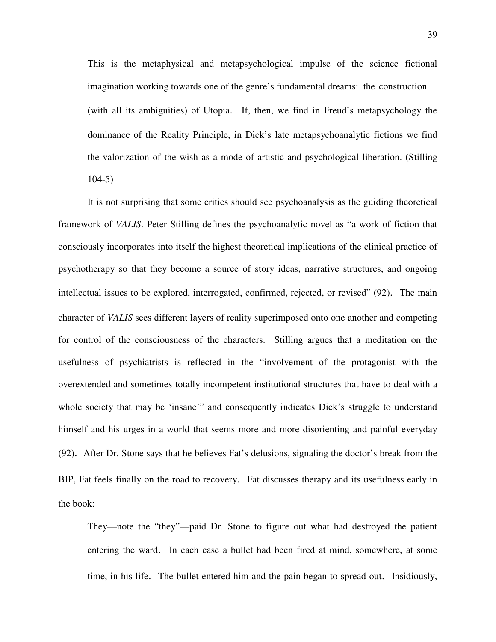This is the metaphysical and metapsychological impulse of the science fictional imagination working towards one of the genre's fundamental dreams: the construction (with all its ambiguities) of Utopia. If, then, we find in Freud's metapsychology the dominance of the Reality Principle, in Dick's late metapsychoanalytic fictions we find the valorization of the wish as a mode of artistic and psychological liberation. (Stilling  $104-5$ 

It is not surprising that some critics should see psychoanalysis as the guiding theoretical framework of *VALIS*. Peter Stilling defines the psychoanalytic novel as "a work of fiction that consciously incorporates into itself the highest theoretical implications of the clinical practice of psychotherapy so that they become a source of story ideas, narrative structures, and ongoing intellectual issues to be explored, interrogated, confirmed, rejected, or revised" (92). The main character of *VALIS* sees different layers of reality superimposed onto one another and competing for control of the consciousness of the characters. Stilling argues that a meditation on the usefulness of psychiatrists is reflected in the "involvement of the protagonist with the overextended and sometimes totally incompetent institutional structures that have to deal with a whole society that may be 'insane'" and consequently indicates Dick's struggle to understand himself and his urges in a world that seems more and more disorienting and painful everyday (92). After Dr. Stone says that he believes Fat's delusions, signaling the doctor's break from the BIP, Fat feels finally on the road to recovery. Fat discusses therapy and its usefulness early in the book:

 They—note the "they"—paid Dr. Stone to figure out what had destroyed the patient entering the ward. In each case a bullet had been fired at mind, somewhere, at some time, in his life. The bullet entered him and the pain began to spread out. Insidiously,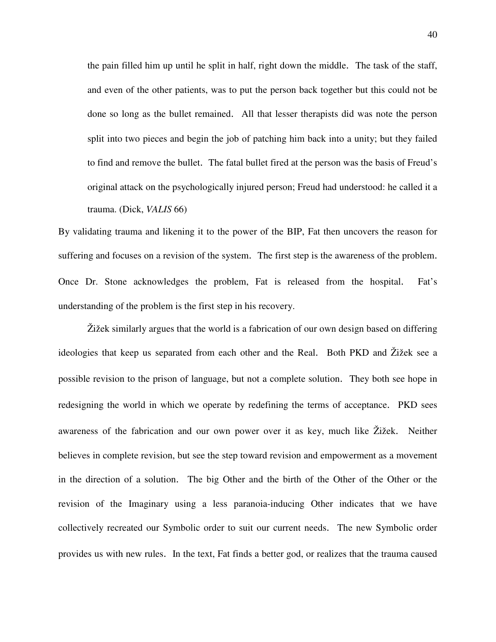the pain filled him up until he split in half, right down the middle. The task of the staff, and even of the other patients, was to put the person back together but this could not be done so long as the bullet remained. All that lesser therapists did was note the person split into two pieces and begin the job of patching him back into a unity; but they failed to find and remove the bullet. The fatal bullet fired at the person was the basis of Freud's original attack on the psychologically injured person; Freud had understood: he called it a trauma. (Dick, *VALIS* 66)

By validating trauma and likening it to the power of the BIP, Fat then uncovers the reason for suffering and focuses on a revision of the system. The first step is the awareness of the problem. Once Dr. Stone acknowledges the problem, Fat is released from the hospital. Fat's understanding of the problem is the first step in his recovery.

Žižek similarly argues that the world is a fabrication of our own design based on differing ideologies that keep us separated from each other and the Real. Both PKD and Žižek see a possible revision to the prison of language, but not a complete solution. They both see hope in redesigning the world in which we operate by redefining the terms of acceptance. PKD sees awareness of the fabrication and our own power over it as key, much like Žižek. Neither believes in complete revision, but see the step toward revision and empowerment as a movement in the direction of a solution. The big Other and the birth of the Other of the Other or the revision of the Imaginary using a less paranoia-inducing Other indicates that we have collectively recreated our Symbolic order to suit our current needs. The new Symbolic order provides us with new rules. In the text, Fat finds a better god, or realizes that the trauma caused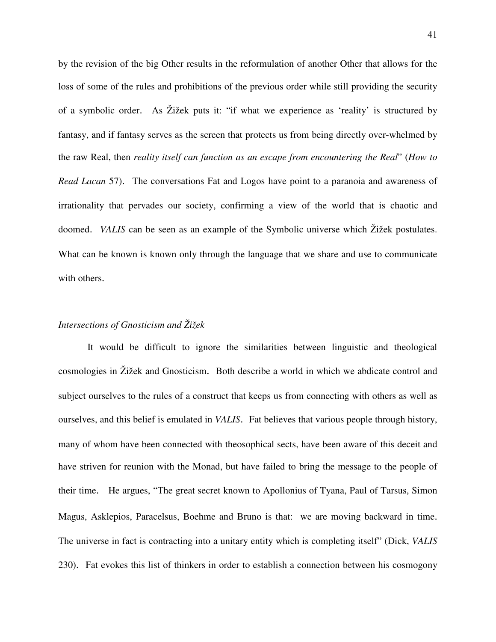by the revision of the big Other results in the reformulation of another Other that allows for the loss of some of the rules and prohibitions of the previous order while still providing the security of a symbolic order. As Žižek puts it: "if what we experience as 'reality' is structured by fantasy, and if fantasy serves as the screen that protects us from being directly over-whelmed by the raw Real, then *reality itself can function as an escape from encountering the Real*" (*How to Read Lacan* 57). The conversations Fat and Logos have point to a paranoia and awareness of irrationality that pervades our society, confirming a view of the world that is chaotic and doomed. *VALIS* can be seen as an example of the Symbolic universe which Žižek postulates. What can be known is known only through the language that we share and use to communicate with others.

## *Intersections of Gnosticism and Žižek*

It would be difficult to ignore the similarities between linguistic and theological cosmologies in Žižek and Gnosticism. Both describe a world in which we abdicate control and subject ourselves to the rules of a construct that keeps us from connecting with others as well as ourselves, and this belief is emulated in *VALIS*. Fat believes that various people through history, many of whom have been connected with theosophical sects, have been aware of this deceit and have striven for reunion with the Monad, but have failed to bring the message to the people of their time. He argues, "The great secret known to Apollonius of Tyana, Paul of Tarsus, Simon Magus, Asklepios, Paracelsus, Boehme and Bruno is that: we are moving backward in time. The universe in fact is contracting into a unitary entity which is completing itself" (Dick, *VALIS*  230). Fat evokes this list of thinkers in order to establish a connection between his cosmogony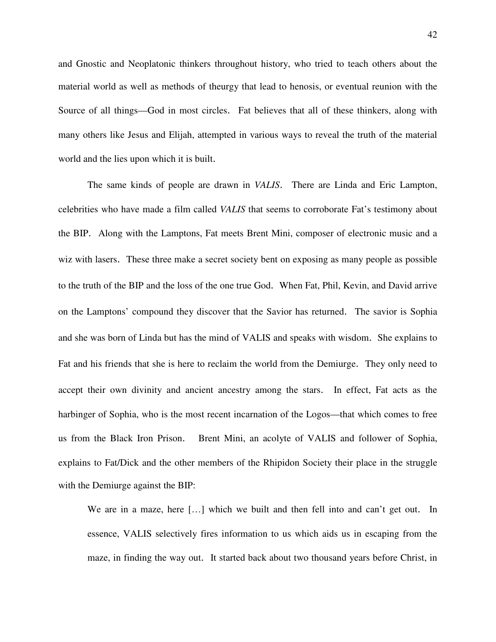and Gnostic and Neoplatonic thinkers throughout history, who tried to teach others about the material world as well as methods of theurgy that lead to henosis, or eventual reunion with the Source of all things—God in most circles. Fat believes that all of these thinkers, along with many others like Jesus and Elijah, attempted in various ways to reveal the truth of the material world and the lies upon which it is built.

The same kinds of people are drawn in *VALIS*. There are Linda and Eric Lampton, celebrities who have made a film called *VALIS* that seems to corroborate Fat's testimony about the BIP. Along with the Lamptons, Fat meets Brent Mini, composer of electronic music and a wiz with lasers. These three make a secret society bent on exposing as many people as possible to the truth of the BIP and the loss of the one true God. When Fat, Phil, Kevin, and David arrive on the Lamptons' compound they discover that the Savior has returned. The savior is Sophia and she was born of Linda but has the mind of VALIS and speaks with wisdom. She explains to Fat and his friends that she is here to reclaim the world from the Demiurge. They only need to accept their own divinity and ancient ancestry among the stars. In effect, Fat acts as the harbinger of Sophia, who is the most recent incarnation of the Logos—that which comes to free us from the Black Iron Prison. Brent Mini, an acolyte of VALIS and follower of Sophia, explains to Fat/Dick and the other members of the Rhipidon Society their place in the struggle with the Demiurge against the BIP:

We are in a maze, here [...] which we built and then fell into and can't get out. In essence, VALIS selectively fires information to us which aids us in escaping from the maze, in finding the way out. It started back about two thousand years before Christ, in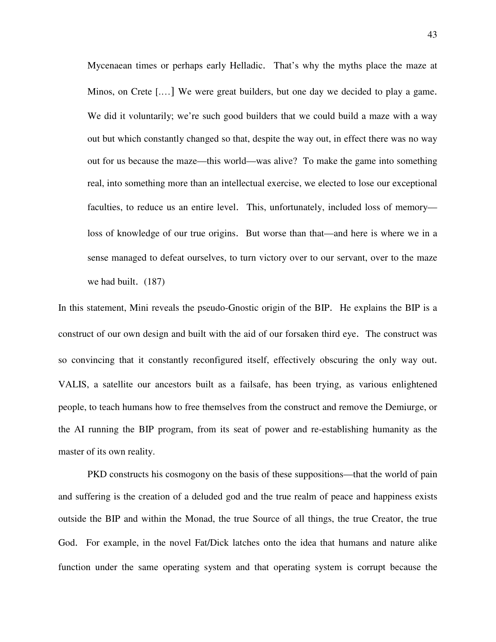Mycenaean times or perhaps early Helladic. That's why the myths place the maze at Minos, on Crete [.…] We were great builders, but one day we decided to play a game. We did it voluntarily; we're such good builders that we could build a maze with a way out but which constantly changed so that, despite the way out, in effect there was no way out for us because the maze—this world—was alive? To make the game into something real, into something more than an intellectual exercise, we elected to lose our exceptional faculties, to reduce us an entire level. This, unfortunately, included loss of memory loss of knowledge of our true origins. But worse than that—and here is where we in a sense managed to defeat ourselves, to turn victory over to our servant, over to the maze we had built. (187)

In this statement, Mini reveals the pseudo-Gnostic origin of the BIP. He explains the BIP is a construct of our own design and built with the aid of our forsaken third eye. The construct was so convincing that it constantly reconfigured itself, effectively obscuring the only way out. VALIS, a satellite our ancestors built as a failsafe, has been trying, as various enlightened people, to teach humans how to free themselves from the construct and remove the Demiurge, or the AI running the BIP program, from its seat of power and re-establishing humanity as the master of its own reality.

PKD constructs his cosmogony on the basis of these suppositions—that the world of pain and suffering is the creation of a deluded god and the true realm of peace and happiness exists outside the BIP and within the Monad, the true Source of all things, the true Creator, the true God. For example, in the novel Fat/Dick latches onto the idea that humans and nature alike function under the same operating system and that operating system is corrupt because the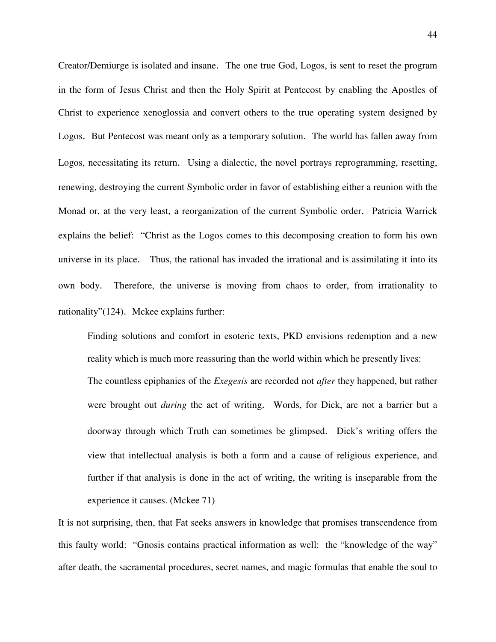Creator/Demiurge is isolated and insane. The one true God, Logos, is sent to reset the program in the form of Jesus Christ and then the Holy Spirit at Pentecost by enabling the Apostles of Christ to experience xenoglossia and convert others to the true operating system designed by Logos. But Pentecost was meant only as a temporary solution. The world has fallen away from Logos, necessitating its return. Using a dialectic, the novel portrays reprogramming, resetting, renewing, destroying the current Symbolic order in favor of establishing either a reunion with the Monad or, at the very least, a reorganization of the current Symbolic order. Patricia Warrick explains the belief: "Christ as the Logos comes to this decomposing creation to form his own universe in its place. Thus, the rational has invaded the irrational and is assimilating it into its own body. Therefore, the universe is moving from chaos to order, from irrationality to rationality"(124). Mckee explains further:

 Finding solutions and comfort in esoteric texts, PKD envisions redemption and a new reality which is much more reassuring than the world within which he presently lives: The countless epiphanies of the *Exegesis* are recorded not *after* they happened, but rather were brought out *during* the act of writing. Words, for Dick, are not a barrier but a doorway through which Truth can sometimes be glimpsed. Dick's writing offers the view that intellectual analysis is both a form and a cause of religious experience, and further if that analysis is done in the act of writing, the writing is inseparable from the experience it causes. (Mckee 71)

It is not surprising, then, that Fat seeks answers in knowledge that promises transcendence from this faulty world: "Gnosis contains practical information as well: the "knowledge of the way" after death, the sacramental procedures, secret names, and magic formulas that enable the soul to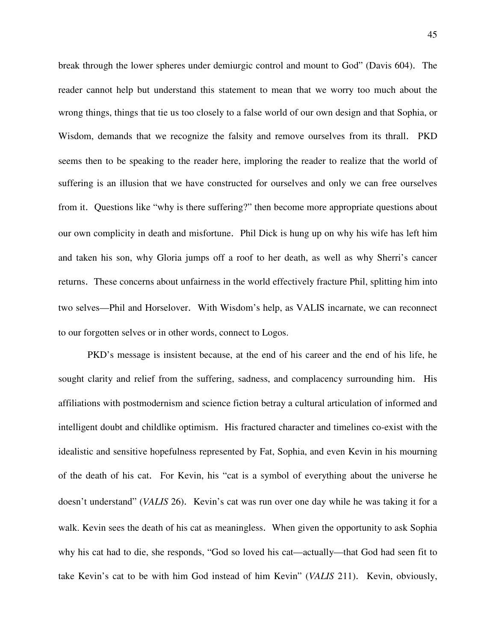break through the lower spheres under demiurgic control and mount to God" (Davis 604). The reader cannot help but understand this statement to mean that we worry too much about the wrong things, things that tie us too closely to a false world of our own design and that Sophia, or Wisdom, demands that we recognize the falsity and remove ourselves from its thrall. PKD seems then to be speaking to the reader here, imploring the reader to realize that the world of suffering is an illusion that we have constructed for ourselves and only we can free ourselves from it. Questions like "why is there suffering?" then become more appropriate questions about our own complicity in death and misfortune. Phil Dick is hung up on why his wife has left him and taken his son, why Gloria jumps off a roof to her death, as well as why Sherri's cancer returns. These concerns about unfairness in the world effectively fracture Phil, splitting him into two selves—Phil and Horselover. With Wisdom's help, as VALIS incarnate, we can reconnect to our forgotten selves or in other words, connect to Logos.

PKD's message is insistent because, at the end of his career and the end of his life, he sought clarity and relief from the suffering, sadness, and complacency surrounding him. His affiliations with postmodernism and science fiction betray a cultural articulation of informed and intelligent doubt and childlike optimism. His fractured character and timelines co-exist with the idealistic and sensitive hopefulness represented by Fat, Sophia, and even Kevin in his mourning of the death of his cat. For Kevin, his "cat is a symbol of everything about the universe he doesn't understand" (*VALIS* 26). Kevin's cat was run over one day while he was taking it for a walk. Kevin sees the death of his cat as meaningless. When given the opportunity to ask Sophia why his cat had to die, she responds, "God so loved his cat—actually—that God had seen fit to take Kevin's cat to be with him God instead of him Kevin" (*VALIS* 211). Kevin, obviously,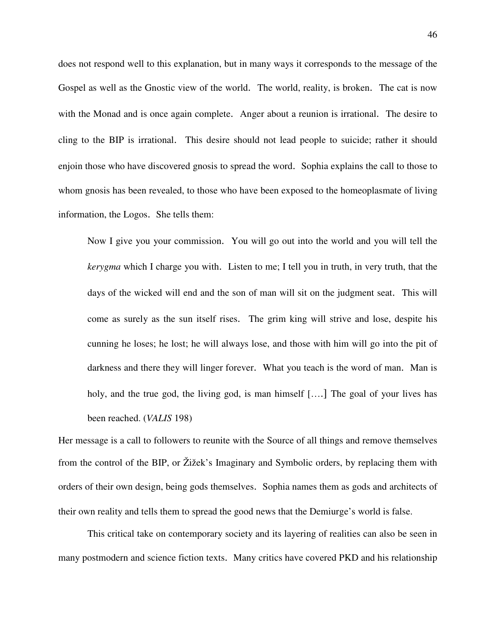does not respond well to this explanation, but in many ways it corresponds to the message of the Gospel as well as the Gnostic view of the world. The world, reality, is broken. The cat is now with the Monad and is once again complete. Anger about a reunion is irrational. The desire to cling to the BIP is irrational. This desire should not lead people to suicide; rather it should enjoin those who have discovered gnosis to spread the word. Sophia explains the call to those to whom gnosis has been revealed, to those who have been exposed to the homeoplasmate of living information, the Logos. She tells them:

Now I give you your commission. You will go out into the world and you will tell the *kerygma* which I charge you with. Listen to me; I tell you in truth, in very truth, that the days of the wicked will end and the son of man will sit on the judgment seat. This will come as surely as the sun itself rises. The grim king will strive and lose, despite his cunning he loses; he lost; he will always lose, and those with him will go into the pit of darkness and there they will linger forever. What you teach is the word of man. Man is holy, and the true god, the living god, is man himself [....] The goal of your lives has been reached. (*VALIS* 198)

Her message is a call to followers to reunite with the Source of all things and remove themselves from the control of the BIP, or Žižek's Imaginary and Symbolic orders, by replacing them with orders of their own design, being gods themselves. Sophia names them as gods and architects of their own reality and tells them to spread the good news that the Demiurge's world is false.

This critical take on contemporary society and its layering of realities can also be seen in many postmodern and science fiction texts. Many critics have covered PKD and his relationship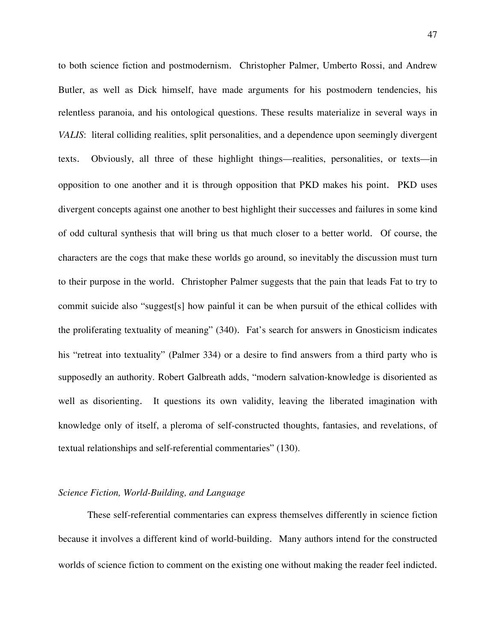to both science fiction and postmodernism. Christopher Palmer, Umberto Rossi, and Andrew Butler, as well as Dick himself, have made arguments for his postmodern tendencies, his relentless paranoia, and his ontological questions. These results materialize in several ways in *VALIS*: literal colliding realities, split personalities, and a dependence upon seemingly divergent texts. Obviously, all three of these highlight things—realities, personalities, or texts—in opposition to one another and it is through opposition that PKD makes his point. PKD uses divergent concepts against one another to best highlight their successes and failures in some kind of odd cultural synthesis that will bring us that much closer to a better world. Of course, the characters are the cogs that make these worlds go around, so inevitably the discussion must turn to their purpose in the world. Christopher Palmer suggests that the pain that leads Fat to try to commit suicide also "suggest[s] how painful it can be when pursuit of the ethical collides with the proliferating textuality of meaning" (340). Fat's search for answers in Gnosticism indicates his "retreat into textuality" (Palmer 334) or a desire to find answers from a third party who is supposedly an authority. Robert Galbreath adds, "modern salvation-knowledge is disoriented as well as disorienting. It questions its own validity, leaving the liberated imagination with knowledge only of itself, a pleroma of self-constructed thoughts, fantasies, and revelations, of textual relationships and self-referential commentaries" (130).

## *Science Fiction, World-Building, and Language*

These self-referential commentaries can express themselves differently in science fiction because it involves a different kind of world-building. Many authors intend for the constructed worlds of science fiction to comment on the existing one without making the reader feel indicted.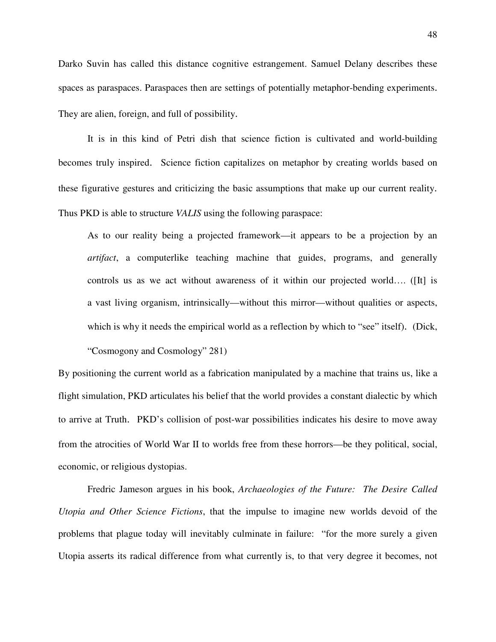Darko Suvin has called this distance cognitive estrangement. Samuel Delany describes these spaces as paraspaces. Paraspaces then are settings of potentially metaphor-bending experiments. They are alien, foreign, and full of possibility.

It is in this kind of Petri dish that science fiction is cultivated and world-building becomes truly inspired. Science fiction capitalizes on metaphor by creating worlds based on these figurative gestures and criticizing the basic assumptions that make up our current reality. Thus PKD is able to structure *VALIS* using the following paraspace:

 As to our reality being a projected framework—it appears to be a projection by an *artifact*, a computerlike teaching machine that guides, programs, and generally controls us as we act without awareness of it within our projected world…. ([It] is a vast living organism, intrinsically—without this mirror—without qualities or aspects, which is why it needs the empirical world as a reflection by which to "see" itself). (Dick,

"Cosmogony and Cosmology" 281)

By positioning the current world as a fabrication manipulated by a machine that trains us, like a flight simulation, PKD articulates his belief that the world provides a constant dialectic by which to arrive at Truth. PKD's collision of post-war possibilities indicates his desire to move away from the atrocities of World War II to worlds free from these horrors—be they political, social, economic, or religious dystopias.

Fredric Jameson argues in his book, *Archaeologies of the Future: The Desire Called Utopia and Other Science Fictions*, that the impulse to imagine new worlds devoid of the problems that plague today will inevitably culminate in failure: "for the more surely a given Utopia asserts its radical difference from what currently is, to that very degree it becomes, not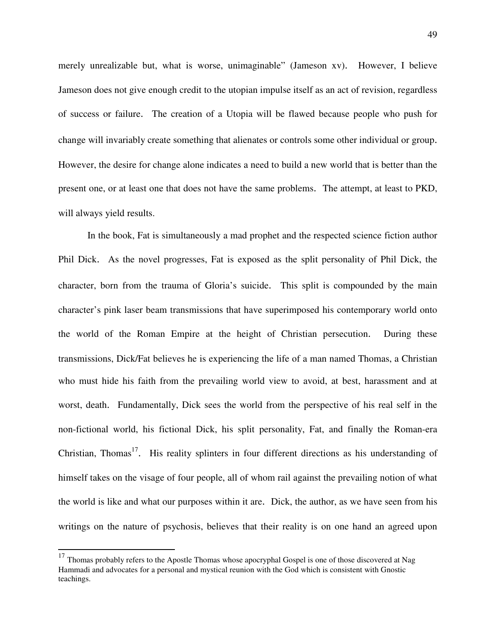merely unrealizable but, what is worse, unimaginable" (Jameson xv). However, I believe Jameson does not give enough credit to the utopian impulse itself as an act of revision, regardless of success or failure. The creation of a Utopia will be flawed because people who push for change will invariably create something that alienates or controls some other individual or group. However, the desire for change alone indicates a need to build a new world that is better than the present one, or at least one that does not have the same problems. The attempt, at least to PKD, will always yield results.

 In the book, Fat is simultaneously a mad prophet and the respected science fiction author Phil Dick. As the novel progresses, Fat is exposed as the split personality of Phil Dick, the character, born from the trauma of Gloria's suicide. This split is compounded by the main character's pink laser beam transmissions that have superimposed his contemporary world onto the world of the Roman Empire at the height of Christian persecution. During these transmissions, Dick/Fat believes he is experiencing the life of a man named Thomas, a Christian who must hide his faith from the prevailing world view to avoid, at best, harassment and at worst, death. Fundamentally, Dick sees the world from the perspective of his real self in the non-fictional world, his fictional Dick, his split personality, Fat, and finally the Roman-era Christian, Thomas<sup>17</sup>. His reality splinters in four different directions as his understanding of himself takes on the visage of four people, all of whom rail against the prevailing notion of what the world is like and what our purposes within it are. Dick, the author, as we have seen from his writings on the nature of psychosis, believes that their reality is on one hand an agreed upon

1

 $17$  Thomas probably refers to the Apostle Thomas whose apocryphal Gospel is one of those discovered at Nag Hammadi and advocates for a personal and mystical reunion with the God which is consistent with Gnostic teachings.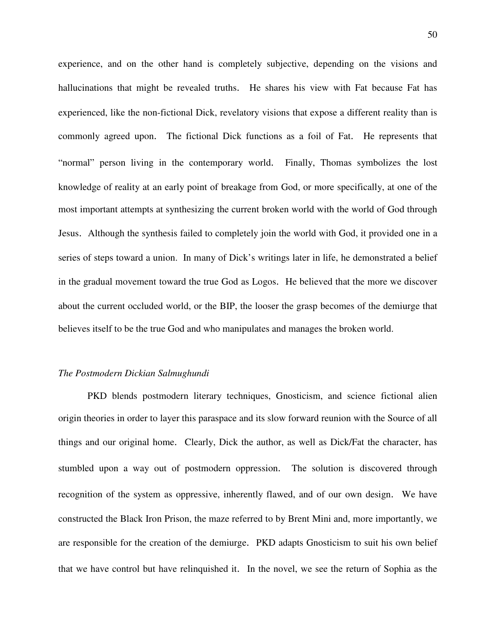experience, and on the other hand is completely subjective, depending on the visions and hallucinations that might be revealed truths. He shares his view with Fat because Fat has experienced, like the non-fictional Dick, revelatory visions that expose a different reality than is commonly agreed upon. The fictional Dick functions as a foil of Fat. He represents that "normal" person living in the contemporary world. Finally, Thomas symbolizes the lost knowledge of reality at an early point of breakage from God, or more specifically, at one of the most important attempts at synthesizing the current broken world with the world of God through Jesus. Although the synthesis failed to completely join the world with God, it provided one in a series of steps toward a union. In many of Dick's writings later in life, he demonstrated a belief in the gradual movement toward the true God as Logos. He believed that the more we discover about the current occluded world, or the BIP, the looser the grasp becomes of the demiurge that believes itself to be the true God and who manipulates and manages the broken world.

## *The Postmodern Dickian Salmughundi*

PKD blends postmodern literary techniques, Gnosticism, and science fictional alien origin theories in order to layer this paraspace and its slow forward reunion with the Source of all things and our original home. Clearly, Dick the author, as well as Dick/Fat the character, has stumbled upon a way out of postmodern oppression. The solution is discovered through recognition of the system as oppressive, inherently flawed, and of our own design. We have constructed the Black Iron Prison, the maze referred to by Brent Mini and, more importantly, we are responsible for the creation of the demiurge. PKD adapts Gnosticism to suit his own belief that we have control but have relinquished it. In the novel, we see the return of Sophia as the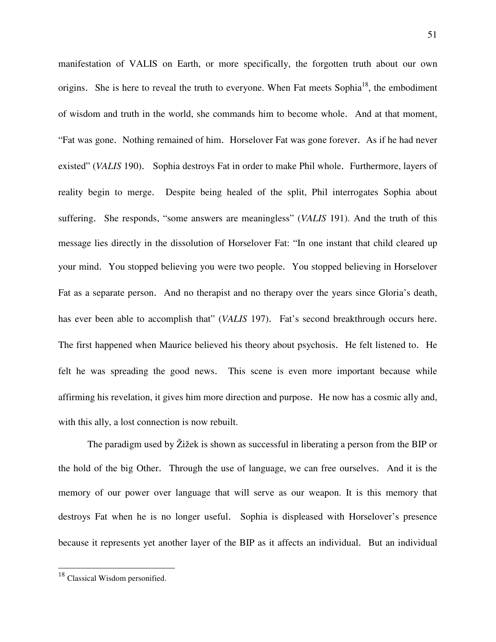manifestation of VALIS on Earth, or more specifically, the forgotten truth about our own origins. She is here to reveal the truth to everyone. When Fat meets Sophia<sup>18</sup>, the embodiment of wisdom and truth in the world, she commands him to become whole. And at that moment, "Fat was gone. Nothing remained of him. Horselover Fat was gone forever. As if he had never existed" (*VALIS* 190). Sophia destroys Fat in order to make Phil whole. Furthermore, layers of reality begin to merge. Despite being healed of the split, Phil interrogates Sophia about suffering. She responds, "some answers are meaningless" (*VALIS* 191). And the truth of this message lies directly in the dissolution of Horselover Fat: "In one instant that child cleared up your mind. You stopped believing you were two people. You stopped believing in Horselover Fat as a separate person. And no therapist and no therapy over the years since Gloria's death, has ever been able to accomplish that" (*VALIS* 197). Fat's second breakthrough occurs here. The first happened when Maurice believed his theory about psychosis. He felt listened to. He felt he was spreading the good news. This scene is even more important because while affirming his revelation, it gives him more direction and purpose. He now has a cosmic ally and, with this ally, a lost connection is now rebuilt.

 The paradigm used by Žižek is shown as successful in liberating a person from the BIP or the hold of the big Other. Through the use of language, we can free ourselves. And it is the memory of our power over language that will serve as our weapon. It is this memory that destroys Fat when he is no longer useful. Sophia is displeased with Horselover's presence because it represents yet another layer of the BIP as it affects an individual. But an individual

 $\overline{a}$ 

<sup>&</sup>lt;sup>18</sup> Classical Wisdom personified.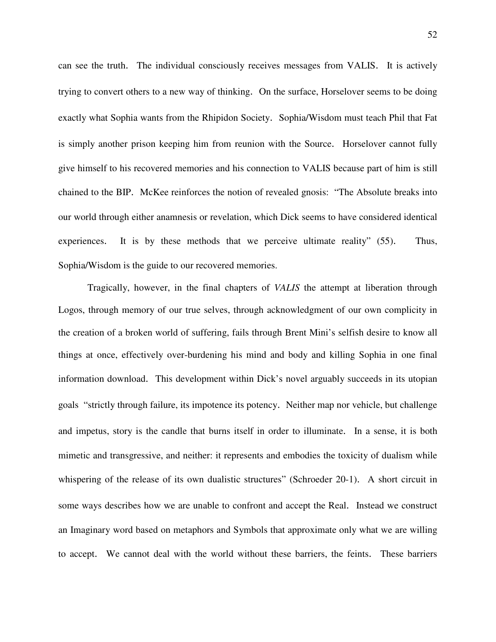can see the truth. The individual consciously receives messages from VALIS. It is actively trying to convert others to a new way of thinking. On the surface, Horselover seems to be doing exactly what Sophia wants from the Rhipidon Society. Sophia/Wisdom must teach Phil that Fat is simply another prison keeping him from reunion with the Source. Horselover cannot fully give himself to his recovered memories and his connection to VALIS because part of him is still chained to the BIP. McKee reinforces the notion of revealed gnosis: "The Absolute breaks into our world through either anamnesis or revelation, which Dick seems to have considered identical experiences. It is by these methods that we perceive ultimate reality" (55). Thus, Sophia/Wisdom is the guide to our recovered memories.

Tragically, however, in the final chapters of *VALIS* the attempt at liberation through Logos, through memory of our true selves, through acknowledgment of our own complicity in the creation of a broken world of suffering, fails through Brent Mini's selfish desire to know all things at once, effectively over-burdening his mind and body and killing Sophia in one final information download. This development within Dick's novel arguably succeeds in its utopian goals "strictly through failure, its impotence its potency. Neither map nor vehicle, but challenge and impetus, story is the candle that burns itself in order to illuminate. In a sense, it is both mimetic and transgressive, and neither: it represents and embodies the toxicity of dualism while whispering of the release of its own dualistic structures" (Schroeder 20-1). A short circuit in some ways describes how we are unable to confront and accept the Real. Instead we construct an Imaginary word based on metaphors and Symbols that approximate only what we are willing to accept. We cannot deal with the world without these barriers, the feints. These barriers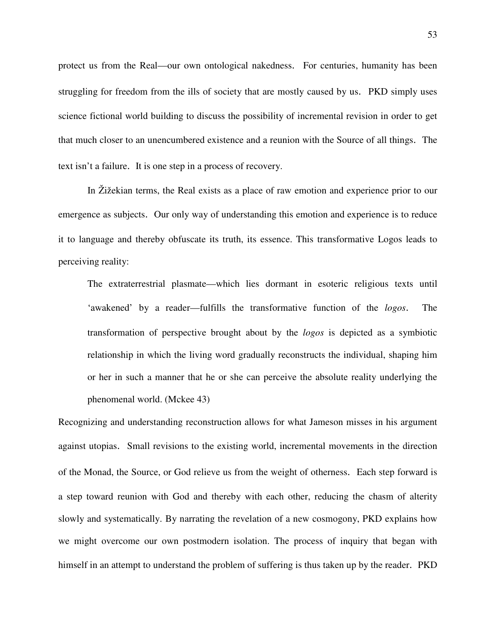protect us from the Real—our own ontological nakedness. For centuries, humanity has been struggling for freedom from the ills of society that are mostly caused by us. PKD simply uses science fictional world building to discuss the possibility of incremental revision in order to get that much closer to an unencumbered existence and a reunion with the Source of all things. The text isn't a failure. It is one step in a process of recovery.

 In Žižekian terms, the Real exists as a place of raw emotion and experience prior to our emergence as subjects. Our only way of understanding this emotion and experience is to reduce it to language and thereby obfuscate its truth, its essence. This transformative Logos leads to perceiving reality:

 The extraterrestrial plasmate—which lies dormant in esoteric religious texts until 'awakened' by a reader—fulfills the transformative function of the *logos*. The transformation of perspective brought about by the *logos* is depicted as a symbiotic relationship in which the living word gradually reconstructs the individual, shaping him or her in such a manner that he or she can perceive the absolute reality underlying the phenomenal world. (Mckee 43)

Recognizing and understanding reconstruction allows for what Jameson misses in his argument against utopias. Small revisions to the existing world, incremental movements in the direction of the Monad, the Source, or God relieve us from the weight of otherness. Each step forward is a step toward reunion with God and thereby with each other, reducing the chasm of alterity slowly and systematically. By narrating the revelation of a new cosmogony, PKD explains how we might overcome our own postmodern isolation. The process of inquiry that began with himself in an attempt to understand the problem of suffering is thus taken up by the reader. PKD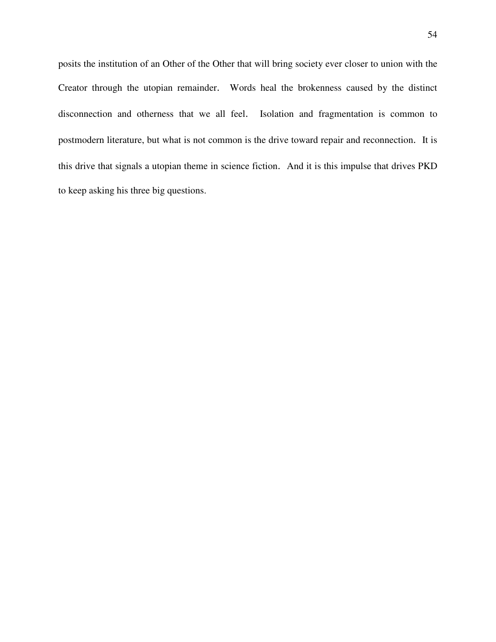posits the institution of an Other of the Other that will bring society ever closer to union with the Creator through the utopian remainder. Words heal the brokenness caused by the distinct disconnection and otherness that we all feel. Isolation and fragmentation is common to postmodern literature, but what is not common is the drive toward repair and reconnection. It is this drive that signals a utopian theme in science fiction. And it is this impulse that drives PKD to keep asking his three big questions.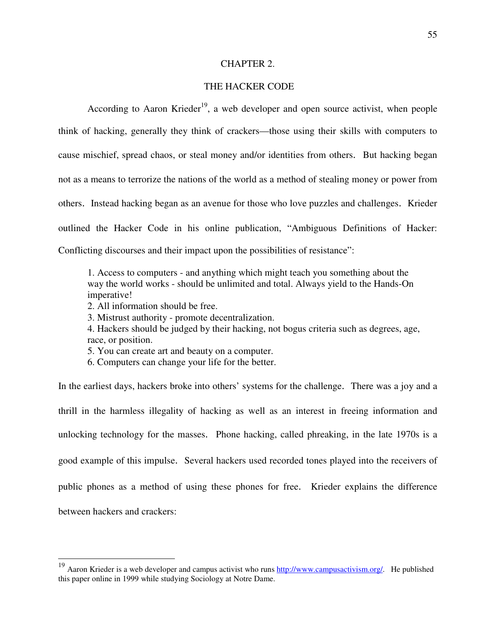#### CHAPTER 2.

# THE HACKER CODE

According to Aaron Krieder<sup>19</sup>, a web developer and open source activist, when people think of hacking, generally they think of crackers—those using their skills with computers to cause mischief, spread chaos, or steal money and/or identities from others. But hacking began not as a means to terrorize the nations of the world as a method of stealing money or power from others. Instead hacking began as an avenue for those who love puzzles and challenges. Krieder outlined the Hacker Code in his online publication, "Ambiguous Definitions of Hacker: Conflicting discourses and their impact upon the possibilities of resistance":

 1. Access to computers - and anything which might teach you something about the way the world works - should be unlimited and total. Always yield to the Hands-On imperative!

2. All information should be free.

1

3. Mistrust authority - promote decentralization.

 4. Hackers should be judged by their hacking, not bogus criteria such as degrees, age, race, or position.

5. You can create art and beauty on a computer.

6. Computers can change your life for the better.

In the earliest days, hackers broke into others' systems for the challenge. There was a joy and a thrill in the harmless illegality of hacking as well as an interest in freeing information and unlocking technology for the masses. Phone hacking, called phreaking, in the late 1970s is a good example of this impulse. Several hackers used recorded tones played into the receivers of public phones as a method of using these phones for free. Krieder explains the difference between hackers and crackers:

<sup>&</sup>lt;sup>19</sup> Aaron Krieder is a web developer and campus activist who runs http://www.campusactivism.org/. He published this paper online in 1999 while studying Sociology at Notre Dame.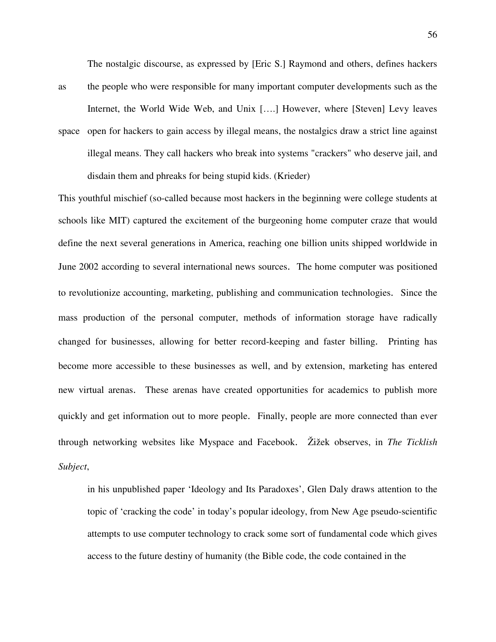The nostalgic discourse, as expressed by [Eric S.] Raymond and others, defines hackers

as the people who were responsible for many important computer developments such as the Internet, the World Wide Web, and Unix [….] However, where [Steven] Levy leaves space open for hackers to gain access by illegal means, the nostalgics draw a strict line against illegal means. They call hackers who break into systems "crackers" who deserve jail, and disdain them and phreaks for being stupid kids. (Krieder)

This youthful mischief (so-called because most hackers in the beginning were college students at schools like MIT) captured the excitement of the burgeoning home computer craze that would define the next several generations in America, reaching one billion units shipped worldwide in June 2002 according to several international news sources. The home computer was positioned to revolutionize accounting, marketing, publishing and communication technologies. Since the mass production of the personal computer, methods of information storage have radically changed for businesses, allowing for better record-keeping and faster billing. Printing has become more accessible to these businesses as well, and by extension, marketing has entered new virtual arenas. These arenas have created opportunities for academics to publish more quickly and get information out to more people. Finally, people are more connected than ever through networking websites like Myspace and Facebook. Žižek observes, in *The Ticklish Subject*,

 in his unpublished paper 'Ideology and Its Paradoxes', Glen Daly draws attention to the topic of 'cracking the code' in today's popular ideology, from New Age pseudo-scientific attempts to use computer technology to crack some sort of fundamental code which gives access to the future destiny of humanity (the Bible code, the code contained in the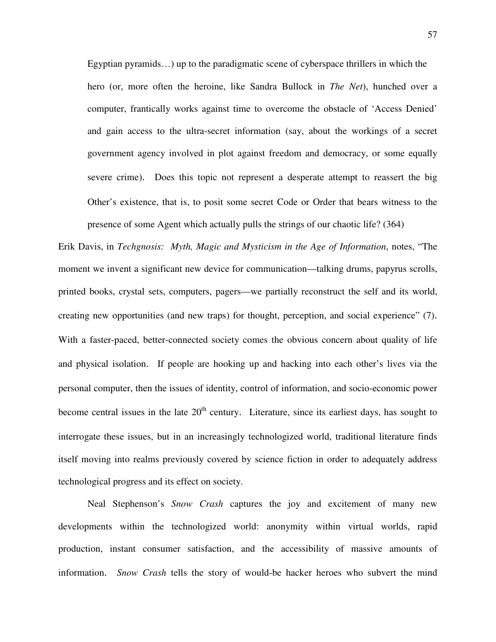Egyptian pyramids…) up to the paradigmatic scene of cyberspace thrillers in which the hero (or, more often the heroine, like Sandra Bullock in *The Net*), hunched over a computer, frantically works against time to overcome the obstacle of 'Access Denied' and gain access to the ultra-secret information (say, about the workings of a secret government agency involved in plot against freedom and democracy, or some equally severe crime). Does this topic not represent a desperate attempt to reassert the big Other's existence, that is, to posit some secret Code or Order that bears witness to the presence of some Agent which actually pulls the strings of our chaotic life? (364)

Erik Davis, in *Techgnosis: Myth, Magic and Mysticism in the Age of Information*, notes, "The moment we invent a significant new device for communication—talking drums, papyrus scrolls, printed books, crystal sets, computers, pagers—we partially reconstruct the self and its world, creating new opportunities (and new traps) for thought, perception, and social experience" (7). With a faster-paced, better-connected society comes the obvious concern about quality of life and physical isolation. If people are hooking up and hacking into each other's lives via the personal computer, then the issues of identity, control of information, and socio-economic power become central issues in the late  $20<sup>th</sup>$  century. Literature, since its earliest days, has sought to interrogate these issues, but in an increasingly technologized world, traditional literature finds itself moving into realms previously covered by science fiction in order to adequately address technological progress and its effect on society.

 Neal Stephenson's *Snow Crash* captures the joy and excitement of many new developments within the technologized world: anonymity within virtual worlds, rapid production, instant consumer satisfaction, and the accessibility of massive amounts of information. *Snow Crash* tells the story of would-be hacker heroes who subvert the mind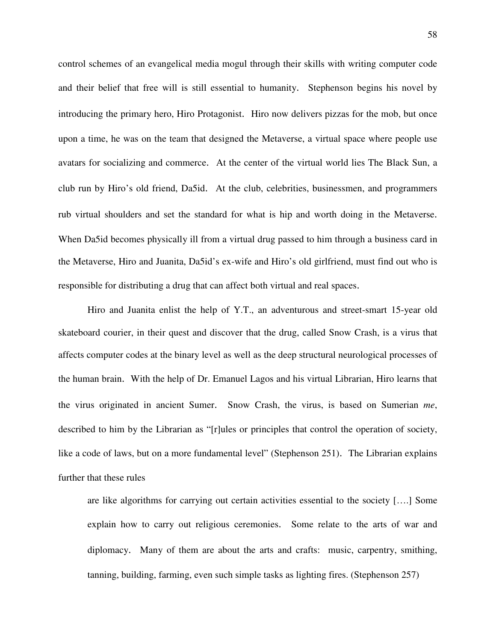control schemes of an evangelical media mogul through their skills with writing computer code and their belief that free will is still essential to humanity. Stephenson begins his novel by introducing the primary hero, Hiro Protagonist. Hiro now delivers pizzas for the mob, but once upon a time, he was on the team that designed the Metaverse, a virtual space where people use avatars for socializing and commerce. At the center of the virtual world lies The Black Sun, a club run by Hiro's old friend, Da5id. At the club, celebrities, businessmen, and programmers rub virtual shoulders and set the standard for what is hip and worth doing in the Metaverse. When Da5id becomes physically ill from a virtual drug passed to him through a business card in the Metaverse, Hiro and Juanita, Da5id's ex-wife and Hiro's old girlfriend, must find out who is responsible for distributing a drug that can affect both virtual and real spaces.

Hiro and Juanita enlist the help of Y.T., an adventurous and street-smart 15-year old skateboard courier, in their quest and discover that the drug, called Snow Crash, is a virus that affects computer codes at the binary level as well as the deep structural neurological processes of the human brain. With the help of Dr. Emanuel Lagos and his virtual Librarian, Hiro learns that the virus originated in ancient Sumer. Snow Crash, the virus, is based on Sumerian *me*, described to him by the Librarian as "[r]ules or principles that control the operation of society, like a code of laws, but on a more fundamental level" (Stephenson 251). The Librarian explains further that these rules

are like algorithms for carrying out certain activities essential to the society [….] Some explain how to carry out religious ceremonies. Some relate to the arts of war and diplomacy. Many of them are about the arts and crafts: music, carpentry, smithing, tanning, building, farming, even such simple tasks as lighting fires. (Stephenson 257)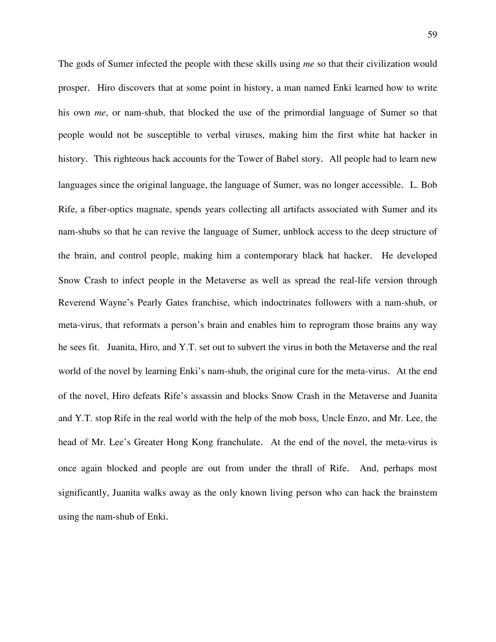The gods of Sumer infected the people with these skills using *me* so that their civilization would prosper. Hiro discovers that at some point in history, a man named Enki learned how to write his own *me*, or nam-shub, that blocked the use of the primordial language of Sumer so that people would not be susceptible to verbal viruses, making him the first white hat hacker in history. This righteous hack accounts for the Tower of Babel story. All people had to learn new languages since the original language, the language of Sumer, was no longer accessible. L. Bob Rife, a fiber-optics magnate, spends years collecting all artifacts associated with Sumer and its nam-shubs so that he can revive the language of Sumer, unblock access to the deep structure of the brain, and control people, making him a contemporary black hat hacker. He developed Snow Crash to infect people in the Metaverse as well as spread the real-life version through Reverend Wayne's Pearly Gates franchise, which indoctrinates followers with a nam-shub, or meta-virus, that reformats a person's brain and enables him to reprogram those brains any way he sees fit. Juanita, Hiro, and Y.T. set out to subvert the virus in both the Metaverse and the real world of the novel by learning Enki's nam-shub, the original cure for the meta-virus. At the end of the novel, Hiro defeats Rife's assassin and blocks Snow Crash in the Metaverse and Juanita and Y.T. stop Rife in the real world with the help of the mob boss, Uncle Enzo, and Mr. Lee, the head of Mr. Lee's Greater Hong Kong franchulate. At the end of the novel, the meta-virus is once again blocked and people are out from under the thrall of Rife. And, perhaps most significantly, Juanita walks away as the only known living person who can hack the brainstem using the nam-shub of Enki.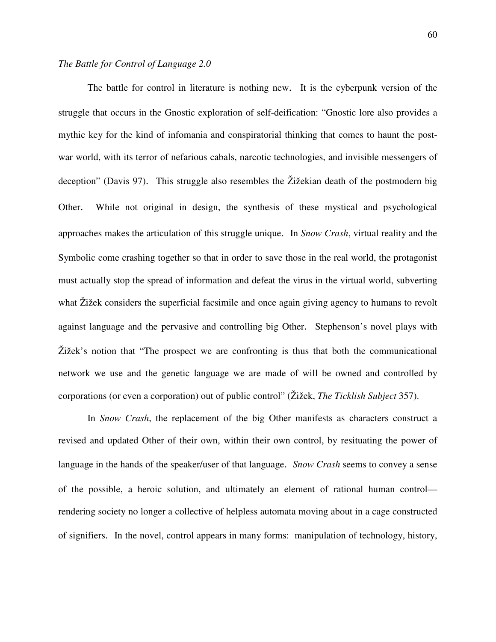The battle for control in literature is nothing new. It is the cyberpunk version of the struggle that occurs in the Gnostic exploration of self-deification: "Gnostic lore also provides a mythic key for the kind of infomania and conspiratorial thinking that comes to haunt the postwar world, with its terror of nefarious cabals, narcotic technologies, and invisible messengers of deception" (Davis 97). This struggle also resembles the Žižekian death of the postmodern big Other. While not original in design, the synthesis of these mystical and psychological approaches makes the articulation of this struggle unique. In *Snow Crash*, virtual reality and the Symbolic come crashing together so that in order to save those in the real world, the protagonist must actually stop the spread of information and defeat the virus in the virtual world, subverting what Žižek considers the superficial facsimile and once again giving agency to humans to revolt against language and the pervasive and controlling big Other. Stephenson's novel plays with Žižek's notion that "The prospect we are confronting is thus that both the communicational network we use and the genetic language we are made of will be owned and controlled by corporations (or even a corporation) out of public control" (Žižek, *The Ticklish Subject* 357).

In *Snow Crash*, the replacement of the big Other manifests as characters construct a revised and updated Other of their own, within their own control, by resituating the power of language in the hands of the speaker/user of that language. *Snow Crash* seems to convey a sense of the possible, a heroic solution, and ultimately an element of rational human control rendering society no longer a collective of helpless automata moving about in a cage constructed of signifiers. In the novel, control appears in many forms: manipulation of technology, history,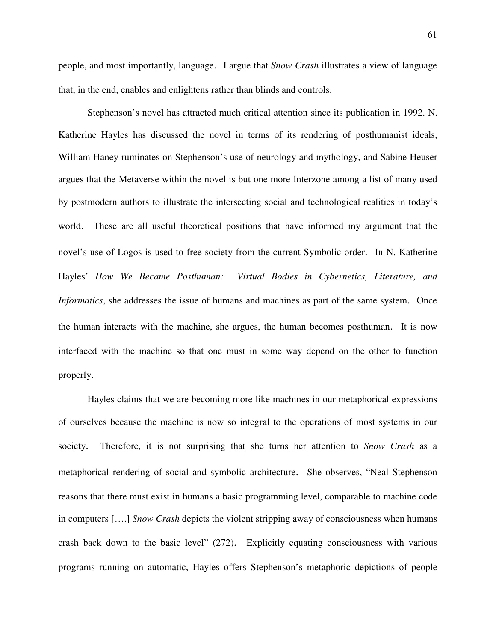people, and most importantly, language. I argue that *Snow Crash* illustrates a view of language that, in the end, enables and enlightens rather than blinds and controls.

Stephenson's novel has attracted much critical attention since its publication in 1992. N. Katherine Hayles has discussed the novel in terms of its rendering of posthumanist ideals, William Haney ruminates on Stephenson's use of neurology and mythology, and Sabine Heuser argues that the Metaverse within the novel is but one more Interzone among a list of many used by postmodern authors to illustrate the intersecting social and technological realities in today's world. These are all useful theoretical positions that have informed my argument that the novel's use of Logos is used to free society from the current Symbolic order. In N. Katherine Hayles' *How We Became Posthuman: Virtual Bodies in Cybernetics, Literature, and Informatics*, she addresses the issue of humans and machines as part of the same system. Once the human interacts with the machine, she argues, the human becomes posthuman. It is now interfaced with the machine so that one must in some way depend on the other to function properly.

Hayles claims that we are becoming more like machines in our metaphorical expressions of ourselves because the machine is now so integral to the operations of most systems in our society. Therefore, it is not surprising that she turns her attention to *Snow Crash* as a metaphorical rendering of social and symbolic architecture. She observes, "Neal Stephenson reasons that there must exist in humans a basic programming level, comparable to machine code in computers [….] *Snow Crash* depicts the violent stripping away of consciousness when humans crash back down to the basic level" (272). Explicitly equating consciousness with various programs running on automatic, Hayles offers Stephenson's metaphoric depictions of people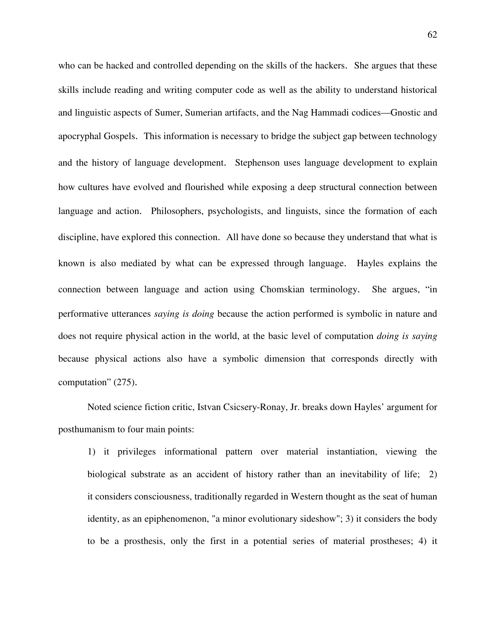who can be hacked and controlled depending on the skills of the hackers. She argues that these skills include reading and writing computer code as well as the ability to understand historical and linguistic aspects of Sumer, Sumerian artifacts, and the Nag Hammadi codices—Gnostic and apocryphal Gospels. This information is necessary to bridge the subject gap between technology and the history of language development. Stephenson uses language development to explain how cultures have evolved and flourished while exposing a deep structural connection between language and action. Philosophers, psychologists, and linguists, since the formation of each discipline, have explored this connection. All have done so because they understand that what is known is also mediated by what can be expressed through language. Hayles explains the connection between language and action using Chomskian terminology. She argues, "in performative utterances *saying is doing* because the action performed is symbolic in nature and does not require physical action in the world, at the basic level of computation *doing is saying* because physical actions also have a symbolic dimension that corresponds directly with computation" (275).

Noted science fiction critic, Istvan Csicsery-Ronay, Jr. breaks down Hayles' argument for posthumanism to four main points:

 1) it privileges informational pattern over material instantiation, viewing the biological substrate as an accident of history rather than an inevitability of life; 2) it considers consciousness, traditionally regarded in Western thought as the seat of human identity, as an epiphenomenon, "a minor evolutionary sideshow"; 3) it considers the body to be a prosthesis, only the first in a potential series of material prostheses; 4) it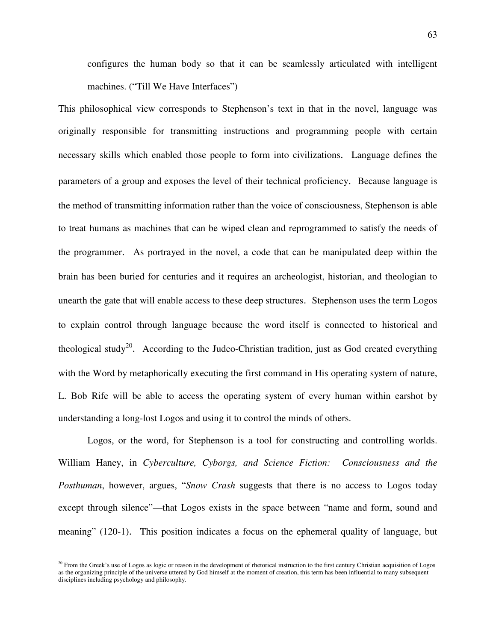configures the human body so that it can be seamlessly articulated with intelligent machines. ("Till We Have Interfaces")

This philosophical view corresponds to Stephenson's text in that in the novel, language was originally responsible for transmitting instructions and programming people with certain necessary skills which enabled those people to form into civilizations. Language defines the parameters of a group and exposes the level of their technical proficiency. Because language is the method of transmitting information rather than the voice of consciousness, Stephenson is able to treat humans as machines that can be wiped clean and reprogrammed to satisfy the needs of the programmer. As portrayed in the novel, a code that can be manipulated deep within the brain has been buried for centuries and it requires an archeologist, historian, and theologian to unearth the gate that will enable access to these deep structures. Stephenson uses the term Logos to explain control through language because the word itself is connected to historical and theological study<sup>20</sup>. According to the Judeo-Christian tradition, just as God created everything with the Word by metaphorically executing the first command in His operating system of nature, L. Bob Rife will be able to access the operating system of every human within earshot by understanding a long-lost Logos and using it to control the minds of others.

 Logos, or the word, for Stephenson is a tool for constructing and controlling worlds. William Haney, in *Cyberculture, Cyborgs, and Science Fiction: Consciousness and the Posthuman*, however, argues, "*Snow Crash* suggests that there is no access to Logos today except through silence"—that Logos exists in the space between "name and form, sound and meaning" (120-1). This position indicates a focus on the ephemeral quality of language, but

 $\overline{a}$ 

 $^{20}$  From the Greek's use of Logos as logic or reason in the development of rhetorical instruction to the first century Christian acquisition of Logos as the organizing principle of the universe uttered by God himself at the moment of creation, this term has been influential to many subsequent disciplines including psychology and philosophy.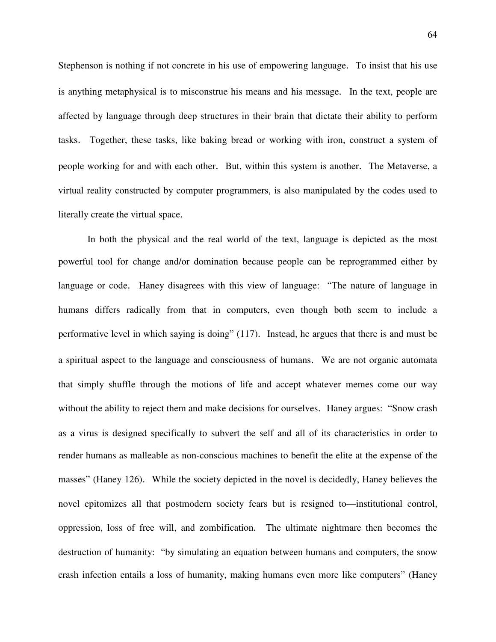Stephenson is nothing if not concrete in his use of empowering language. To insist that his use is anything metaphysical is to misconstrue his means and his message. In the text, people are affected by language through deep structures in their brain that dictate their ability to perform tasks. Together, these tasks, like baking bread or working with iron, construct a system of people working for and with each other. But, within this system is another. The Metaverse, a virtual reality constructed by computer programmers, is also manipulated by the codes used to literally create the virtual space.

In both the physical and the real world of the text, language is depicted as the most powerful tool for change and/or domination because people can be reprogrammed either by language or code. Haney disagrees with this view of language: "The nature of language in humans differs radically from that in computers, even though both seem to include a performative level in which saying is doing" (117). Instead, he argues that there is and must be a spiritual aspect to the language and consciousness of humans. We are not organic automata that simply shuffle through the motions of life and accept whatever memes come our way without the ability to reject them and make decisions for ourselves. Haney argues: "Snow crash as a virus is designed specifically to subvert the self and all of its characteristics in order to render humans as malleable as non-conscious machines to benefit the elite at the expense of the masses" (Haney 126). While the society depicted in the novel is decidedly, Haney believes the novel epitomizes all that postmodern society fears but is resigned to—institutional control, oppression, loss of free will, and zombification. The ultimate nightmare then becomes the destruction of humanity: "by simulating an equation between humans and computers, the snow crash infection entails a loss of humanity, making humans even more like computers" (Haney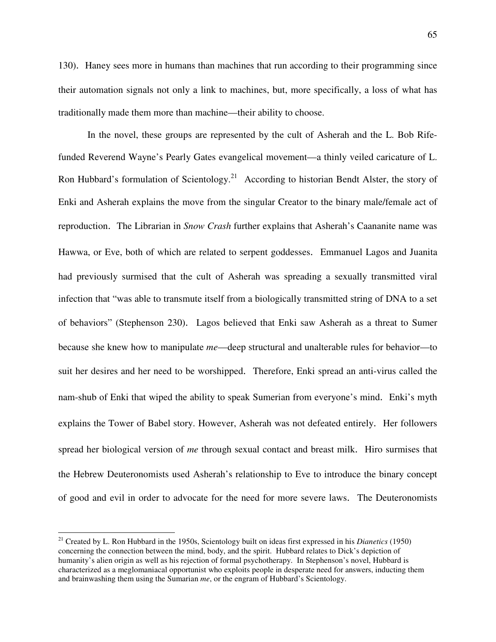130). Haney sees more in humans than machines that run according to their programming since their automation signals not only a link to machines, but, more specifically, a loss of what has traditionally made them more than machine—their ability to choose.

 In the novel, these groups are represented by the cult of Asherah and the L. Bob Rifefunded Reverend Wayne's Pearly Gates evangelical movement—a thinly veiled caricature of L. Ron Hubbard's formulation of Scientology.<sup>21</sup> According to historian Bendt Alster, the story of Enki and Asherah explains the move from the singular Creator to the binary male/female act of reproduction. The Librarian in *Snow Crash* further explains that Asherah's Caananite name was Hawwa, or Eve, both of which are related to serpent goddesses. Emmanuel Lagos and Juanita had previously surmised that the cult of Asherah was spreading a sexually transmitted viral infection that "was able to transmute itself from a biologically transmitted string of DNA to a set of behaviors" (Stephenson 230). Lagos believed that Enki saw Asherah as a threat to Sumer because she knew how to manipulate *me*—deep structural and unalterable rules for behavior—to suit her desires and her need to be worshipped. Therefore, Enki spread an anti-virus called the nam-shub of Enki that wiped the ability to speak Sumerian from everyone's mind. Enki's myth explains the Tower of Babel story. However, Asherah was not defeated entirely. Her followers spread her biological version of *me* through sexual contact and breast milk. Hiro surmises that the Hebrew Deuteronomists used Asherah's relationship to Eve to introduce the binary concept of good and evil in order to advocate for the need for more severe laws. The Deuteronomists

1

<sup>21</sup> Created by L. Ron Hubbard in the 1950s, Scientology built on ideas first expressed in his *Dianetics* (1950) concerning the connection between the mind, body, and the spirit. Hubbard relates to Dick's depiction of humanity's alien origin as well as his rejection of formal psychotherapy. In Stephenson's novel, Hubbard is characterized as a meglomaniacal opportunist who exploits people in desperate need for answers, inducting them and brainwashing them using the Sumarian *me*, or the engram of Hubbard's Scientology.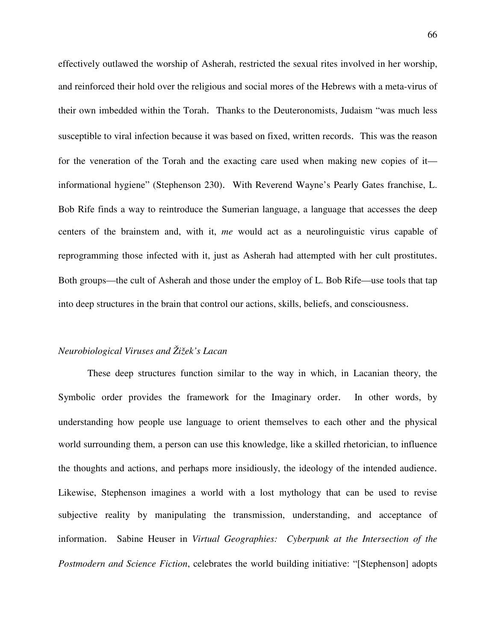effectively outlawed the worship of Asherah, restricted the sexual rites involved in her worship, and reinforced their hold over the religious and social mores of the Hebrews with a meta-virus of their own imbedded within the Torah. Thanks to the Deuteronomists, Judaism "was much less susceptible to viral infection because it was based on fixed, written records. This was the reason for the veneration of the Torah and the exacting care used when making new copies of it informational hygiene" (Stephenson 230). With Reverend Wayne's Pearly Gates franchise, L. Bob Rife finds a way to reintroduce the Sumerian language, a language that accesses the deep centers of the brainstem and, with it, *me* would act as a neurolinguistic virus capable of reprogramming those infected with it, just as Asherah had attempted with her cult prostitutes. Both groups—the cult of Asherah and those under the employ of L. Bob Rife—use tools that tap into deep structures in the brain that control our actions, skills, beliefs, and consciousness.

## *Neurobiological Viruses and Žižek's Lacan*

These deep structures function similar to the way in which, in Lacanian theory, the Symbolic order provides the framework for the Imaginary order. In other words, by understanding how people use language to orient themselves to each other and the physical world surrounding them, a person can use this knowledge, like a skilled rhetorician, to influence the thoughts and actions, and perhaps more insidiously, the ideology of the intended audience. Likewise, Stephenson imagines a world with a lost mythology that can be used to revise subjective reality by manipulating the transmission, understanding, and acceptance of information. Sabine Heuser in *Virtual Geographies: Cyberpunk at the Intersection of the Postmodern and Science Fiction*, celebrates the world building initiative: "[Stephenson] adopts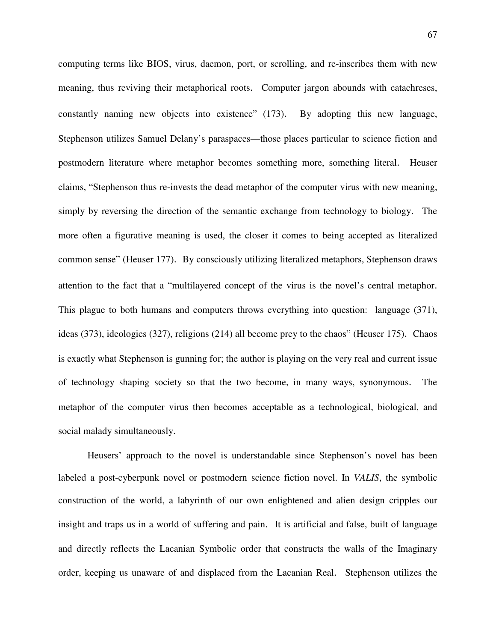computing terms like BIOS, virus, daemon, port, or scrolling, and re-inscribes them with new meaning, thus reviving their metaphorical roots. Computer jargon abounds with catachreses, constantly naming new objects into existence" (173). By adopting this new language, Stephenson utilizes Samuel Delany's paraspaces—those places particular to science fiction and postmodern literature where metaphor becomes something more, something literal. Heuser claims, "Stephenson thus re-invests the dead metaphor of the computer virus with new meaning, simply by reversing the direction of the semantic exchange from technology to biology. The more often a figurative meaning is used, the closer it comes to being accepted as literalized common sense" (Heuser 177). By consciously utilizing literalized metaphors, Stephenson draws attention to the fact that a "multilayered concept of the virus is the novel's central metaphor. This plague to both humans and computers throws everything into question: language (371), ideas (373), ideologies (327), religions (214) all become prey to the chaos" (Heuser 175). Chaos is exactly what Stephenson is gunning for; the author is playing on the very real and current issue of technology shaping society so that the two become, in many ways, synonymous. The metaphor of the computer virus then becomes acceptable as a technological, biological, and social malady simultaneously.

Heusers' approach to the novel is understandable since Stephenson's novel has been labeled a post-cyberpunk novel or postmodern science fiction novel. In *VALIS*, the symbolic construction of the world, a labyrinth of our own enlightened and alien design cripples our insight and traps us in a world of suffering and pain. It is artificial and false, built of language and directly reflects the Lacanian Symbolic order that constructs the walls of the Imaginary order, keeping us unaware of and displaced from the Lacanian Real. Stephenson utilizes the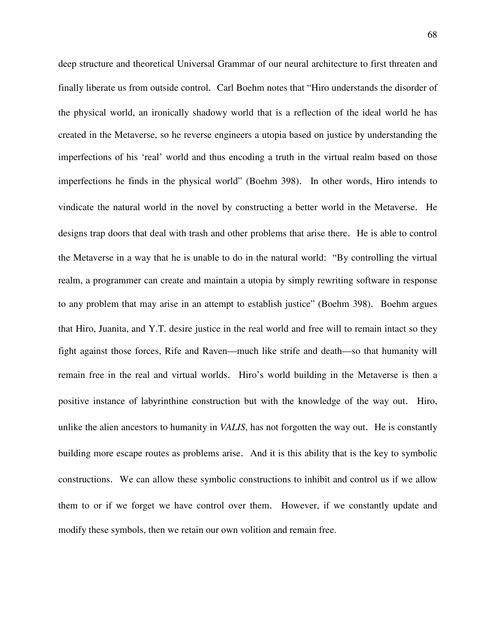deep structure and theoretical Universal Grammar of our neural architecture to first threaten and finally liberate us from outside control. Carl Boehm notes that "Hiro understands the disorder of the physical world, an ironically shadowy world that is a reflection of the ideal world he has created in the Metaverse, so he reverse engineers a utopia based on justice by understanding the imperfections of his 'real' world and thus encoding a truth in the virtual realm based on those imperfections he finds in the physical world" (Boehm 398). In other words, Hiro intends to vindicate the natural world in the novel by constructing a better world in the Metaverse. He designs trap doors that deal with trash and other problems that arise there. He is able to control the Metaverse in a way that he is unable to do in the natural world: "By controlling the virtual realm, a programmer can create and maintain a utopia by simply rewriting software in response to any problem that may arise in an attempt to establish justice" (Boehm 398). Boehm argues that Hiro, Juanita, and Y.T. desire justice in the real world and free will to remain intact so they fight against those forces, Rife and Raven—much like strife and death—so that humanity will remain free in the real and virtual worlds. Hiro's world building in the Metaverse is then a positive instance of labyrinthine construction but with the knowledge of the way out. Hiro, unlike the alien ancestors to humanity in *VALIS*, has not forgotten the way out. He is constantly building more escape routes as problems arise. And it is this ability that is the key to symbolic constructions. We can allow these symbolic constructions to inhibit and control us if we allow them to or if we forget we have control over them. However, if we constantly update and modify these symbols, then we retain our own volition and remain free.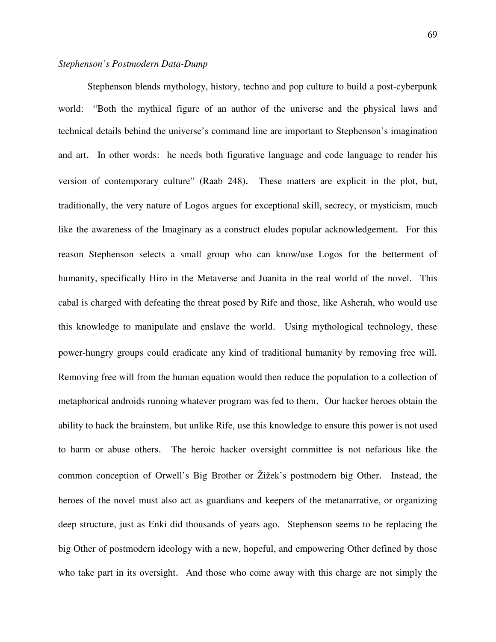Stephenson blends mythology, history, techno and pop culture to build a post-cyberpunk world: "Both the mythical figure of an author of the universe and the physical laws and technical details behind the universe's command line are important to Stephenson's imagination and art. In other words: he needs both figurative language and code language to render his version of contemporary culture" (Raab 248). These matters are explicit in the plot, but, traditionally, the very nature of Logos argues for exceptional skill, secrecy, or mysticism, much like the awareness of the Imaginary as a construct eludes popular acknowledgement. For this reason Stephenson selects a small group who can know/use Logos for the betterment of humanity, specifically Hiro in the Metaverse and Juanita in the real world of the novel. This cabal is charged with defeating the threat posed by Rife and those, like Asherah, who would use this knowledge to manipulate and enslave the world. Using mythological technology, these power-hungry groups could eradicate any kind of traditional humanity by removing free will. Removing free will from the human equation would then reduce the population to a collection of metaphorical androids running whatever program was fed to them. Our hacker heroes obtain the ability to hack the brainstem, but unlike Rife, use this knowledge to ensure this power is not used to harm or abuse others. The heroic hacker oversight committee is not nefarious like the common conception of Orwell's Big Brother or Žižek's postmodern big Other. Instead, the heroes of the novel must also act as guardians and keepers of the metanarrative, or organizing deep structure, just as Enki did thousands of years ago. Stephenson seems to be replacing the big Other of postmodern ideology with a new, hopeful, and empowering Other defined by those who take part in its oversight. And those who come away with this charge are not simply the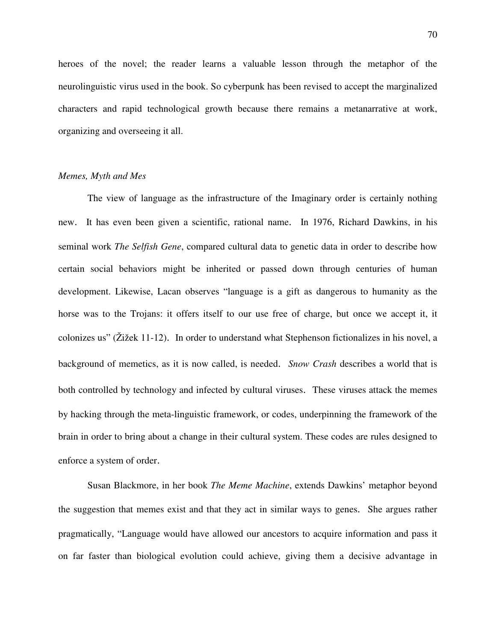heroes of the novel; the reader learns a valuable lesson through the metaphor of the neurolinguistic virus used in the book. So cyberpunk has been revised to accept the marginalized characters and rapid technological growth because there remains a metanarrative at work, organizing and overseeing it all.

## *Memes, Myth and Mes*

 The view of language as the infrastructure of the Imaginary order is certainly nothing new. It has even been given a scientific, rational name. In 1976, Richard Dawkins, in his seminal work *The Selfish Gene*, compared cultural data to genetic data in order to describe how certain social behaviors might be inherited or passed down through centuries of human development. Likewise, Lacan observes "language is a gift as dangerous to humanity as the horse was to the Trojans: it offers itself to our use free of charge, but once we accept it, it colonizes us" (Žižek 11-12). In order to understand what Stephenson fictionalizes in his novel, a background of memetics, as it is now called, is needed. *Snow Crash* describes a world that is both controlled by technology and infected by cultural viruses. These viruses attack the memes by hacking through the meta-linguistic framework, or codes, underpinning the framework of the brain in order to bring about a change in their cultural system. These codes are rules designed to enforce a system of order.

Susan Blackmore, in her book *The Meme Machine*, extends Dawkins' metaphor beyond the suggestion that memes exist and that they act in similar ways to genes. She argues rather pragmatically, "Language would have allowed our ancestors to acquire information and pass it on far faster than biological evolution could achieve, giving them a decisive advantage in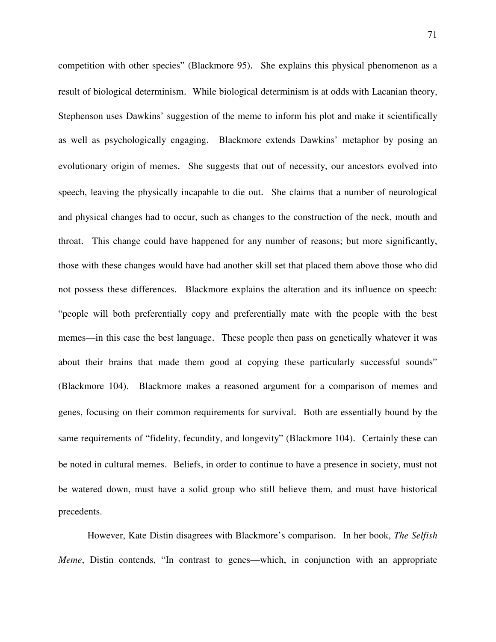competition with other species" (Blackmore 95). She explains this physical phenomenon as a result of biological determinism. While biological determinism is at odds with Lacanian theory, Stephenson uses Dawkins' suggestion of the meme to inform his plot and make it scientifically as well as psychologically engaging. Blackmore extends Dawkins' metaphor by posing an evolutionary origin of memes. She suggests that out of necessity, our ancestors evolved into speech, leaving the physically incapable to die out. She claims that a number of neurological and physical changes had to occur, such as changes to the construction of the neck, mouth and throat. This change could have happened for any number of reasons; but more significantly, those with these changes would have had another skill set that placed them above those who did not possess these differences. Blackmore explains the alteration and its influence on speech: "people will both preferentially copy and preferentially mate with the people with the best memes—in this case the best language. These people then pass on genetically whatever it was about their brains that made them good at copying these particularly successful sounds" (Blackmore 104). Blackmore makes a reasoned argument for a comparison of memes and genes, focusing on their common requirements for survival. Both are essentially bound by the same requirements of "fidelity, fecundity, and longevity" (Blackmore 104). Certainly these can be noted in cultural memes. Beliefs, in order to continue to have a presence in society, must not be watered down, must have a solid group who still believe them, and must have historical precedents.

 However, Kate Distin disagrees with Blackmore's comparison. In her book, *The Selfish Meme*, Distin contends, "In contrast to genes—which, in conjunction with an appropriate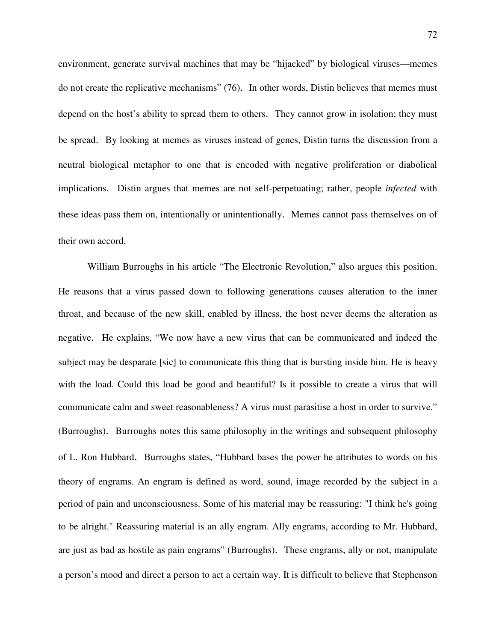environment, generate survival machines that may be "hijacked" by biological viruses—memes do not create the replicative mechanisms" (76). In other words, Distin believes that memes must depend on the host's ability to spread them to others. They cannot grow in isolation; they must be spread. By looking at memes as viruses instead of genes, Distin turns the discussion from a neutral biological metaphor to one that is encoded with negative proliferation or diabolical implications. Distin argues that memes are not self-perpetuating; rather, people *infected* with these ideas pass them on, intentionally or unintentionally. Memes cannot pass themselves on of their own accord.

William Burroughs in his article "The Electronic Revolution," also argues this position. He reasons that a virus passed down to following generations causes alteration to the inner throat, and because of the new skill, enabled by illness, the host never deems the alteration as negative. He explains, "We now have a new virus that can be communicated and indeed the subject may be desparate [sic] to communicate this thing that is bursting inside him. He is heavy with the load. Could this load be good and beautiful? Is it possible to create a virus that will communicate calm and sweet reasonableness? A virus must parasitise a host in order to survive." (Burroughs). Burroughs notes this same philosophy in the writings and subsequent philosophy of L. Ron Hubbard. Burroughs states, "Hubbard bases the power he attributes to words on his theory of engrams. An engram is defined as word, sound, image recorded by the subject in a period of pain and unconsciousness. Some of his material may be reassuring: "I think he's going to be alright." Reassuring material is an ally engram. Ally engrams, according to Mr. Hubbard, are just as bad as hostile as pain engrams" (Burroughs). These engrams, ally or not, manipulate a person's mood and direct a person to act a certain way. It is difficult to believe that Stephenson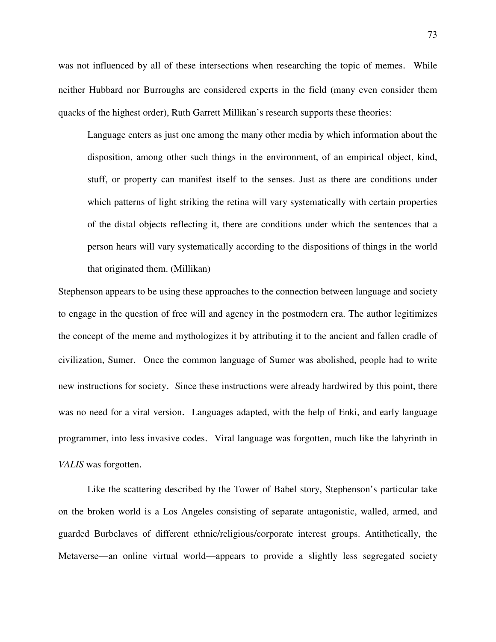was not influenced by all of these intersections when researching the topic of memes. While neither Hubbard nor Burroughs are considered experts in the field (many even consider them quacks of the highest order), Ruth Garrett Millikan's research supports these theories:

 Language enters as just one among the many other media by which information about the disposition, among other such things in the environment, of an empirical object, kind, stuff, or property can manifest itself to the senses. Just as there are conditions under which patterns of light striking the retina will vary systematically with certain properties of the distal objects reflecting it, there are conditions under which the sentences that a person hears will vary systematically according to the dispositions of things in the world that originated them. (Millikan)

Stephenson appears to be using these approaches to the connection between language and society to engage in the question of free will and agency in the postmodern era. The author legitimizes the concept of the meme and mythologizes it by attributing it to the ancient and fallen cradle of civilization, Sumer. Once the common language of Sumer was abolished, people had to write new instructions for society. Since these instructions were already hardwired by this point, there was no need for a viral version. Languages adapted, with the help of Enki, and early language programmer, into less invasive codes. Viral language was forgotten, much like the labyrinth in *VALIS* was forgotten.

 Like the scattering described by the Tower of Babel story, Stephenson's particular take on the broken world is a Los Angeles consisting of separate antagonistic, walled, armed, and guarded Burbclaves of different ethnic/religious/corporate interest groups. Antithetically, the Metaverse—an online virtual world—appears to provide a slightly less segregated society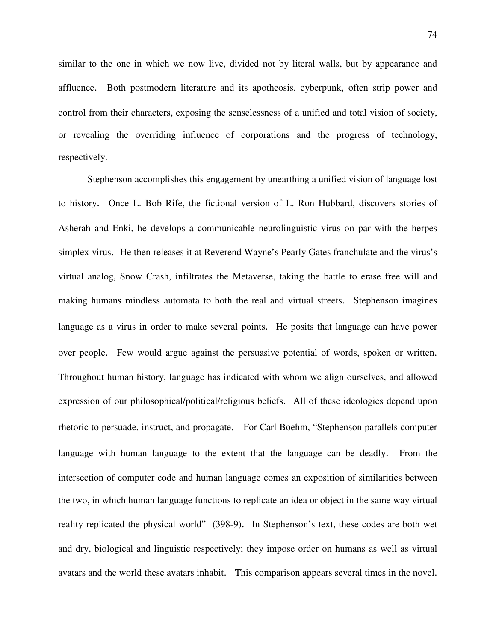similar to the one in which we now live, divided not by literal walls, but by appearance and affluence. Both postmodern literature and its apotheosis, cyberpunk, often strip power and control from their characters, exposing the senselessness of a unified and total vision of society, or revealing the overriding influence of corporations and the progress of technology, respectively.

 Stephenson accomplishes this engagement by unearthing a unified vision of language lost to history. Once L. Bob Rife, the fictional version of L. Ron Hubbard, discovers stories of Asherah and Enki, he develops a communicable neurolinguistic virus on par with the herpes simplex virus. He then releases it at Reverend Wayne's Pearly Gates franchulate and the virus's virtual analog, Snow Crash, infiltrates the Metaverse, taking the battle to erase free will and making humans mindless automata to both the real and virtual streets. Stephenson imagines language as a virus in order to make several points. He posits that language can have power over people. Few would argue against the persuasive potential of words, spoken or written. Throughout human history, language has indicated with whom we align ourselves, and allowed expression of our philosophical/political/religious beliefs. All of these ideologies depend upon rhetoric to persuade, instruct, and propagate. For Carl Boehm, "Stephenson parallels computer language with human language to the extent that the language can be deadly. From the intersection of computer code and human language comes an exposition of similarities between the two, in which human language functions to replicate an idea or object in the same way virtual reality replicated the physical world" (398-9). In Stephenson's text, these codes are both wet and dry, biological and linguistic respectively; they impose order on humans as well as virtual avatars and the world these avatars inhabit. This comparison appears several times in the novel.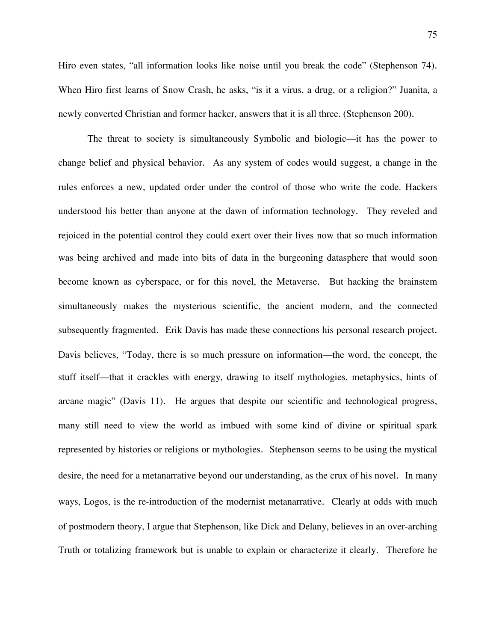Hiro even states, "all information looks like noise until you break the code" (Stephenson 74). When Hiro first learns of Snow Crash, he asks, "is it a virus, a drug, or a religion?" Juanita, a newly converted Christian and former hacker, answers that it is all three. (Stephenson 200).

 The threat to society is simultaneously Symbolic and biologic—it has the power to change belief and physical behavior. As any system of codes would suggest, a change in the rules enforces a new, updated order under the control of those who write the code. Hackers understood his better than anyone at the dawn of information technology. They reveled and rejoiced in the potential control they could exert over their lives now that so much information was being archived and made into bits of data in the burgeoning datasphere that would soon become known as cyberspace, or for this novel, the Metaverse. But hacking the brainstem simultaneously makes the mysterious scientific, the ancient modern, and the connected subsequently fragmented. Erik Davis has made these connections his personal research project. Davis believes, "Today, there is so much pressure on information—the word, the concept, the stuff itself—that it crackles with energy, drawing to itself mythologies, metaphysics, hints of arcane magic" (Davis 11). He argues that despite our scientific and technological progress, many still need to view the world as imbued with some kind of divine or spiritual spark represented by histories or religions or mythologies. Stephenson seems to be using the mystical desire, the need for a metanarrative beyond our understanding, as the crux of his novel. In many ways, Logos, is the re-introduction of the modernist metanarrative. Clearly at odds with much of postmodern theory, I argue that Stephenson, like Dick and Delany, believes in an over-arching Truth or totalizing framework but is unable to explain or characterize it clearly. Therefore he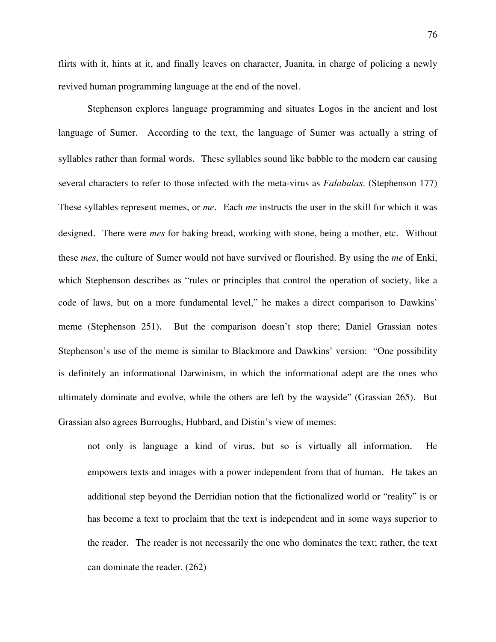flirts with it, hints at it, and finally leaves on character, Juanita, in charge of policing a newly revived human programming language at the end of the novel.

Stephenson explores language programming and situates Logos in the ancient and lost language of Sumer. According to the text, the language of Sumer was actually a string of syllables rather than formal words. These syllables sound like babble to the modern ear causing several characters to refer to those infected with the meta-virus as *Falabalas*. (Stephenson 177) These syllables represent memes, or *me*. Each *me* instructs the user in the skill for which it was designed. There were *mes* for baking bread, working with stone, being a mother, etc. Without these *mes*, the culture of Sumer would not have survived or flourished. By using the *me* of Enki, which Stephenson describes as "rules or principles that control the operation of society, like a code of laws, but on a more fundamental level," he makes a direct comparison to Dawkins' meme (Stephenson 251). But the comparison doesn't stop there; Daniel Grassian notes Stephenson's use of the meme is similar to Blackmore and Dawkins' version: "One possibility is definitely an informational Darwinism, in which the informational adept are the ones who ultimately dominate and evolve, while the others are left by the wayside" (Grassian 265). But Grassian also agrees Burroughs, Hubbard, and Distin's view of memes:

not only is language a kind of virus, but so is virtually all information. He empowers texts and images with a power independent from that of human. He takes an additional step beyond the Derridian notion that the fictionalized world or "reality" is or has become a text to proclaim that the text is independent and in some ways superior to the reader. The reader is not necessarily the one who dominates the text; rather, the text can dominate the reader. (262)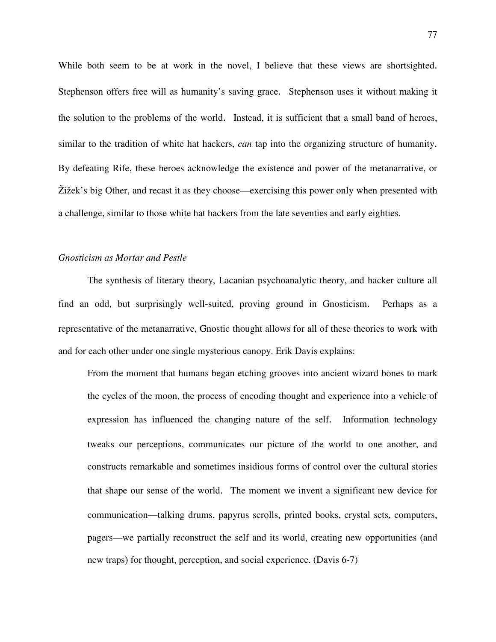While both seem to be at work in the novel, I believe that these views are shortsighted. Stephenson offers free will as humanity's saving grace. Stephenson uses it without making it the solution to the problems of the world. Instead, it is sufficient that a small band of heroes, similar to the tradition of white hat hackers, *can* tap into the organizing structure of humanity. By defeating Rife, these heroes acknowledge the existence and power of the metanarrative, or Žižek's big Other, and recast it as they choose—exercising this power only when presented with a challenge, similar to those white hat hackers from the late seventies and early eighties.

# *Gnosticism as Mortar and Pestle*

 The synthesis of literary theory, Lacanian psychoanalytic theory, and hacker culture all find an odd, but surprisingly well-suited, proving ground in Gnosticism. Perhaps as a representative of the metanarrative, Gnostic thought allows for all of these theories to work with and for each other under one single mysterious canopy. Erik Davis explains:

From the moment that humans began etching grooves into ancient wizard bones to mark the cycles of the moon, the process of encoding thought and experience into a vehicle of expression has influenced the changing nature of the self. Information technology tweaks our perceptions, communicates our picture of the world to one another, and constructs remarkable and sometimes insidious forms of control over the cultural stories that shape our sense of the world. The moment we invent a significant new device for communication—talking drums, papyrus scrolls, printed books, crystal sets, computers, pagers—we partially reconstruct the self and its world, creating new opportunities (and new traps) for thought, perception, and social experience. (Davis 6-7)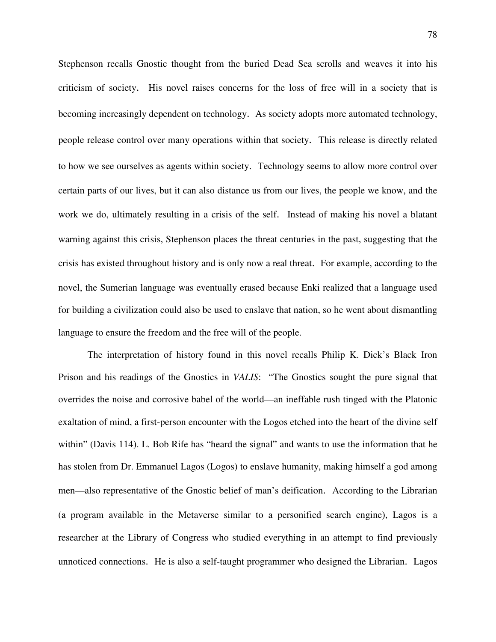Stephenson recalls Gnostic thought from the buried Dead Sea scrolls and weaves it into his criticism of society. His novel raises concerns for the loss of free will in a society that is becoming increasingly dependent on technology. As society adopts more automated technology, people release control over many operations within that society. This release is directly related to how we see ourselves as agents within society. Technology seems to allow more control over certain parts of our lives, but it can also distance us from our lives, the people we know, and the work we do, ultimately resulting in a crisis of the self. Instead of making his novel a blatant warning against this crisis, Stephenson places the threat centuries in the past, suggesting that the crisis has existed throughout history and is only now a real threat. For example, according to the novel, the Sumerian language was eventually erased because Enki realized that a language used for building a civilization could also be used to enslave that nation, so he went about dismantling language to ensure the freedom and the free will of the people.

 The interpretation of history found in this novel recalls Philip K. Dick's Black Iron Prison and his readings of the Gnostics in *VALIS*: "The Gnostics sought the pure signal that overrides the noise and corrosive babel of the world—an ineffable rush tinged with the Platonic exaltation of mind, a first-person encounter with the Logos etched into the heart of the divine self within" (Davis 114). L. Bob Rife has "heard the signal" and wants to use the information that he has stolen from Dr. Emmanuel Lagos (Logos) to enslave humanity, making himself a god among men—also representative of the Gnostic belief of man's deification. According to the Librarian (a program available in the Metaverse similar to a personified search engine), Lagos is a researcher at the Library of Congress who studied everything in an attempt to find previously unnoticed connections. He is also a self-taught programmer who designed the Librarian. Lagos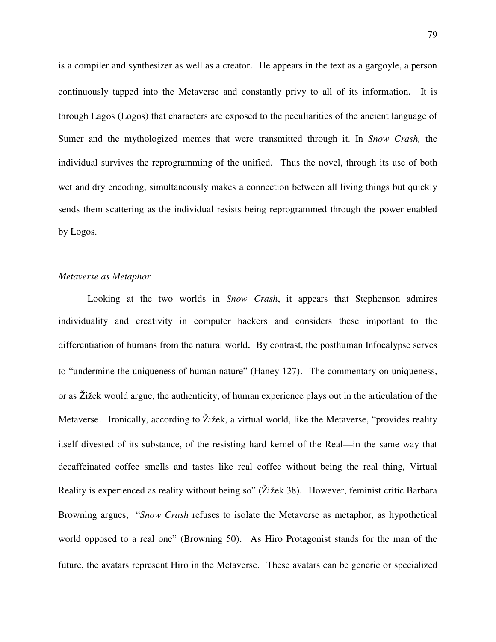is a compiler and synthesizer as well as a creator. He appears in the text as a gargoyle, a person continuously tapped into the Metaverse and constantly privy to all of its information. It is through Lagos (Logos) that characters are exposed to the peculiarities of the ancient language of Sumer and the mythologized memes that were transmitted through it. In *Snow Crash,* the individual survives the reprogramming of the unified. Thus the novel, through its use of both wet and dry encoding, simultaneously makes a connection between all living things but quickly sends them scattering as the individual resists being reprogrammed through the power enabled by Logos.

## *Metaverse as Metaphor*

Looking at the two worlds in *Snow Crash*, it appears that Stephenson admires individuality and creativity in computer hackers and considers these important to the differentiation of humans from the natural world. By contrast, the posthuman Infocalypse serves to "undermine the uniqueness of human nature" (Haney 127). The commentary on uniqueness, or as Žižek would argue, the authenticity, of human experience plays out in the articulation of the Metaverse. Ironically, according to Žižek, a virtual world, like the Metaverse, "provides reality itself divested of its substance, of the resisting hard kernel of the Real—in the same way that decaffeinated coffee smells and tastes like real coffee without being the real thing, Virtual Reality is experienced as reality without being so" (Žižek 38). However, feminist critic Barbara Browning argues, "*Snow Crash* refuses to isolate the Metaverse as metaphor, as hypothetical world opposed to a real one" (Browning 50). As Hiro Protagonist stands for the man of the future, the avatars represent Hiro in the Metaverse. These avatars can be generic or specialized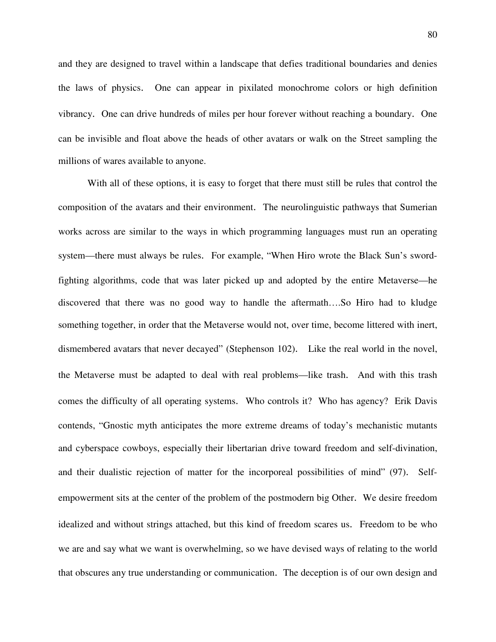and they are designed to travel within a landscape that defies traditional boundaries and denies the laws of physics. One can appear in pixilated monochrome colors or high definition vibrancy. One can drive hundreds of miles per hour forever without reaching a boundary. One can be invisible and float above the heads of other avatars or walk on the Street sampling the millions of wares available to anyone.

 With all of these options, it is easy to forget that there must still be rules that control the composition of the avatars and their environment. The neurolinguistic pathways that Sumerian works across are similar to the ways in which programming languages must run an operating system—there must always be rules. For example, "When Hiro wrote the Black Sun's swordfighting algorithms, code that was later picked up and adopted by the entire Metaverse—he discovered that there was no good way to handle the aftermath….So Hiro had to kludge something together, in order that the Metaverse would not, over time, become littered with inert, dismembered avatars that never decayed" (Stephenson 102). Like the real world in the novel, the Metaverse must be adapted to deal with real problems—like trash. And with this trash comes the difficulty of all operating systems. Who controls it? Who has agency? Erik Davis contends, "Gnostic myth anticipates the more extreme dreams of today's mechanistic mutants and cyberspace cowboys, especially their libertarian drive toward freedom and self-divination, and their dualistic rejection of matter for the incorporeal possibilities of mind" (97). Selfempowerment sits at the center of the problem of the postmodern big Other. We desire freedom idealized and without strings attached, but this kind of freedom scares us. Freedom to be who we are and say what we want is overwhelming, so we have devised ways of relating to the world that obscures any true understanding or communication. The deception is of our own design and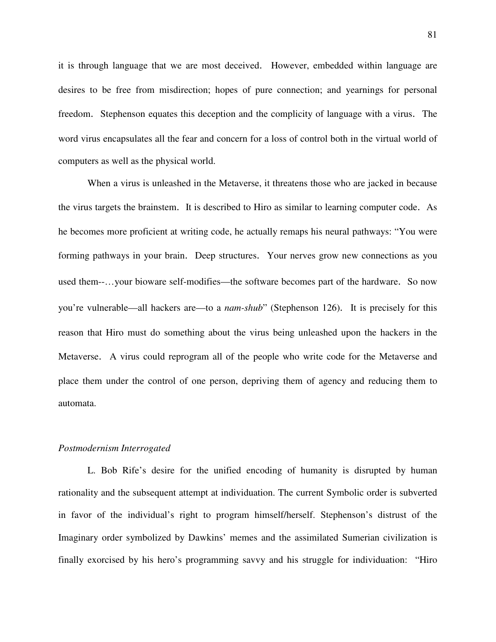it is through language that we are most deceived. However, embedded within language are desires to be free from misdirection; hopes of pure connection; and yearnings for personal freedom. Stephenson equates this deception and the complicity of language with a virus. The word virus encapsulates all the fear and concern for a loss of control both in the virtual world of computers as well as the physical world.

When a virus is unleashed in the Metaverse, it threatens those who are jacked in because the virus targets the brainstem. It is described to Hiro as similar to learning computer code. As he becomes more proficient at writing code, he actually remaps his neural pathways: "You were forming pathways in your brain. Deep structures. Your nerves grow new connections as you used them--…your bioware self-modifies—the software becomes part of the hardware. So now you're vulnerable—all hackers are—to a *nam-shub*" (Stephenson 126). It is precisely for this reason that Hiro must do something about the virus being unleashed upon the hackers in the Metaverse. A virus could reprogram all of the people who write code for the Metaverse and place them under the control of one person, depriving them of agency and reducing them to automata.

### *Postmodernism Interrogated*

L. Bob Rife's desire for the unified encoding of humanity is disrupted by human rationality and the subsequent attempt at individuation. The current Symbolic order is subverted in favor of the individual's right to program himself/herself. Stephenson's distrust of the Imaginary order symbolized by Dawkins' memes and the assimilated Sumerian civilization is finally exorcised by his hero's programming savvy and his struggle for individuation: "Hiro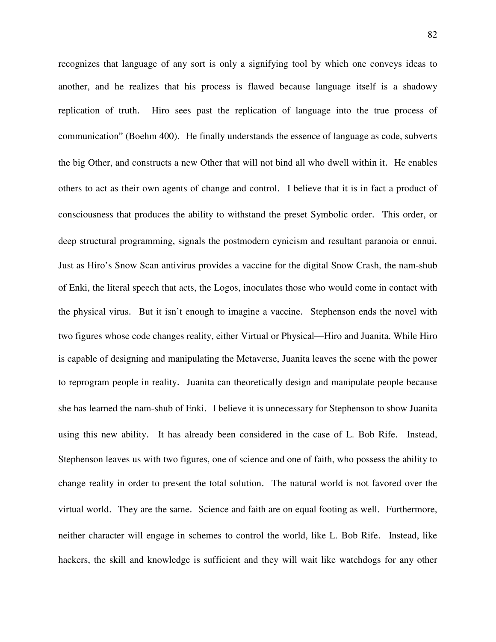recognizes that language of any sort is only a signifying tool by which one conveys ideas to another, and he realizes that his process is flawed because language itself is a shadowy replication of truth. Hiro sees past the replication of language into the true process of communication" (Boehm 400). He finally understands the essence of language as code, subverts the big Other, and constructs a new Other that will not bind all who dwell within it. He enables others to act as their own agents of change and control. I believe that it is in fact a product of consciousness that produces the ability to withstand the preset Symbolic order. This order, or deep structural programming, signals the postmodern cynicism and resultant paranoia or ennui. Just as Hiro's Snow Scan antivirus provides a vaccine for the digital Snow Crash, the nam-shub of Enki, the literal speech that acts, the Logos, inoculates those who would come in contact with the physical virus. But it isn't enough to imagine a vaccine. Stephenson ends the novel with two figures whose code changes reality, either Virtual or Physical—Hiro and Juanita. While Hiro is capable of designing and manipulating the Metaverse, Juanita leaves the scene with the power to reprogram people in reality. Juanita can theoretically design and manipulate people because she has learned the nam-shub of Enki. I believe it is unnecessary for Stephenson to show Juanita using this new ability. It has already been considered in the case of L. Bob Rife. Instead, Stephenson leaves us with two figures, one of science and one of faith, who possess the ability to change reality in order to present the total solution. The natural world is not favored over the virtual world. They are the same. Science and faith are on equal footing as well. Furthermore, neither character will engage in schemes to control the world, like L. Bob Rife. Instead, like hackers, the skill and knowledge is sufficient and they will wait like watchdogs for any other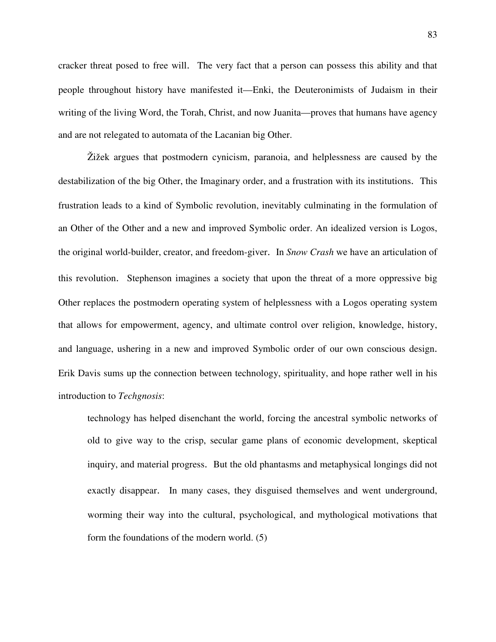cracker threat posed to free will. The very fact that a person can possess this ability and that people throughout history have manifested it—Enki, the Deuteronimists of Judaism in their writing of the living Word, the Torah, Christ, and now Juanita—proves that humans have agency and are not relegated to automata of the Lacanian big Other.

Žižek argues that postmodern cynicism, paranoia, and helplessness are caused by the destabilization of the big Other, the Imaginary order, and a frustration with its institutions. This frustration leads to a kind of Symbolic revolution, inevitably culminating in the formulation of an Other of the Other and a new and improved Symbolic order. An idealized version is Logos, the original world-builder, creator, and freedom-giver. In *Snow Crash* we have an articulation of this revolution. Stephenson imagines a society that upon the threat of a more oppressive big Other replaces the postmodern operating system of helplessness with a Logos operating system that allows for empowerment, agency, and ultimate control over religion, knowledge, history, and language, ushering in a new and improved Symbolic order of our own conscious design. Erik Davis sums up the connection between technology, spirituality, and hope rather well in his introduction to *Techgnosis*:

technology has helped disenchant the world, forcing the ancestral symbolic networks of old to give way to the crisp, secular game plans of economic development, skeptical inquiry, and material progress. But the old phantasms and metaphysical longings did not exactly disappear. In many cases, they disguised themselves and went underground, worming their way into the cultural, psychological, and mythological motivations that form the foundations of the modern world. (5)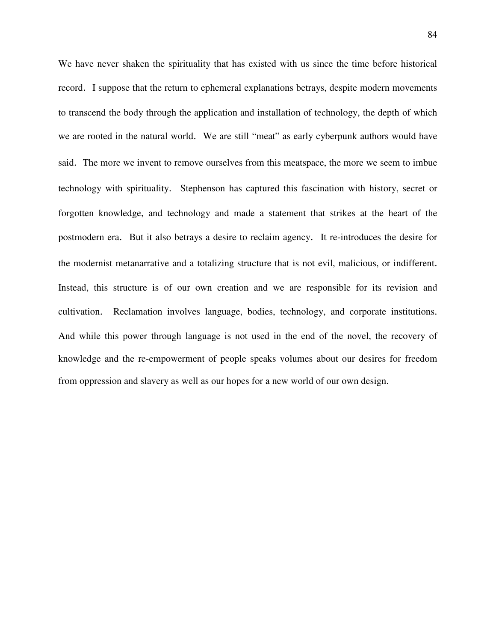We have never shaken the spirituality that has existed with us since the time before historical record. I suppose that the return to ephemeral explanations betrays, despite modern movements to transcend the body through the application and installation of technology, the depth of which we are rooted in the natural world. We are still "meat" as early cyberpunk authors would have said. The more we invent to remove ourselves from this meatspace, the more we seem to imbue technology with spirituality. Stephenson has captured this fascination with history, secret or forgotten knowledge, and technology and made a statement that strikes at the heart of the postmodern era. But it also betrays a desire to reclaim agency. It re-introduces the desire for the modernist metanarrative and a totalizing structure that is not evil, malicious, or indifferent. Instead, this structure is of our own creation and we are responsible for its revision and cultivation. Reclamation involves language, bodies, technology, and corporate institutions. And while this power through language is not used in the end of the novel, the recovery of knowledge and the re-empowerment of people speaks volumes about our desires for freedom from oppression and slavery as well as our hopes for a new world of our own design.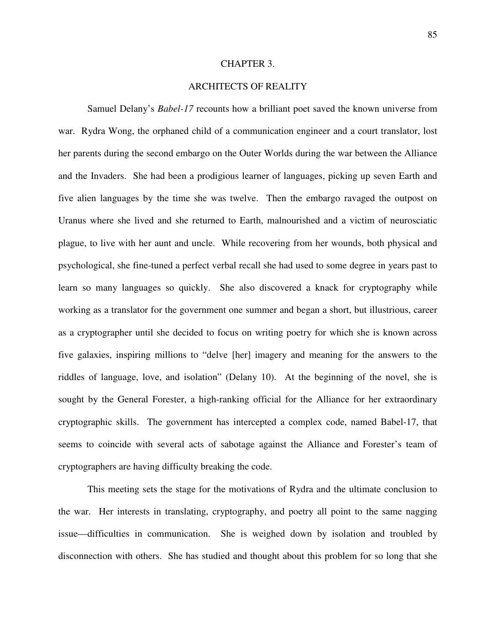#### CHAPTER 3.

# ARCHITECTS OF REALITY

Samuel Delany's *Babel-17* recounts how a brilliant poet saved the known universe from war. Rydra Wong, the orphaned child of a communication engineer and a court translator, lost her parents during the second embargo on the Outer Worlds during the war between the Alliance and the Invaders. She had been a prodigious learner of languages, picking up seven Earth and five alien languages by the time she was twelve. Then the embargo ravaged the outpost on Uranus where she lived and she returned to Earth, malnourished and a victim of neurosciatic plague, to live with her aunt and uncle. While recovering from her wounds, both physical and psychological, she fine-tuned a perfect verbal recall she had used to some degree in years past to learn so many languages so quickly. She also discovered a knack for cryptography while working as a translator for the government one summer and began a short, but illustrious, career as a cryptographer until she decided to focus on writing poetry for which she is known across five galaxies, inspiring millions to "delve [her] imagery and meaning for the answers to the riddles of language, love, and isolation" (Delany 10). At the beginning of the novel, she is sought by the General Forester, a high-ranking official for the Alliance for her extraordinary cryptographic skills. The government has intercepted a complex code, named Babel-17, that seems to coincide with several acts of sabotage against the Alliance and Forester's team of cryptographers are having difficulty breaking the code.

 This meeting sets the stage for the motivations of Rydra and the ultimate conclusion to the war. Her interests in translating, cryptography, and poetry all point to the same nagging issue—difficulties in communication. She is weighed down by isolation and troubled by disconnection with others. She has studied and thought about this problem for so long that she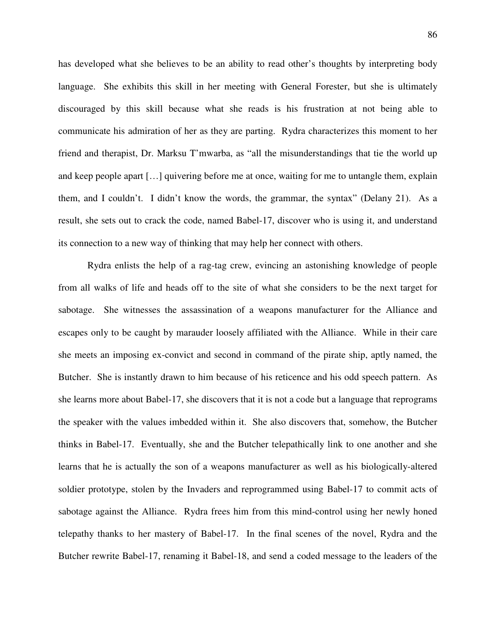has developed what she believes to be an ability to read other's thoughts by interpreting body language. She exhibits this skill in her meeting with General Forester, but she is ultimately discouraged by this skill because what she reads is his frustration at not being able to communicate his admiration of her as they are parting. Rydra characterizes this moment to her friend and therapist, Dr. Marksu T'mwarba, as "all the misunderstandings that tie the world up and keep people apart […] quivering before me at once, waiting for me to untangle them, explain them, and I couldn't. I didn't know the words, the grammar, the syntax" (Delany 21). As a result, she sets out to crack the code, named Babel-17, discover who is using it, and understand its connection to a new way of thinking that may help her connect with others.

 Rydra enlists the help of a rag-tag crew, evincing an astonishing knowledge of people from all walks of life and heads off to the site of what she considers to be the next target for sabotage. She witnesses the assassination of a weapons manufacturer for the Alliance and escapes only to be caught by marauder loosely affiliated with the Alliance. While in their care she meets an imposing ex-convict and second in command of the pirate ship, aptly named, the Butcher. She is instantly drawn to him because of his reticence and his odd speech pattern. As she learns more about Babel-17, she discovers that it is not a code but a language that reprograms the speaker with the values imbedded within it. She also discovers that, somehow, the Butcher thinks in Babel-17. Eventually, she and the Butcher telepathically link to one another and she learns that he is actually the son of a weapons manufacturer as well as his biologically-altered soldier prototype, stolen by the Invaders and reprogrammed using Babel-17 to commit acts of sabotage against the Alliance. Rydra frees him from this mind-control using her newly honed telepathy thanks to her mastery of Babel-17. In the final scenes of the novel, Rydra and the Butcher rewrite Babel-17, renaming it Babel-18, and send a coded message to the leaders of the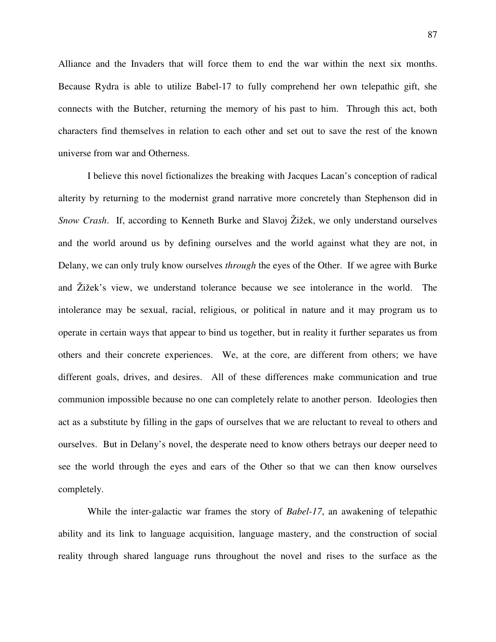Alliance and the Invaders that will force them to end the war within the next six months. Because Rydra is able to utilize Babel-17 to fully comprehend her own telepathic gift, she connects with the Butcher, returning the memory of his past to him. Through this act, both characters find themselves in relation to each other and set out to save the rest of the known universe from war and Otherness.

I believe this novel fictionalizes the breaking with Jacques Lacan's conception of radical alterity by returning to the modernist grand narrative more concretely than Stephenson did in *Snow Crash*. If, according to Kenneth Burke and Slavoj Žižek, we only understand ourselves and the world around us by defining ourselves and the world against what they are not, in Delany, we can only truly know ourselves *through* the eyes of the Other. If we agree with Burke and Žižek's view, we understand tolerance because we see intolerance in the world. The intolerance may be sexual, racial, religious, or political in nature and it may program us to operate in certain ways that appear to bind us together, but in reality it further separates us from others and their concrete experiences. We, at the core, are different from others; we have different goals, drives, and desires. All of these differences make communication and true communion impossible because no one can completely relate to another person. Ideologies then act as a substitute by filling in the gaps of ourselves that we are reluctant to reveal to others and ourselves. But in Delany's novel, the desperate need to know others betrays our deeper need to see the world through the eyes and ears of the Other so that we can then know ourselves completely.

 While the inter-galactic war frames the story of *Babel-17*, an awakening of telepathic ability and its link to language acquisition, language mastery, and the construction of social reality through shared language runs throughout the novel and rises to the surface as the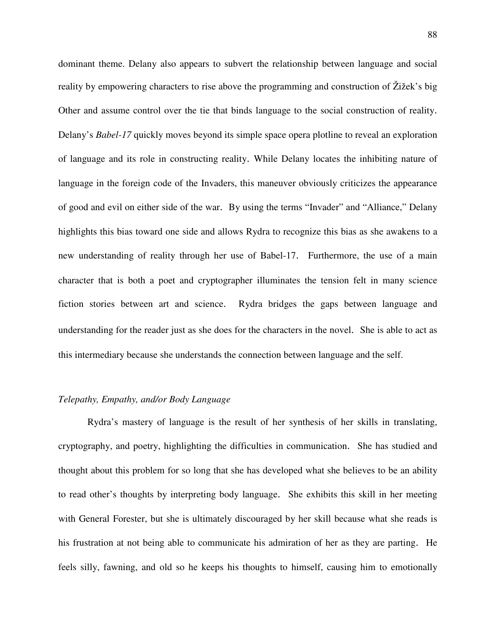dominant theme. Delany also appears to subvert the relationship between language and social reality by empowering characters to rise above the programming and construction of Žižek's big Other and assume control over the tie that binds language to the social construction of reality. Delany's *Babel-17* quickly moves beyond its simple space opera plotline to reveal an exploration of language and its role in constructing reality. While Delany locates the inhibiting nature of language in the foreign code of the Invaders, this maneuver obviously criticizes the appearance of good and evil on either side of the war. By using the terms "Invader" and "Alliance," Delany highlights this bias toward one side and allows Rydra to recognize this bias as she awakens to a new understanding of reality through her use of Babel-17. Furthermore, the use of a main character that is both a poet and cryptographer illuminates the tension felt in many science fiction stories between art and science. Rydra bridges the gaps between language and understanding for the reader just as she does for the characters in the novel. She is able to act as this intermediary because she understands the connection between language and the self.

## *Telepathy, Empathy, and/or Body Language*

Rydra's mastery of language is the result of her synthesis of her skills in translating, cryptography, and poetry, highlighting the difficulties in communication. She has studied and thought about this problem for so long that she has developed what she believes to be an ability to read other's thoughts by interpreting body language. She exhibits this skill in her meeting with General Forester, but she is ultimately discouraged by her skill because what she reads is his frustration at not being able to communicate his admiration of her as they are parting. He feels silly, fawning, and old so he keeps his thoughts to himself, causing him to emotionally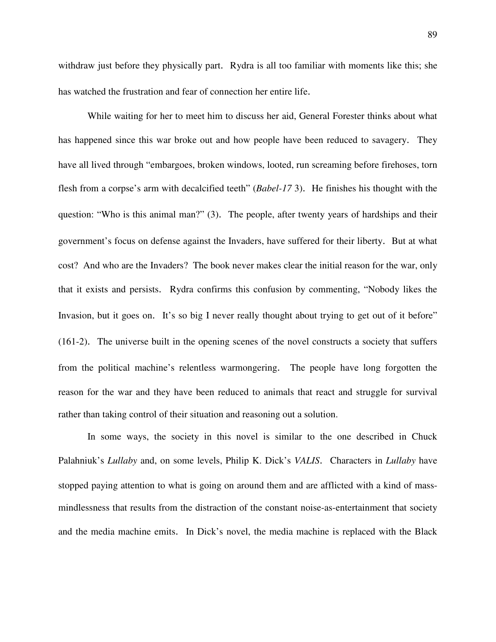withdraw just before they physically part. Rydra is all too familiar with moments like this; she has watched the frustration and fear of connection her entire life.

 While waiting for her to meet him to discuss her aid, General Forester thinks about what has happened since this war broke out and how people have been reduced to savagery. They have all lived through "embargoes, broken windows, looted, run screaming before firehoses, torn flesh from a corpse's arm with decalcified teeth" (*Babel-17* 3). He finishes his thought with the question: "Who is this animal man?" (3). The people, after twenty years of hardships and their government's focus on defense against the Invaders, have suffered for their liberty. But at what cost? And who are the Invaders? The book never makes clear the initial reason for the war, only that it exists and persists. Rydra confirms this confusion by commenting, "Nobody likes the Invasion, but it goes on. It's so big I never really thought about trying to get out of it before" (161-2). The universe built in the opening scenes of the novel constructs a society that suffers from the political machine's relentless warmongering. The people have long forgotten the reason for the war and they have been reduced to animals that react and struggle for survival rather than taking control of their situation and reasoning out a solution.

 In some ways, the society in this novel is similar to the one described in Chuck Palahniuk's *Lullaby* and, on some levels, Philip K. Dick's *VALIS*. Characters in *Lullaby* have stopped paying attention to what is going on around them and are afflicted with a kind of massmindlessness that results from the distraction of the constant noise-as-entertainment that society and the media machine emits. In Dick's novel, the media machine is replaced with the Black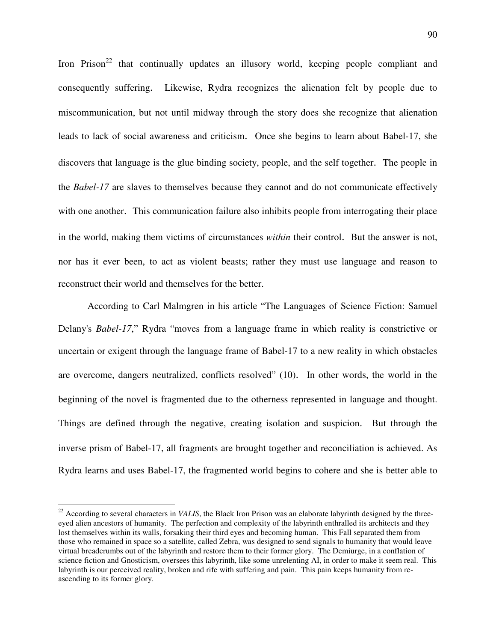Iron Prison<sup>22</sup> that continually updates an illusory world, keeping people compliant and consequently suffering. Likewise, Rydra recognizes the alienation felt by people due to miscommunication, but not until midway through the story does she recognize that alienation leads to lack of social awareness and criticism. Once she begins to learn about Babel-17, she discovers that language is the glue binding society, people, and the self together. The people in the *Babel-17* are slaves to themselves because they cannot and do not communicate effectively with one another. This communication failure also inhibits people from interrogating their place in the world, making them victims of circumstances *within* their control. But the answer is not, nor has it ever been, to act as violent beasts; rather they must use language and reason to reconstruct their world and themselves for the better.

 According to Carl Malmgren in his article "The Languages of Science Fiction: Samuel Delany's *Babel-17*," Rydra "moves from a language frame in which reality is constrictive or uncertain or exigent through the language frame of Babel-17 to a new reality in which obstacles are overcome, dangers neutralized, conflicts resolved" (10). In other words, the world in the beginning of the novel is fragmented due to the otherness represented in language and thought. Things are defined through the negative, creating isolation and suspicion. But through the inverse prism of Babel-17, all fragments are brought together and reconciliation is achieved. As Rydra learns and uses Babel-17, the fragmented world begins to cohere and she is better able to

 $\overline{a}$ 

 $^{22}$  According to several characters in *VALIS*, the Black Iron Prison was an elaborate labyrinth designed by the threeeyed alien ancestors of humanity. The perfection and complexity of the labyrinth enthralled its architects and they lost themselves within its walls, forsaking their third eyes and becoming human. This Fall separated them from those who remained in space so a satellite, called Zebra, was designed to send signals to humanity that would leave virtual breadcrumbs out of the labyrinth and restore them to their former glory. The Demiurge, in a conflation of science fiction and Gnosticism, oversees this labyrinth, like some unrelenting AI, in order to make it seem real. This labyrinth is our perceived reality, broken and rife with suffering and pain. This pain keeps humanity from reascending to its former glory.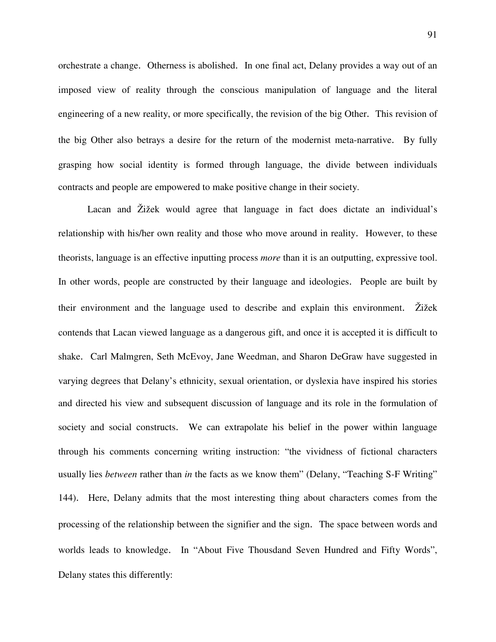orchestrate a change. Otherness is abolished. In one final act, Delany provides a way out of an imposed view of reality through the conscious manipulation of language and the literal engineering of a new reality, or more specifically, the revision of the big Other. This revision of the big Other also betrays a desire for the return of the modernist meta-narrative. By fully grasping how social identity is formed through language, the divide between individuals contracts and people are empowered to make positive change in their society.

 Lacan and Žižek would agree that language in fact does dictate an individual's relationship with his/her own reality and those who move around in reality. However, to these theorists, language is an effective inputting process *more* than it is an outputting, expressive tool. In other words, people are constructed by their language and ideologies. People are built by their environment and the language used to describe and explain this environment. Žižek contends that Lacan viewed language as a dangerous gift, and once it is accepted it is difficult to shake. Carl Malmgren, Seth McEvoy, Jane Weedman, and Sharon DeGraw have suggested in varying degrees that Delany's ethnicity, sexual orientation, or dyslexia have inspired his stories and directed his view and subsequent discussion of language and its role in the formulation of society and social constructs. We can extrapolate his belief in the power within language through his comments concerning writing instruction: "the vividness of fictional characters usually lies *between* rather than *in* the facts as we know them" (Delany, "Teaching S-F Writing" 144). Here, Delany admits that the most interesting thing about characters comes from the processing of the relationship between the signifier and the sign. The space between words and worlds leads to knowledge. In "About Five Thousdand Seven Hundred and Fifty Words", Delany states this differently: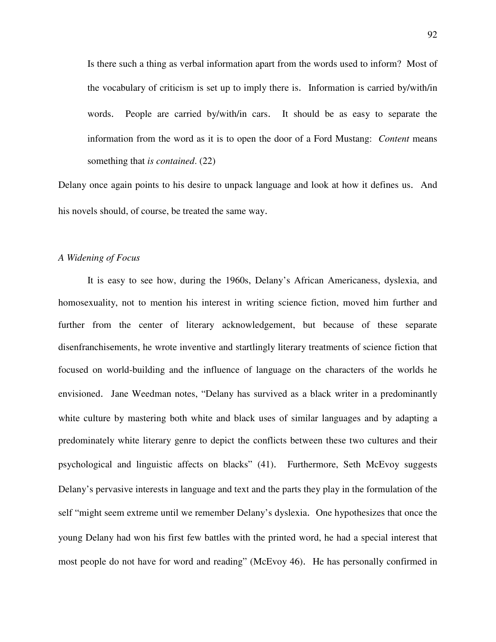Is there such a thing as verbal information apart from the words used to inform? Most of the vocabulary of criticism is set up to imply there is. Information is carried by/with/in words. People are carried by/with/in cars. It should be as easy to separate the information from the word as it is to open the door of a Ford Mustang: *Content* means something that *is contained*. (22)

Delany once again points to his desire to unpack language and look at how it defines us. And his novels should, of course, be treated the same way.

#### *A Widening of Focus*

 It is easy to see how, during the 1960s, Delany's African Americaness, dyslexia, and homosexuality, not to mention his interest in writing science fiction, moved him further and further from the center of literary acknowledgement, but because of these separate disenfranchisements, he wrote inventive and startlingly literary treatments of science fiction that focused on world-building and the influence of language on the characters of the worlds he envisioned. Jane Weedman notes, "Delany has survived as a black writer in a predominantly white culture by mastering both white and black uses of similar languages and by adapting a predominately white literary genre to depict the conflicts between these two cultures and their psychological and linguistic affects on blacks" (41). Furthermore, Seth McEvoy suggests Delany's pervasive interests in language and text and the parts they play in the formulation of the self "might seem extreme until we remember Delany's dyslexia. One hypothesizes that once the young Delany had won his first few battles with the printed word, he had a special interest that most people do not have for word and reading" (McEvoy 46). He has personally confirmed in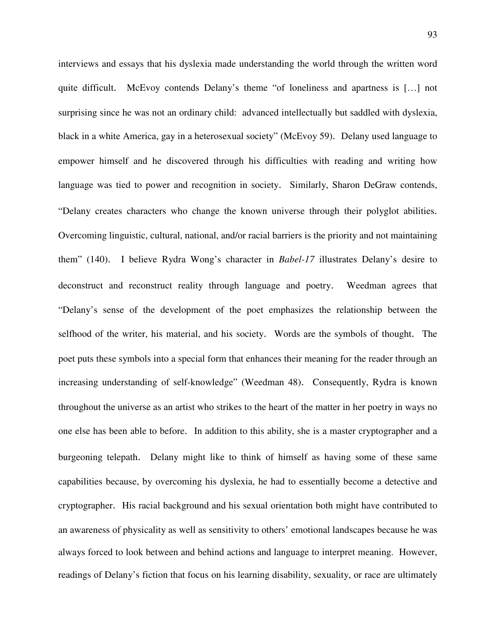interviews and essays that his dyslexia made understanding the world through the written word quite difficult. McEvoy contends Delany's theme "of loneliness and apartness is […] not surprising since he was not an ordinary child: advanced intellectually but saddled with dyslexia, black in a white America, gay in a heterosexual society" (McEvoy 59). Delany used language to empower himself and he discovered through his difficulties with reading and writing how language was tied to power and recognition in society. Similarly, Sharon DeGraw contends, "Delany creates characters who change the known universe through their polyglot abilities. Overcoming linguistic, cultural, national, and/or racial barriers is the priority and not maintaining them" (140). I believe Rydra Wong's character in *Babel-17* illustrates Delany's desire to deconstruct and reconstruct reality through language and poetry. Weedman agrees that "Delany's sense of the development of the poet emphasizes the relationship between the selfhood of the writer, his material, and his society. Words are the symbols of thought. The poet puts these symbols into a special form that enhances their meaning for the reader through an increasing understanding of self-knowledge" (Weedman 48). Consequently, Rydra is known throughout the universe as an artist who strikes to the heart of the matter in her poetry in ways no one else has been able to before. In addition to this ability, she is a master cryptographer and a burgeoning telepath. Delany might like to think of himself as having some of these same capabilities because, by overcoming his dyslexia, he had to essentially become a detective and cryptographer. His racial background and his sexual orientation both might have contributed to an awareness of physicality as well as sensitivity to others' emotional landscapes because he was always forced to look between and behind actions and language to interpret meaning. However, readings of Delany's fiction that focus on his learning disability, sexuality, or race are ultimately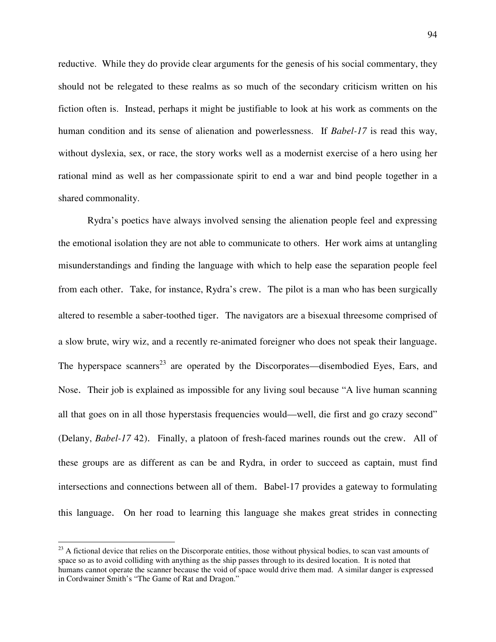reductive. While they do provide clear arguments for the genesis of his social commentary, they should not be relegated to these realms as so much of the secondary criticism written on his fiction often is. Instead, perhaps it might be justifiable to look at his work as comments on the human condition and its sense of alienation and powerlessness. If *Babel-17* is read this way, without dyslexia, sex, or race, the story works well as a modernist exercise of a hero using her rational mind as well as her compassionate spirit to end a war and bind people together in a shared commonality.

Rydra's poetics have always involved sensing the alienation people feel and expressing the emotional isolation they are not able to communicate to others. Her work aims at untangling misunderstandings and finding the language with which to help ease the separation people feel from each other. Take, for instance, Rydra's crew. The pilot is a man who has been surgically altered to resemble a saber-toothed tiger. The navigators are a bisexual threesome comprised of a slow brute, wiry wiz, and a recently re-animated foreigner who does not speak their language. The hyperspace scanners<sup>23</sup> are operated by the Discorporates—disembodied Eyes, Ears, and Nose. Their job is explained as impossible for any living soul because "A live human scanning all that goes on in all those hyperstasis frequencies would—well, die first and go crazy second" (Delany, *Babel-17* 42). Finally, a platoon of fresh-faced marines rounds out the crew. All of these groups are as different as can be and Rydra, in order to succeed as captain, must find intersections and connections between all of them. Babel-17 provides a gateway to formulating this language. On her road to learning this language she makes great strides in connecting

 $\overline{a}$ 

 $^{23}$  A fictional device that relies on the Discorporate entities, those without physical bodies, to scan vast amounts of space so as to avoid colliding with anything as the ship passes through to its desired location. It is noted that humans cannot operate the scanner because the void of space would drive them mad. A similar danger is expressed in Cordwainer Smith's "The Game of Rat and Dragon."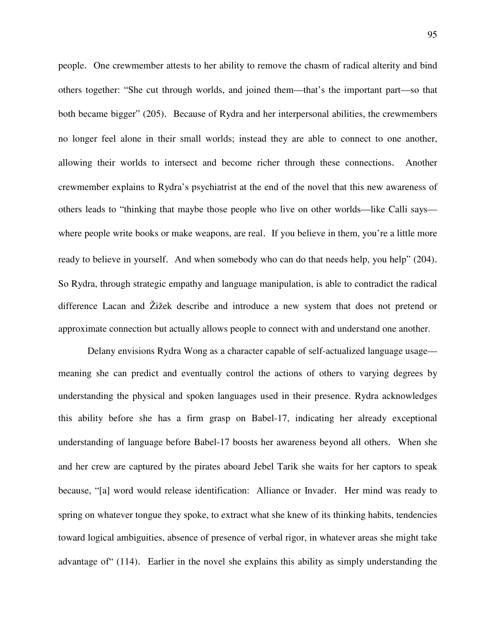people. One crewmember attests to her ability to remove the chasm of radical alterity and bind others together: "She cut through worlds, and joined them—that's the important part—so that both became bigger" (205). Because of Rydra and her interpersonal abilities, the crewmembers no longer feel alone in their small worlds; instead they are able to connect to one another, allowing their worlds to intersect and become richer through these connections. Another crewmember explains to Rydra's psychiatrist at the end of the novel that this new awareness of others leads to "thinking that maybe those people who live on other worlds—like Calli says where people write books or make weapons, are real. If you believe in them, you're a little more ready to believe in yourself. And when somebody who can do that needs help, you help" (204). So Rydra, through strategic empathy and language manipulation, is able to contradict the radical difference Lacan and Žižek describe and introduce a new system that does not pretend or approximate connection but actually allows people to connect with and understand one another.

 Delany envisions Rydra Wong as a character capable of self-actualized language usage meaning she can predict and eventually control the actions of others to varying degrees by understanding the physical and spoken languages used in their presence. Rydra acknowledges this ability before she has a firm grasp on Babel-17, indicating her already exceptional understanding of language before Babel-17 boosts her awareness beyond all others. When she and her crew are captured by the pirates aboard Jebel Tarik she waits for her captors to speak because, "[a] word would release identification: Alliance or Invader. Her mind was ready to spring on whatever tongue they spoke, to extract what she knew of its thinking habits, tendencies toward logical ambiguities, absence of presence of verbal rigor, in whatever areas she might take advantage of" (114). Earlier in the novel she explains this ability as simply understanding the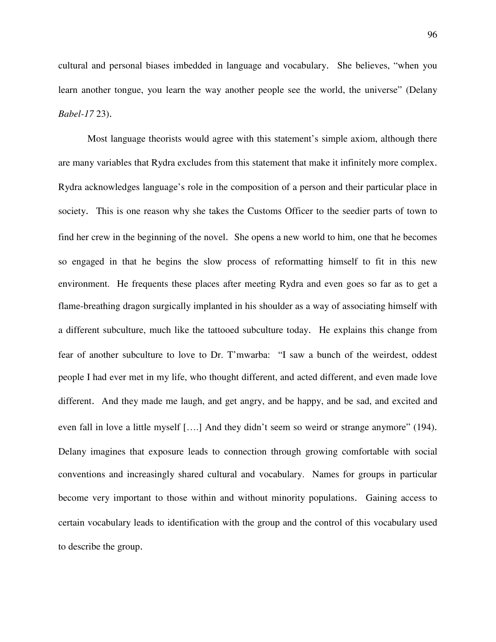cultural and personal biases imbedded in language and vocabulary. She believes, "when you learn another tongue, you learn the way another people see the world, the universe" (Delany *Babel-17* 23).

 Most language theorists would agree with this statement's simple axiom, although there are many variables that Rydra excludes from this statement that make it infinitely more complex. Rydra acknowledges language's role in the composition of a person and their particular place in society. This is one reason why she takes the Customs Officer to the seedier parts of town to find her crew in the beginning of the novel. She opens a new world to him, one that he becomes so engaged in that he begins the slow process of reformatting himself to fit in this new environment. He frequents these places after meeting Rydra and even goes so far as to get a flame-breathing dragon surgically implanted in his shoulder as a way of associating himself with a different subculture, much like the tattooed subculture today. He explains this change from fear of another subculture to love to Dr. T'mwarba: "I saw a bunch of the weirdest, oddest people I had ever met in my life, who thought different, and acted different, and even made love different. And they made me laugh, and get angry, and be happy, and be sad, and excited and even fall in love a little myself [….] And they didn't seem so weird or strange anymore" (194). Delany imagines that exposure leads to connection through growing comfortable with social conventions and increasingly shared cultural and vocabulary. Names for groups in particular become very important to those within and without minority populations. Gaining access to certain vocabulary leads to identification with the group and the control of this vocabulary used to describe the group.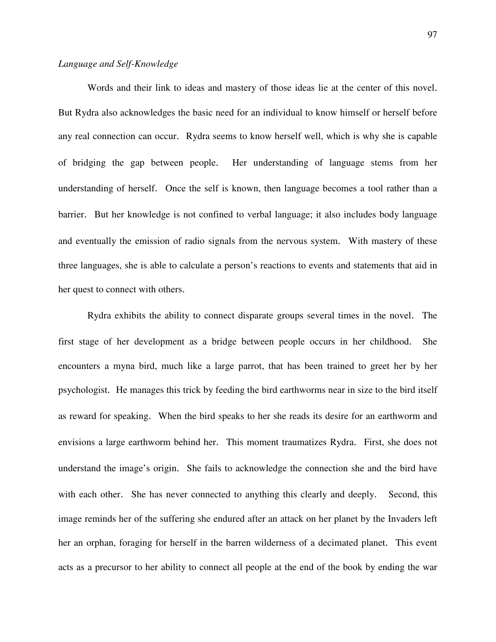# *Language and Self-Knowledge*

Words and their link to ideas and mastery of those ideas lie at the center of this novel. But Rydra also acknowledges the basic need for an individual to know himself or herself before any real connection can occur. Rydra seems to know herself well, which is why she is capable of bridging the gap between people. Her understanding of language stems from her understanding of herself. Once the self is known, then language becomes a tool rather than a barrier. But her knowledge is not confined to verbal language; it also includes body language and eventually the emission of radio signals from the nervous system. With mastery of these three languages, she is able to calculate a person's reactions to events and statements that aid in her quest to connect with others.

 Rydra exhibits the ability to connect disparate groups several times in the novel. The first stage of her development as a bridge between people occurs in her childhood. She encounters a myna bird, much like a large parrot, that has been trained to greet her by her psychologist. He manages this trick by feeding the bird earthworms near in size to the bird itself as reward for speaking. When the bird speaks to her she reads its desire for an earthworm and envisions a large earthworm behind her. This moment traumatizes Rydra. First, she does not understand the image's origin. She fails to acknowledge the connection she and the bird have with each other. She has never connected to anything this clearly and deeply. Second, this image reminds her of the suffering she endured after an attack on her planet by the Invaders left her an orphan, foraging for herself in the barren wilderness of a decimated planet. This event acts as a precursor to her ability to connect all people at the end of the book by ending the war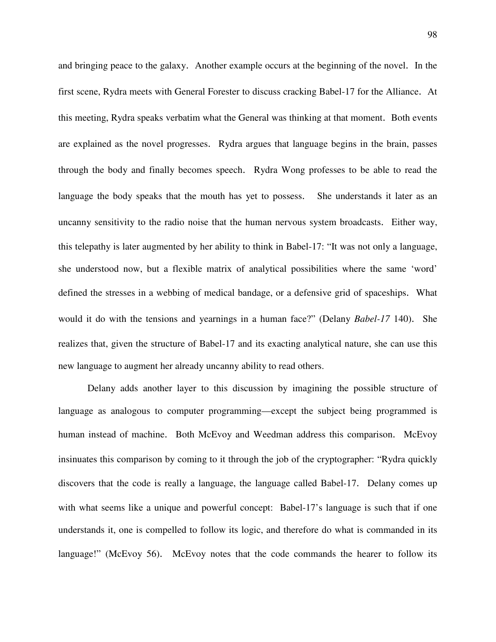and bringing peace to the galaxy. Another example occurs at the beginning of the novel. In the first scene, Rydra meets with General Forester to discuss cracking Babel-17 for the Alliance. At this meeting, Rydra speaks verbatim what the General was thinking at that moment. Both events are explained as the novel progresses. Rydra argues that language begins in the brain, passes through the body and finally becomes speech. Rydra Wong professes to be able to read the language the body speaks that the mouth has yet to possess. She understands it later as an uncanny sensitivity to the radio noise that the human nervous system broadcasts. Either way, this telepathy is later augmented by her ability to think in Babel-17: "It was not only a language, she understood now, but a flexible matrix of analytical possibilities where the same 'word' defined the stresses in a webbing of medical bandage, or a defensive grid of spaceships. What would it do with the tensions and yearnings in a human face?" (Delany *Babel-17* 140). She realizes that, given the structure of Babel-17 and its exacting analytical nature, she can use this new language to augment her already uncanny ability to read others.

 Delany adds another layer to this discussion by imagining the possible structure of language as analogous to computer programming—except the subject being programmed is human instead of machine. Both McEvoy and Weedman address this comparison. McEvoy insinuates this comparison by coming to it through the job of the cryptographer: "Rydra quickly discovers that the code is really a language, the language called Babel-17. Delany comes up with what seems like a unique and powerful concept: Babel-17's language is such that if one understands it, one is compelled to follow its logic, and therefore do what is commanded in its language!" (McEvoy 56). McEvoy notes that the code commands the hearer to follow its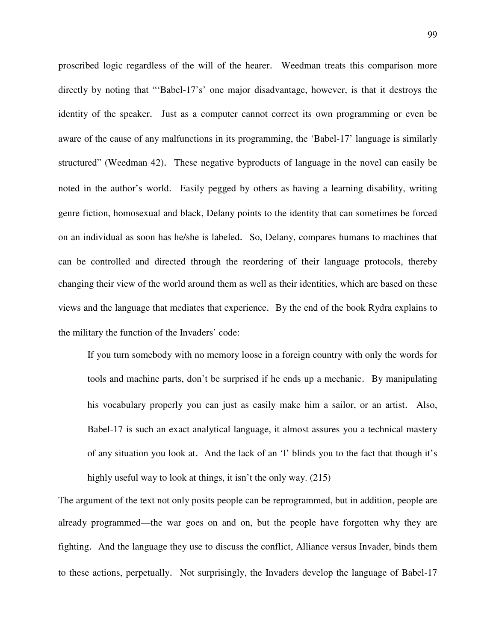proscribed logic regardless of the will of the hearer. Weedman treats this comparison more directly by noting that "'Babel-17's' one major disadvantage, however, is that it destroys the identity of the speaker. Just as a computer cannot correct its own programming or even be aware of the cause of any malfunctions in its programming, the 'Babel-17' language is similarly structured" (Weedman 42). These negative byproducts of language in the novel can easily be noted in the author's world. Easily pegged by others as having a learning disability, writing genre fiction, homosexual and black, Delany points to the identity that can sometimes be forced on an individual as soon has he/she is labeled. So, Delany, compares humans to machines that can be controlled and directed through the reordering of their language protocols, thereby changing their view of the world around them as well as their identities, which are based on these views and the language that mediates that experience. By the end of the book Rydra explains to the military the function of the Invaders' code:

 If you turn somebody with no memory loose in a foreign country with only the words for tools and machine parts, don't be surprised if he ends up a mechanic. By manipulating his vocabulary properly you can just as easily make him a sailor, or an artist. Also, Babel-17 is such an exact analytical language, it almost assures you a technical mastery of any situation you look at. And the lack of an 'I' blinds you to the fact that though it's highly useful way to look at things, it isn't the only way. (215)

The argument of the text not only posits people can be reprogrammed, but in addition, people are already programmed—the war goes on and on, but the people have forgotten why they are fighting. And the language they use to discuss the conflict, Alliance versus Invader, binds them to these actions, perpetually. Not surprisingly, the Invaders develop the language of Babel-17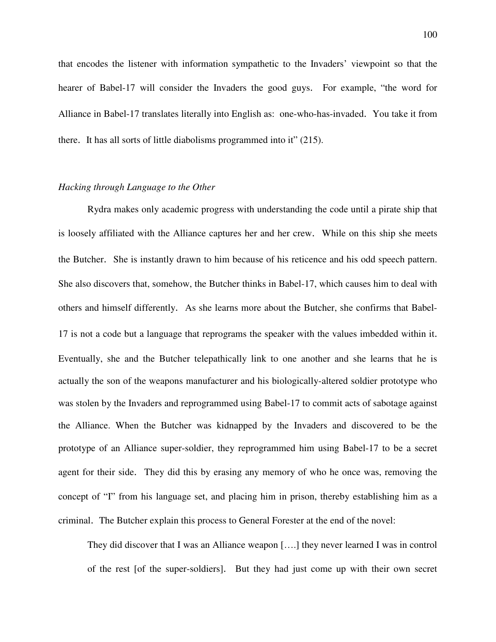that encodes the listener with information sympathetic to the Invaders' viewpoint so that the hearer of Babel-17 will consider the Invaders the good guys. For example, "the word for Alliance in Babel-17 translates literally into English as: one-who-has-invaded. You take it from there. It has all sorts of little diabolisms programmed into it" (215).

## *Hacking through Language to the Other*

Rydra makes only academic progress with understanding the code until a pirate ship that is loosely affiliated with the Alliance captures her and her crew. While on this ship she meets the Butcher. She is instantly drawn to him because of his reticence and his odd speech pattern. She also discovers that, somehow, the Butcher thinks in Babel-17, which causes him to deal with others and himself differently. As she learns more about the Butcher, she confirms that Babel-17 is not a code but a language that reprograms the speaker with the values imbedded within it. Eventually, she and the Butcher telepathically link to one another and she learns that he is actually the son of the weapons manufacturer and his biologically-altered soldier prototype who was stolen by the Invaders and reprogrammed using Babel-17 to commit acts of sabotage against the Alliance. When the Butcher was kidnapped by the Invaders and discovered to be the prototype of an Alliance super-soldier, they reprogrammed him using Babel-17 to be a secret agent for their side. They did this by erasing any memory of who he once was, removing the concept of "I" from his language set, and placing him in prison, thereby establishing him as a criminal. The Butcher explain this process to General Forester at the end of the novel:

They did discover that I was an Alliance weapon [….] they never learned I was in control of the rest [of the super-soldiers]. But they had just come up with their own secret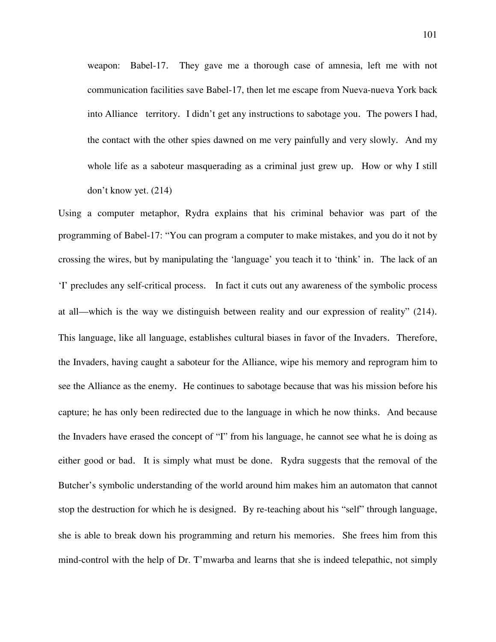weapon: Babel-17. They gave me a thorough case of amnesia, left me with not communication facilities save Babel-17, then let me escape from Nueva-nueva York back into Alliance territory. I didn't get any instructions to sabotage you. The powers I had, the contact with the other spies dawned on me very painfully and very slowly. And my whole life as a saboteur masquerading as a criminal just grew up. How or why I still don't know yet. (214)

Using a computer metaphor, Rydra explains that his criminal behavior was part of the programming of Babel-17: "You can program a computer to make mistakes, and you do it not by crossing the wires, but by manipulating the 'language' you teach it to 'think' in. The lack of an 'I' precludes any self-critical process. In fact it cuts out any awareness of the symbolic process at all—which is the way we distinguish between reality and our expression of reality" (214). This language, like all language, establishes cultural biases in favor of the Invaders. Therefore, the Invaders, having caught a saboteur for the Alliance, wipe his memory and reprogram him to see the Alliance as the enemy. He continues to sabotage because that was his mission before his capture; he has only been redirected due to the language in which he now thinks. And because the Invaders have erased the concept of "I" from his language, he cannot see what he is doing as either good or bad. It is simply what must be done. Rydra suggests that the removal of the Butcher's symbolic understanding of the world around him makes him an automaton that cannot stop the destruction for which he is designed. By re-teaching about his "self" through language, she is able to break down his programming and return his memories. She frees him from this mind-control with the help of Dr. T'mwarba and learns that she is indeed telepathic, not simply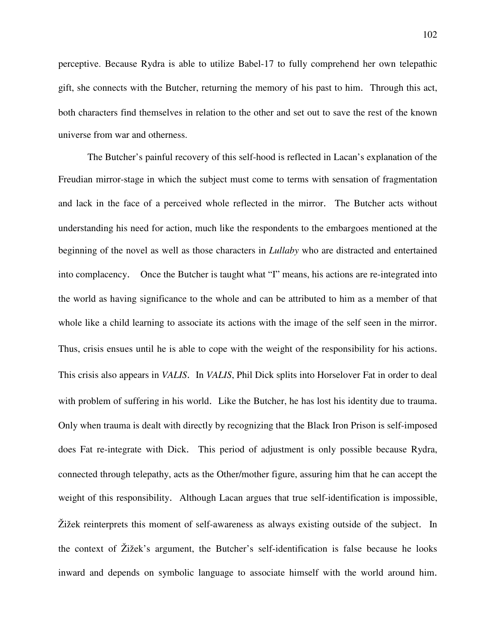perceptive. Because Rydra is able to utilize Babel-17 to fully comprehend her own telepathic gift, she connects with the Butcher, returning the memory of his past to him. Through this act, both characters find themselves in relation to the other and set out to save the rest of the known universe from war and otherness.

 The Butcher's painful recovery of this self-hood is reflected in Lacan's explanation of the Freudian mirror-stage in which the subject must come to terms with sensation of fragmentation and lack in the face of a perceived whole reflected in the mirror. The Butcher acts without understanding his need for action, much like the respondents to the embargoes mentioned at the beginning of the novel as well as those characters in *Lullaby* who are distracted and entertained into complacency. Once the Butcher is taught what "I" means, his actions are re-integrated into the world as having significance to the whole and can be attributed to him as a member of that whole like a child learning to associate its actions with the image of the self seen in the mirror. Thus, crisis ensues until he is able to cope with the weight of the responsibility for his actions. This crisis also appears in *VALIS*. In *VALIS*, Phil Dick splits into Horselover Fat in order to deal with problem of suffering in his world. Like the Butcher, he has lost his identity due to trauma. Only when trauma is dealt with directly by recognizing that the Black Iron Prison is self-imposed does Fat re-integrate with Dick. This period of adjustment is only possible because Rydra, connected through telepathy, acts as the Other/mother figure, assuring him that he can accept the weight of this responsibility. Although Lacan argues that true self-identification is impossible, Žižek reinterprets this moment of self-awareness as always existing outside of the subject. In the context of Žižek's argument, the Butcher's self-identification is false because he looks inward and depends on symbolic language to associate himself with the world around him.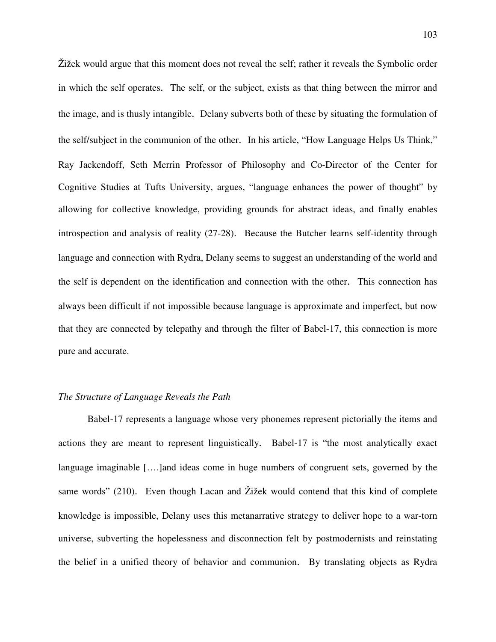Žižek would argue that this moment does not reveal the self; rather it reveals the Symbolic order in which the self operates. The self, or the subject, exists as that thing between the mirror and the image, and is thusly intangible. Delany subverts both of these by situating the formulation of the self/subject in the communion of the other. In his article, "How Language Helps Us Think," Ray Jackendoff, Seth Merrin Professor of Philosophy and Co-Director of the Center for Cognitive Studies at Tufts University, argues, "language enhances the power of thought" by allowing for collective knowledge, providing grounds for abstract ideas, and finally enables introspection and analysis of reality (27-28). Because the Butcher learns self-identity through language and connection with Rydra, Delany seems to suggest an understanding of the world and the self is dependent on the identification and connection with the other. This connection has always been difficult if not impossible because language is approximate and imperfect, but now that they are connected by telepathy and through the filter of Babel-17, this connection is more pure and accurate.

# *The Structure of Language Reveals the Path*

Babel-17 represents a language whose very phonemes represent pictorially the items and actions they are meant to represent linguistically. Babel-17 is "the most analytically exact language imaginable [….]and ideas come in huge numbers of congruent sets, governed by the same words" (210). Even though Lacan and Žižek would contend that this kind of complete knowledge is impossible, Delany uses this metanarrative strategy to deliver hope to a war-torn universe, subverting the hopelessness and disconnection felt by postmodernists and reinstating the belief in a unified theory of behavior and communion. By translating objects as Rydra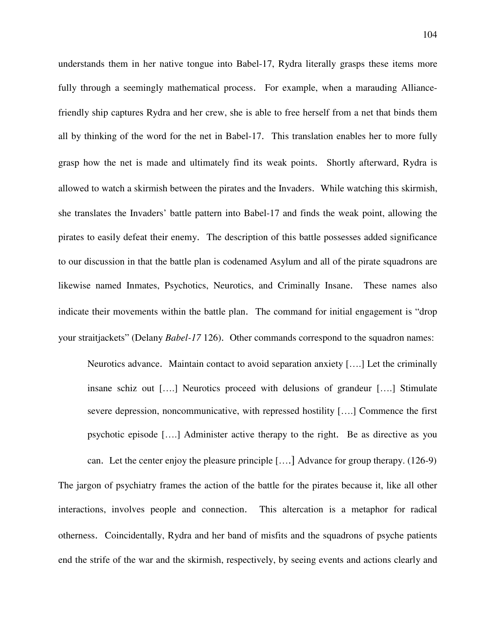understands them in her native tongue into Babel-17, Rydra literally grasps these items more fully through a seemingly mathematical process. For example, when a marauding Alliancefriendly ship captures Rydra and her crew, she is able to free herself from a net that binds them all by thinking of the word for the net in Babel-17. This translation enables her to more fully grasp how the net is made and ultimately find its weak points. Shortly afterward, Rydra is allowed to watch a skirmish between the pirates and the Invaders. While watching this skirmish, she translates the Invaders' battle pattern into Babel-17 and finds the weak point, allowing the pirates to easily defeat their enemy. The description of this battle possesses added significance to our discussion in that the battle plan is codenamed Asylum and all of the pirate squadrons are likewise named Inmates, Psychotics, Neurotics, and Criminally Insane. These names also indicate their movements within the battle plan. The command for initial engagement is "drop your straitjackets" (Delany *Babel-17* 126). Other commands correspond to the squadron names:

Neurotics advance. Maintain contact to avoid separation anxiety [….] Let the criminally insane schiz out [….] Neurotics proceed with delusions of grandeur [….] Stimulate severe depression, noncommunicative, with repressed hostility [….] Commence the first psychotic episode [….] Administer active therapy to the right. Be as directive as you

can. Let the center enjoy the pleasure principle [….] Advance for group therapy. (126-9) The jargon of psychiatry frames the action of the battle for the pirates because it, like all other interactions, involves people and connection. This altercation is a metaphor for radical otherness. Coincidentally, Rydra and her band of misfits and the squadrons of psyche patients end the strife of the war and the skirmish, respectively, by seeing events and actions clearly and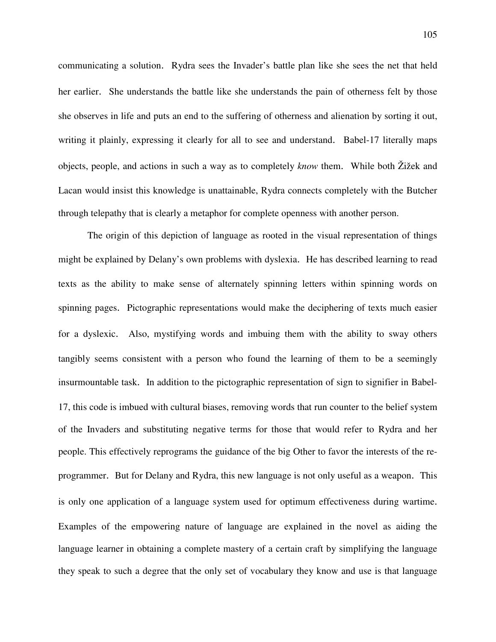communicating a solution. Rydra sees the Invader's battle plan like she sees the net that held her earlier. She understands the battle like she understands the pain of otherness felt by those she observes in life and puts an end to the suffering of otherness and alienation by sorting it out, writing it plainly, expressing it clearly for all to see and understand. Babel-17 literally maps objects, people, and actions in such a way as to completely *know* them. While both Žižek and Lacan would insist this knowledge is unattainable, Rydra connects completely with the Butcher through telepathy that is clearly a metaphor for complete openness with another person.

 The origin of this depiction of language as rooted in the visual representation of things might be explained by Delany's own problems with dyslexia. He has described learning to read texts as the ability to make sense of alternately spinning letters within spinning words on spinning pages. Pictographic representations would make the deciphering of texts much easier for a dyslexic. Also, mystifying words and imbuing them with the ability to sway others tangibly seems consistent with a person who found the learning of them to be a seemingly insurmountable task. In addition to the pictographic representation of sign to signifier in Babel-17, this code is imbued with cultural biases, removing words that run counter to the belief system of the Invaders and substituting negative terms for those that would refer to Rydra and her people. This effectively reprograms the guidance of the big Other to favor the interests of the reprogrammer. But for Delany and Rydra, this new language is not only useful as a weapon. This is only one application of a language system used for optimum effectiveness during wartime. Examples of the empowering nature of language are explained in the novel as aiding the language learner in obtaining a complete mastery of a certain craft by simplifying the language they speak to such a degree that the only set of vocabulary they know and use is that language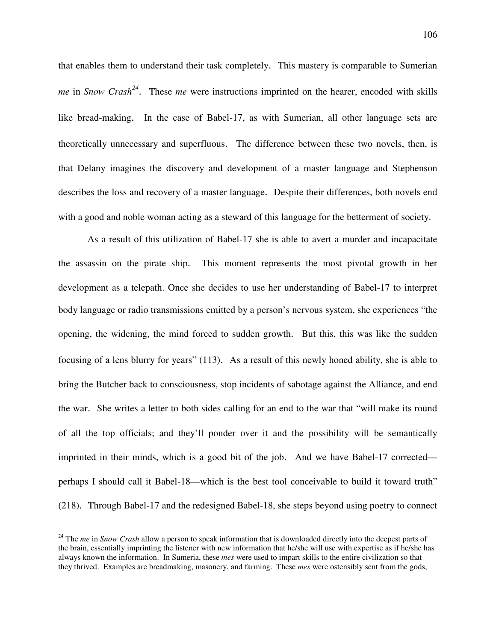that enables them to understand their task completely. This mastery is comparable to Sumerian *me* in *Snow Crash<sup>24</sup>* . These *me* were instructions imprinted on the hearer, encoded with skills like bread-making. In the case of Babel-17, as with Sumerian, all other language sets are theoretically unnecessary and superfluous. The difference between these two novels, then, is that Delany imagines the discovery and development of a master language and Stephenson describes the loss and recovery of a master language. Despite their differences, both novels end with a good and noble woman acting as a steward of this language for the betterment of society.

 As a result of this utilization of Babel-17 she is able to avert a murder and incapacitate the assassin on the pirate ship. This moment represents the most pivotal growth in her development as a telepath. Once she decides to use her understanding of Babel-17 to interpret body language or radio transmissions emitted by a person's nervous system, she experiences "the opening, the widening, the mind forced to sudden growth. But this, this was like the sudden focusing of a lens blurry for years" (113). As a result of this newly honed ability, she is able to bring the Butcher back to consciousness, stop incidents of sabotage against the Alliance, and end the war. She writes a letter to both sides calling for an end to the war that "will make its round of all the top officials; and they'll ponder over it and the possibility will be semantically imprinted in their minds, which is a good bit of the job. And we have Babel-17 corrected perhaps I should call it Babel-18—which is the best tool conceivable to build it toward truth" (218). Through Babel-17 and the redesigned Babel-18, she steps beyond using poetry to connect

 $\overline{a}$ 

<sup>&</sup>lt;sup>24</sup> The *me* in *Snow Crash* allow a person to speak information that is downloaded directly into the deepest parts of the brain, essentially imprinting the listener with new information that he/she will use with expertise as if he/she has always known the information. In Sumeria, these *mes* were used to impart skills to the entire civilization so that they thrived. Examples are breadmaking, masonery, and farming. These *mes* were ostensibly sent from the gods,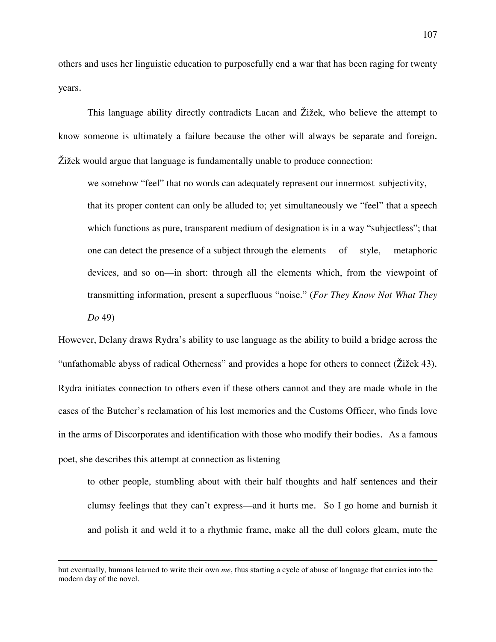others and uses her linguistic education to purposefully end a war that has been raging for twenty years.

 This language ability directly contradicts Lacan and Žižek, who believe the attempt to know someone is ultimately a failure because the other will always be separate and foreign. Žižek would argue that language is fundamentally unable to produce connection:

we somehow "feel" that no words can adequately represent our innermost subjectivity, that its proper content can only be alluded to; yet simultaneously we "feel" that a speech which functions as pure, transparent medium of designation is in a way "subjectless"; that one can detect the presence of a subject through the elements of style, metaphoric devices, and so on—in short: through all the elements which, from the viewpoint of transmitting information, present a superfluous "noise." (*For They Know Not What They Do* 49)

However, Delany draws Rydra's ability to use language as the ability to build a bridge across the "unfathomable abyss of radical Otherness" and provides a hope for others to connect (Žižek 43). Rydra initiates connection to others even if these others cannot and they are made whole in the cases of the Butcher's reclamation of his lost memories and the Customs Officer, who finds love in the arms of Discorporates and identification with those who modify their bodies. As a famous poet, she describes this attempt at connection as listening

to other people, stumbling about with their half thoughts and half sentences and their clumsy feelings that they can't express—and it hurts me. So I go home and burnish it and polish it and weld it to a rhythmic frame, make all the dull colors gleam, mute the

1

but eventually, humans learned to write their own *me*, thus starting a cycle of abuse of language that carries into the modern day of the novel.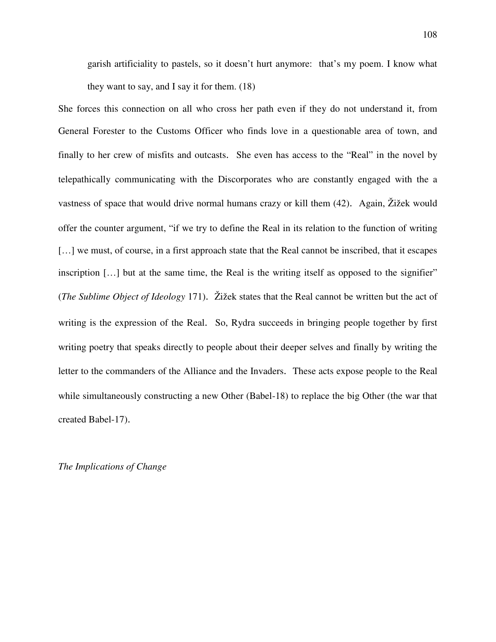garish artificiality to pastels, so it doesn't hurt anymore: that's my poem. I know what they want to say, and I say it for them. (18)

She forces this connection on all who cross her path even if they do not understand it, from General Forester to the Customs Officer who finds love in a questionable area of town, and finally to her crew of misfits and outcasts. She even has access to the "Real" in the novel by telepathically communicating with the Discorporates who are constantly engaged with the a vastness of space that would drive normal humans crazy or kill them (42). Again, Žižek would offer the counter argument, "if we try to define the Real in its relation to the function of writing [...] we must, of course, in a first approach state that the Real cannot be inscribed, that it escapes inscription […] but at the same time, the Real is the writing itself as opposed to the signifier" (*The Sublime Object of Ideology* 171). Žižek states that the Real cannot be written but the act of writing is the expression of the Real. So, Rydra succeeds in bringing people together by first writing poetry that speaks directly to people about their deeper selves and finally by writing the letter to the commanders of the Alliance and the Invaders. These acts expose people to the Real while simultaneously constructing a new Other (Babel-18) to replace the big Other (the war that created Babel-17).

*The Implications of Change*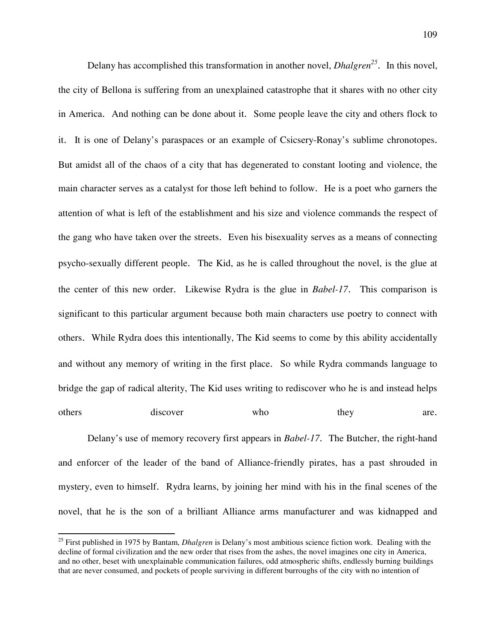Delany has accomplished this transformation in another novel, *Dhalgren<sup>25</sup>* . In this novel, the city of Bellona is suffering from an unexplained catastrophe that it shares with no other city in America. And nothing can be done about it. Some people leave the city and others flock to it. It is one of Delany's paraspaces or an example of Csicsery-Ronay's sublime chronotopes. But amidst all of the chaos of a city that has degenerated to constant looting and violence, the main character serves as a catalyst for those left behind to follow. He is a poet who garners the attention of what is left of the establishment and his size and violence commands the respect of the gang who have taken over the streets. Even his bisexuality serves as a means of connecting psycho-sexually different people. The Kid, as he is called throughout the novel, is the glue at the center of this new order. Likewise Rydra is the glue in *Babel-17*. This comparison is significant to this particular argument because both main characters use poetry to connect with others. While Rydra does this intentionally, The Kid seems to come by this ability accidentally and without any memory of writing in the first place. So while Rydra commands language to bridge the gap of radical alterity, The Kid uses writing to rediscover who he is and instead helps others discover who they are.

 Delany's use of memory recovery first appears in *Babel-17*. The Butcher, the right-hand and enforcer of the leader of the band of Alliance-friendly pirates, has a past shrouded in mystery, even to himself. Rydra learns, by joining her mind with his in the final scenes of the novel, that he is the son of a brilliant Alliance arms manufacturer and was kidnapped and

1

<sup>&</sup>lt;sup>25</sup> First published in 1975 by Bantam, *Dhalgren* is Delany's most ambitious science fiction work. Dealing with the decline of formal civilization and the new order that rises from the ashes, the novel imagines one city in America, and no other, beset with unexplainable communication failures, odd atmospheric shifts, endlessly burning buildings that are never consumed, and pockets of people surviving in different burroughs of the city with no intention of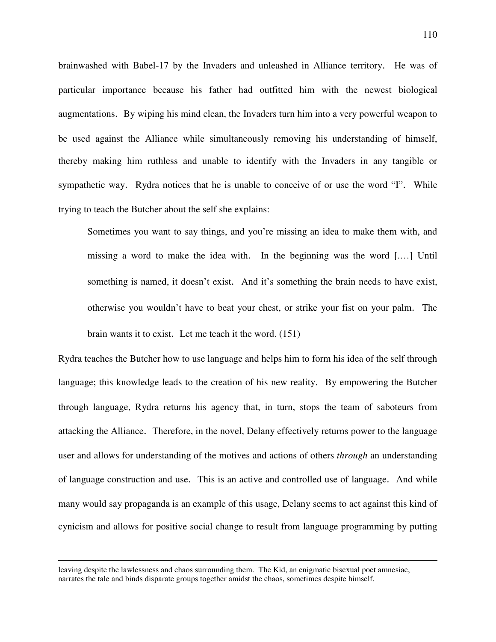brainwashed with Babel-17 by the Invaders and unleashed in Alliance territory. He was of particular importance because his father had outfitted him with the newest biological augmentations. By wiping his mind clean, the Invaders turn him into a very powerful weapon to be used against the Alliance while simultaneously removing his understanding of himself, thereby making him ruthless and unable to identify with the Invaders in any tangible or sympathetic way. Rydra notices that he is unable to conceive of or use the word "I". While trying to teach the Butcher about the self she explains:

Sometimes you want to say things, and you're missing an idea to make them with, and missing a word to make the idea with. In the beginning was the word [.…] Until something is named, it doesn't exist. And it's something the brain needs to have exist, otherwise you wouldn't have to beat your chest, or strike your fist on your palm. The brain wants it to exist. Let me teach it the word. (151)

Rydra teaches the Butcher how to use language and helps him to form his idea of the self through language; this knowledge leads to the creation of his new reality. By empowering the Butcher through language, Rydra returns his agency that, in turn, stops the team of saboteurs from attacking the Alliance. Therefore, in the novel, Delany effectively returns power to the language user and allows for understanding of the motives and actions of others *through* an understanding of language construction and use. This is an active and controlled use of language. And while many would say propaganda is an example of this usage, Delany seems to act against this kind of cynicism and allows for positive social change to result from language programming by putting

 $\overline{a}$ 

leaving despite the lawlessness and chaos surrounding them. The Kid, an enigmatic bisexual poet amnesiac, narrates the tale and binds disparate groups together amidst the chaos, sometimes despite himself.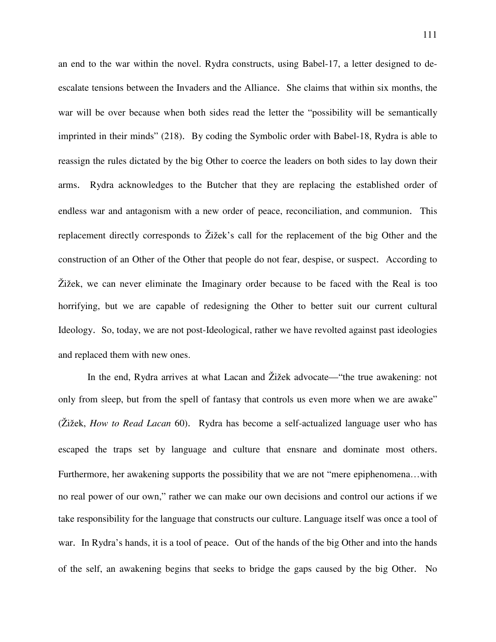an end to the war within the novel. Rydra constructs, using Babel-17, a letter designed to deescalate tensions between the Invaders and the Alliance. She claims that within six months, the war will be over because when both sides read the letter the "possibility will be semantically imprinted in their minds" (218). By coding the Symbolic order with Babel-18, Rydra is able to reassign the rules dictated by the big Other to coerce the leaders on both sides to lay down their arms. Rydra acknowledges to the Butcher that they are replacing the established order of endless war and antagonism with a new order of peace, reconciliation, and communion. This replacement directly corresponds to Žižek's call for the replacement of the big Other and the construction of an Other of the Other that people do not fear, despise, or suspect. According to Žižek, we can never eliminate the Imaginary order because to be faced with the Real is too horrifying, but we are capable of redesigning the Other to better suit our current cultural Ideology. So, today, we are not post-Ideological, rather we have revolted against past ideologies and replaced them with new ones.

In the end, Rydra arrives at what Lacan and Žižek advocate—"the true awakening: not only from sleep, but from the spell of fantasy that controls us even more when we are awake" (Žižek, *How to Read Lacan* 60). Rydra has become a self-actualized language user who has escaped the traps set by language and culture that ensnare and dominate most others. Furthermore, her awakening supports the possibility that we are not "mere epiphenomena...with no real power of our own," rather we can make our own decisions and control our actions if we take responsibility for the language that constructs our culture. Language itself was once a tool of war. In Rydra's hands, it is a tool of peace. Out of the hands of the big Other and into the hands of the self, an awakening begins that seeks to bridge the gaps caused by the big Other. No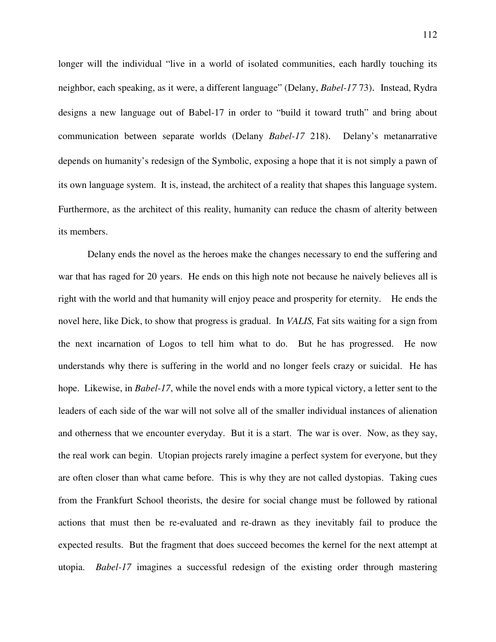longer will the individual "live in a world of isolated communities, each hardly touching its neighbor, each speaking, as it were, a different language" (Delany, *Babel-17* 73). Instead, Rydra designs a new language out of Babel-17 in order to "build it toward truth" and bring about communication between separate worlds (Delany *Babel-17* 218). Delany's metanarrative depends on humanity's redesign of the Symbolic, exposing a hope that it is not simply a pawn of its own language system. It is, instead, the architect of a reality that shapes this language system. Furthermore, as the architect of this reality, humanity can reduce the chasm of alterity between its members.

Delany ends the novel as the heroes make the changes necessary to end the suffering and war that has raged for 20 years. He ends on this high note not because he naively believes all is right with the world and that humanity will enjoy peace and prosperity for eternity. He ends the novel here, like Dick, to show that progress is gradual. In *VALIS,* Fat sits waiting for a sign from the next incarnation of Logos to tell him what to do. But he has progressed. He now understands why there is suffering in the world and no longer feels crazy or suicidal. He has hope. Likewise, in *Babel-17*, while the novel ends with a more typical victory, a letter sent to the leaders of each side of the war will not solve all of the smaller individual instances of alienation and otherness that we encounter everyday. But it is a start. The war is over. Now, as they say, the real work can begin. Utopian projects rarely imagine a perfect system for everyone, but they are often closer than what came before. This is why they are not called dystopias. Taking cues from the Frankfurt School theorists, the desire for social change must be followed by rational actions that must then be re-evaluated and re-drawn as they inevitably fail to produce the expected results. But the fragment that does succeed becomes the kernel for the next attempt at utopia. *Babel-17* imagines a successful redesign of the existing order through mastering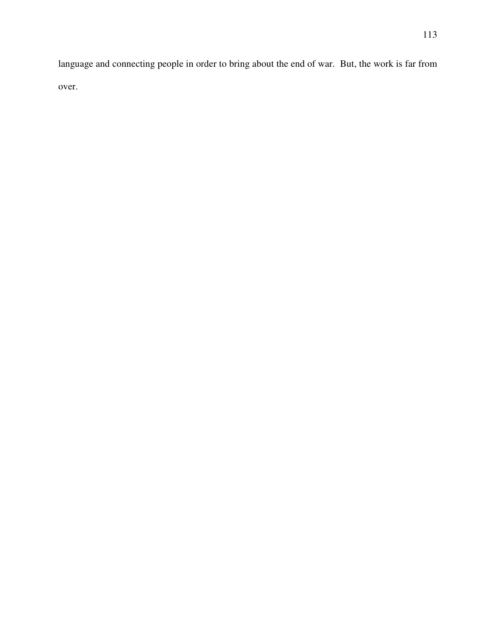language and connecting people in order to bring about the end of war. But, the work is far from over.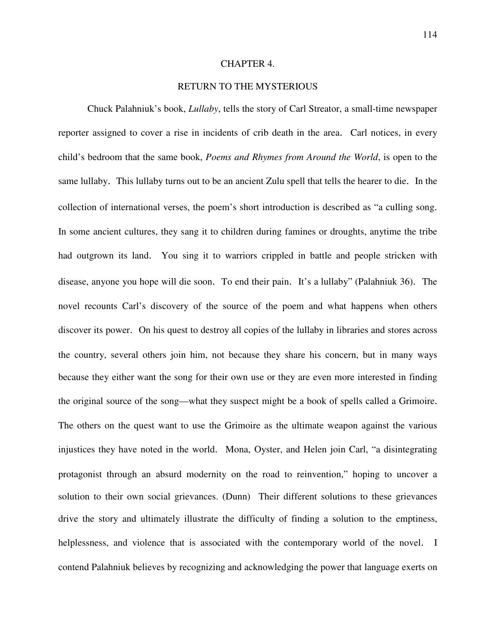## CHAPTER 4.

## RETURN TO THE MYSTERIOUS

 Chuck Palahniuk's book, *Lullaby*, tells the story of Carl Streator, a small-time newspaper reporter assigned to cover a rise in incidents of crib death in the area. Carl notices, in every child's bedroom that the same book, *Poems and Rhymes from Around the World*, is open to the same lullaby. This lullaby turns out to be an ancient Zulu spell that tells the hearer to die. In the collection of international verses, the poem's short introduction is described as "a culling song. In some ancient cultures, they sang it to children during famines or droughts, anytime the tribe had outgrown its land. You sing it to warriors crippled in battle and people stricken with disease, anyone you hope will die soon. To end their pain. It's a lullaby" (Palahniuk 36). The novel recounts Carl's discovery of the source of the poem and what happens when others discover its power. On his quest to destroy all copies of the lullaby in libraries and stores across the country, several others join him, not because they share his concern, but in many ways because they either want the song for their own use or they are even more interested in finding the original source of the song—what they suspect might be a book of spells called a Grimoire. The others on the quest want to use the Grimoire as the ultimate weapon against the various injustices they have noted in the world. Mona, Oyster, and Helen join Carl, "a disintegrating protagonist through an absurd modernity on the road to reinvention," hoping to uncover a solution to their own social grievances. (Dunn) Their different solutions to these grievances drive the story and ultimately illustrate the difficulty of finding a solution to the emptiness, helplessness, and violence that is associated with the contemporary world of the novel. I contend Palahniuk believes by recognizing and acknowledging the power that language exerts on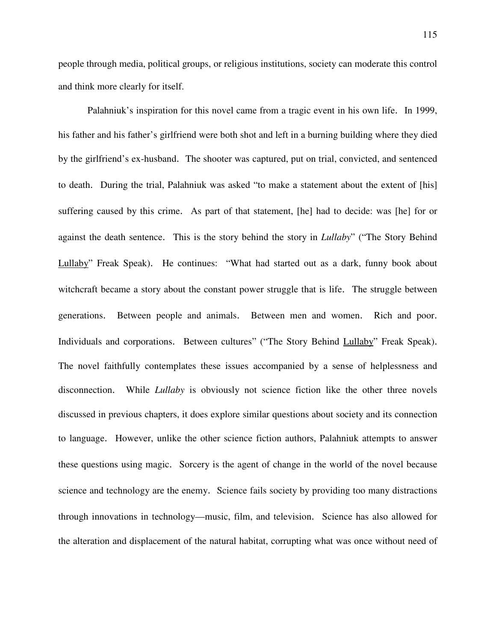people through media, political groups, or religious institutions, society can moderate this control and think more clearly for itself.

 Palahniuk's inspiration for this novel came from a tragic event in his own life. In 1999, his father and his father's girlfriend were both shot and left in a burning building where they died by the girlfriend's ex-husband. The shooter was captured, put on trial, convicted, and sentenced to death. During the trial, Palahniuk was asked "to make a statement about the extent of [his] suffering caused by this crime. As part of that statement, [he] had to decide: was [he] for or against the death sentence. This is the story behind the story in *Lullaby*" ("The Story Behind Lullaby" Freak Speak). He continues: "What had started out as a dark, funny book about witchcraft became a story about the constant power struggle that is life. The struggle between generations. Between people and animals. Between men and women. Rich and poor. Individuals and corporations. Between cultures" ("The Story Behind Lullaby" Freak Speak). The novel faithfully contemplates these issues accompanied by a sense of helplessness and disconnection. While *Lullaby* is obviously not science fiction like the other three novels discussed in previous chapters, it does explore similar questions about society and its connection to language. However, unlike the other science fiction authors, Palahniuk attempts to answer these questions using magic. Sorcery is the agent of change in the world of the novel because science and technology are the enemy. Science fails society by providing too many distractions through innovations in technology—music, film, and television. Science has also allowed for the alteration and displacement of the natural habitat, corrupting what was once without need of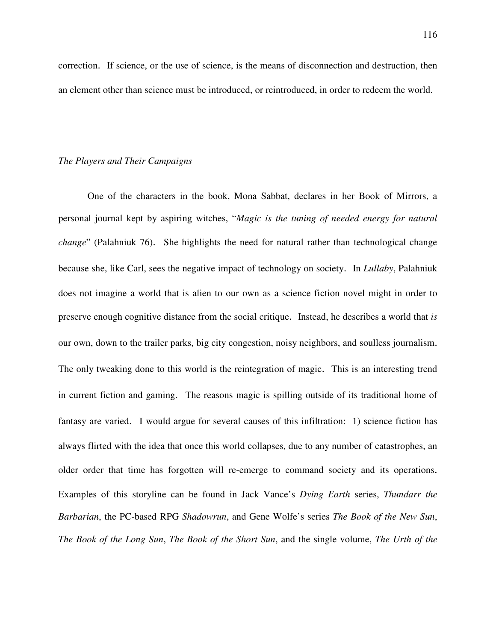correction. If science, or the use of science, is the means of disconnection and destruction, then an element other than science must be introduced, or reintroduced, in order to redeem the world.

## *The Players and Their Campaigns*

One of the characters in the book, Mona Sabbat, declares in her Book of Mirrors, a personal journal kept by aspiring witches, "*Magic is the tuning of needed energy for natural change*" (Palahniuk 76). She highlights the need for natural rather than technological change because she, like Carl, sees the negative impact of technology on society. In *Lullaby*, Palahniuk does not imagine a world that is alien to our own as a science fiction novel might in order to preserve enough cognitive distance from the social critique. Instead, he describes a world that *is* our own, down to the trailer parks, big city congestion, noisy neighbors, and soulless journalism. The only tweaking done to this world is the reintegration of magic. This is an interesting trend in current fiction and gaming. The reasons magic is spilling outside of its traditional home of fantasy are varied. I would argue for several causes of this infiltration: 1) science fiction has always flirted with the idea that once this world collapses, due to any number of catastrophes, an older order that time has forgotten will re-emerge to command society and its operations. Examples of this storyline can be found in Jack Vance's *Dying Earth* series, *Thundarr the Barbarian*, the PC-based RPG *Shadowrun*, and Gene Wolfe's series *The Book of the New Sun*, *The Book of the Long Sun*, *The Book of the Short Sun*, and the single volume, *The Urth of the*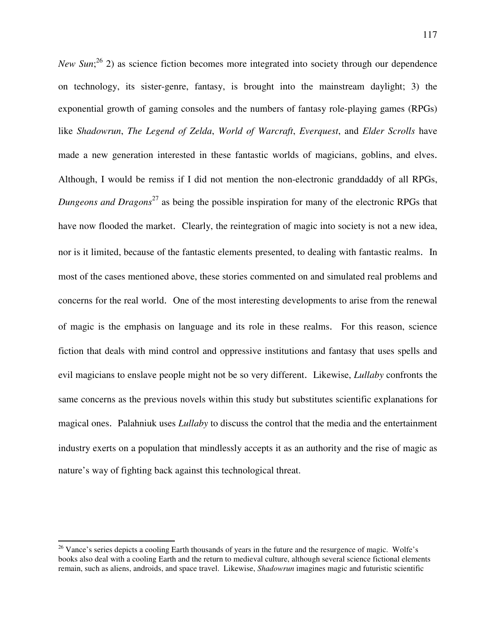*New Sun*;<sup>26</sup> 2) as science fiction becomes more integrated into society through our dependence on technology, its sister-genre, fantasy, is brought into the mainstream daylight; 3) the exponential growth of gaming consoles and the numbers of fantasy role-playing games (RPGs) like *Shadowrun*, *The Legend of Zelda*, *World of Warcraft*, *Everquest*, and *Elder Scrolls* have made a new generation interested in these fantastic worlds of magicians, goblins, and elves. Although, I would be remiss if I did not mention the non-electronic granddaddy of all RPGs, *Dungeons and Dragons*<sup>27</sup> as being the possible inspiration for many of the electronic RPGs that have now flooded the market. Clearly, the reintegration of magic into society is not a new idea, nor is it limited, because of the fantastic elements presented, to dealing with fantastic realms. In most of the cases mentioned above, these stories commented on and simulated real problems and concerns for the real world. One of the most interesting developments to arise from the renewal of magic is the emphasis on language and its role in these realms. For this reason, science fiction that deals with mind control and oppressive institutions and fantasy that uses spells and evil magicians to enslave people might not be so very different. Likewise, *Lullaby* confronts the same concerns as the previous novels within this study but substitutes scientific explanations for magical ones. Palahniuk uses *Lullaby* to discuss the control that the media and the entertainment industry exerts on a population that mindlessly accepts it as an authority and the rise of magic as nature's way of fighting back against this technological threat.

 $\overline{a}$ 

 $26$  Vance's series depicts a cooling Earth thousands of years in the future and the resurgence of magic. Wolfe's books also deal with a cooling Earth and the return to medieval culture, although several science fictional elements remain, such as aliens, androids, and space travel. Likewise, *Shadowrun* imagines magic and futuristic scientific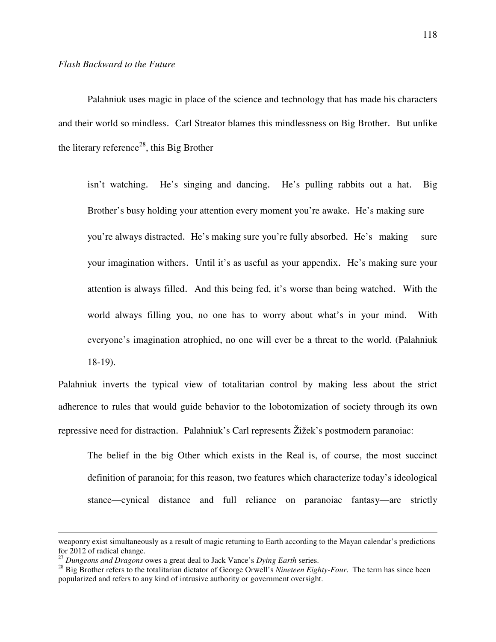Palahniuk uses magic in place of the science and technology that has made his characters and their world so mindless. Carl Streator blames this mindlessness on Big Brother. But unlike the literary reference<sup>28</sup>, this Big Brother

 isn't watching. He's singing and dancing. He's pulling rabbits out a hat. Big Brother's busy holding your attention every moment you're awake. He's making sure you're always distracted. He's making sure you're fully absorbed. He's making sure your imagination withers. Until it's as useful as your appendix. He's making sure your attention is always filled. And this being fed, it's worse than being watched. With the world always filling you, no one has to worry about what's in your mind. With everyone's imagination atrophied, no one will ever be a threat to the world. (Palahniuk 18-19).

Palahniuk inverts the typical view of totalitarian control by making less about the strict adherence to rules that would guide behavior to the lobotomization of society through its own repressive need for distraction. Palahniuk's Carl represents Žižek's postmodern paranoiac:

 The belief in the big Other which exists in the Real is, of course, the most succinct definition of paranoia; for this reason, two features which characterize today's ideological stance—cynical distance and full reliance on paranoiac fantasy—are strictly

<u>.</u>

weaponry exist simultaneously as a result of magic returning to Earth according to the Mayan calendar's predictions for 2012 of radical change.

<sup>27</sup> *Dungeons and Dragons* owes a great deal to Jack Vance's *Dying Earth* series.

<sup>&</sup>lt;sup>28</sup> Big Brother refers to the totalitarian dictator of George Orwell's *Nineteen Eighty-Four*. The term has since been popularized and refers to any kind of intrusive authority or government oversight.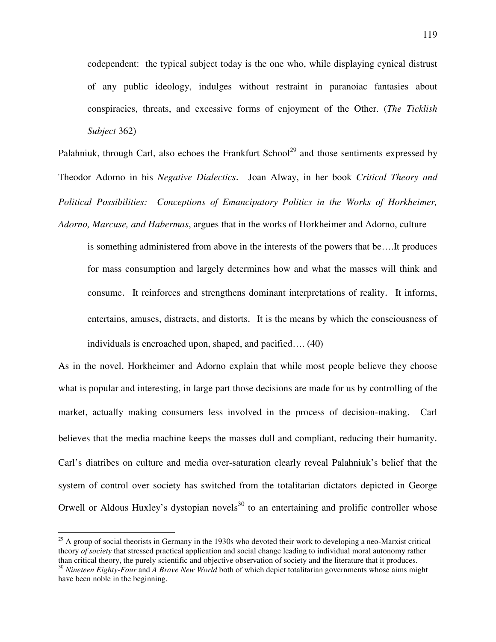codependent: the typical subject today is the one who, while displaying cynical distrust of any public ideology, indulges without restraint in paranoiac fantasies about conspiracies, threats, and excessive forms of enjoyment of the Other. (*The Ticklish Subject* 362)

Palahniuk, through Carl, also echoes the Frankfurt School<sup>29</sup> and those sentiments expressed by Theodor Adorno in his *Negative Dialectics*. Joan Alway, in her book *Critical Theory and Political Possibilities: Conceptions of Emancipatory Politics in the Works of Horkheimer, Adorno, Marcuse, and Habermas*, argues that in the works of Horkheimer and Adorno, culture

is something administered from above in the interests of the powers that be….It produces for mass consumption and largely determines how and what the masses will think and consume. It reinforces and strengthens dominant interpretations of reality. It informs, entertains, amuses, distracts, and distorts. It is the means by which the consciousness of individuals is encroached upon, shaped, and pacified…. (40)

As in the novel, Horkheimer and Adorno explain that while most people believe they choose what is popular and interesting, in large part those decisions are made for us by controlling of the market, actually making consumers less involved in the process of decision-making. Carl believes that the media machine keeps the masses dull and compliant, reducing their humanity. Carl's diatribes on culture and media over-saturation clearly reveal Palahniuk's belief that the system of control over society has switched from the totalitarian dictators depicted in George Orwell or Aldous Huxley's dystopian novels<sup>30</sup> to an entertaining and prolific controller whose

1

 $^{29}$  A group of social theorists in Germany in the 1930s who devoted their work to developing a neo-Marxist critical theory *of society* that stressed practical application and social change leading to individual moral autonomy rather than critical theory, the purely scientific and objective observation of society and the literature that it produces. <sup>30</sup> Nineteen Eighty-Four and *A Brave New World* both of which depict totalitarian governments whose aims might

have been noble in the beginning.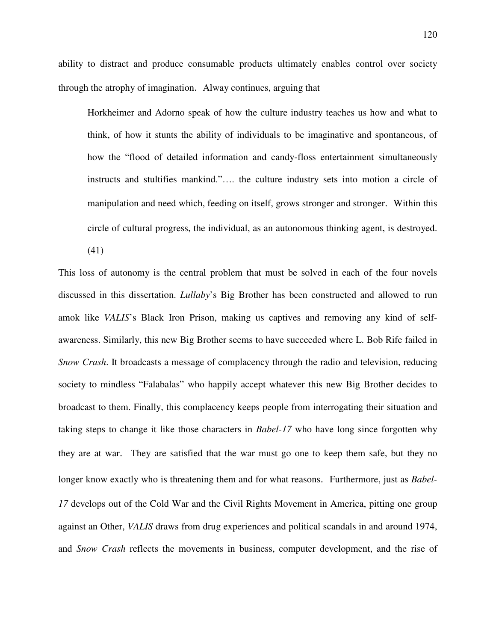ability to distract and produce consumable products ultimately enables control over society through the atrophy of imagination. Alway continues, arguing that

Horkheimer and Adorno speak of how the culture industry teaches us how and what to think, of how it stunts the ability of individuals to be imaginative and spontaneous, of how the "flood of detailed information and candy-floss entertainment simultaneously instructs and stultifies mankind."…. the culture industry sets into motion a circle of manipulation and need which, feeding on itself, grows stronger and stronger. Within this circle of cultural progress, the individual, as an autonomous thinking agent, is destroyed.

(41)

This loss of autonomy is the central problem that must be solved in each of the four novels discussed in this dissertation. *Lullaby*'s Big Brother has been constructed and allowed to run amok like *VALIS*'s Black Iron Prison, making us captives and removing any kind of selfawareness. Similarly, this new Big Brother seems to have succeeded where L. Bob Rife failed in *Snow Crash*. It broadcasts a message of complacency through the radio and television, reducing society to mindless "Falabalas" who happily accept whatever this new Big Brother decides to broadcast to them. Finally, this complacency keeps people from interrogating their situation and taking steps to change it like those characters in *Babel-17* who have long since forgotten why they are at war. They are satisfied that the war must go one to keep them safe, but they no longer know exactly who is threatening them and for what reasons. Furthermore, just as *Babel-17* develops out of the Cold War and the Civil Rights Movement in America, pitting one group against an Other, *VALIS* draws from drug experiences and political scandals in and around 1974, and *Snow Crash* reflects the movements in business, computer development, and the rise of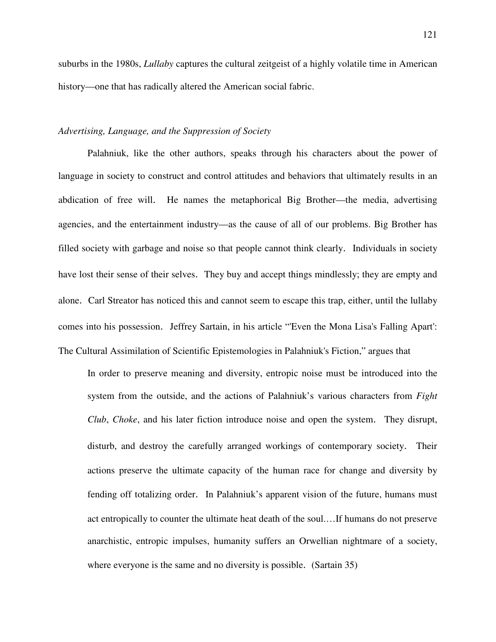suburbs in the 1980s, *Lullaby* captures the cultural zeitgeist of a highly volatile time in American history—one that has radically altered the American social fabric.

## *Advertising, Language, and the Suppression of Society*

Palahniuk, like the other authors, speaks through his characters about the power of language in society to construct and control attitudes and behaviors that ultimately results in an abdication of free will. He names the metaphorical Big Brother—the media, advertising agencies, and the entertainment industry—as the cause of all of our problems. Big Brother has filled society with garbage and noise so that people cannot think clearly. Individuals in society have lost their sense of their selves. They buy and accept things mindlessly; they are empty and alone. Carl Streator has noticed this and cannot seem to escape this trap, either, until the lullaby comes into his possession. Jeffrey Sartain, in his article "'Even the Mona Lisa's Falling Apart': The Cultural Assimilation of Scientific Epistemologies in Palahniuk's Fiction," argues that

In order to preserve meaning and diversity, entropic noise must be introduced into the system from the outside, and the actions of Palahniuk's various characters from *Fight Club*, *Choke*, and his later fiction introduce noise and open the system. They disrupt, disturb, and destroy the carefully arranged workings of contemporary society. Their actions preserve the ultimate capacity of the human race for change and diversity by fending off totalizing order. In Palahniuk's apparent vision of the future, humans must act entropically to counter the ultimate heat death of the soul.…If humans do not preserve anarchistic, entropic impulses, humanity suffers an Orwellian nightmare of a society, where everyone is the same and no diversity is possible. (Sartain 35)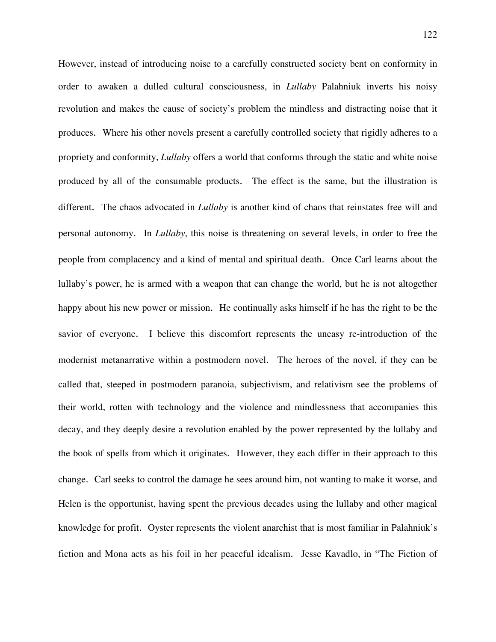However, instead of introducing noise to a carefully constructed society bent on conformity in order to awaken a dulled cultural consciousness, in *Lullaby* Palahniuk inverts his noisy revolution and makes the cause of society's problem the mindless and distracting noise that it produces. Where his other novels present a carefully controlled society that rigidly adheres to a propriety and conformity, *Lullaby* offers a world that conforms through the static and white noise produced by all of the consumable products. The effect is the same, but the illustration is different. The chaos advocated in *Lullaby* is another kind of chaos that reinstates free will and personal autonomy. In *Lullaby*, this noise is threatening on several levels, in order to free the people from complacency and a kind of mental and spiritual death. Once Carl learns about the lullaby's power, he is armed with a weapon that can change the world, but he is not altogether happy about his new power or mission. He continually asks himself if he has the right to be the savior of everyone. I believe this discomfort represents the uneasy re-introduction of the modernist metanarrative within a postmodern novel. The heroes of the novel, if they can be called that, steeped in postmodern paranoia, subjectivism, and relativism see the problems of their world, rotten with technology and the violence and mindlessness that accompanies this decay, and they deeply desire a revolution enabled by the power represented by the lullaby and the book of spells from which it originates. However, they each differ in their approach to this change. Carl seeks to control the damage he sees around him, not wanting to make it worse, and Helen is the opportunist, having spent the previous decades using the lullaby and other magical knowledge for profit. Oyster represents the violent anarchist that is most familiar in Palahniuk's fiction and Mona acts as his foil in her peaceful idealism. Jesse Kavadlo, in "The Fiction of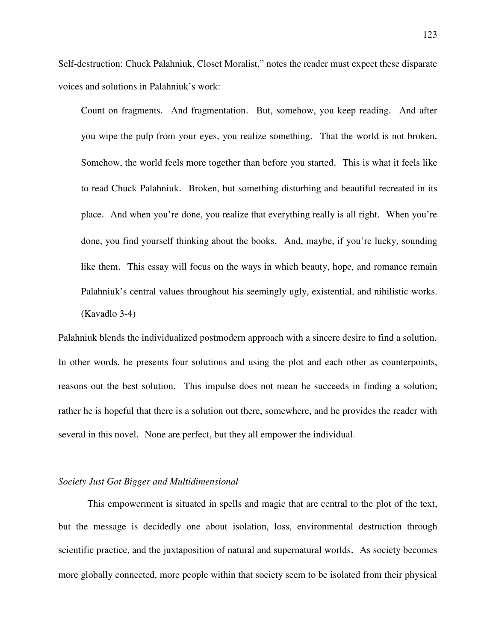Self-destruction: Chuck Palahniuk, Closet Moralist," notes the reader must expect these disparate voices and solutions in Palahniuk's work:

Count on fragments. And fragmentation. But, somehow, you keep reading. And after you wipe the pulp from your eyes, you realize something. That the world is not broken. Somehow, the world feels more together than before you started. This is what it feels like to read Chuck Palahniuk. Broken, but something disturbing and beautiful recreated in its place. And when you're done, you realize that everything really is all right. When you're done, you find yourself thinking about the books. And, maybe, if you're lucky, sounding like them. This essay will focus on the ways in which beauty, hope, and romance remain Palahniuk's central values throughout his seemingly ugly, existential, and nihilistic works. (Kavadlo 3-4)

Palahniuk blends the individualized postmodern approach with a sincere desire to find a solution. In other words, he presents four solutions and using the plot and each other as counterpoints, reasons out the best solution. This impulse does not mean he succeeds in finding a solution; rather he is hopeful that there is a solution out there, somewhere, and he provides the reader with several in this novel. None are perfect, but they all empower the individual.

## *Society Just Got Bigger and Multidimensional*

This empowerment is situated in spells and magic that are central to the plot of the text, but the message is decidedly one about isolation, loss, environmental destruction through scientific practice, and the juxtaposition of natural and supernatural worlds. As society becomes more globally connected, more people within that society seem to be isolated from their physical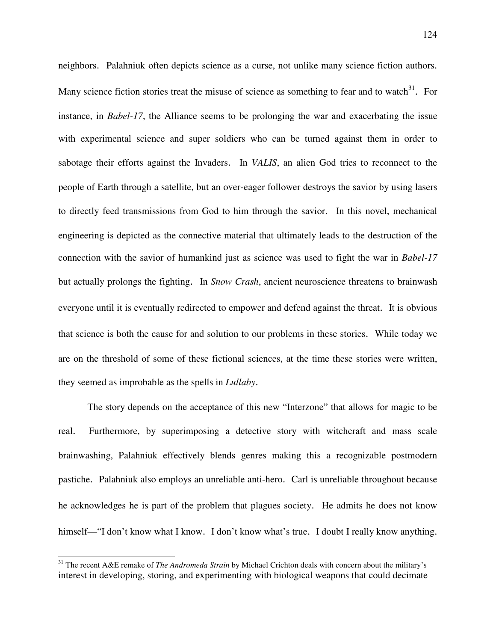neighbors. Palahniuk often depicts science as a curse, not unlike many science fiction authors. Many science fiction stories treat the misuse of science as something to fear and to watch $31$ . For instance, in *Babel-17*, the Alliance seems to be prolonging the war and exacerbating the issue with experimental science and super soldiers who can be turned against them in order to sabotage their efforts against the Invaders. In *VALIS*, an alien God tries to reconnect to the people of Earth through a satellite, but an over-eager follower destroys the savior by using lasers to directly feed transmissions from God to him through the savior. In this novel, mechanical engineering is depicted as the connective material that ultimately leads to the destruction of the connection with the savior of humankind just as science was used to fight the war in *Babel-17* but actually prolongs the fighting. In *Snow Crash*, ancient neuroscience threatens to brainwash everyone until it is eventually redirected to empower and defend against the threat. It is obvious that science is both the cause for and solution to our problems in these stories. While today we are on the threshold of some of these fictional sciences, at the time these stories were written, they seemed as improbable as the spells in *Lullaby*.

 The story depends on the acceptance of this new "Interzone" that allows for magic to be real. Furthermore, by superimposing a detective story with witchcraft and mass scale brainwashing, Palahniuk effectively blends genres making this a recognizable postmodern pastiche. Palahniuk also employs an unreliable anti-hero. Carl is unreliable throughout because he acknowledges he is part of the problem that plagues society. He admits he does not know himself—"I don't know what I know. I don't know what's true. I doubt I really know anything.

<u>.</u>

<sup>31</sup> The recent A&E remake of *The Andromeda Strain* by Michael Crichton deals with concern about the military's interest in developing, storing, and experimenting with biological weapons that could decimate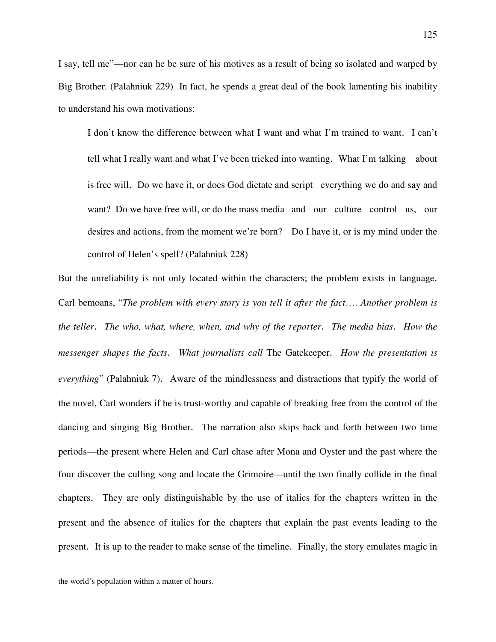I say, tell me"—nor can he be sure of his motives as a result of being so isolated and warped by Big Brother. (Palahniuk 229) In fact, he spends a great deal of the book lamenting his inability to understand his own motivations:

 I don't know the difference between what I want and what I'm trained to want. I can't tell what I really want and what I've been tricked into wanting. What I'm talking about is free will. Do we have it, or does God dictate and script everything we do and say and want? Do we have free will, or do the mass media and our culture control us, our desires and actions, from the moment we're born? Do I have it, or is my mind under the control of Helen's spell? (Palahniuk 228)

But the unreliability is not only located within the characters; the problem exists in language. Carl bemoans, "*The problem with every story is you tell it after the fact*…. *Another problem is the teller*. *The who, what, where, when, and why of the reporter*. *The media bias*. *How the messenger shapes the facts*. *What journalists call* The Gatekeeper. *How the presentation is everything*" (Palahniuk 7). Aware of the mindlessness and distractions that typify the world of the novel, Carl wonders if he is trust-worthy and capable of breaking free from the control of the dancing and singing Big Brother. The narration also skips back and forth between two time periods—the present where Helen and Carl chase after Mona and Oyster and the past where the four discover the culling song and locate the Grimoire—until the two finally collide in the final chapters. They are only distinguishable by the use of italics for the chapters written in the present and the absence of italics for the chapters that explain the past events leading to the present. It is up to the reader to make sense of the timeline. Finally, the story emulates magic in

 $\overline{a}$ 

the world's population within a matter of hours.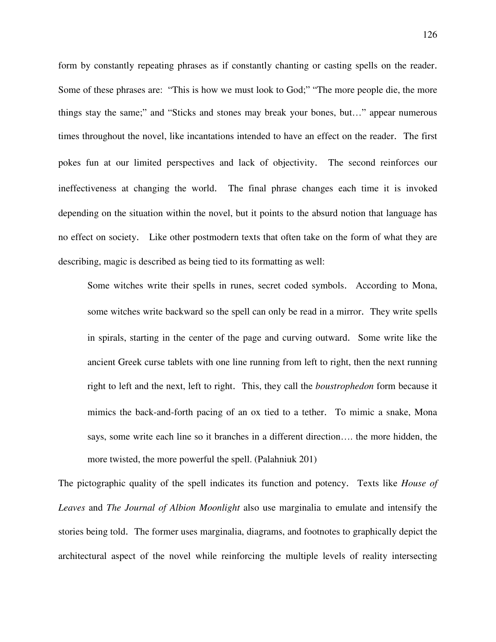form by constantly repeating phrases as if constantly chanting or casting spells on the reader. Some of these phrases are: "This is how we must look to God;" "The more people die, the more things stay the same;" and "Sticks and stones may break your bones, but…" appear numerous times throughout the novel, like incantations intended to have an effect on the reader. The first pokes fun at our limited perspectives and lack of objectivity. The second reinforces our ineffectiveness at changing the world. The final phrase changes each time it is invoked depending on the situation within the novel, but it points to the absurd notion that language has no effect on society. Like other postmodern texts that often take on the form of what they are describing, magic is described as being tied to its formatting as well:

 Some witches write their spells in runes, secret coded symbols. According to Mona, some witches write backward so the spell can only be read in a mirror. They write spells in spirals, starting in the center of the page and curving outward. Some write like the ancient Greek curse tablets with one line running from left to right, then the next running right to left and the next, left to right. This, they call the *boustrophedon* form because it mimics the back-and-forth pacing of an ox tied to a tether. To mimic a snake, Mona says, some write each line so it branches in a different direction…. the more hidden, the more twisted, the more powerful the spell. (Palahniuk 201)

The pictographic quality of the spell indicates its function and potency. Texts like *House of Leaves* and *The Journal of Albion Moonlight* also use marginalia to emulate and intensify the stories being told. The former uses marginalia, diagrams, and footnotes to graphically depict the architectural aspect of the novel while reinforcing the multiple levels of reality intersecting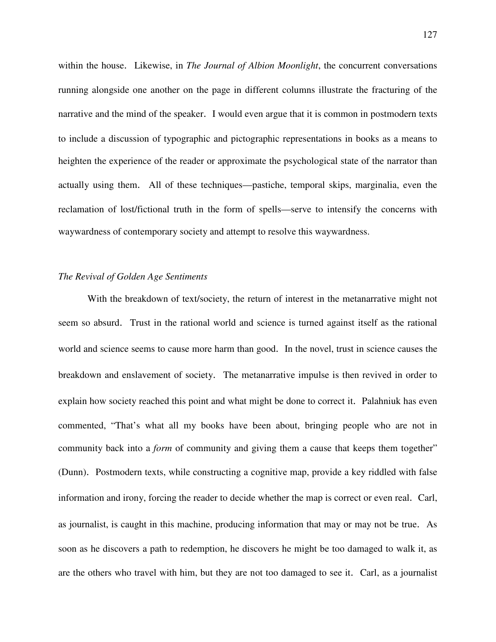within the house. Likewise, in *The Journal of Albion Moonlight*, the concurrent conversations running alongside one another on the page in different columns illustrate the fracturing of the narrative and the mind of the speaker. I would even argue that it is common in postmodern texts to include a discussion of typographic and pictographic representations in books as a means to heighten the experience of the reader or approximate the psychological state of the narrator than actually using them. All of these techniques—pastiche, temporal skips, marginalia, even the reclamation of lost/fictional truth in the form of spells—serve to intensify the concerns with waywardness of contemporary society and attempt to resolve this waywardness.

## *The Revival of Golden Age Sentiments*

With the breakdown of text/society, the return of interest in the metanarrative might not seem so absurd. Trust in the rational world and science is turned against itself as the rational world and science seems to cause more harm than good. In the novel, trust in science causes the breakdown and enslavement of society. The metanarrative impulse is then revived in order to explain how society reached this point and what might be done to correct it. Palahniuk has even commented, "That's what all my books have been about, bringing people who are not in community back into a *form* of community and giving them a cause that keeps them together" (Dunn). Postmodern texts, while constructing a cognitive map, provide a key riddled with false information and irony, forcing the reader to decide whether the map is correct or even real. Carl, as journalist, is caught in this machine, producing information that may or may not be true. As soon as he discovers a path to redemption, he discovers he might be too damaged to walk it, as are the others who travel with him, but they are not too damaged to see it. Carl, as a journalist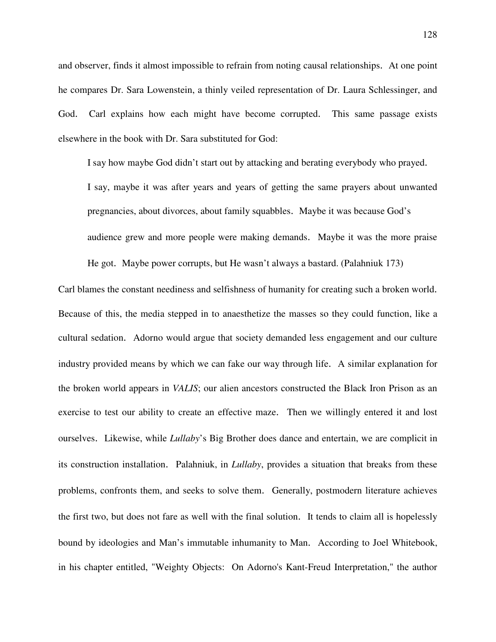and observer, finds it almost impossible to refrain from noting causal relationships. At one point he compares Dr. Sara Lowenstein, a thinly veiled representation of Dr. Laura Schlessinger, and God. Carl explains how each might have become corrupted. This same passage exists elsewhere in the book with Dr. Sara substituted for God:

I say how maybe God didn't start out by attacking and berating everybody who prayed.

I say, maybe it was after years and years of getting the same prayers about unwanted pregnancies, about divorces, about family squabbles. Maybe it was because God's audience grew and more people were making demands. Maybe it was the more praise

He got. Maybe power corrupts, but He wasn't always a bastard. (Palahniuk 173)

Carl blames the constant neediness and selfishness of humanity for creating such a broken world. Because of this, the media stepped in to anaesthetize the masses so they could function, like a cultural sedation. Adorno would argue that society demanded less engagement and our culture industry provided means by which we can fake our way through life. A similar explanation for the broken world appears in *VALIS*; our alien ancestors constructed the Black Iron Prison as an exercise to test our ability to create an effective maze. Then we willingly entered it and lost ourselves. Likewise, while *Lullaby*'s Big Brother does dance and entertain, we are complicit in its construction installation. Palahniuk, in *Lullaby*, provides a situation that breaks from these problems, confronts them, and seeks to solve them. Generally, postmodern literature achieves the first two, but does not fare as well with the final solution. It tends to claim all is hopelessly bound by ideologies and Man's immutable inhumanity to Man. According to Joel Whitebook, in his chapter entitled, "Weighty Objects: On Adorno's Kant-Freud Interpretation," the author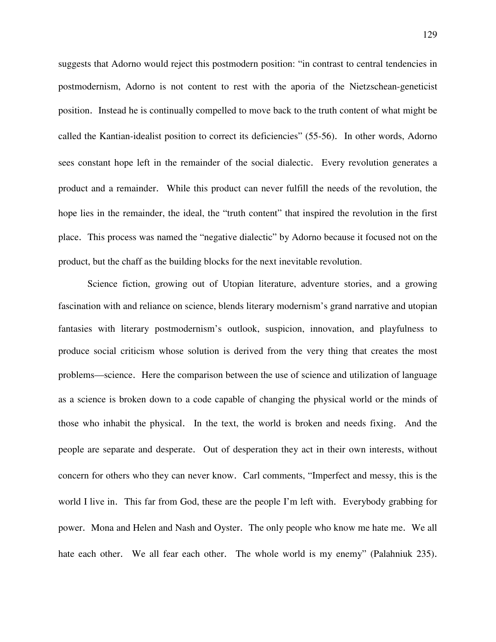suggests that Adorno would reject this postmodern position: "in contrast to central tendencies in postmodernism, Adorno is not content to rest with the aporia of the Nietzschean-geneticist position. Instead he is continually compelled to move back to the truth content of what might be called the Kantian-idealist position to correct its deficiencies" (55-56). In other words, Adorno sees constant hope left in the remainder of the social dialectic. Every revolution generates a product and a remainder. While this product can never fulfill the needs of the revolution, the hope lies in the remainder, the ideal, the "truth content" that inspired the revolution in the first place. This process was named the "negative dialectic" by Adorno because it focused not on the product, but the chaff as the building blocks for the next inevitable revolution.

Science fiction, growing out of Utopian literature, adventure stories, and a growing fascination with and reliance on science, blends literary modernism's grand narrative and utopian fantasies with literary postmodernism's outlook, suspicion, innovation, and playfulness to produce social criticism whose solution is derived from the very thing that creates the most problems—science. Here the comparison between the use of science and utilization of language as a science is broken down to a code capable of changing the physical world or the minds of those who inhabit the physical. In the text, the world is broken and needs fixing. And the people are separate and desperate. Out of desperation they act in their own interests, without concern for others who they can never know. Carl comments, "Imperfect and messy, this is the world I live in. This far from God, these are the people I'm left with. Everybody grabbing for power. Mona and Helen and Nash and Oyster. The only people who know me hate me. We all hate each other. We all fear each other. The whole world is my enemy" (Palahniuk 235).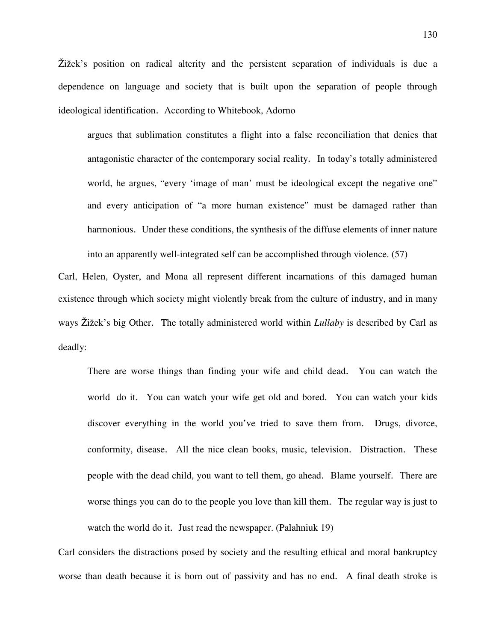Žižek's position on radical alterity and the persistent separation of individuals is due a dependence on language and society that is built upon the separation of people through ideological identification. According to Whitebook, Adorno

argues that sublimation constitutes a flight into a false reconciliation that denies that antagonistic character of the contemporary social reality. In today's totally administered world, he argues, "every 'image of man' must be ideological except the negative one" and every anticipation of "a more human existence" must be damaged rather than harmonious. Under these conditions, the synthesis of the diffuse elements of inner nature into an apparently well-integrated self can be accomplished through violence. (57)

Carl, Helen, Oyster, and Mona all represent different incarnations of this damaged human existence through which society might violently break from the culture of industry, and in many ways Žižek's big Other. The totally administered world within *Lullaby* is described by Carl as deadly:

 There are worse things than finding your wife and child dead. You can watch the world do it. You can watch your wife get old and bored. You can watch your kids discover everything in the world you've tried to save them from. Drugs, divorce, conformity, disease. All the nice clean books, music, television. Distraction. These people with the dead child, you want to tell them, go ahead. Blame yourself. There are worse things you can do to the people you love than kill them. The regular way is just to watch the world do it. Just read the newspaper. (Palahniuk 19)

Carl considers the distractions posed by society and the resulting ethical and moral bankruptcy worse than death because it is born out of passivity and has no end. A final death stroke is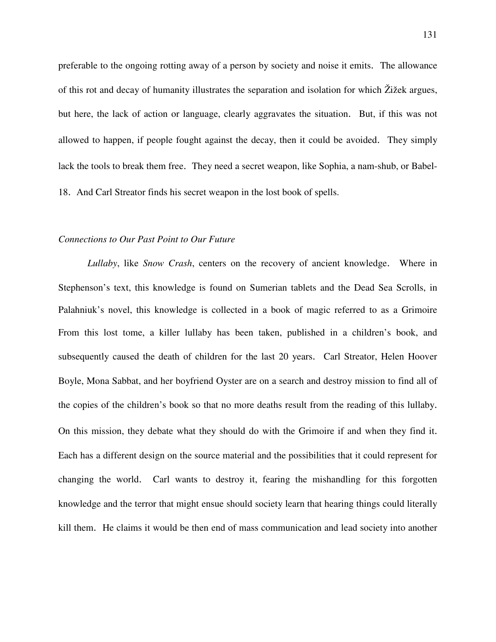preferable to the ongoing rotting away of a person by society and noise it emits. The allowance of this rot and decay of humanity illustrates the separation and isolation for which Žižek argues, but here, the lack of action or language, clearly aggravates the situation. But, if this was not allowed to happen, if people fought against the decay, then it could be avoided. They simply lack the tools to break them free. They need a secret weapon, like Sophia, a nam-shub, or Babel-18. And Carl Streator finds his secret weapon in the lost book of spells.

#### *Connections to Our Past Point to Our Future*

*Lullaby*, like *Snow Crash*, centers on the recovery of ancient knowledge. Where in Stephenson's text, this knowledge is found on Sumerian tablets and the Dead Sea Scrolls, in Palahniuk's novel, this knowledge is collected in a book of magic referred to as a Grimoire From this lost tome, a killer lullaby has been taken, published in a children's book, and subsequently caused the death of children for the last 20 years. Carl Streator, Helen Hoover Boyle, Mona Sabbat, and her boyfriend Oyster are on a search and destroy mission to find all of the copies of the children's book so that no more deaths result from the reading of this lullaby. On this mission, they debate what they should do with the Grimoire if and when they find it. Each has a different design on the source material and the possibilities that it could represent for changing the world. Carl wants to destroy it, fearing the mishandling for this forgotten knowledge and the terror that might ensue should society learn that hearing things could literally kill them. He claims it would be then end of mass communication and lead society into another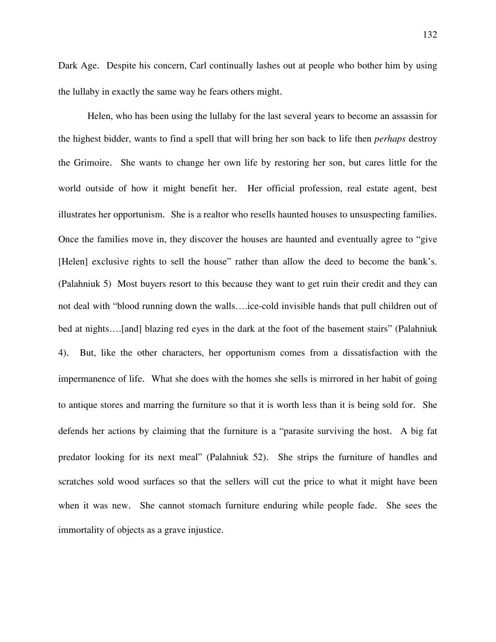Dark Age. Despite his concern, Carl continually lashes out at people who bother him by using the lullaby in exactly the same way he fears others might.

Helen, who has been using the lullaby for the last several years to become an assassin for the highest bidder, wants to find a spell that will bring her son back to life then *perhaps* destroy the Grimoire. She wants to change her own life by restoring her son, but cares little for the world outside of how it might benefit her. Her official profession, real estate agent, best illustrates her opportunism. She is a realtor who resells haunted houses to unsuspecting families. Once the families move in, they discover the houses are haunted and eventually agree to "give [Helen] exclusive rights to sell the house" rather than allow the deed to become the bank's. (Palahniuk 5) Most buyers resort to this because they want to get ruin their credit and they can not deal with "blood running down the walls….ice-cold invisible hands that pull children out of bed at nights….[and] blazing red eyes in the dark at the foot of the basement stairs" (Palahniuk 4). But, like the other characters, her opportunism comes from a dissatisfaction with the impermanence of life. What she does with the homes she sells is mirrored in her habit of going to antique stores and marring the furniture so that it is worth less than it is being sold for. She defends her actions by claiming that the furniture is a "parasite surviving the host. A big fat predator looking for its next meal" (Palahniuk 52). She strips the furniture of handles and scratches sold wood surfaces so that the sellers will cut the price to what it might have been when it was new. She cannot stomach furniture enduring while people fade. She sees the immortality of objects as a grave injustice.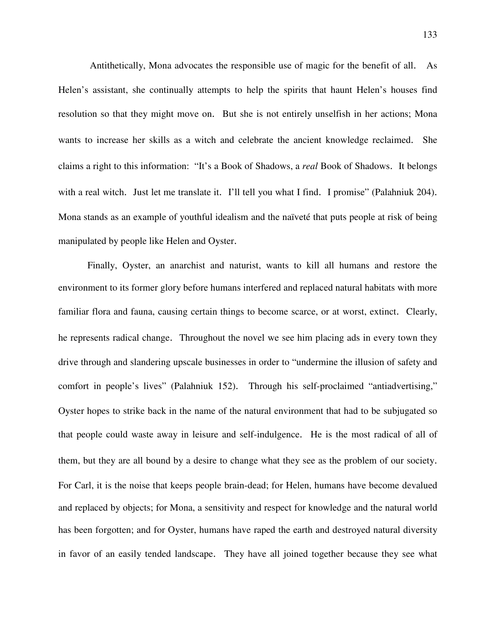Antithetically, Mona advocates the responsible use of magic for the benefit of all. As Helen's assistant, she continually attempts to help the spirits that haunt Helen's houses find resolution so that they might move on. But she is not entirely unselfish in her actions; Mona wants to increase her skills as a witch and celebrate the ancient knowledge reclaimed. She claims a right to this information: "It's a Book of Shadows, a *real* Book of Shadows. It belongs with a real witch. Just let me translate it. I'll tell you what I find. I promise" (Palahniuk 204). Mona stands as an example of youthful idealism and the naïveté that puts people at risk of being manipulated by people like Helen and Oyster.

Finally, Oyster, an anarchist and naturist, wants to kill all humans and restore the environment to its former glory before humans interfered and replaced natural habitats with more familiar flora and fauna, causing certain things to become scarce, or at worst, extinct. Clearly, he represents radical change. Throughout the novel we see him placing ads in every town they drive through and slandering upscale businesses in order to "undermine the illusion of safety and comfort in people's lives" (Palahniuk 152). Through his self-proclaimed "antiadvertising," Oyster hopes to strike back in the name of the natural environment that had to be subjugated so that people could waste away in leisure and self-indulgence. He is the most radical of all of them, but they are all bound by a desire to change what they see as the problem of our society. For Carl, it is the noise that keeps people brain-dead; for Helen, humans have become devalued and replaced by objects; for Mona, a sensitivity and respect for knowledge and the natural world has been forgotten; and for Oyster, humans have raped the earth and destroyed natural diversity in favor of an easily tended landscape. They have all joined together because they see what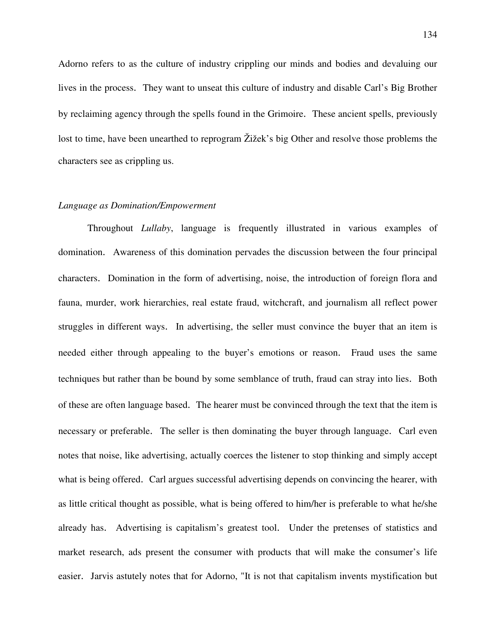Adorno refers to as the culture of industry crippling our minds and bodies and devaluing our lives in the process. They want to unseat this culture of industry and disable Carl's Big Brother by reclaiming agency through the spells found in the Grimoire. These ancient spells, previously lost to time, have been unearthed to reprogram Žižek's big Other and resolve those problems the characters see as crippling us.

#### *Language as Domination/Empowerment*

Throughout *Lullaby*, language is frequently illustrated in various examples of domination. Awareness of this domination pervades the discussion between the four principal characters. Domination in the form of advertising, noise, the introduction of foreign flora and fauna, murder, work hierarchies, real estate fraud, witchcraft, and journalism all reflect power struggles in different ways. In advertising, the seller must convince the buyer that an item is needed either through appealing to the buyer's emotions or reason. Fraud uses the same techniques but rather than be bound by some semblance of truth, fraud can stray into lies. Both of these are often language based. The hearer must be convinced through the text that the item is necessary or preferable. The seller is then dominating the buyer through language. Carl even notes that noise, like advertising, actually coerces the listener to stop thinking and simply accept what is being offered. Carl argues successful advertising depends on convincing the hearer, with as little critical thought as possible, what is being offered to him/her is preferable to what he/she already has. Advertising is capitalism's greatest tool. Under the pretenses of statistics and market research, ads present the consumer with products that will make the consumer's life easier. Jarvis astutely notes that for Adorno, "It is not that capitalism invents mystification but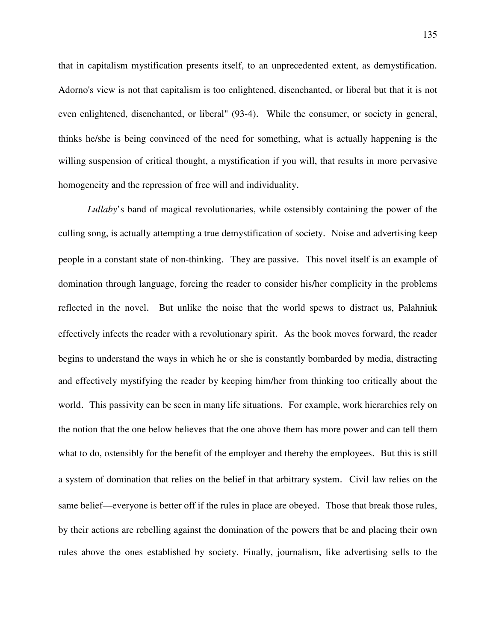that in capitalism mystification presents itself, to an unprecedented extent, as demystification. Adorno's view is not that capitalism is too enlightened, disenchanted, or liberal but that it is not even enlightened, disenchanted, or liberal" (93-4). While the consumer, or society in general, thinks he/she is being convinced of the need for something, what is actually happening is the willing suspension of critical thought, a mystification if you will, that results in more pervasive homogeneity and the repression of free will and individuality.

*Lullaby*'s band of magical revolutionaries, while ostensibly containing the power of the culling song, is actually attempting a true demystification of society. Noise and advertising keep people in a constant state of non-thinking. They are passive. This novel itself is an example of domination through language, forcing the reader to consider his/her complicity in the problems reflected in the novel. But unlike the noise that the world spews to distract us, Palahniuk effectively infects the reader with a revolutionary spirit. As the book moves forward, the reader begins to understand the ways in which he or she is constantly bombarded by media, distracting and effectively mystifying the reader by keeping him/her from thinking too critically about the world. This passivity can be seen in many life situations. For example, work hierarchies rely on the notion that the one below believes that the one above them has more power and can tell them what to do, ostensibly for the benefit of the employer and thereby the employees. But this is still a system of domination that relies on the belief in that arbitrary system. Civil law relies on the same belief—everyone is better off if the rules in place are obeyed. Those that break those rules, by their actions are rebelling against the domination of the powers that be and placing their own rules above the ones established by society. Finally, journalism, like advertising sells to the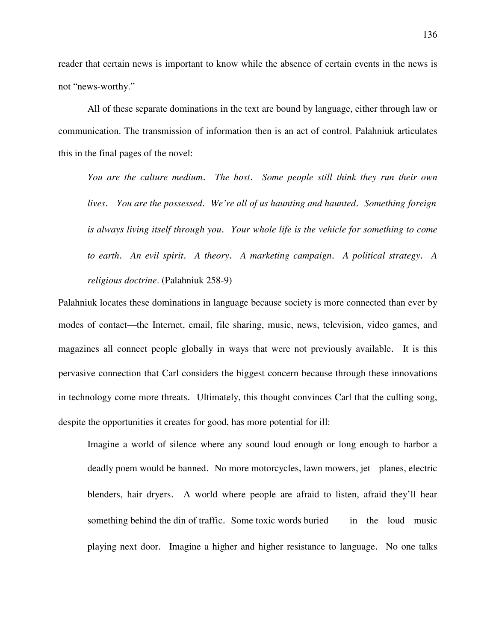reader that certain news is important to know while the absence of certain events in the news is not "news-worthy."

 All of these separate dominations in the text are bound by language, either through law or communication. The transmission of information then is an act of control. Palahniuk articulates this in the final pages of the novel:

 *You are the culture medium*. *The host*. *Some people still think they run their own lives*. *You are the possessed*. *We're all of us haunting and haunted*. *Something foreign is always living itself through you*. *Your whole life is the vehicle for something to come to earth*. *An evil spirit*. *A theory*. *A marketing campaign*. *A political strategy*. *A religious doctrine*. (Palahniuk 258-9)

Palahniuk locates these dominations in language because society is more connected than ever by modes of contact—the Internet, email, file sharing, music, news, television, video games, and magazines all connect people globally in ways that were not previously available. It is this pervasive connection that Carl considers the biggest concern because through these innovations in technology come more threats. Ultimately, this thought convinces Carl that the culling song, despite the opportunities it creates for good, has more potential for ill:

 Imagine a world of silence where any sound loud enough or long enough to harbor a deadly poem would be banned. No more motorcycles, lawn mowers, jet planes, electric blenders, hair dryers. A world where people are afraid to listen, afraid they'll hear something behind the din of traffic. Some toxic words buried in the loud music playing next door. Imagine a higher and higher resistance to language. No one talks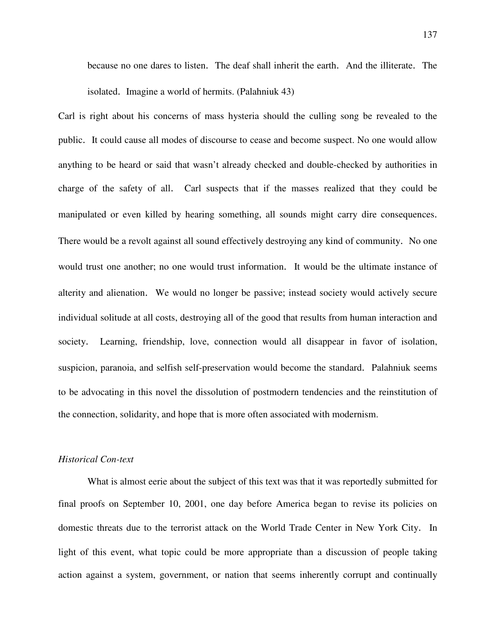because no one dares to listen. The deaf shall inherit the earth. And the illiterate. The isolated. Imagine a world of hermits. (Palahniuk 43)

Carl is right about his concerns of mass hysteria should the culling song be revealed to the public. It could cause all modes of discourse to cease and become suspect. No one would allow anything to be heard or said that wasn't already checked and double-checked by authorities in charge of the safety of all. Carl suspects that if the masses realized that they could be manipulated or even killed by hearing something, all sounds might carry dire consequences. There would be a revolt against all sound effectively destroying any kind of community. No one would trust one another; no one would trust information. It would be the ultimate instance of alterity and alienation. We would no longer be passive; instead society would actively secure individual solitude at all costs, destroying all of the good that results from human interaction and society. Learning, friendship, love, connection would all disappear in favor of isolation, suspicion, paranoia, and selfish self-preservation would become the standard. Palahniuk seems to be advocating in this novel the dissolution of postmodern tendencies and the reinstitution of the connection, solidarity, and hope that is more often associated with modernism.

## *Historical Con-text*

What is almost eerie about the subject of this text was that it was reportedly submitted for final proofs on September 10, 2001, one day before America began to revise its policies on domestic threats due to the terrorist attack on the World Trade Center in New York City. In light of this event, what topic could be more appropriate than a discussion of people taking action against a system, government, or nation that seems inherently corrupt and continually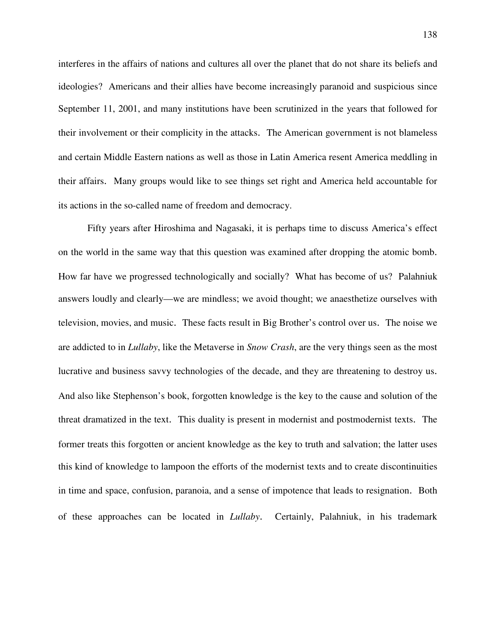interferes in the affairs of nations and cultures all over the planet that do not share its beliefs and ideologies? Americans and their allies have become increasingly paranoid and suspicious since September 11, 2001, and many institutions have been scrutinized in the years that followed for their involvement or their complicity in the attacks. The American government is not blameless and certain Middle Eastern nations as well as those in Latin America resent America meddling in their affairs. Many groups would like to see things set right and America held accountable for its actions in the so-called name of freedom and democracy.

 Fifty years after Hiroshima and Nagasaki, it is perhaps time to discuss America's effect on the world in the same way that this question was examined after dropping the atomic bomb. How far have we progressed technologically and socially? What has become of us? Palahniuk answers loudly and clearly—we are mindless; we avoid thought; we anaesthetize ourselves with television, movies, and music. These facts result in Big Brother's control over us. The noise we are addicted to in *Lullaby*, like the Metaverse in *Snow Crash*, are the very things seen as the most lucrative and business savvy technologies of the decade, and they are threatening to destroy us. And also like Stephenson's book, forgotten knowledge is the key to the cause and solution of the threat dramatized in the text. This duality is present in modernist and postmodernist texts. The former treats this forgotten or ancient knowledge as the key to truth and salvation; the latter uses this kind of knowledge to lampoon the efforts of the modernist texts and to create discontinuities in time and space, confusion, paranoia, and a sense of impotence that leads to resignation. Both of these approaches can be located in *Lullaby*. Certainly, Palahniuk, in his trademark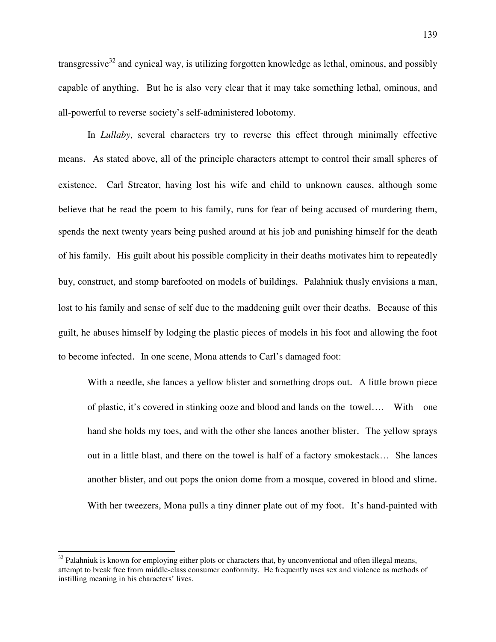transgressive $32$  and cynical way, is utilizing forgotten knowledge as lethal, ominous, and possibly capable of anything. But he is also very clear that it may take something lethal, ominous, and all-powerful to reverse society's self-administered lobotomy.

 In *Lullaby*, several characters try to reverse this effect through minimally effective means. As stated above, all of the principle characters attempt to control their small spheres of existence. Carl Streator, having lost his wife and child to unknown causes, although some believe that he read the poem to his family, runs for fear of being accused of murdering them, spends the next twenty years being pushed around at his job and punishing himself for the death of his family. His guilt about his possible complicity in their deaths motivates him to repeatedly buy, construct, and stomp barefooted on models of buildings. Palahniuk thusly envisions a man, lost to his family and sense of self due to the maddening guilt over their deaths. Because of this guilt, he abuses himself by lodging the plastic pieces of models in his foot and allowing the foot to become infected. In one scene, Mona attends to Carl's damaged foot:

 With a needle, she lances a yellow blister and something drops out. A little brown piece of plastic, it's covered in stinking ooze and blood and lands on the towel…. With one hand she holds my toes, and with the other she lances another blister. The yellow sprays out in a little blast, and there on the towel is half of a factory smokestack… She lances another blister, and out pops the onion dome from a mosque, covered in blood and slime. With her tweezers, Mona pulls a tiny dinner plate out of my foot. It's hand-painted with

 $\overline{a}$ 

 $32$  Palahniuk is known for employing either plots or characters that, by unconventional and often illegal means, attempt to break free from middle-class consumer conformity. He frequently uses sex and violence as methods of instilling meaning in his characters' lives.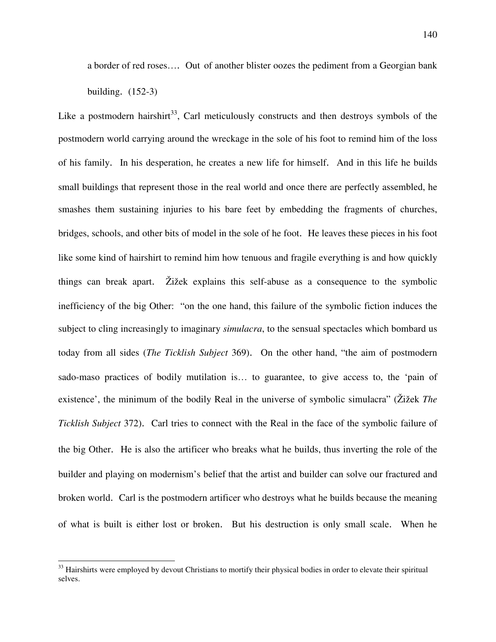a border of red roses…. Out of another blister oozes the pediment from a Georgian bank building. (152-3)

Like a postmodern hairshirt<sup>33</sup>, Carl meticulously constructs and then destroys symbols of the postmodern world carrying around the wreckage in the sole of his foot to remind him of the loss of his family. In his desperation, he creates a new life for himself. And in this life he builds small buildings that represent those in the real world and once there are perfectly assembled, he smashes them sustaining injuries to his bare feet by embedding the fragments of churches, bridges, schools, and other bits of model in the sole of he foot. He leaves these pieces in his foot like some kind of hairshirt to remind him how tenuous and fragile everything is and how quickly things can break apart. Žižek explains this self-abuse as a consequence to the symbolic inefficiency of the big Other: "on the one hand, this failure of the symbolic fiction induces the subject to cling increasingly to imaginary *simulacra*, to the sensual spectacles which bombard us today from all sides (*The Ticklish Subject* 369). On the other hand, "the aim of postmodern sado-maso practices of bodily mutilation is… to guarantee, to give access to, the 'pain of existence', the minimum of the bodily Real in the universe of symbolic simulacra" (Žižek *The Ticklish Subject* 372). Carl tries to connect with the Real in the face of the symbolic failure of the big Other. He is also the artificer who breaks what he builds, thus inverting the role of the builder and playing on modernism's belief that the artist and builder can solve our fractured and broken world. Carl is the postmodern artificer who destroys what he builds because the meaning of what is built is either lost or broken. But his destruction is only small scale. When he

 $\overline{a}$ 

 $33$  Hairshirts were employed by devout Christians to mortify their physical bodies in order to elevate their spiritual selves.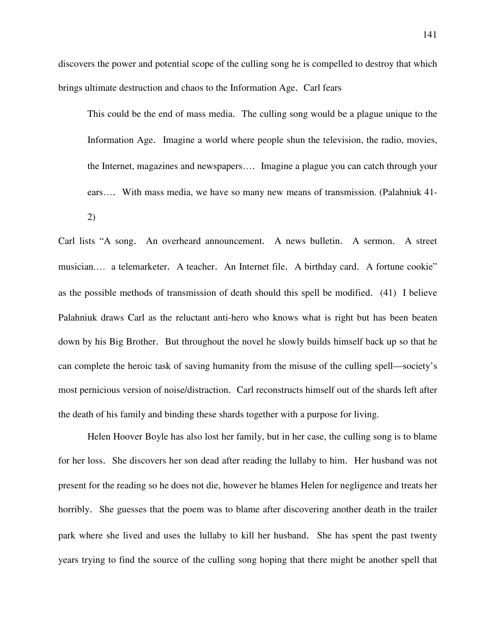discovers the power and potential scope of the culling song he is compelled to destroy that which brings ultimate destruction and chaos to the Information Age. Carl fears

This could be the end of mass media. The culling song would be a plague unique to the Information Age. Imagine a world where people shun the television, the radio, movies, the Internet, magazines and newspapers…. Imagine a plague you can catch through your ears…. With mass media, we have so many new means of transmission. (Palahniuk 41- 2)

Carl lists "A song. An overheard announcement. A news bulletin. A sermon. A street musician.… a telemarketer. A teacher. An Internet file. A birthday card. A fortune cookie" as the possible methods of transmission of death should this spell be modified. (41) I believe Palahniuk draws Carl as the reluctant anti-hero who knows what is right but has been beaten down by his Big Brother. But throughout the novel he slowly builds himself back up so that he can complete the heroic task of saving humanity from the misuse of the culling spell—society's most pernicious version of noise/distraction. Carl reconstructs himself out of the shards left after the death of his family and binding these shards together with a purpose for living.

 Helen Hoover Boyle has also lost her family, but in her case, the culling song is to blame for her loss. She discovers her son dead after reading the lullaby to him. Her husband was not present for the reading so he does not die, however he blames Helen for negligence and treats her horribly. She guesses that the poem was to blame after discovering another death in the trailer park where she lived and uses the lullaby to kill her husband. She has spent the past twenty years trying to find the source of the culling song hoping that there might be another spell that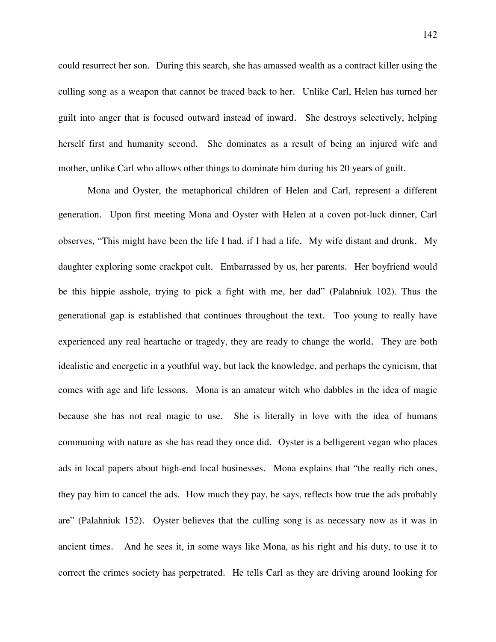could resurrect her son. During this search, she has amassed wealth as a contract killer using the culling song as a weapon that cannot be traced back to her. Unlike Carl, Helen has turned her guilt into anger that is focused outward instead of inward. She destroys selectively, helping herself first and humanity second. She dominates as a result of being an injured wife and mother, unlike Carl who allows other things to dominate him during his 20 years of guilt.

 Mona and Oyster, the metaphorical children of Helen and Carl, represent a different generation. Upon first meeting Mona and Oyster with Helen at a coven pot-luck dinner, Carl observes, "This might have been the life I had, if I had a life. My wife distant and drunk. My daughter exploring some crackpot cult. Embarrassed by us, her parents. Her boyfriend would be this hippie asshole, trying to pick a fight with me, her dad" (Palahniuk 102). Thus the generational gap is established that continues throughout the text. Too young to really have experienced any real heartache or tragedy, they are ready to change the world. They are both idealistic and energetic in a youthful way, but lack the knowledge, and perhaps the cynicism, that comes with age and life lessons. Mona is an amateur witch who dabbles in the idea of magic because she has not real magic to use. She is literally in love with the idea of humans communing with nature as she has read they once did. Oyster is a belligerent vegan who places ads in local papers about high-end local businesses. Mona explains that "the really rich ones, they pay him to cancel the ads. How much they pay, he says, reflects how true the ads probably are" (Palahniuk 152). Oyster believes that the culling song is as necessary now as it was in ancient times. And he sees it, in some ways like Mona, as his right and his duty, to use it to correct the crimes society has perpetrated. He tells Carl as they are driving around looking for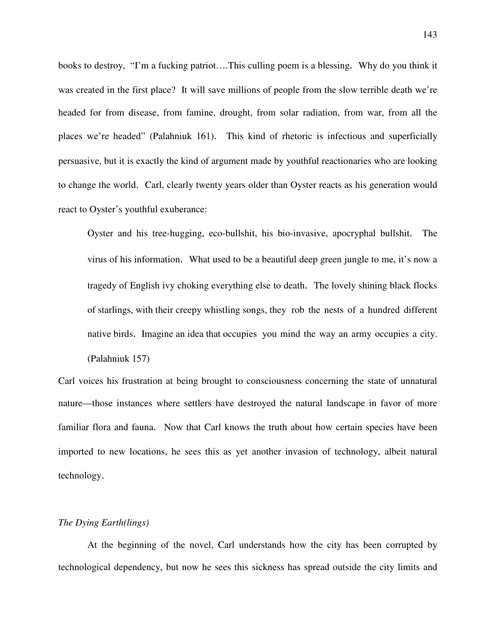books to destroy, "I'm a fucking patriot….This culling poem is a blessing. Why do you think it was created in the first place? It will save millions of people from the slow terrible death we're headed for from disease, from famine, drought, from solar radiation, from war, from all the places we're headed" (Palahniuk 161). This kind of rhetoric is infectious and superficially persuasive, but it is exactly the kind of argument made by youthful reactionaries who are looking to change the world. Carl, clearly twenty years older than Oyster reacts as his generation would react to Oyster's youthful exuberance:

Oyster and his tree-hugging, eco-bullshit, his bio-invasive, apocryphal bullshit. The virus of his information. What used to be a beautiful deep green jungle to me, it's now a tragedy of English ivy choking everything else to death. The lovely shining black flocks of starlings, with their creepy whistling songs, they rob the nests of a hundred different native birds. Imagine an idea that occupies you mind the way an army occupies a city. (Palahniuk 157)

Carl voices his frustration at being brought to consciousness concerning the state of unnatural nature—those instances where settlers have destroyed the natural landscape in favor of more familiar flora and fauna. Now that Carl knows the truth about how certain species have been imported to new locations, he sees this as yet another invasion of technology, albeit natural technology.

# *The Dying Earth(lings)*

At the beginning of the novel, Carl understands how the city has been corrupted by technological dependency, but now he sees this sickness has spread outside the city limits and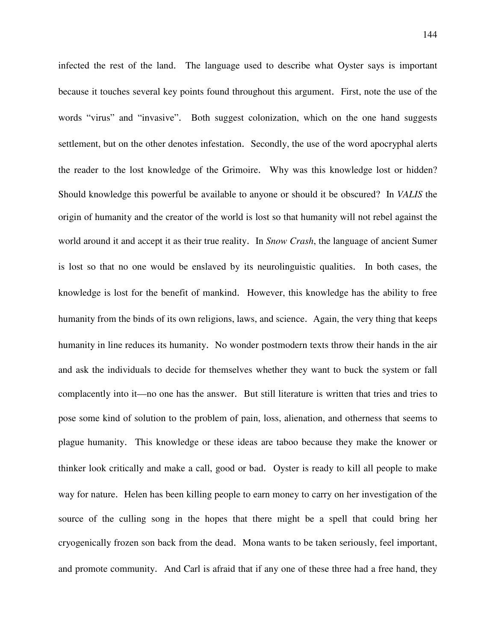infected the rest of the land. The language used to describe what Oyster says is important because it touches several key points found throughout this argument. First, note the use of the words "virus" and "invasive". Both suggest colonization, which on the one hand suggests settlement, but on the other denotes infestation. Secondly, the use of the word apocryphal alerts the reader to the lost knowledge of the Grimoire. Why was this knowledge lost or hidden? Should knowledge this powerful be available to anyone or should it be obscured? In *VALIS* the origin of humanity and the creator of the world is lost so that humanity will not rebel against the world around it and accept it as their true reality. In *Snow Crash*, the language of ancient Sumer is lost so that no one would be enslaved by its neurolinguistic qualities. In both cases, the knowledge is lost for the benefit of mankind. However, this knowledge has the ability to free humanity from the binds of its own religions, laws, and science. Again, the very thing that keeps humanity in line reduces its humanity. No wonder postmodern texts throw their hands in the air and ask the individuals to decide for themselves whether they want to buck the system or fall complacently into it—no one has the answer. But still literature is written that tries and tries to pose some kind of solution to the problem of pain, loss, alienation, and otherness that seems to plague humanity. This knowledge or these ideas are taboo because they make the knower or thinker look critically and make a call, good or bad. Oyster is ready to kill all people to make way for nature. Helen has been killing people to earn money to carry on her investigation of the source of the culling song in the hopes that there might be a spell that could bring her cryogenically frozen son back from the dead. Mona wants to be taken seriously, feel important, and promote community. And Carl is afraid that if any one of these three had a free hand, they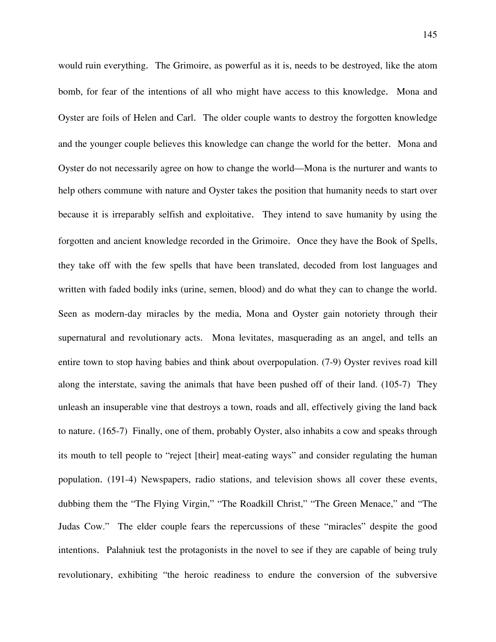would ruin everything. The Grimoire, as powerful as it is, needs to be destroyed, like the atom bomb, for fear of the intentions of all who might have access to this knowledge. Mona and Oyster are foils of Helen and Carl. The older couple wants to destroy the forgotten knowledge and the younger couple believes this knowledge can change the world for the better. Mona and Oyster do not necessarily agree on how to change the world—Mona is the nurturer and wants to help others commune with nature and Oyster takes the position that humanity needs to start over because it is irreparably selfish and exploitative. They intend to save humanity by using the forgotten and ancient knowledge recorded in the Grimoire. Once they have the Book of Spells, they take off with the few spells that have been translated, decoded from lost languages and written with faded bodily inks (urine, semen, blood) and do what they can to change the world. Seen as modern-day miracles by the media, Mona and Oyster gain notoriety through their supernatural and revolutionary acts. Mona levitates, masquerading as an angel, and tells an entire town to stop having babies and think about overpopulation. (7-9) Oyster revives road kill along the interstate, saving the animals that have been pushed off of their land. (105-7) They unleash an insuperable vine that destroys a town, roads and all, effectively giving the land back to nature. (165-7) Finally, one of them, probably Oyster, also inhabits a cow and speaks through its mouth to tell people to "reject [their] meat-eating ways" and consider regulating the human population. (191-4) Newspapers, radio stations, and television shows all cover these events, dubbing them the "The Flying Virgin," "The Roadkill Christ," "The Green Menace," and "The Judas Cow." The elder couple fears the repercussions of these "miracles" despite the good intentions. Palahniuk test the protagonists in the novel to see if they are capable of being truly revolutionary, exhibiting "the heroic readiness to endure the conversion of the subversive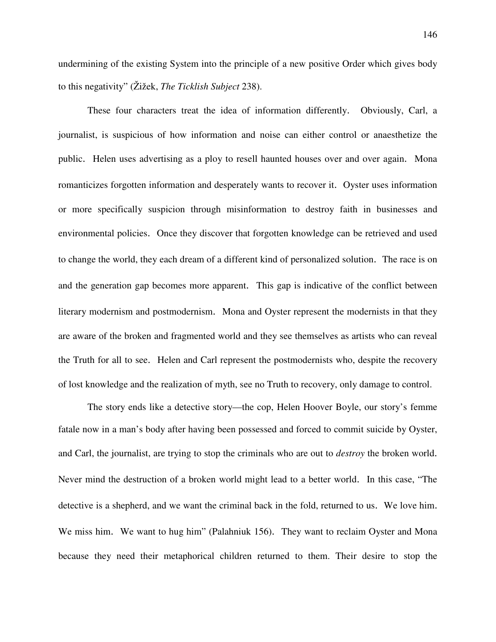undermining of the existing System into the principle of a new positive Order which gives body to this negativity" (Žižek, *The Ticklish Subject* 238).

These four characters treat the idea of information differently. Obviously, Carl, a journalist, is suspicious of how information and noise can either control or anaesthetize the public. Helen uses advertising as a ploy to resell haunted houses over and over again. Mona romanticizes forgotten information and desperately wants to recover it. Oyster uses information or more specifically suspicion through misinformation to destroy faith in businesses and environmental policies. Once they discover that forgotten knowledge can be retrieved and used to change the world, they each dream of a different kind of personalized solution. The race is on and the generation gap becomes more apparent. This gap is indicative of the conflict between literary modernism and postmodernism. Mona and Oyster represent the modernists in that they are aware of the broken and fragmented world and they see themselves as artists who can reveal the Truth for all to see. Helen and Carl represent the postmodernists who, despite the recovery of lost knowledge and the realization of myth, see no Truth to recovery, only damage to control.

The story ends like a detective story—the cop, Helen Hoover Boyle, our story's femme fatale now in a man's body after having been possessed and forced to commit suicide by Oyster, and Carl, the journalist, are trying to stop the criminals who are out to *destroy* the broken world. Never mind the destruction of a broken world might lead to a better world. In this case, "The detective is a shepherd, and we want the criminal back in the fold, returned to us. We love him. We miss him. We want to hug him" (Palahniuk 156). They want to reclaim Oyster and Mona because they need their metaphorical children returned to them. Their desire to stop the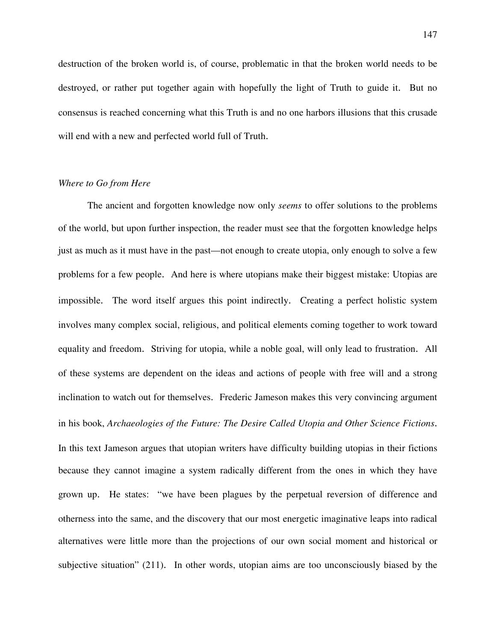destruction of the broken world is, of course, problematic in that the broken world needs to be destroyed, or rather put together again with hopefully the light of Truth to guide it. But no consensus is reached concerning what this Truth is and no one harbors illusions that this crusade will end with a new and perfected world full of Truth.

# *Where to Go from Here*

The ancient and forgotten knowledge now only *seems* to offer solutions to the problems of the world, but upon further inspection, the reader must see that the forgotten knowledge helps just as much as it must have in the past—not enough to create utopia, only enough to solve a few problems for a few people. And here is where utopians make their biggest mistake: Utopias are impossible. The word itself argues this point indirectly. Creating a perfect holistic system involves many complex social, religious, and political elements coming together to work toward equality and freedom. Striving for utopia, while a noble goal, will only lead to frustration. All of these systems are dependent on the ideas and actions of people with free will and a strong inclination to watch out for themselves. Frederic Jameson makes this very convincing argument in his book, *Archaeologies of the Future: The Desire Called Utopia and Other Science Fictions*. In this text Jameson argues that utopian writers have difficulty building utopias in their fictions because they cannot imagine a system radically different from the ones in which they have grown up. He states: "we have been plagues by the perpetual reversion of difference and otherness into the same, and the discovery that our most energetic imaginative leaps into radical alternatives were little more than the projections of our own social moment and historical or subjective situation" (211). In other words, utopian aims are too unconsciously biased by the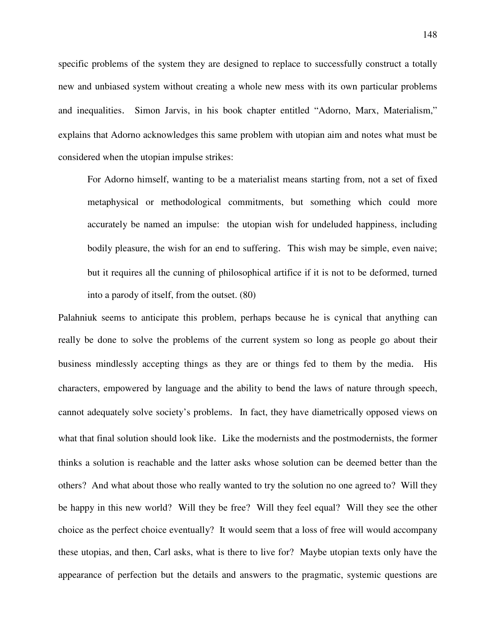specific problems of the system they are designed to replace to successfully construct a totally new and unbiased system without creating a whole new mess with its own particular problems and inequalities. Simon Jarvis, in his book chapter entitled "Adorno, Marx, Materialism," explains that Adorno acknowledges this same problem with utopian aim and notes what must be considered when the utopian impulse strikes:

For Adorno himself, wanting to be a materialist means starting from, not a set of fixed metaphysical or methodological commitments, but something which could more accurately be named an impulse: the utopian wish for undeluded happiness, including bodily pleasure, the wish for an end to suffering. This wish may be simple, even naive; but it requires all the cunning of philosophical artifice if it is not to be deformed, turned into a parody of itself, from the outset. (80)

Palahniuk seems to anticipate this problem, perhaps because he is cynical that anything can really be done to solve the problems of the current system so long as people go about their business mindlessly accepting things as they are or things fed to them by the media. His characters, empowered by language and the ability to bend the laws of nature through speech, cannot adequately solve society's problems. In fact, they have diametrically opposed views on what that final solution should look like. Like the modernists and the postmodernists, the former thinks a solution is reachable and the latter asks whose solution can be deemed better than the others? And what about those who really wanted to try the solution no one agreed to? Will they be happy in this new world? Will they be free? Will they feel equal? Will they see the other choice as the perfect choice eventually? It would seem that a loss of free will would accompany these utopias, and then, Carl asks, what is there to live for? Maybe utopian texts only have the appearance of perfection but the details and answers to the pragmatic, systemic questions are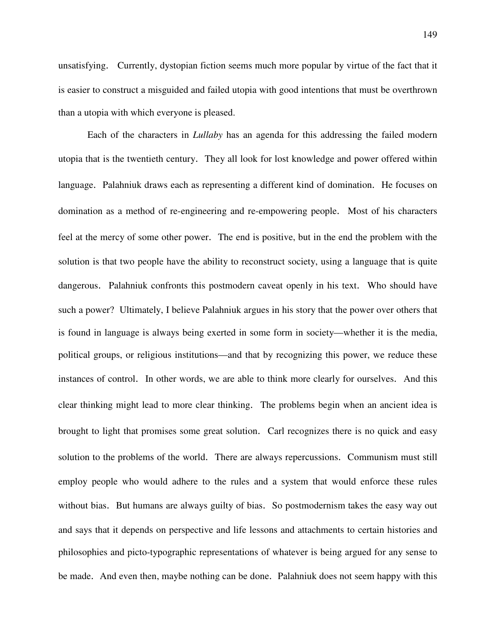unsatisfying. Currently, dystopian fiction seems much more popular by virtue of the fact that it is easier to construct a misguided and failed utopia with good intentions that must be overthrown than a utopia with which everyone is pleased.

 Each of the characters in *Lullaby* has an agenda for this addressing the failed modern utopia that is the twentieth century. They all look for lost knowledge and power offered within language. Palahniuk draws each as representing a different kind of domination. He focuses on domination as a method of re-engineering and re-empowering people. Most of his characters feel at the mercy of some other power. The end is positive, but in the end the problem with the solution is that two people have the ability to reconstruct society, using a language that is quite dangerous. Palahniuk confronts this postmodern caveat openly in his text. Who should have such a power? Ultimately, I believe Palahniuk argues in his story that the power over others that is found in language is always being exerted in some form in society—whether it is the media, political groups, or religious institutions—and that by recognizing this power, we reduce these instances of control. In other words, we are able to think more clearly for ourselves. And this clear thinking might lead to more clear thinking. The problems begin when an ancient idea is brought to light that promises some great solution. Carl recognizes there is no quick and easy solution to the problems of the world. There are always repercussions. Communism must still employ people who would adhere to the rules and a system that would enforce these rules without bias. But humans are always guilty of bias. So postmodernism takes the easy way out and says that it depends on perspective and life lessons and attachments to certain histories and philosophies and picto-typographic representations of whatever is being argued for any sense to be made. And even then, maybe nothing can be done. Palahniuk does not seem happy with this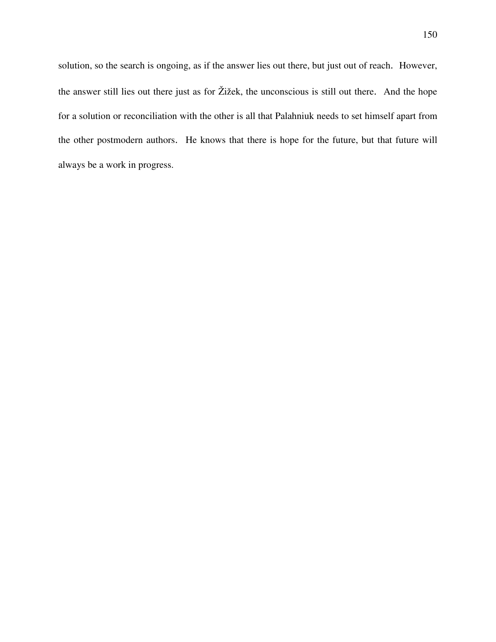solution, so the search is ongoing, as if the answer lies out there, but just out of reach. However, the answer still lies out there just as for Žižek, the unconscious is still out there. And the hope for a solution or reconciliation with the other is all that Palahniuk needs to set himself apart from the other postmodern authors. He knows that there is hope for the future, but that future will always be a work in progress.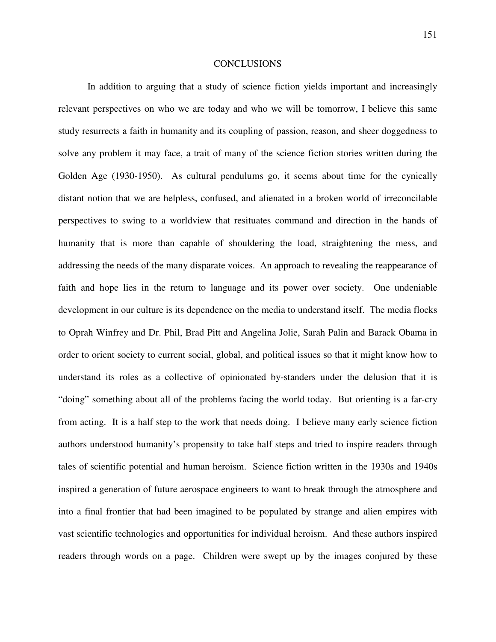#### CONCLUSIONS

In addition to arguing that a study of science fiction yields important and increasingly relevant perspectives on who we are today and who we will be tomorrow, I believe this same study resurrects a faith in humanity and its coupling of passion, reason, and sheer doggedness to solve any problem it may face, a trait of many of the science fiction stories written during the Golden Age (1930-1950). As cultural pendulums go, it seems about time for the cynically distant notion that we are helpless, confused, and alienated in a broken world of irreconcilable perspectives to swing to a worldview that resituates command and direction in the hands of humanity that is more than capable of shouldering the load, straightening the mess, and addressing the needs of the many disparate voices. An approach to revealing the reappearance of faith and hope lies in the return to language and its power over society. One undeniable development in our culture is its dependence on the media to understand itself. The media flocks to Oprah Winfrey and Dr. Phil, Brad Pitt and Angelina Jolie, Sarah Palin and Barack Obama in order to orient society to current social, global, and political issues so that it might know how to understand its roles as a collective of opinionated by-standers under the delusion that it is "doing" something about all of the problems facing the world today. But orienting is a far-cry from acting. It is a half step to the work that needs doing. I believe many early science fiction authors understood humanity's propensity to take half steps and tried to inspire readers through tales of scientific potential and human heroism. Science fiction written in the 1930s and 1940s inspired a generation of future aerospace engineers to want to break through the atmosphere and into a final frontier that had been imagined to be populated by strange and alien empires with vast scientific technologies and opportunities for individual heroism. And these authors inspired readers through words on a page. Children were swept up by the images conjured by these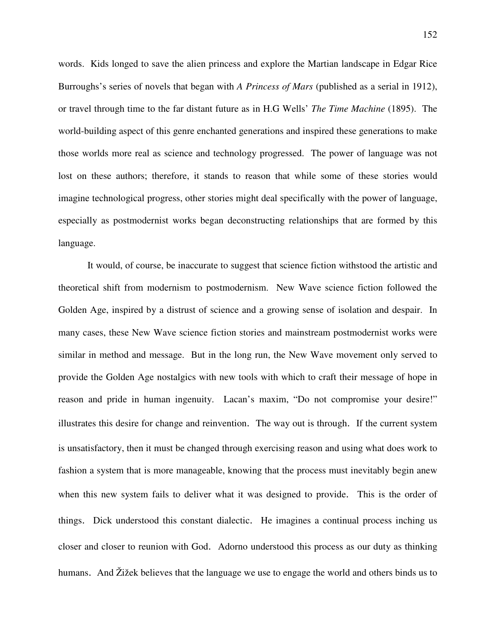words. Kids longed to save the alien princess and explore the Martian landscape in Edgar Rice Burroughs's series of novels that began with *A Princess of Mars* (published as a serial in 1912), or travel through time to the far distant future as in H.G Wells' *The Time Machine* (1895). The world-building aspect of this genre enchanted generations and inspired these generations to make those worlds more real as science and technology progressed. The power of language was not lost on these authors; therefore, it stands to reason that while some of these stories would imagine technological progress, other stories might deal specifically with the power of language, especially as postmodernist works began deconstructing relationships that are formed by this language.

 It would, of course, be inaccurate to suggest that science fiction withstood the artistic and theoretical shift from modernism to postmodernism. New Wave science fiction followed the Golden Age, inspired by a distrust of science and a growing sense of isolation and despair. In many cases, these New Wave science fiction stories and mainstream postmodernist works were similar in method and message. But in the long run, the New Wave movement only served to provide the Golden Age nostalgics with new tools with which to craft their message of hope in reason and pride in human ingenuity. Lacan's maxim, "Do not compromise your desire!" illustrates this desire for change and reinvention. The way out is through. If the current system is unsatisfactory, then it must be changed through exercising reason and using what does work to fashion a system that is more manageable, knowing that the process must inevitably begin anew when this new system fails to deliver what it was designed to provide. This is the order of things. Dick understood this constant dialectic. He imagines a continual process inching us closer and closer to reunion with God. Adorno understood this process as our duty as thinking humans. And Žižek believes that the language we use to engage the world and others binds us to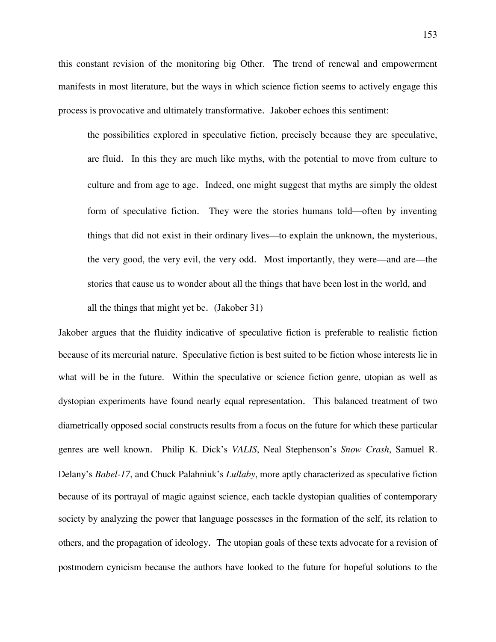this constant revision of the monitoring big Other. The trend of renewal and empowerment manifests in most literature, but the ways in which science fiction seems to actively engage this process is provocative and ultimately transformative. Jakober echoes this sentiment:

 the possibilities explored in speculative fiction, precisely because they are speculative, are fluid. In this they are much like myths, with the potential to move from culture to culture and from age to age. Indeed, one might suggest that myths are simply the oldest form of speculative fiction. They were the stories humans told—often by inventing things that did not exist in their ordinary lives—to explain the unknown, the mysterious, the very good, the very evil, the very odd. Most importantly, they were—and are—the stories that cause us to wonder about all the things that have been lost in the world, and all the things that might yet be. (Jakober 31)

Jakober argues that the fluidity indicative of speculative fiction is preferable to realistic fiction because of its mercurial nature. Speculative fiction is best suited to be fiction whose interests lie in what will be in the future. Within the speculative or science fiction genre, utopian as well as dystopian experiments have found nearly equal representation. This balanced treatment of two diametrically opposed social constructs results from a focus on the future for which these particular genres are well known. Philip K. Dick's *VALIS*, Neal Stephenson's *Snow Crash*, Samuel R. Delany's *Babel-17*, and Chuck Palahniuk's *Lullaby*, more aptly characterized as speculative fiction because of its portrayal of magic against science, each tackle dystopian qualities of contemporary society by analyzing the power that language possesses in the formation of the self, its relation to others, and the propagation of ideology. The utopian goals of these texts advocate for a revision of postmodern cynicism because the authors have looked to the future for hopeful solutions to the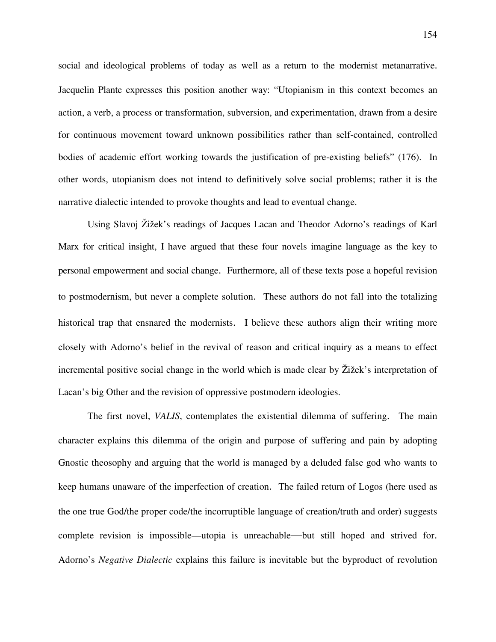social and ideological problems of today as well as a return to the modernist metanarrative. Jacquelin Plante expresses this position another way: "Utopianism in this context becomes an action, a verb, a process or transformation, subversion, and experimentation, drawn from a desire for continuous movement toward unknown possibilities rather than self-contained, controlled bodies of academic effort working towards the justification of pre-existing beliefs" (176). In other words, utopianism does not intend to definitively solve social problems; rather it is the narrative dialectic intended to provoke thoughts and lead to eventual change.

Using Slavoj Žižek's readings of Jacques Lacan and Theodor Adorno's readings of Karl Marx for critical insight, I have argued that these four novels imagine language as the key to personal empowerment and social change. Furthermore, all of these texts pose a hopeful revision to postmodernism, but never a complete solution. These authors do not fall into the totalizing historical trap that ensnared the modernists. I believe these authors align their writing more closely with Adorno's belief in the revival of reason and critical inquiry as a means to effect incremental positive social change in the world which is made clear by Žižek's interpretation of Lacan's big Other and the revision of oppressive postmodern ideologies.

The first novel, *VALIS*, contemplates the existential dilemma of suffering. The main character explains this dilemma of the origin and purpose of suffering and pain by adopting Gnostic theosophy and arguing that the world is managed by a deluded false god who wants to keep humans unaware of the imperfection of creation. The failed return of Logos (here used as the one true God/the proper code/the incorruptible language of creation/truth and order) suggests complete revision is impossible—utopia is unreachable—but still hoped and strived for. Adorno's *Negative Dialectic* explains this failure is inevitable but the byproduct of revolution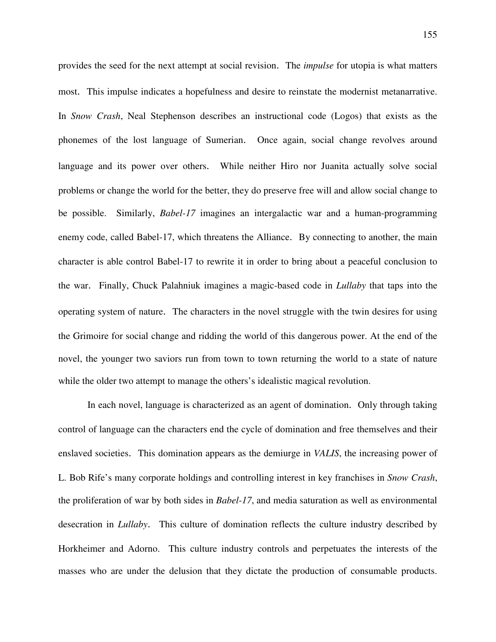provides the seed for the next attempt at social revision. The *impulse* for utopia is what matters most. This impulse indicates a hopefulness and desire to reinstate the modernist metanarrative. In *Snow Crash*, Neal Stephenson describes an instructional code (Logos) that exists as the phonemes of the lost language of Sumerian. Once again, social change revolves around language and its power over others. While neither Hiro nor Juanita actually solve social problems or change the world for the better, they do preserve free will and allow social change to be possible. Similarly, *Babel-17* imagines an intergalactic war and a human-programming enemy code, called Babel-17, which threatens the Alliance. By connecting to another, the main character is able control Babel-17 to rewrite it in order to bring about a peaceful conclusion to the war. Finally, Chuck Palahniuk imagines a magic-based code in *Lullaby* that taps into the operating system of nature. The characters in the novel struggle with the twin desires for using the Grimoire for social change and ridding the world of this dangerous power. At the end of the novel, the younger two saviors run from town to town returning the world to a state of nature while the older two attempt to manage the others's idealistic magical revolution.

In each novel, language is characterized as an agent of domination. Only through taking control of language can the characters end the cycle of domination and free themselves and their enslaved societies. This domination appears as the demiurge in *VALIS*, the increasing power of L. Bob Rife's many corporate holdings and controlling interest in key franchises in *Snow Crash*, the proliferation of war by both sides in *Babel-17*, and media saturation as well as environmental desecration in *Lullaby*. This culture of domination reflects the culture industry described by Horkheimer and Adorno. This culture industry controls and perpetuates the interests of the masses who are under the delusion that they dictate the production of consumable products.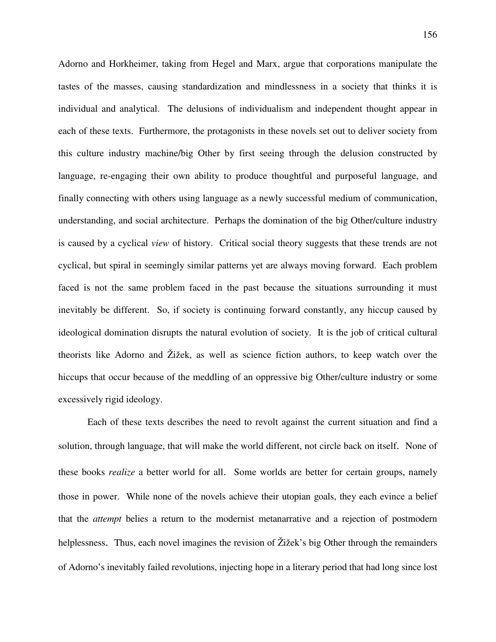Adorno and Horkheimer, taking from Hegel and Marx, argue that corporations manipulate the tastes of the masses, causing standardization and mindlessness in a society that thinks it is individual and analytical. The delusions of individualism and independent thought appear in each of these texts. Furthermore, the protagonists in these novels set out to deliver society from this culture industry machine/big Other by first seeing through the delusion constructed by language, re-engaging their own ability to produce thoughtful and purposeful language, and finally connecting with others using language as a newly successful medium of communication, understanding, and social architecture. Perhaps the domination of the big Other/culture industry is caused by a cyclical *view* of history. Critical social theory suggests that these trends are not cyclical, but spiral in seemingly similar patterns yet are always moving forward. Each problem faced is not the same problem faced in the past because the situations surrounding it must inevitably be different. So, if society is continuing forward constantly, any hiccup caused by ideological domination disrupts the natural evolution of society. It is the job of critical cultural theorists like Adorno and Žižek, as well as science fiction authors, to keep watch over the hiccups that occur because of the meddling of an oppressive big Other/culture industry or some excessively rigid ideology.

Each of these texts describes the need to revolt against the current situation and find a solution, through language, that will make the world different, not circle back on itself. None of these books *realize* a better world for all. Some worlds are better for certain groups, namely those in power. While none of the novels achieve their utopian goals, they each evince a belief that the *attempt* belies a return to the modernist metanarrative and a rejection of postmodern helplessness. Thus, each novel imagines the revision of Žižek's big Other through the remainders of Adorno's inevitably failed revolutions, injecting hope in a literary period that had long since lost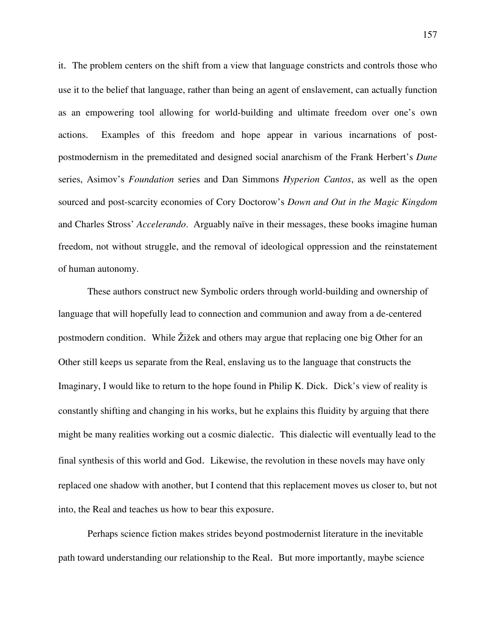it. The problem centers on the shift from a view that language constricts and controls those who use it to the belief that language, rather than being an agent of enslavement, can actually function as an empowering tool allowing for world-building and ultimate freedom over one's own actions. Examples of this freedom and hope appear in various incarnations of postpostmodernism in the premeditated and designed social anarchism of the Frank Herbert's *Dune* series, Asimov's *Foundation* series and Dan Simmons *Hyperion Cantos*, as well as the open sourced and post-scarcity economies of Cory Doctorow's *Down and Out in the Magic Kingdom* and Charles Stross' *Accelerando*. Arguably naïve in their messages, these books imagine human freedom, not without struggle, and the removal of ideological oppression and the reinstatement of human autonomy.

These authors construct new Symbolic orders through world-building and ownership of language that will hopefully lead to connection and communion and away from a de-centered postmodern condition. While Žižek and others may argue that replacing one big Other for an Other still keeps us separate from the Real, enslaving us to the language that constructs the Imaginary, I would like to return to the hope found in Philip K. Dick. Dick's view of reality is constantly shifting and changing in his works, but he explains this fluidity by arguing that there might be many realities working out a cosmic dialectic. This dialectic will eventually lead to the final synthesis of this world and God. Likewise, the revolution in these novels may have only replaced one shadow with another, but I contend that this replacement moves us closer to, but not into, the Real and teaches us how to bear this exposure.

Perhaps science fiction makes strides beyond postmodernist literature in the inevitable path toward understanding our relationship to the Real. But more importantly, maybe science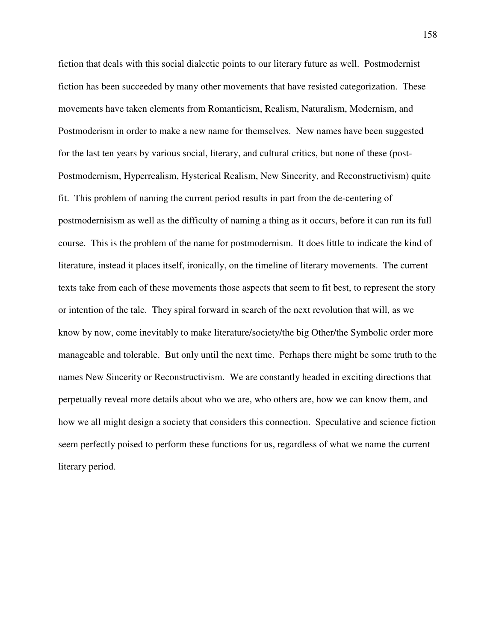fiction that deals with this social dialectic points to our literary future as well. Postmodernist fiction has been succeeded by many other movements that have resisted categorization. These movements have taken elements from Romanticism, Realism, Naturalism, Modernism, and Postmoderism in order to make a new name for themselves. New names have been suggested for the last ten years by various social, literary, and cultural critics, but none of these (post-Postmodernism, Hyperrealism, Hysterical Realism, New Sincerity, and Reconstructivism) quite fit. This problem of naming the current period results in part from the de-centering of postmodernisism as well as the difficulty of naming a thing as it occurs, before it can run its full course. This is the problem of the name for postmodernism. It does little to indicate the kind of literature, instead it places itself, ironically, on the timeline of literary movements. The current texts take from each of these movements those aspects that seem to fit best, to represent the story or intention of the tale. They spiral forward in search of the next revolution that will, as we know by now, come inevitably to make literature/society/the big Other/the Symbolic order more manageable and tolerable. But only until the next time. Perhaps there might be some truth to the names New Sincerity or Reconstructivism. We are constantly headed in exciting directions that perpetually reveal more details about who we are, who others are, how we can know them, and how we all might design a society that considers this connection. Speculative and science fiction seem perfectly poised to perform these functions for us, regardless of what we name the current literary period.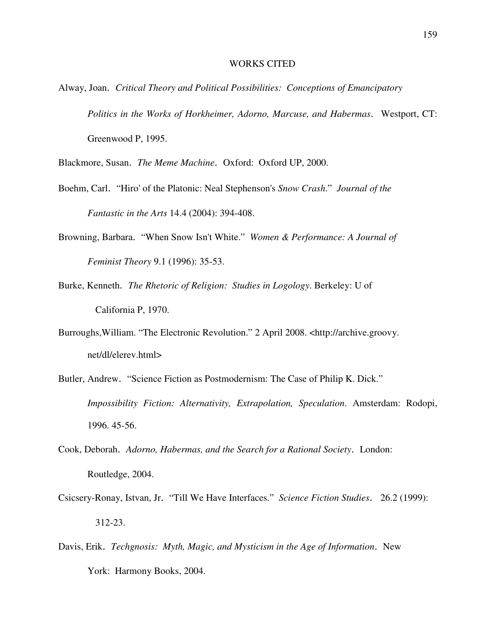## WORKS CITED

Alway, Joan. *Critical Theory and Political Possibilities: Conceptions of Emancipatory Politics in the Works of Horkheimer, Adorno, Marcuse, and Habermas*. Westport, CT: Greenwood P, 1995.

Blackmore, Susan. *The Meme Machine*. Oxford: Oxford UP, 2000.

- Boehm, Carl. "Hiro' of the Platonic: Neal Stephenson's *Snow Crash*." *Journal of the Fantastic in the Arts* 14.4 (2004): 394-408.
- Browning, Barbara. "When Snow Isn't White." *Women & Performance: A Journal of Feminist Theory* 9.1 (1996): 35-53.
- Burke, Kenneth. *The Rhetoric of Religion: Studies in Logology*. Berkeley: U of California P, 1970.
- Burroughs,William. "The Electronic Revolution." 2 April 2008. <http://archive.groovy. net/dl/elerev.html>
- Butler, Andrew. "Science Fiction as Postmodernism: The Case of Philip K. Dick." *Impossibility Fiction: Alternativity, Extrapolation, Speculation*. Amsterdam: Rodopi, 1996. 45-56.
- Cook, Deborah. *Adorno, Habermas, and the Search for a Rational Society*. London: Routledge, 2004.
- Csicsery-Ronay, Istvan, Jr. "Till We Have Interfaces." *Science Fiction Studies*. 26.2 (1999): 312-23.
- Davis, Erik. *Techgnosis: Myth, Magic, and Mysticism in the Age of Information*. New York: Harmony Books, 2004.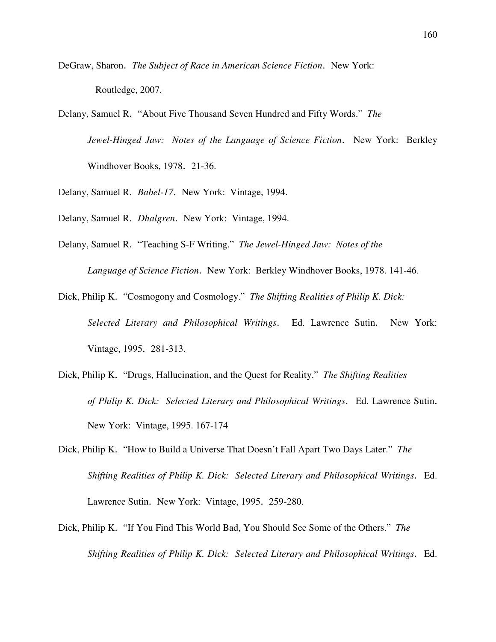- DeGraw, Sharon. *The Subject of Race in American Science Fiction*. New York: Routledge, 2007.
- Delany, Samuel R. "About Five Thousand Seven Hundred and Fifty Words." *The Jewel-Hinged Jaw: Notes of the Language of Science Fiction*. New York: Berkley Windhover Books, 1978. 21-36.
- Delany, Samuel R. *Babel-17*. New York: Vintage, 1994.
- Delany, Samuel R. *Dhalgren*. New York: Vintage, 1994.
- Delany, Samuel R. "Teaching S-F Writing." *The Jewel-Hinged Jaw: Notes of the Language of Science Fiction*. New York: Berkley Windhover Books, 1978. 141-46.
- Dick, Philip K. "Cosmogony and Cosmology." *The Shifting Realities of Philip K. Dick: Selected Literary and Philosophical Writings*. Ed. Lawrence Sutin. New York: Vintage, 1995. 281-313.
- Dick, Philip K. "Drugs, Hallucination, and the Quest for Reality." *The Shifting Realities of Philip K. Dick: Selected Literary and Philosophical Writings*. Ed. Lawrence Sutin. New York: Vintage, 1995. 167-174
- Dick, Philip K. "How to Build a Universe That Doesn't Fall Apart Two Days Later." *The Shifting Realities of Philip K. Dick: Selected Literary and Philosophical Writings*. Ed. Lawrence Sutin. New York: Vintage, 1995. 259-280.
- Dick, Philip K. "If You Find This World Bad, You Should See Some of the Others." *The Shifting Realities of Philip K. Dick: Selected Literary and Philosophical Writings*. Ed.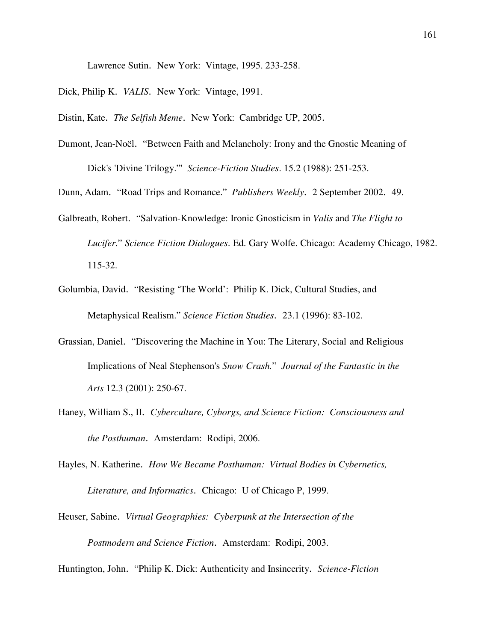Lawrence Sutin. New York: Vintage, 1995. 233-258.

- Dick, Philip K. *VALIS*. New York: Vintage, 1991.
- Distin, Kate. *The Selfish Meme*. New York: Cambridge UP, 2005.
- Dumont, Jean-Noël. "Between Faith and Melancholy: Irony and the Gnostic Meaning of Dick's 'Divine Trilogy."' *Science-Fiction Studies*. 15.2 (1988): 251-253.

Dunn, Adam. "Road Trips and Romance." *Publishers Weekly*. 2 September 2002. 49.

- Galbreath, Robert. "Salvation-Knowledge: Ironic Gnosticism in *Valis* and *The Flight to Lucifer*." *Science Fiction Dialogues*. Ed. Gary Wolfe. Chicago: Academy Chicago, 1982. 115-32.
- Golumbia, David. "Resisting 'The World': Philip K. Dick, Cultural Studies, and Metaphysical Realism." *Science Fiction Studies*. 23.1 (1996): 83-102.
- Grassian, Daniel. "Discovering the Machine in You: The Literary, Social and Religious Implications of Neal Stephenson's *Snow Crash.*" *Journal of the Fantastic in the Arts* 12.3 (2001): 250-67.
- Haney, William S., II. *Cyberculture, Cyborgs, and Science Fiction: Consciousness and the Posthuman*. Amsterdam: Rodipi, 2006.
- Hayles, N. Katherine. *How We Became Posthuman: Virtual Bodies in Cybernetics, Literature, and Informatics*. Chicago: U of Chicago P, 1999.
- Heuser, Sabine. *Virtual Geographies: Cyberpunk at the Intersection of the Postmodern and Science Fiction*. Amsterdam: Rodipi, 2003.

Huntington, John. "Philip K. Dick: Authenticity and Insincerity. *Science-Fiction*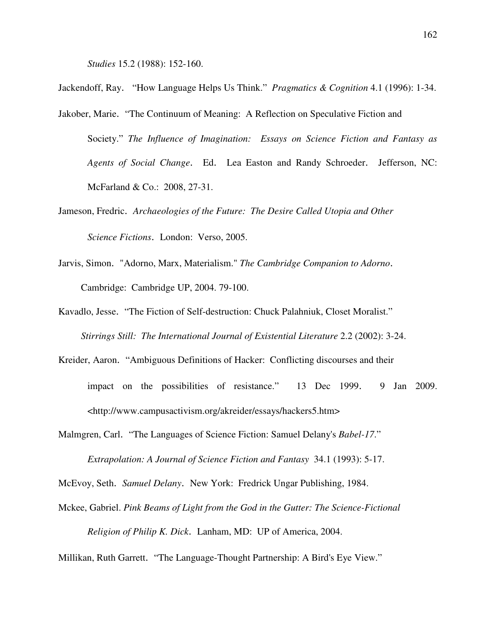*Studies* 15.2 (1988): 152-160.

Jackendoff, Ray. "How Language Helps Us Think." *Pragmatics & Cognition* 4.1 (1996): 1-34.

- Jakober, Marie. "The Continuum of Meaning: A Reflection on Speculative Fiction and Society." *The Influence of Imagination: Essays on Science Fiction and Fantasy as Agents of Social Change*. Ed. Lea Easton and Randy Schroeder. Jefferson, NC: McFarland & Co.: 2008, 27-31.
- Jameson, Fredric. *Archaeologies of the Future: The Desire Called Utopia and Other Science Fictions*. London: Verso, 2005.
- Jarvis, Simon. "Adorno, Marx, Materialism." *The Cambridge Companion to Adorno*. Cambridge: Cambridge UP, 2004. 79-100.
- Kavadlo, Jesse. "The Fiction of Self-destruction: Chuck Palahniuk, Closet Moralist." *Stirrings Still: The International Journal of Existential Literature* 2.2 (2002): 3-24.
- Kreider, Aaron. "Ambiguous Definitions of Hacker: Conflicting discourses and their impact on the possibilities of resistance." 13 Dec 1999. 9 Jan 2009. <http://www.campusactivism.org/akreider/essays/hackers5.htm>
- Malmgren, Carl. "The Languages of Science Fiction: Samuel Delany's *Babel-17*." *Extrapolation: A Journal of Science Fiction and Fantasy* 34.1 (1993): 5-17.

McEvoy, Seth. *Samuel Delany*. New York: Fredrick Ungar Publishing, 1984.

Mckee, Gabriel. *Pink Beams of Light from the God in the Gutter: The Science-Fictional Religion of Philip K. Dick*. Lanham, MD: UP of America, 2004.

Millikan, Ruth Garrett. "The Language-Thought Partnership: A Bird's Eye View."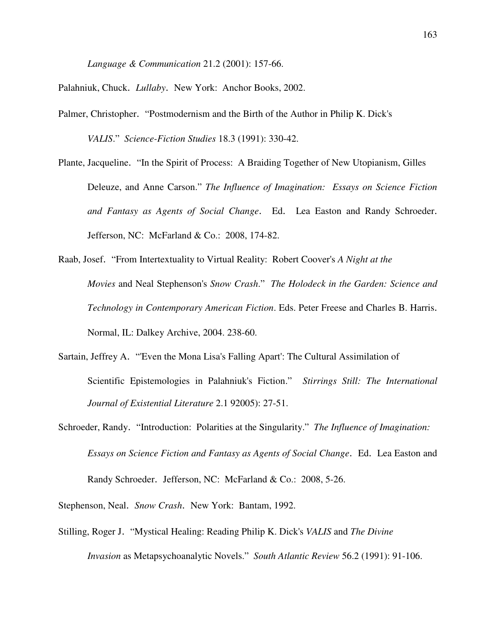*Language & Communication* 21.2 (2001): 157-66.

Palahniuk, Chuck. *Lullaby*. New York: Anchor Books, 2002.

- Palmer, Christopher. "Postmodernism and the Birth of the Author in Philip K. Dick's *VALIS*." *Science-Fiction Studies* 18.3 (1991): 330-42.
- Plante, Jacqueline. "In the Spirit of Process: A Braiding Together of New Utopianism, Gilles Deleuze, and Anne Carson." *The Influence of Imagination: Essays on Science Fiction and Fantasy as Agents of Social Change*. Ed. Lea Easton and Randy Schroeder. Jefferson, NC: McFarland & Co.: 2008, 174-82.
- Raab, Josef. "From Intertextuality to Virtual Reality: Robert Coover's *A Night at the Movies* and Neal Stephenson's *Snow Crash*." *The Holodeck in the Garden: Science and Technology in Contemporary American Fiction*. Eds. Peter Freese and Charles B. Harris. Normal, IL: Dalkey Archive, 2004. 238-60.
- Sartain, Jeffrey A. "'Even the Mona Lisa's Falling Apart': The Cultural Assimilation of Scientific Epistemologies in Palahniuk's Fiction." *Stirrings Still: The International Journal of Existential Literature* 2.1 92005): 27-51.
- Schroeder, Randy. "Introduction: Polarities at the Singularity." *The Influence of Imagination: Essays on Science Fiction and Fantasy as Agents of Social Change*. Ed. Lea Easton and Randy Schroeder. Jefferson, NC: McFarland & Co.: 2008, 5-26.

Stephenson, Neal. *Snow Crash*. New York: Bantam, 1992.

Stilling, Roger J. "Mystical Healing: Reading Philip K. Dick's *VALIS* and *The Divine Invasion* as Metapsychoanalytic Novels." *South Atlantic Review* 56.2 (1991): 91-106.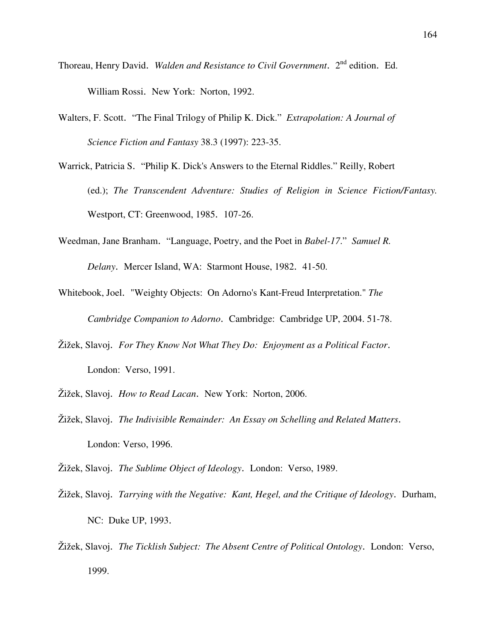- Thoreau, Henry David. *Walden and Resistance to Civil Government*. 2<sup>nd</sup> edition. Ed. William Rossi. New York: Norton, 1992.
- Walters, F. Scott. "The Final Trilogy of Philip K. Dick." *Extrapolation: A Journal of Science Fiction and Fantasy* 38.3 (1997): 223-35.
- Warrick, Patricia S. "Philip K. Dick's Answers to the Eternal Riddles." Reilly, Robert (ed.); *The Transcendent Adventure: Studies of Religion in Science Fiction/Fantasy.* Westport, CT: Greenwood, 1985. 107-26.
- Weedman, Jane Branham. "Language, Poetry, and the Poet in *Babel-17*." *Samuel R. Delany*. Mercer Island, WA: Starmont House, 1982. 41-50.
- Whitebook, Joel. "Weighty Objects: On Adorno's Kant-Freud Interpretation." *The Cambridge Companion to Adorno*. Cambridge: Cambridge UP, 2004. 51-78.
- Žižek, Slavoj. *For They Know Not What They Do: Enjoyment as a Political Factor*. London: Verso, 1991.
- Žižek, Slavoj. *How to Read Lacan*. New York: Norton, 2006.
- Žižek, Slavoj. *The Indivisible Remainder: An Essay on Schelling and Related Matters*. London: Verso, 1996.

Žižek, Slavoj. *The Sublime Object of Ideology*. London: Verso, 1989.

- Žižek, Slavoj. *Tarrying with the Negative: Kant, Hegel, and the Critique of Ideology*. Durham, NC: Duke UP, 1993.
- Žižek, Slavoj. *The Ticklish Subject: The Absent Centre of Political Ontology*. London: Verso, 1999.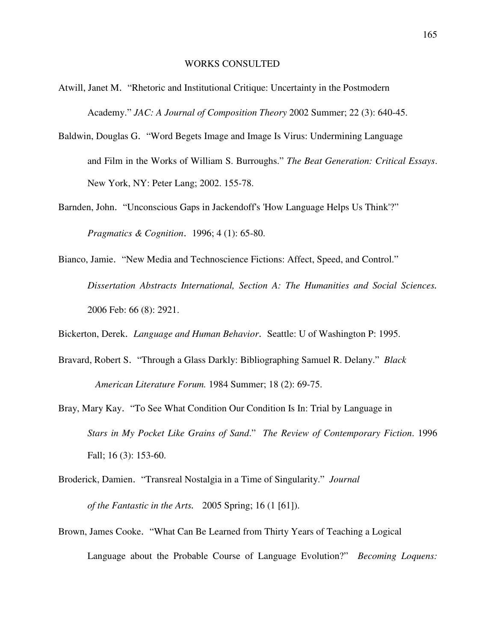#### WORKS CONSULTED

- Atwill, Janet M. "Rhetoric and Institutional Critique: Uncertainty in the Postmodern Academy." *JAC: A Journal of Composition Theory* 2002 Summer; 22 (3): 640-45.
- Baldwin, Douglas G. "Word Begets Image and Image Is Virus: Undermining Language and Film in the Works of William S. Burroughs." *The Beat Generation: Critical Essays*. New York, NY: Peter Lang; 2002. 155-78.
- Barnden, John. "Unconscious Gaps in Jackendoff's 'How Language Helps Us Think'?" *Pragmatics & Cognition*. 1996; 4 (1): 65-80.
- Bianco, Jamie. "New Media and Technoscience Fictions: Affect, Speed, and Control." *Dissertation Abstracts International, Section A: The Humanities and Social Sciences.*  2006 Feb: 66 (8): 2921.

Bickerton, Derek. *Language and Human Behavior*. Seattle: U of Washington P: 1995.

- Bravard, Robert S. "Through a Glass Darkly: Bibliographing Samuel R. Delany." *Black American Literature Forum.* 1984 Summer; 18 (2): 69-75.
- Bray, Mary Kay. "To See What Condition Our Condition Is In: Trial by Language in *Stars in My Pocket Like Grains of Sand*." *The Review of Contemporary Fiction*. 1996 Fall; 16 (3): 153-60.
- Broderick, Damien. "Transreal Nostalgia in a Time of Singularity." *Journal of the Fantastic in the Arts.* 2005 Spring; 16 (1 [61]).
- Brown, James Cooke. "What Can Be Learned from Thirty Years of Teaching a Logical Language about the Probable Course of Language Evolution?" *Becoming Loquens:*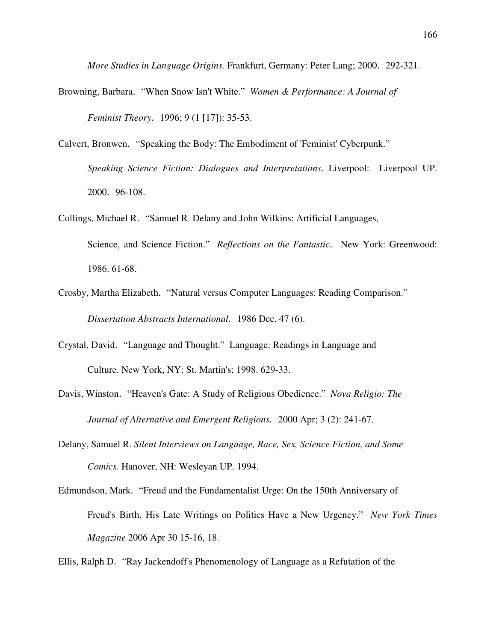*More Studies in Language Origins.* Frankfurt, Germany: Peter Lang; 2000. 292-321.

- Browning, Barbara. "When Snow Isn't White." *Women & Performance: A Journal of Feminist Theory.* 1996; 9 (1 [17]): 35-53.
- Calvert, Bronwen. "Speaking the Body: The Embodiment of 'Feminist' Cyberpunk." *Speaking Science Fiction: Dialogues and Interpretations*. Liverpool: Liverpool UP. 2000. 96-108.
- Collings, Michael R. "Samuel R. Delany and John Wilkins: Artificial Languages, Science, and Science Fiction." *Reflections on the Fantastic*. New York: Greenwood: 1986. 61-68.
- Crosby, Martha Elizabeth. "Natural versus Computer Languages: Reading Comparison." *Dissertation Abstracts International.* 1986 Dec. 47 (6).
- Crystal, David. "Language and Thought." Language: Readings in Language and Culture. New York, NY: St. Martin's; 1998. 629-33.
- Davis, Winston. "Heaven's Gate: A Study of Religious Obedience." *Nova Religio: The Journal of Alternative and Emergent Religions.* 2000 Apr; 3 (2): 241-67.
- Delany, Samuel R. *Silent Interviews on Language, Race, Sex, Science Fiction, and Some Comics.* Hanover, NH: Wesleyan UP. 1994.
- Edmundson, Mark. "Freud and the Fundamentalist Urge: On the 150th Anniversary of Freud's Birth, His Late Writings on Politics Have a New Urgency." *New York Times Magazine* 2006 Apr 30 15-16, 18.
- Ellis, Ralph D. "Ray Jackendoff's Phenomenology of Language as a Refutation of the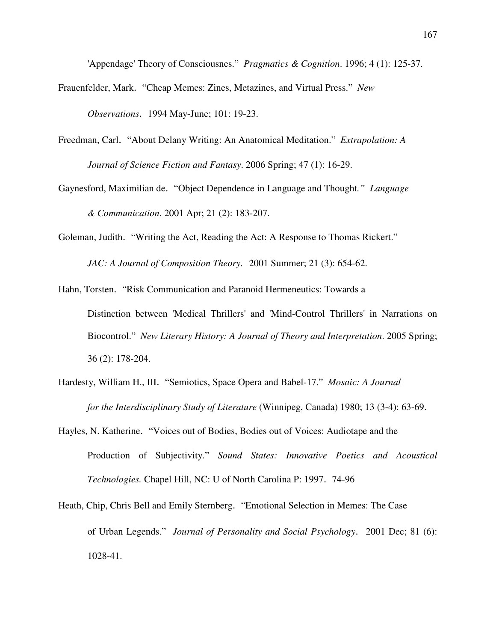'Appendage' Theory of Consciousnes." *Pragmatics & Cognition*. 1996; 4 (1): 125-37.

- Frauenfelder, Mark. "Cheap Memes: Zines, Metazines, and Virtual Press." *New Observations*. 1994 May-June; 101: 19-23.
- Freedman, Carl. "About Delany Writing: An Anatomical Meditation." *Extrapolation: A Journal of Science Fiction and Fantasy*. 2006 Spring; 47 (1): 16-29.
- Gaynesford, Maximilian de. "Object Dependence in Language and Thought*." Language & Communication*. 2001 Apr; 21 (2): 183-207.
- Goleman, Judith. "Writing the Act, Reading the Act: A Response to Thomas Rickert."

*JAC: A Journal of Composition Theory.* 2001 Summer; 21 (3): 654-62.

Hahn, Torsten. "Risk Communication and Paranoid Hermeneutics: Towards a Distinction between 'Medical Thrillers' and 'Mind-Control Thrillers' in Narrations on Biocontrol." *New Literary History: A Journal of Theory and Interpretation*. 2005 Spring; 36 (2): 178-204.

- Hardesty, William H., III. "Semiotics, Space Opera and Babel-17." *Mosaic: A Journal for the Interdisciplinary Study of Literature* (Winnipeg, Canada) 1980; 13 (3-4): 63-69.
- Hayles, N. Katherine. "Voices out of Bodies, Bodies out of Voices: Audiotape and the Production of Subjectivity." *Sound States: Innovative Poetics and Acoustical Technologies.* Chapel Hill, NC: U of North Carolina P: 1997. 74-96
- Heath, Chip, Chris Bell and Emily Sternberg. "Emotional Selection in Memes: The Case of Urban Legends." *Journal of Personality and Social Psychology*. 2001 Dec; 81 (6): 1028-41.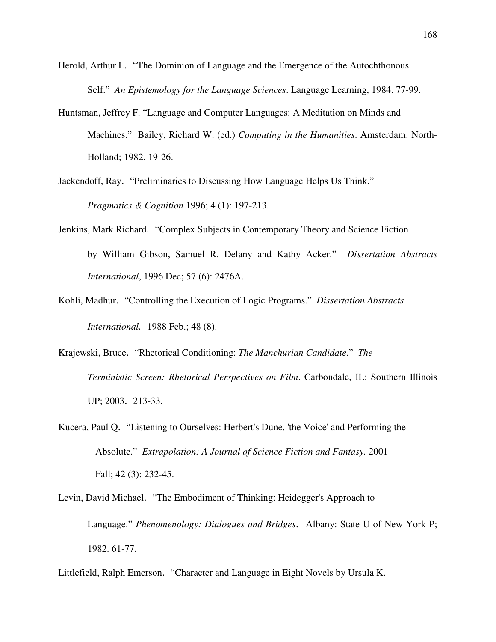- Herold, Arthur L. "The Dominion of Language and the Emergence of the Autochthonous Self." *An Epistemology for the Language Sciences*. Language Learning, 1984. 77-99.
- Huntsman, Jeffrey F. "Language and Computer Languages: A Meditation on Minds and Machines." Bailey, Richard W. (ed.) *Computing in the Humanities*. Amsterdam: North-Holland; 1982. 19-26.
- Jackendoff, Ray. "Preliminaries to Discussing How Language Helps Us Think." *Pragmatics & Cognition* 1996; 4 (1): 197-213.
- Jenkins, Mark Richard. "Complex Subjects in Contemporary Theory and Science Fiction by William Gibson, Samuel R. Delany and Kathy Acker." *Dissertation Abstracts International*, 1996 Dec; 57 (6): 2476A.
- Kohli, Madhur. "Controlling the Execution of Logic Programs." *Dissertation Abstracts International.* 1988 Feb.; 48 (8).
- Krajewski, Bruce. "Rhetorical Conditioning: *The Manchurian Candidate*." *The Terministic Screen: Rhetorical Perspectives on Film*. Carbondale, IL: Southern Illinois UP; 2003. 213-33.
- Kucera, Paul Q. "Listening to Ourselves: Herbert's Dune, 'the Voice' and Performing the Absolute." *Extrapolation: A Journal of Science Fiction and Fantasy.* 2001 Fall; 42 (3): 232-45.

Levin, David Michael. "The Embodiment of Thinking: Heidegger's Approach to Language." *Phenomenology: Dialogues and Bridges*. Albany: State U of New York P; 1982. 61-77.

Littlefield, Ralph Emerson. "Character and Language in Eight Novels by Ursula K.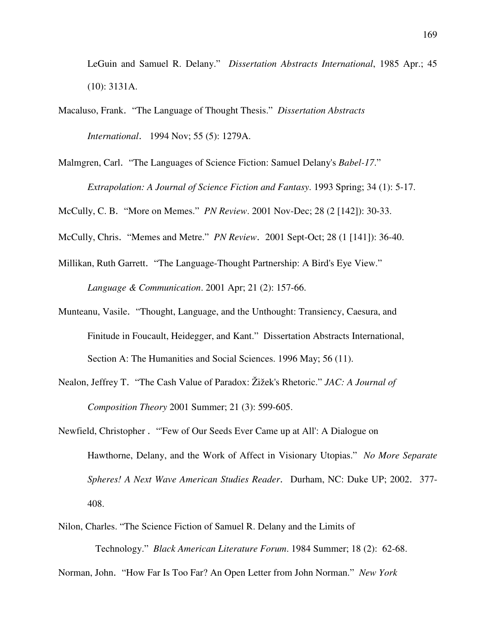LeGuin and Samuel R. Delany." *Dissertation Abstracts International*, 1985 Apr.; 45 (10): 3131A.

- Macaluso, Frank. "The Language of Thought Thesis." *Dissertation Abstracts International*. 1994 Nov; 55 (5): 1279A.
- Malmgren, Carl. "The Languages of Science Fiction: Samuel Delany's *Babel-17*." *Extrapolation: A Journal of Science Fiction and Fantasy*. 1993 Spring; 34 (1): 5-17.

McCully, C. B. "More on Memes." *PN Review*. 2001 Nov-Dec; 28 (2 [142]): 30-33.

McCully, Chris. "Memes and Metre." *PN Review*. 2001 Sept-Oct; 28 (1 [141]): 36-40.

- Millikan, Ruth Garrett. "The Language-Thought Partnership: A Bird's Eye View." *Language & Communication*. 2001 Apr; 21 (2): 157-66.
- Munteanu, Vasile. "Thought, Language, and the Unthought: Transiency, Caesura, and Finitude in Foucault, Heidegger, and Kant." Dissertation Abstracts International, Section A: The Humanities and Social Sciences. 1996 May; 56 (11).
- Nealon, Jeffrey T. "The Cash Value of Paradox: Žižek's Rhetoric." *JAC: A Journal of Composition Theory* 2001 Summer; 21 (3): 599-605.
- Newfield, Christopher . "'Few of Our Seeds Ever Came up at All': A Dialogue on Hawthorne, Delany, and the Work of Affect in Visionary Utopias." *No More Separate Spheres! A Next Wave American Studies Reader*. Durham, NC: Duke UP; 2002. 377- 408.
- Nilon, Charles. "The Science Fiction of Samuel R. Delany and the Limits of Technology." *Black American Literature Forum*. 1984 Summer; 18 (2): 62-68.

Norman, John. "How Far Is Too Far? An Open Letter from John Norman." *New York*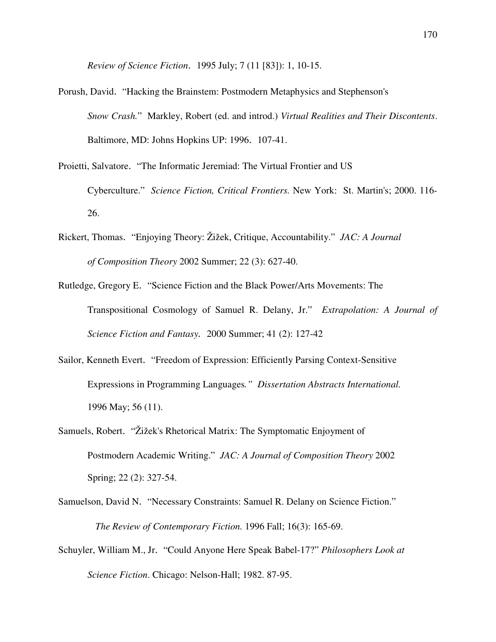*Review of Science Fiction*. 1995 July; 7 (11 [83]): 1, 10-15.

- Porush, David. "Hacking the Brainstem: Postmodern Metaphysics and Stephenson's *Snow Crash.*" Markley, Robert (ed. and introd.) *Virtual Realities and Their Discontents*. Baltimore, MD: Johns Hopkins UP: 1996. 107-41.
- Proietti, Salvatore. "The Informatic Jeremiad: The Virtual Frontier and US Cyberculture." *Science Fiction, Critical Frontiers.* New York: St. Martin's; 2000. 116- 26.
- Rickert, Thomas. "Enjoying Theory: Žižek, Critique, Accountability." *JAC: A Journal of Composition Theory* 2002 Summer; 22 (3): 627-40.
- Rutledge, Gregory E. "Science Fiction and the Black Power/Arts Movements: The Transpositional Cosmology of Samuel R. Delany, Jr." *Extrapolation: A Journal of Science Fiction and Fantasy.* 2000 Summer; 41 (2): 127-42
- Sailor, Kenneth Evert. "Freedom of Expression: Efficiently Parsing Context-Sensitive Expressions in Programming Languages*." Dissertation Abstracts International.* 1996 May; 56 (11).
- Samuels, Robert. "Žižek's Rhetorical Matrix: The Symptomatic Enjoyment of Postmodern Academic Writing." *JAC: A Journal of Composition Theory* 2002 Spring; 22 (2): 327-54.
- Samuelson, David N. "Necessary Constraints: Samuel R. Delany on Science Fiction." *The Review of Contemporary Fiction.* 1996 Fall; 16(3): 165-69.
- Schuyler, William M., Jr. "Could Anyone Here Speak Babel-17?" *Philosophers Look at Science Fiction*. Chicago: Nelson-Hall; 1982. 87-95.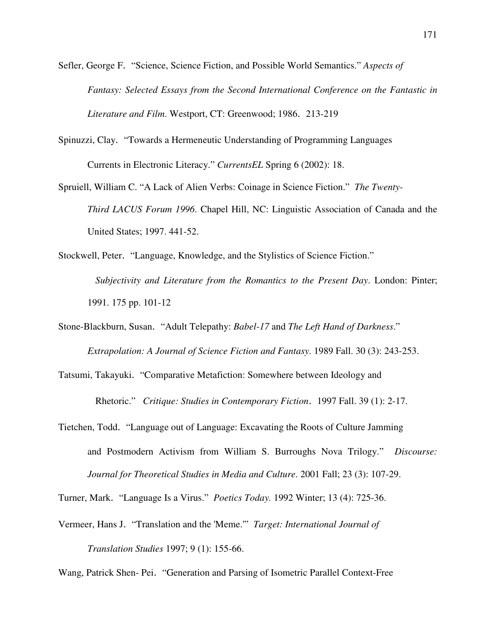Sefler, George F. "Science, Science Fiction, and Possible World Semantics." *Aspects of Fantasy: Selected Essays from the Second International Conference on the Fantastic in Literature and Film*. Westport, CT: Greenwood; 1986. 213-219

- Spinuzzi, Clay. "Towards a Hermeneutic Understanding of Programming Languages Currents in Electronic Literacy." *CurrentsEL* Spring 6 (2002): 18.
- Spruiell, William C. "A Lack of Alien Verbs: Coinage in Science Fiction." *The Twenty-Third LACUS Forum 1996*. Chapel Hill, NC: Linguistic Association of Canada and the United States; 1997. 441-52.

Stockwell, Peter. "Language, Knowledge, and the Stylistics of Science Fiction."  *Subjectivity and Literature from the Romantics to the Present Day*. London: Pinter; 1991. 175 pp. 101-12

Stone-Blackburn, Susan. "Adult Telepathy: *Babel-17* and *The Left Hand of Darkness*."

*Extrapolation: A Journal of Science Fiction and Fantasy*. 1989 Fall. 30 (3): 243-253.

Tatsumi, Takayuki. "Comparative Metafiction: Somewhere between Ideology and

Rhetoric." *Critique: Studies in Contemporary Fiction*. 1997 Fall. 39 (1): 2-17.

Tietchen, Todd. "Language out of Language: Excavating the Roots of Culture Jamming and Postmodern Activism from William S. Burroughs Nova Trilogy." *Discourse: Journal for Theoretical Studies in Media and Culture*. 2001 Fall; 23 (3): 107-29.

Turner, Mark. "Language Is a Virus." *Poetics Today.* 1992 Winter; 13 (4): 725-36.

Vermeer, Hans J. "Translation and the 'Meme.'" *Target: International Journal of Translation Studies* 1997; 9 (1): 155-66.

Wang, Patrick Shen- Pei. "Generation and Parsing of Isometric Parallel Context-Free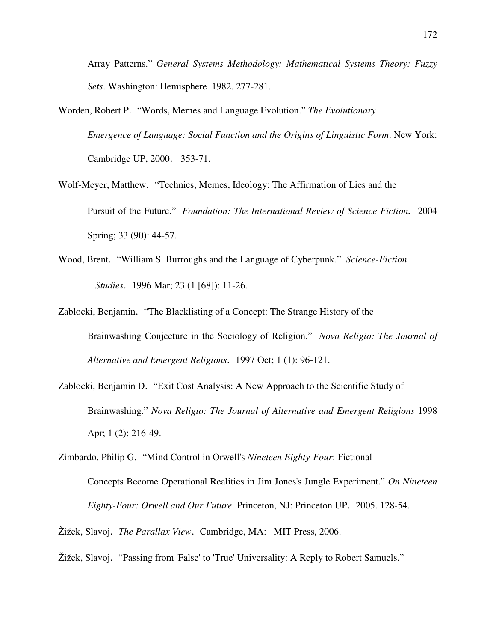Array Patterns." *General Systems Methodology: Mathematical Systems Theory: Fuzzy Sets*. Washington: Hemisphere. 1982. 277-281.

- Worden, Robert P. "Words, Memes and Language Evolution." *The Evolutionary Emergence of Language: Social Function and the Origins of Linguistic Form*. New York: Cambridge UP, 2000. 353-71.
- Wolf-Meyer, Matthew. "Technics, Memes, Ideology: The Affirmation of Lies and the Pursuit of the Future." *Foundation: The International Review of Science Fiction.* 2004 Spring; 33 (90): 44-57.
- Wood, Brent. "William S. Burroughs and the Language of Cyberpunk." *Science-Fiction Studies*. 1996 Mar; 23 (1 [68]): 11-26.
- Zablocki, Benjamin. "The Blacklisting of a Concept: The Strange History of the Brainwashing Conjecture in the Sociology of Religion." *Nova Religio: The Journal of Alternative and Emergent Religions*. 1997 Oct; 1 (1): 96-121.
- Zablocki, Benjamin D. "Exit Cost Analysis: A New Approach to the Scientific Study of Brainwashing." *Nova Religio: The Journal of Alternative and Emergent Religions* 1998 Apr; 1 (2): 216-49.
- Zimbardo, Philip G. "Mind Control in Orwell's *Nineteen Eighty-Four*: Fictional Concepts Become Operational Realities in Jim Jones's Jungle Experiment." *On Nineteen Eighty-Four: Orwell and Our Future*. Princeton, NJ: Princeton UP. 2005. 128-54.
- Žižek, Slavoj. *The Parallax View*. Cambridge, MA: MIT Press, 2006.
- Žižek, Slavoj. "Passing from 'False' to 'True' Universality: A Reply to Robert Samuels."